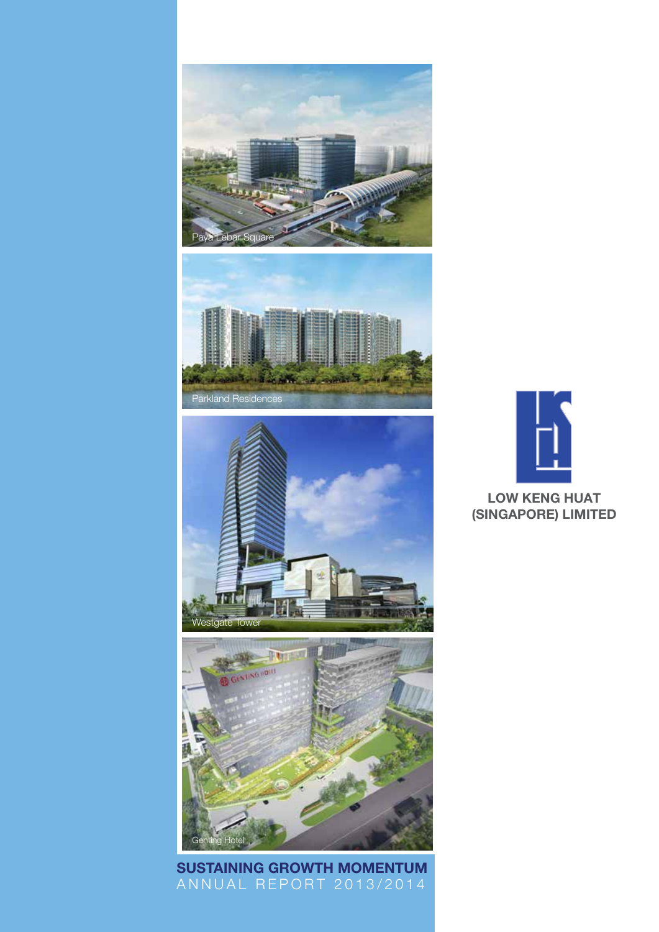







ANNUAL REPORT 2013/2014 Sustaining Growth Momentum

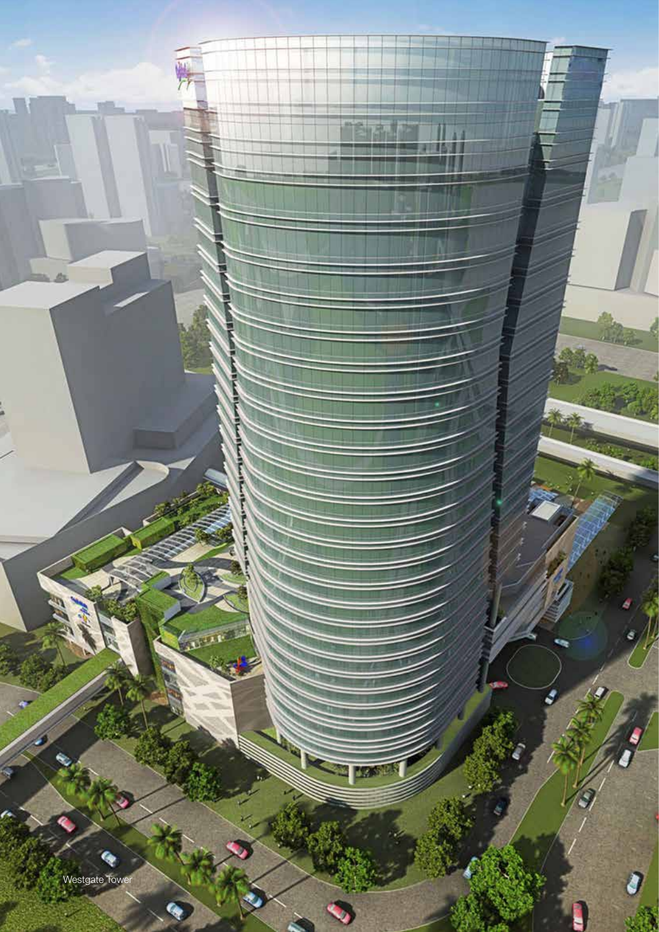

豝

kК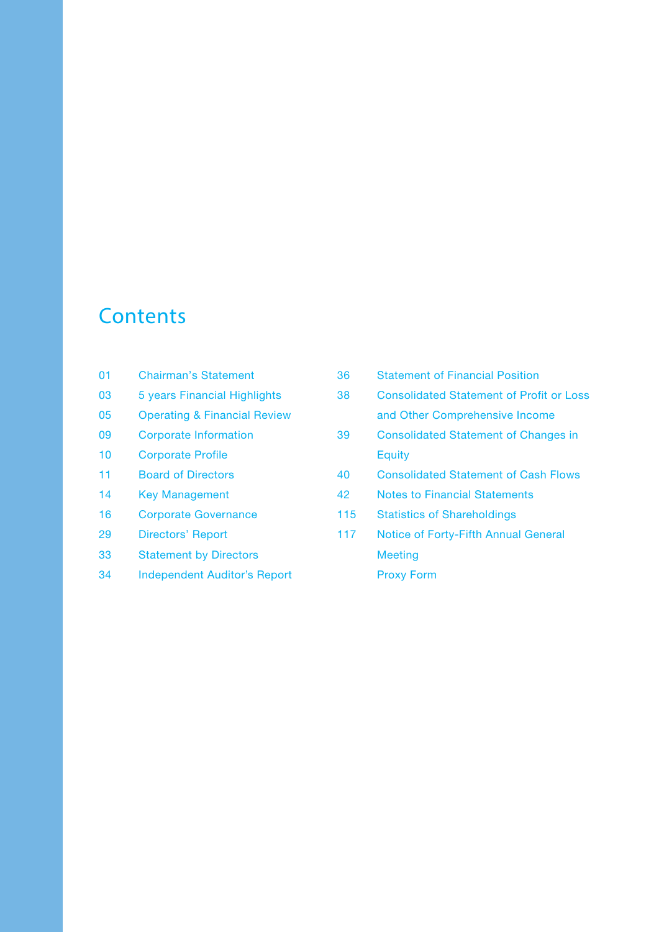# **Contents**

- 01 Chairman's Statement
- 03 5 years Financial Highlights
- 05 Operating & Financial Review
- 09 Corporate Information
- 10 Corporate Profile
- 11 Board of Directors
- 14 Key Management
- 16 Corporate Governance
- 29 Directors' Report
- 33 Statement by Directors
- 34 Independent Auditor's Report

| 36  | <b>Statement of Financial Position</b>          |
|-----|-------------------------------------------------|
| 38  | <b>Consolidated Statement of Profit or Loss</b> |
|     | and Other Comprehensive Income                  |
| 39  | <b>Consolidated Statement of Changes in</b>     |
|     | <b>Equity</b>                                   |
| 40  | <b>Consolidated Statement of Cash Flows</b>     |
| 42  | <b>Notes to Financial Statements</b>            |
| 115 | <b>Statistics of Shareholdings</b>              |
| 117 | Notice of Forty-Fifth Annual General            |
|     | Meeting                                         |
|     | <b>Proxy Form</b>                               |
|     |                                                 |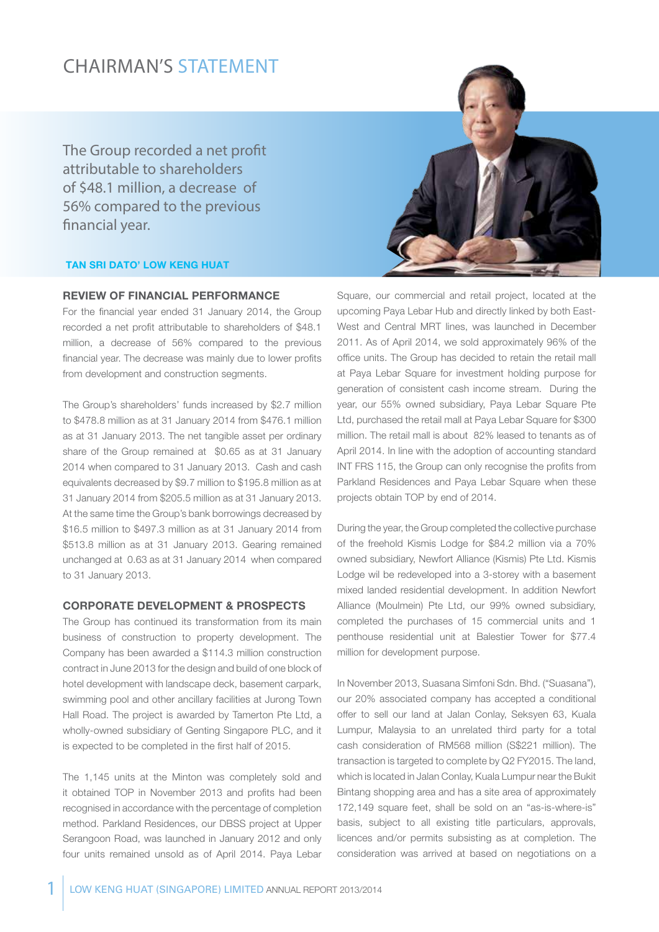### CHAIRMAN'S STATEMENT

The Group recorded a net profit attributable to shareholders of \$48.1 million, a decrease of 56% compared to the previous financial year.

#### Tan Sri Dato' Low Keng Huat

#### Review of Financial Performance

For the financial year ended 31 January 2014, the Group recorded a net profit attributable to shareholders of \$48.1 million, a decrease of 56% compared to the previous financial year. The decrease was mainly due to lower profits from development and construction segments.

The Group's shareholders' funds increased by \$2.7 million to \$478.8 million as at 31 January 2014 from \$476.1 million as at 31 January 2013. The net tangible asset per ordinary share of the Group remained at \$0.65 as at 31 January 2014 when compared to 31 January 2013. Cash and cash equivalents decreased by \$9.7 million to \$195.8 million as at 31 January 2014 from \$205.5 million as at 31 January 2013. At the same time the Group's bank borrowings decreased by \$16.5 million to \$497.3 million as at 31 January 2014 from \$513.8 million as at 31 January 2013. Gearing remained unchanged at 0.63 as at 31 January 2014 when compared to 31 January 2013.

#### Corporate Development & Prospects

The Group has continued its transformation from its main business of construction to property development. The Company has been awarded a \$114.3 million construction contract in June 2013 for the design and build of one block of hotel development with landscape deck, basement carpark, swimming pool and other ancillary facilities at Jurong Town Hall Road. The project is awarded by Tamerton Pte Ltd, a wholly-owned subsidiary of Genting Singapore PLC, and it is expected to be completed in the first half of 2015.

The 1,145 units at the Minton was completely sold and it obtained TOP in November 2013 and profits had been recognised in accordance with the percentage of completion method. Parkland Residences, our DBSS project at Upper Serangoon Road, was launched in January 2012 and only four units remained unsold as of April 2014. Paya Lebar



Square, our commercial and retail project, located at the upcoming Paya Lebar Hub and directly linked by both East-West and Central MRT lines, was launched in December 2011. As of April 2014, we sold approximately 96% of the office units. The Group has decided to retain the retail mall at Paya Lebar Square for investment holding purpose for generation of consistent cash income stream. During the year, our 55% owned subsidiary, Paya Lebar Square Pte Ltd, purchased the retail mall at Paya Lebar Square for \$300 million. The retail mall is about 82% leased to tenants as of April 2014. In line with the adoption of accounting standard INT FRS 115, the Group can only recognise the profits from Parkland Residences and Paya Lebar Square when these projects obtain TOP by end of 2014.

During the year, the Group completed the collective purchase of the freehold Kismis Lodge for \$84.2 million via a 70% owned subsidiary, Newfort Alliance (Kismis) Pte Ltd. Kismis Lodge wil be redeveloped into a 3-storey with a basement mixed landed residential development. In addition Newfort Alliance (Moulmein) Pte Ltd, our 99% owned subsidiary, completed the purchases of 15 commercial units and 1 penthouse residential unit at Balestier Tower for \$77.4 million for development purpose.

In November 2013, Suasana Simfoni Sdn. Bhd. ("Suasana"), our 20% associated company has accepted a conditional offer to sell our land at Jalan Conlay, Seksyen 63, Kuala Lumpur, Malaysia to an unrelated third party for a total cash consideration of RM568 million (S\$221 million). The transaction is targeted to complete by Q2 FY2015. The land, which is located in Jalan Conlay, Kuala Lumpur near the Bukit Bintang shopping area and has a site area of approximately 172,149 square feet, shall be sold on an "as-is-where-is" basis, subject to all existing title particulars, approvals, licences and/or permits subsisting as at completion. The consideration was arrived at based on negotiations on a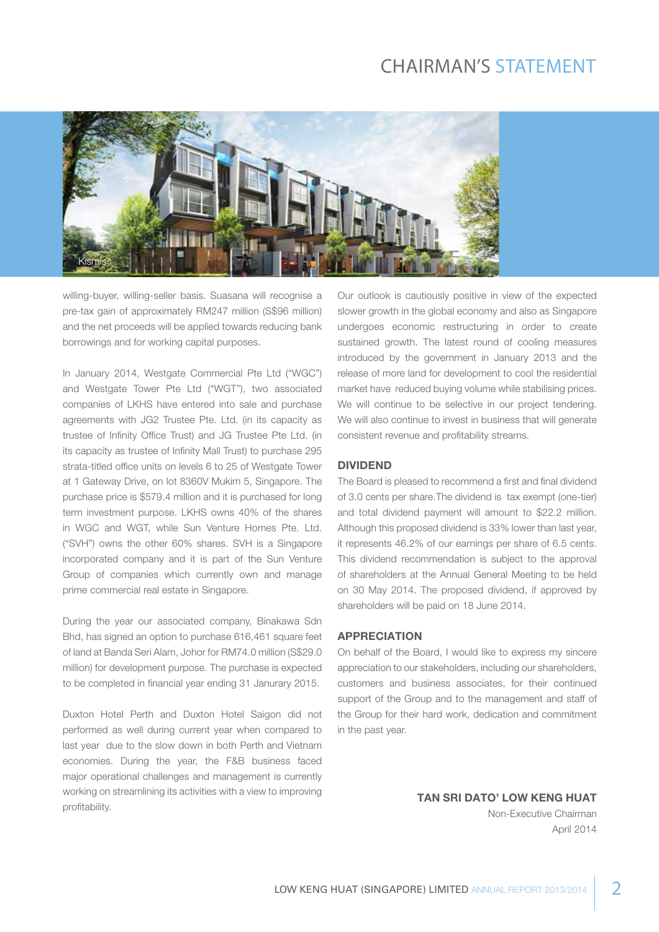### CHAIRMAN'S STATEMENT



willing-buyer, willing-seller basis. Suasana will recognise a pre-tax gain of approximately RM247 million (S\$96 million) and the net proceeds will be applied towards reducing bank borrowings and for working capital purposes.

In January 2014, Westgate Commercial Pte Ltd ("WGC") and Westgate Tower Pte Ltd ("WGT"), two associated companies of LKHS have entered into sale and purchase agreements with JG2 Trustee Pte. Ltd. (in its capacity as trustee of Infinity Office Trust) and JG Trustee Pte Ltd. (in its capacity as trustee of Infinity Mall Trust) to purchase 295 strata-titled office units on levels 6 to 25 of Westgate Tower at 1 Gateway Drive, on lot 8360V Mukim 5, Singapore. The purchase price is \$579.4 million and it is purchased for long term investment purpose. LKHS owns 40% of the shares in WGC and WGT, while Sun Venture Homes Pte. Ltd. ("SVH") owns the other 60% shares. SVH is a Singapore incorporated company and it is part of the Sun Venture Group of companies which currently own and manage prime commercial real estate in Singapore.

During the year our associated company, Binakawa Sdn Bhd, has signed an option to purchase 616,461 square feet of land at Banda Seri Alam, Johor for RM74.0 million (S\$29.0 million) for development purpose. The purchase is expected to be completed in financial year ending 31 Janurary 2015.

Duxton Hotel Perth and Duxton Hotel Saigon did not performed as well during current year when compared to last year due to the slow down in both Perth and Vietnam economies. During the year, the F&B business faced major operational challenges and management is currently working on streamlining its activities with a view to improving profitability.

Our outlook is cautiously positive in view of the expected slower growth in the global economy and also as Singapore undergoes economic restructuring in order to create sustained growth. The latest round of cooling measures introduced by the government in January 2013 and the release of more land for development to cool the residential market have reduced buying volume while stabilising prices. We will continue to be selective in our project tendering. We will also continue to invest in business that will generate consistent revenue and profitability streams.

#### **DIVIDEND**

The Board is pleased to recommend a first and final dividend of 3.0 cents per share.The dividend is tax exempt (one-tier) and total dividend payment will amount to \$22.2 million. Although this proposed dividend is 33% lower than last year, it represents 46.2% of our earnings per share of 6.5 cents. This dividend recommendation is subject to the approval of shareholders at the Annual General Meeting to be held on 30 May 2014. The proposed dividend, if approved by shareholders will be paid on 18 June 2014.

#### **APPRECIATION**

On behalf of the Board, I would like to express my sincere appreciation to our stakeholders, including our shareholders, customers and business associates, for their continued support of the Group and to the management and staff of the Group for their hard work, dedication and commitment in the past year.

### Tan Sri Dato' Low Keng Huat

Non-Executive Chairman April 2014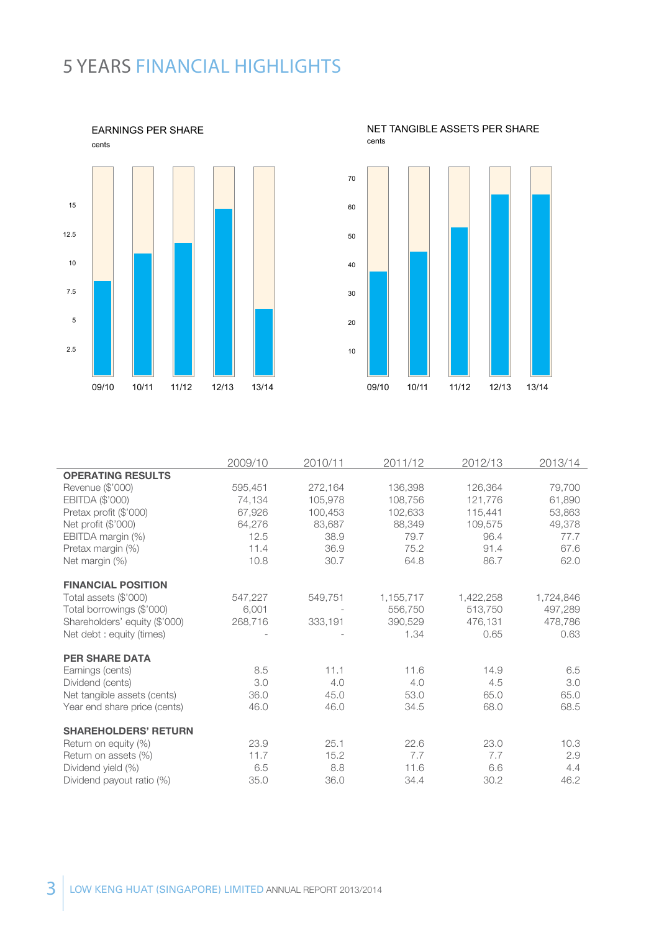# 5 YEARS FINANCIAL hIGHLIGHTS





#### NET TANGIBLE ASSETS PER SHARE cents

|                               | 2009/10 | 2010/11 | 2011/12   | 2012/13   | 2013/14   |
|-------------------------------|---------|---------|-----------|-----------|-----------|
| <b>OPERATING RESULTS</b>      |         |         |           |           |           |
| Revenue (\$'000)              | 595,451 | 272,164 | 136,398   | 126,364   | 79,700    |
| EBITDA (\$'000)               | 74,134  | 105,978 | 108,756   | 121,776   | 61,890    |
| Pretax profit (\$'000)        | 67,926  | 100,453 | 102,633   | 115,441   | 53,863    |
| Net profit (\$'000)           | 64,276  | 83,687  | 88,349    | 109,575   | 49,378    |
| EBITDA margin (%)             | 12.5    | 38.9    | 79.7      | 96.4      | 77.7      |
| Pretax margin (%)             | 11.4    | 36.9    | 75.2      | 91.4      | 67.6      |
| Net margin (%)                | 10.8    | 30.7    | 64.8      | 86.7      | 62.0      |
|                               |         |         |           |           |           |
| <b>FINANCIAL POSITION</b>     |         |         |           |           |           |
| Total assets (\$'000)         | 547,227 | 549,751 | 1,155,717 | 1,422,258 | 1,724,846 |
| Total borrowings (\$'000)     | 6,001   |         | 556,750   | 513,750   | 497.289   |
| Shareholders' equity (\$'000) | 268,716 | 333,191 | 390,529   | 476,131   | 478,786   |
| Net debt : equity (times)     |         |         | 1.34      | 0.65      | 0.63      |
|                               |         |         |           |           |           |
| <b>PER SHARE DATA</b>         |         |         |           |           |           |
| Earnings (cents)              | 8.5     | 11.1    | 11.6      | 14.9      | 6.5       |
| Dividend (cents)              | 3.0     | 4.0     | 4.0       | 4.5       | 3.0       |
| Net tangible assets (cents)   | 36.0    | 45.0    | 53.0      | 65.0      | 65.0      |
| Year end share price (cents)  | 46.0    | 46.0    | 34.5      | 68.0      | 68.5      |
|                               |         |         |           |           |           |
| <b>SHAREHOLDERS' RETURN</b>   |         |         |           |           |           |
| Return on equity (%)          | 23.9    | 25.1    | 22.6      | 23.0      | 10.3      |
| Return on assets (%)          | 11.7    | 15.2    | 7.7       | 7.7       | 2.9       |
| Dividend yield (%)            | 6.5     | 8.8     | 11.6      | 6.6       | 4.4       |
| Dividend payout ratio (%)     | 35.0    | 36.0    | 34.4      | 30.2      | 46.2      |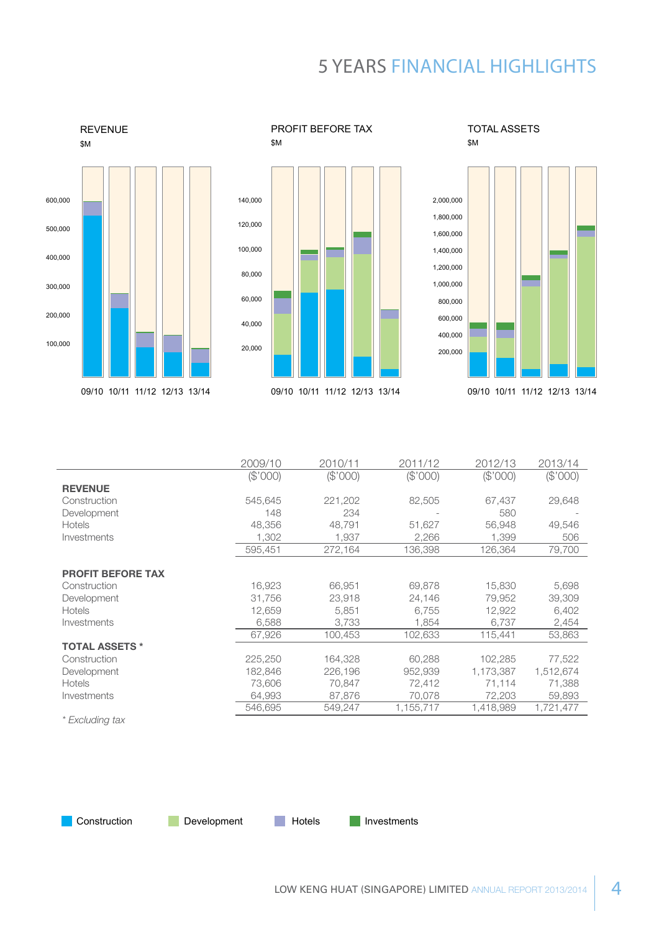# 5 YEARS FINANCIAL hIGHLIGHTS



REVENUE



PROFIT BEFORE TAX

TOTAL ASSETS \$M



|                          | 2009/10  | 2010/11  | 2011/12   | 2012/13   | 2013/14   |
|--------------------------|----------|----------|-----------|-----------|-----------|
|                          | (\$'000) | (\$'000) | (\$'000)  | (\$'000)  | (\$'000)  |
| <b>REVENUE</b>           |          |          |           |           |           |
| Construction             | 545.645  | 221,202  | 82,505    | 67,437    | 29,648    |
| Development              | 148      | 234      |           | 580       |           |
| <b>Hotels</b>            | 48,356   | 48,791   | 51,627    | 56,948    | 49,546    |
| Investments              | 1,302    | 1,937    | 2,266     | 1,399     | 506       |
|                          | 595,451  | 272,164  | 136,398   | 126,364   | 79,700    |
|                          |          |          |           |           |           |
| <b>PROFIT BEFORE TAX</b> |          |          |           |           |           |
| Construction             | 16,923   | 66,951   | 69,878    | 15,830    | 5,698     |
| Development              | 31,756   | 23,918   | 24,146    | 79,952    | 39,309    |
| <b>Hotels</b>            | 12,659   | 5,851    | 6,755     | 12,922    | 6,402     |
| Investments              | 6,588    | 3,733    | 1,854     | 6,737     | 2,454     |
|                          | 67,926   | 100,453  | 102,633   | 115,441   | 53,863    |
| <b>TOTAL ASSETS *</b>    |          |          |           |           |           |
| Construction             | 225,250  | 164,328  | 60,288    | 102,285   | 77,522    |
| Development              | 182,846  | 226,196  | 952,939   | 1,173,387 | 1,512,674 |
| <b>Hotels</b>            | 73,606   | 70,847   | 72,412    | 71,114    | 71,388    |
| Investments              | 64,993   | 87,876   | 70,078    | 72,203    | 59,893    |
|                          | 546,695  | 549,247  | 1,155,717 | 1,418,989 | 1,721,477 |

*\* Excluding tax*

**Construction** Development **Investments**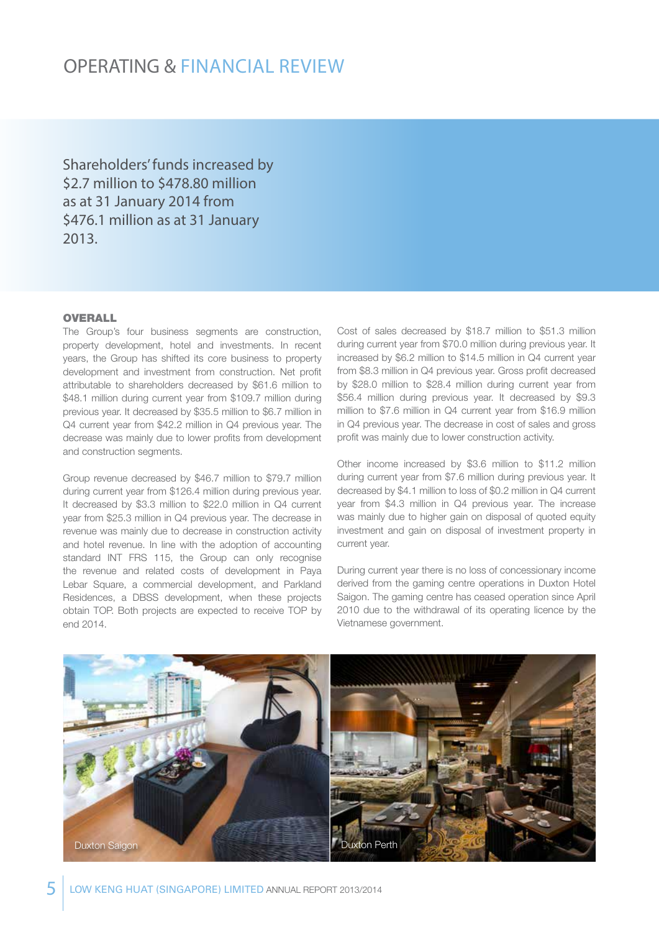Shareholders' funds increased by \$2.7 million to \$478.80 million as at 31 January 2014 from \$476.1 million as at 31 January 2013.

#### **OVERALL**

The Group's four business segments are construction, property development, hotel and investments. In recent years, the Group has shifted its core business to property development and investment from construction. Net profit attributable to shareholders decreased by \$61.6 million to \$48.1 million during current year from \$109.7 million during previous year. It decreased by \$35.5 million to \$6.7 million in Q4 current year from \$42.2 million in Q4 previous year. The decrease was mainly due to lower profits from development and construction segments.

Group revenue decreased by \$46.7 million to \$79.7 million during current year from \$126.4 million during previous year. It decreased by \$3.3 million to \$22.0 million in Q4 current year from \$25.3 million in Q4 previous year. The decrease in revenue was mainly due to decrease in construction activity and hotel revenue. In line with the adoption of accounting standard INT FRS 115, the Group can only recognise the revenue and related costs of development in Paya Lebar Square, a commercial development, and Parkland Residences, a DBSS development, when these projects obtain TOP. Both projects are expected to receive TOP by end 2014.

Cost of sales decreased by \$18.7 million to \$51.3 million during current year from \$70.0 million during previous year. It increased by \$6.2 million to \$14.5 million in Q4 current year from \$8.3 million in Q4 previous year. Gross profit decreased by \$28.0 million to \$28.4 million during current year from \$56.4 million during previous year. It decreased by \$9.3 million to \$7.6 million in Q4 current year from \$16.9 million in Q4 previous year. The decrease in cost of sales and gross profit was mainly due to lower construction activity.

Other income increased by \$3.6 million to \$11.2 million during current year from \$7.6 million during previous year. It decreased by \$4.1 million to loss of \$0.2 million in Q4 current year from \$4.3 million in Q4 previous year. The increase was mainly due to higher gain on disposal of quoted equity investment and gain on disposal of investment property in current year.

During current year there is no loss of concessionary income derived from the gaming centre operations in Duxton Hotel Saigon. The gaming centre has ceased operation since April 2010 due to the withdrawal of its operating licence by the Vietnamese government.

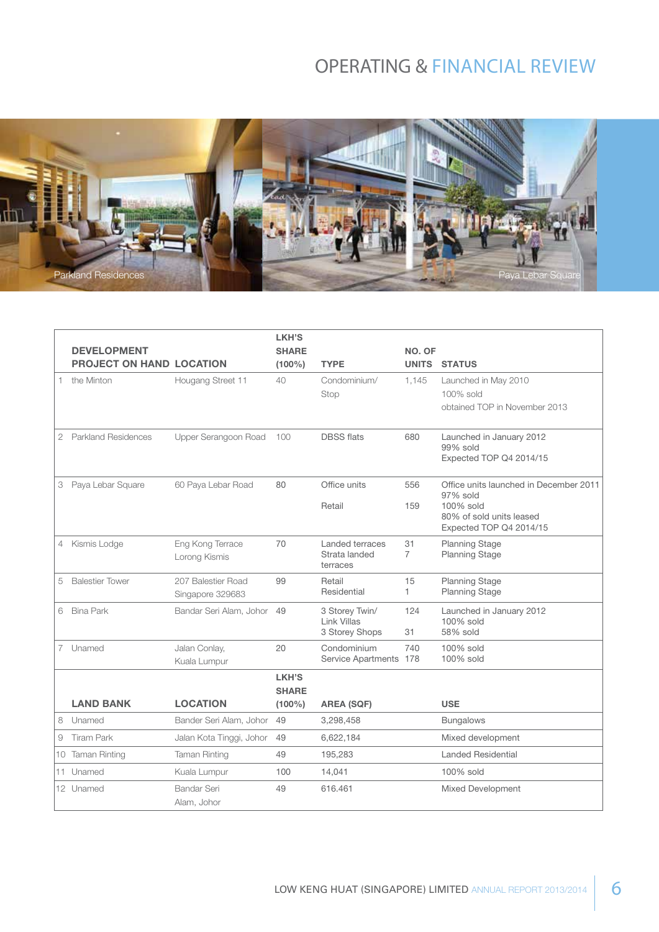

|                |                                 |                          | LKH'S        |                               |                |                                                    |
|----------------|---------------------------------|--------------------------|--------------|-------------------------------|----------------|----------------------------------------------------|
|                | <b>DEVELOPMENT</b>              |                          | <b>SHARE</b> |                               | NO. OF         |                                                    |
|                | <b>PROJECT ON HAND LOCATION</b> |                          | $(100\%)$    | <b>TYPE</b>                   | <b>UNITS</b>   | <b>STATUS</b>                                      |
| 1.             | the Minton                      | Hougang Street 11        | 40           | Condominium/                  | 1,145          | Launched in May 2010                               |
|                |                                 |                          |              | Stop                          |                | 100% sold                                          |
|                |                                 |                          |              |                               |                | obtained TOP in November 2013                      |
|                |                                 |                          |              |                               |                |                                                    |
| 2              | <b>Parkland Residences</b>      | Upper Serangoon Road     | 100          | <b>DBSS flats</b>             | 680            | Launched in January 2012<br>99% sold               |
|                |                                 |                          |              |                               |                | Expected TOP Q4 2014/15                            |
|                |                                 |                          |              |                               |                |                                                    |
| 3              | Paya Lebar Square               | 60 Paya Lebar Road       | 80           | Office units                  | 556            | Office units launched in December 2011<br>97% sold |
|                |                                 |                          |              | Retail                        | 159            | 100% sold                                          |
|                |                                 |                          |              |                               |                | 80% of sold units leased                           |
|                |                                 |                          |              |                               |                | Expected TOP Q4 2014/15                            |
| 4              | Kismis Lodge                    | Eng Kong Terrace         | 70           | Landed terraces               | 31             | <b>Planning Stage</b>                              |
|                |                                 | Lorong Kismis            |              | Strata landed<br>terraces     | $\overline{7}$ | <b>Planning Stage</b>                              |
| 5              | <b>Balestier Tower</b>          | 207 Balestier Road       | 99           | Retail                        | 15             | <b>Planning Stage</b>                              |
|                |                                 | Singapore 329683         |              | Residential                   | $\mathbf{1}$   | <b>Planning Stage</b>                              |
| 6              | <b>Bina Park</b>                | Bandar Seri Alam, Johor  | 49           | 3 Storey Twin/                | 124            | Launched in January 2012                           |
|                |                                 |                          |              | Link Villas<br>3 Storey Shops | 31             | 100% sold<br>58% sold                              |
| $\overline{7}$ | Unamed                          | Jalan Conlay,            | 20           | Condominium                   | 740            | 100% sold                                          |
|                |                                 | Kuala Lumpur             |              | Service Apartments 178        |                | 100% sold                                          |
|                |                                 |                          | LKH'S        |                               |                |                                                    |
|                |                                 |                          | <b>SHARE</b> |                               |                |                                                    |
|                | <b>LAND BANK</b>                | <b>LOCATION</b>          | $(100\%)$    | <b>AREA (SQF)</b>             |                | <b>USE</b>                                         |
| 8              | Unamed                          | Bander Seri Alam, Johor  | 49           | 3,298,458                     |                | <b>Bungalows</b>                                   |
| 9              | <b>Tiram Park</b>               | Jalan Kota Tinggi, Johor | 49           | 6,622,184                     |                | Mixed development                                  |
|                | 10 Taman Rinting                | <b>Taman Rinting</b>     | 49           | 195,283                       |                | <b>Landed Residential</b>                          |
| 11.            | Unamed                          | Kuala Lumpur             | 100          | 14,041                        |                | 100% sold                                          |
|                | 12 Unamed                       | Bandar Seri              | 49           | 616.461                       |                | Mixed Development                                  |
|                |                                 | Alam, Johor              |              |                               |                |                                                    |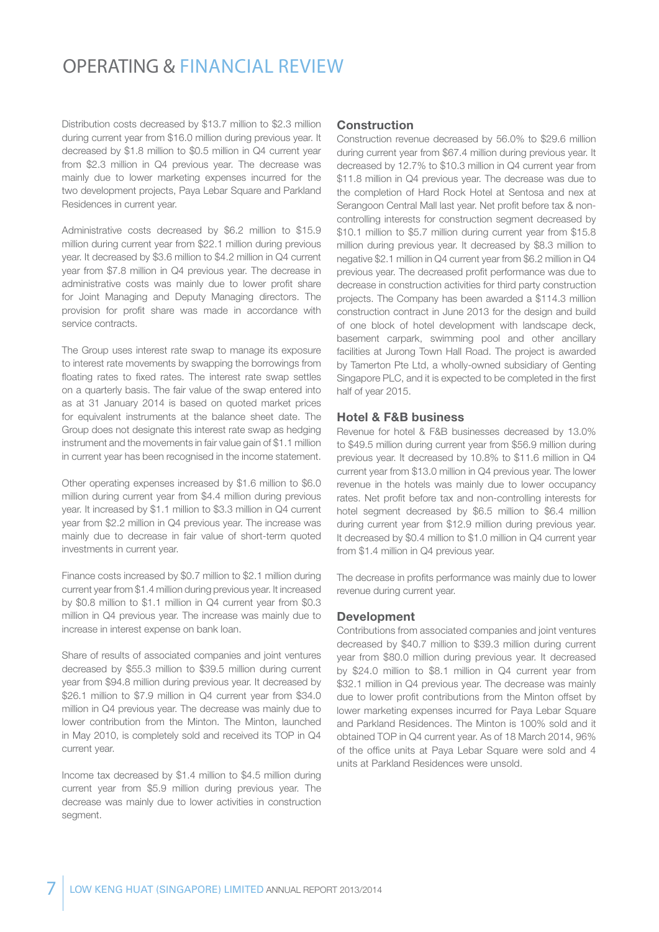Distribution costs decreased by \$13.7 million to \$2.3 million during current year from \$16.0 million during previous year. It decreased by \$1.8 million to \$0.5 million in Q4 current year from \$2.3 million in Q4 previous year. The decrease was mainly due to lower marketing expenses incurred for the two development projects, Paya Lebar Square and Parkland Residences in current year.

Administrative costs decreased by \$6.2 million to \$15.9 million during current year from \$22.1 million during previous year. It decreased by \$3.6 million to \$4.2 million in Q4 current year from \$7.8 million in Q4 previous year. The decrease in administrative costs was mainly due to lower profit share for Joint Managing and Deputy Managing directors. The provision for profit share was made in accordance with service contracts.

The Group uses interest rate swap to manage its exposure to interest rate movements by swapping the borrowings from floating rates to fixed rates. The interest rate swap settles on a quarterly basis. The fair value of the swap entered into as at 31 January 2014 is based on quoted market prices for equivalent instruments at the balance sheet date. The Group does not designate this interest rate swap as hedging instrument and the movements in fair value gain of \$1.1 million in current year has been recognised in the income statement.

Other operating expenses increased by \$1.6 million to \$6.0 million during current year from \$4.4 million during previous year. It increased by \$1.1 million to \$3.3 million in Q4 current year from \$2.2 million in Q4 previous year. The increase was mainly due to decrease in fair value of short-term quoted investments in current year.

Finance costs increased by \$0.7 million to \$2.1 million during current year from \$1.4 million during previous year. It increased by \$0.8 million to \$1.1 million in Q4 current year from \$0.3 million in Q4 previous year. The increase was mainly due to increase in interest expense on bank loan.

Share of results of associated companies and joint ventures decreased by \$55.3 million to \$39.5 million during current year from \$94.8 million during previous year. It decreased by \$26.1 million to \$7.9 million in Q4 current year from \$34.0 million in Q4 previous year. The decrease was mainly due to lower contribution from the Minton. The Minton, launched in May 2010, is completely sold and received its TOP in Q4 current year.

Income tax decreased by \$1.4 million to \$4.5 million during current year from \$5.9 million during previous year. The decrease was mainly due to lower activities in construction seament.

#### Construction

Construction revenue decreased by 56.0% to \$29.6 million during current year from \$67.4 million during previous year. It decreased by 12.7% to \$10.3 million in Q4 current year from \$11.8 million in Q4 previous year. The decrease was due to the completion of Hard Rock Hotel at Sentosa and nex at Serangoon Central Mall last year. Net profit before tax & noncontrolling interests for construction segment decreased by \$10.1 million to \$5.7 million during current year from \$15.8 million during previous year. It decreased by \$8.3 million to negative \$2.1 million in Q4 current year from \$6.2 million in Q4 previous year. The decreased profit performance was due to decrease in construction activities for third party construction projects. The Company has been awarded a \$114.3 million construction contract in June 2013 for the design and build of one block of hotel development with landscape deck, basement carpark, swimming pool and other ancillary facilities at Jurong Town Hall Road. The project is awarded by Tamerton Pte Ltd, a wholly-owned subsidiary of Genting Singapore PLC, and it is expected to be completed in the first half of year 2015.

#### Hotel & F&B business

Revenue for hotel & F&B businesses decreased by 13.0% to \$49.5 million during current year from \$56.9 million during previous year. It decreased by 10.8% to \$11.6 million in Q4 current year from \$13.0 million in Q4 previous year. The lower revenue in the hotels was mainly due to lower occupancy rates. Net profit before tax and non-controlling interests for hotel segment decreased by \$6.5 million to \$6.4 million during current year from \$12.9 million during previous year. It decreased by \$0.4 million to \$1.0 million in Q4 current year from \$1.4 million in Q4 previous year.

The decrease in profits performance was mainly due to lower revenue during current year.

#### Development

Contributions from associated companies and joint ventures decreased by \$40.7 million to \$39.3 million during current year from \$80.0 million during previous year. It decreased by \$24.0 million to \$8.1 million in Q4 current year from \$32.1 million in Q4 previous year. The decrease was mainly due to lower profit contributions from the Minton offset by lower marketing expenses incurred for Paya Lebar Square and Parkland Residences. The Minton is 100% sold and it obtained TOP in Q4 current year. As of 18 March 2014, 96% of the office units at Paya Lebar Square were sold and 4 units at Parkland Residences were unsold.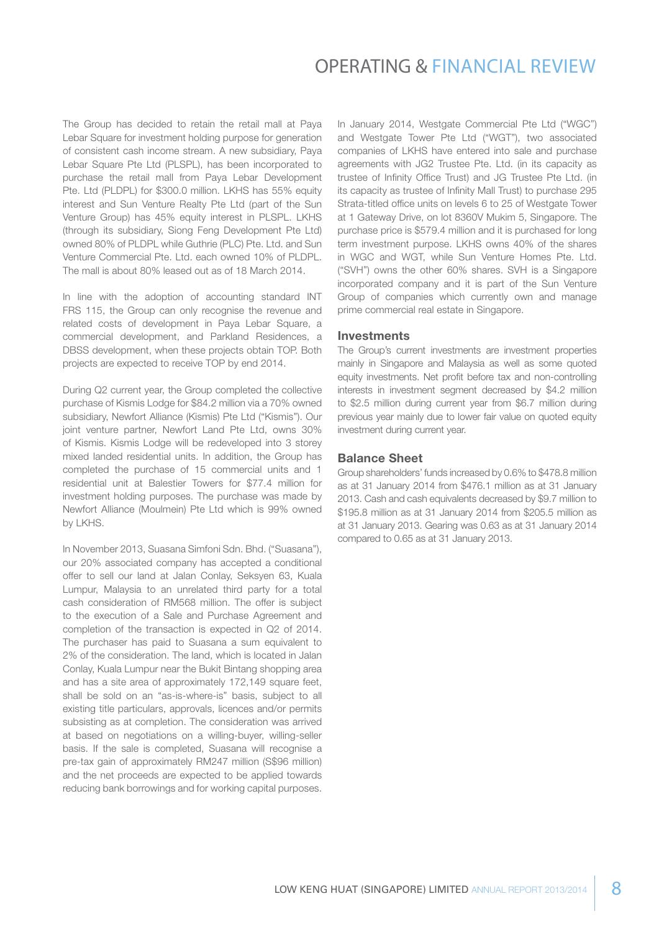The Group has decided to retain the retail mall at Paya Lebar Square for investment holding purpose for generation of consistent cash income stream. A new subsidiary, Paya Lebar Square Pte Ltd (PLSPL), has been incorporated to purchase the retail mall from Paya Lebar Development Pte. Ltd (PLDPL) for \$300.0 million. LKHS has 55% equity interest and Sun Venture Realty Pte Ltd (part of the Sun Venture Group) has 45% equity interest in PLSPL. LKHS (through its subsidiary, Siong Feng Development Pte Ltd) owned 80% of PLDPL while Guthrie (PLC) Pte. Ltd. and Sun Venture Commercial Pte. Ltd. each owned 10% of PLDPL. The mall is about 80% leased out as of 18 March 2014.

In line with the adoption of accounting standard INT FRS 115, the Group can only recognise the revenue and related costs of development in Paya Lebar Square, a commercial development, and Parkland Residences, a DBSS development, when these projects obtain TOP. Both projects are expected to receive TOP by end 2014.

During Q2 current year, the Group completed the collective purchase of Kismis Lodge for \$84.2 million via a 70% owned subsidiary, Newfort Alliance (Kismis) Pte Ltd ("Kismis"). Our joint venture partner, Newfort Land Pte Ltd, owns 30% of Kismis. Kismis Lodge will be redeveloped into 3 storey mixed landed residential units. In addition, the Group has completed the purchase of 15 commercial units and 1 residential unit at Balestier Towers for \$77.4 million for investment holding purposes. The purchase was made by Newfort Alliance (Moulmein) Pte Ltd which is 99% owned by LKHS.

In November 2013, Suasana Simfoni Sdn. Bhd. ("Suasana"), our 20% associated company has accepted a conditional offer to sell our land at Jalan Conlay, Seksyen 63, Kuala Lumpur, Malaysia to an unrelated third party for a total cash consideration of RM568 million. The offer is subject to the execution of a Sale and Purchase Agreement and completion of the transaction is expected in Q2 of 2014. The purchaser has paid to Suasana a sum equivalent to 2% of the consideration. The land, which is located in Jalan Conlay, Kuala Lumpur near the Bukit Bintang shopping area and has a site area of approximately 172,149 square feet, shall be sold on an "as-is-where-is" basis, subject to all existing title particulars, approvals, licences and/or permits subsisting as at completion. The consideration was arrived at based on negotiations on a willing-buyer, willing-seller basis. If the sale is completed, Suasana will recognise a pre-tax gain of approximately RM247 million (S\$96 million) and the net proceeds are expected to be applied towards reducing bank borrowings and for working capital purposes.

In January 2014, Westgate Commercial Pte Ltd ("WGC") and Westgate Tower Pte Ltd ("WGT"), two associated companies of LKHS have entered into sale and purchase agreements with JG2 Trustee Pte. Ltd. (in its capacity as trustee of Infinity Office Trust) and JG Trustee Pte Ltd. (in its capacity as trustee of Infinity Mall Trust) to purchase 295 Strata-titled office units on levels 6 to 25 of Westgate Tower at 1 Gateway Drive, on lot 8360V Mukim 5, Singapore. The purchase price is \$579.4 million and it is purchased for long term investment purpose. LKHS owns 40% of the shares in WGC and WGT, while Sun Venture Homes Pte. Ltd. ("SVH") owns the other 60% shares. SVH is a Singapore incorporated company and it is part of the Sun Venture Group of companies which currently own and manage prime commercial real estate in Singapore.

#### **Investments**

The Group's current investments are investment properties mainly in Singapore and Malaysia as well as some quoted equity investments. Net profit before tax and non-controlling interests in investment segment decreased by \$4.2 million to \$2.5 million during current year from \$6.7 million during previous year mainly due to lower fair value on quoted equity investment during current year.

#### Balance Sheet

Group shareholders' funds increased by 0.6% to \$478.8 million as at 31 January 2014 from \$476.1 million as at 31 January 2013. Cash and cash equivalents decreased by \$9.7 million to \$195.8 million as at 31 January 2014 from \$205.5 million as at 31 January 2013. Gearing was 0.63 as at 31 January 2014 compared to 0.65 as at 31 January 2013.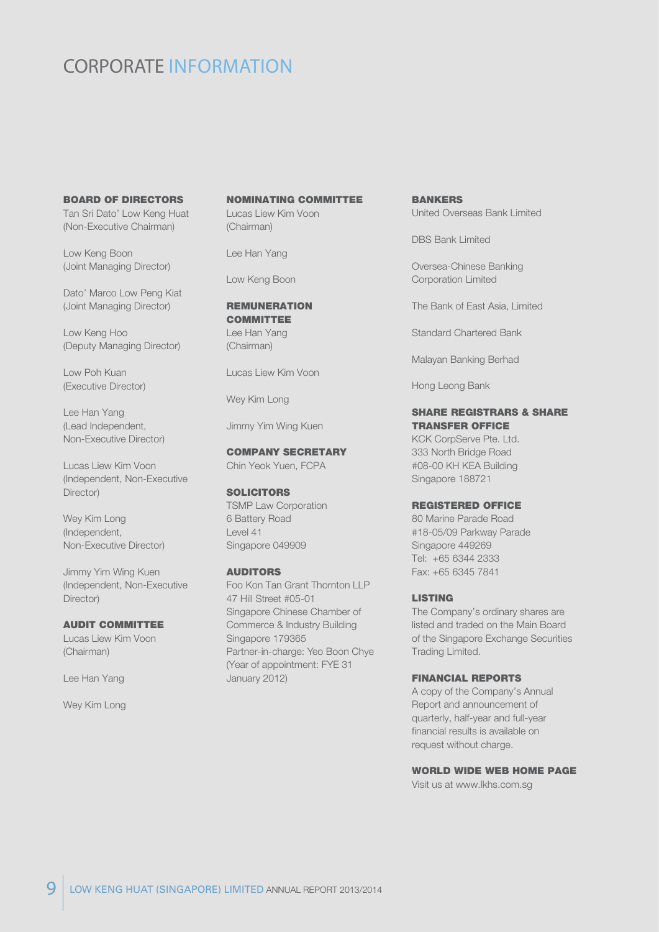### CORPORATE INFORMATION

#### BOARD OF DIRECTORS

Tan Sri Dato' Low Keng Huat (Non-Executive Chairman)

Low Keng Boon (Joint Managing Director)

Dato' Marco Low Peng Kiat (Joint Managing Director)

Low Keng Hoo (Deputy Managing Director)

Low Poh Kuan (Executive Director)

Lee Han Yang (Lead Independent, Non-Executive Director)

Lucas Liew Kim Voon (Independent, Non-Executive Director)

Wey Kim Long (Independent, Non-Executive Director)

Jimmy Yim Wing Kuen (Independent, Non-Executive Director)

#### AUDIT COMMITTEE

Lucas Liew Kim Voon (Chairman)

Lee Han Yang

Wey Kim Long

### NOMINATING COMMITTEE

Lucas Liew Kim Voon (Chairman)

Lee Han Yang

Low Keng Boon

#### REMUNERATION **COMMITTEE**

Lee Han Yang (Chairman)

Lucas Liew Kim Voon

Wey Kim Long

Jimmy Yim Wing Kuen

### COMPANY SECRETARY

Chin Yeok Yuen, FCPA

#### **SOLICITORS**

TSMP Law Corporation 6 Battery Road Level 41 Singapore 049909

#### AUDITORS

Foo Kon Tan Grant Thornton LLP 47 Hill Street #05-01 Singapore Chinese Chamber of Commerce & Industry Building Singapore 179365 Partner-in-charge: Yeo Boon Chye (Year of appointment: FYE 31 January 2012)

BANKERS United Overseas Bank Limited

DBS Bank Limited

Oversea-Chinese Banking Corporation Limited

The Bank of East Asia, Limited

Standard Chartered Bank

Malayan Banking Berhad

Hong Leong Bank

#### SHARE REGISTRARS & SHARE TRANSFER OFFICE

KCK CorpServe Pte. Ltd. 333 North Bridge Road #08-00 KH KEA Building Singapore 188721

#### REGISTERED OFFICE

80 Marine Parade Road #18-05/09 Parkway Parade Singapore 449269 Tel: +65 6344 2333 Fax: +65 6345 7841

#### LISTING

The Company's ordinary shares are listed and traded on the Main Board of the Singapore Exchange Securities Trading Limited.

#### FINANCIAL REPORTS

A copy of the Company's Annual Report and announcement of quarterly, half-year and full-year financial results is available on request without charge.

#### WORLD WIDE WEB HOME PAGE

Visit us at www.lkhs.com.sg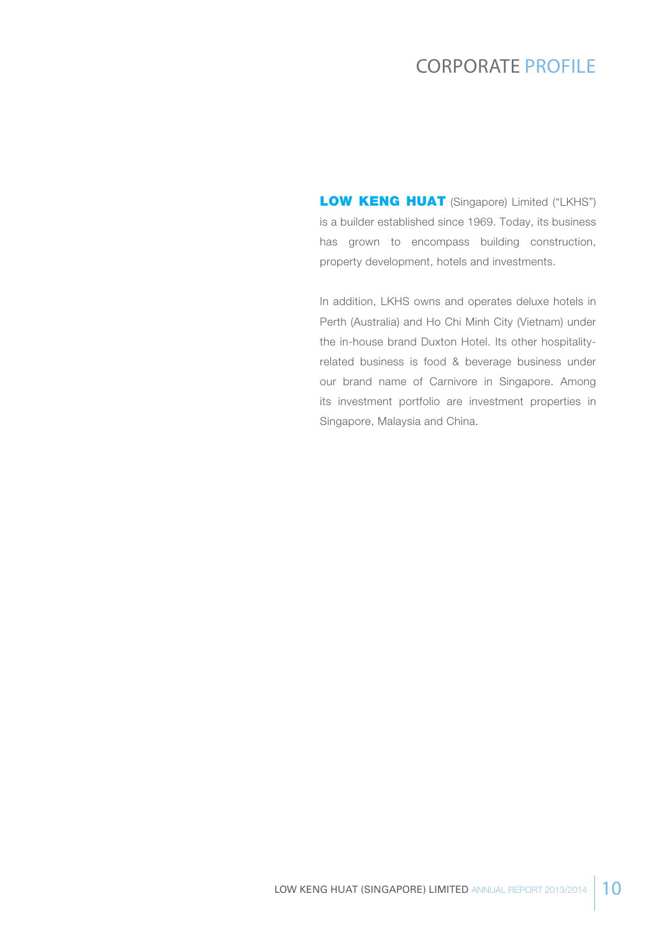### Corporate profile

LOW KENG HUAT (Singapore) Limited ("LKHS") is a builder established since 1969. Today, its business has grown to encompass building construction, property development, hotels and investments.

In addition, LKHS owns and operates deluxe hotels in Perth (Australia) and Ho Chi Minh City (Vietnam) under the in-house brand Duxton Hotel. Its other hospitalityrelated business is food & beverage business under our brand name of Carnivore in Singapore. Among its investment portfolio are investment properties in Singapore, Malaysia and China.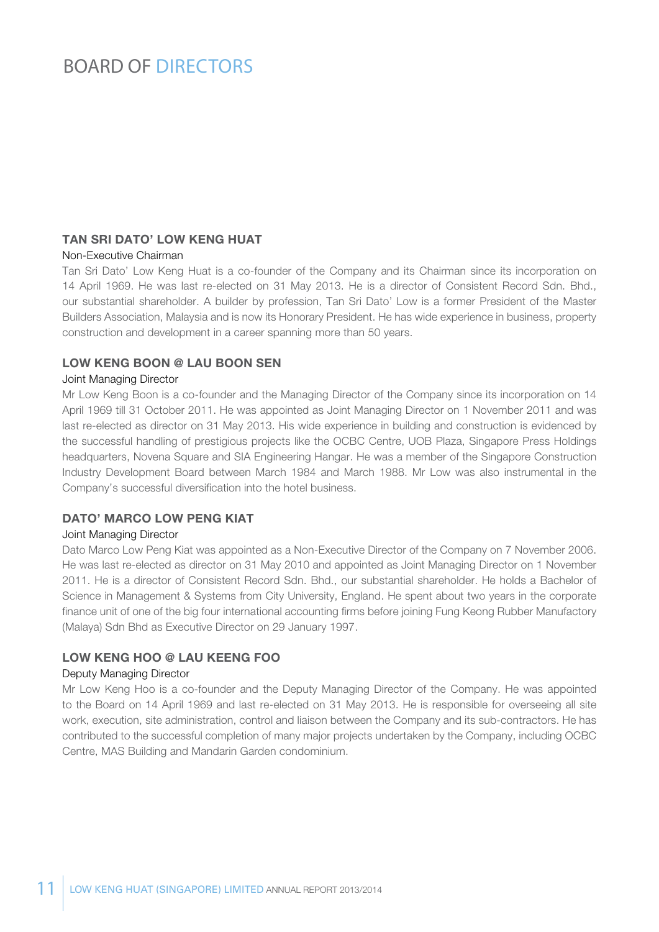### BOARD OF DIRECTORS

### Tan Sri Dato' Low Keng Huat

#### Non-Executive Chairman

Tan Sri Dato' Low Keng Huat is a co-founder of the Company and its Chairman since its incorporation on 14 April 1969. He was last re-elected on 31 May 2013. He is a director of Consistent Record Sdn. Bhd., our substantial shareholder. A builder by profession, Tan Sri Dato' Low is a former President of the Master Builders Association, Malaysia and is now its Honorary President. He has wide experience in business, property construction and development in a career spanning more than 50 years.

#### Low Keng Boon @ Lau Boon Sen

#### Joint Managing Director

Mr Low Keng Boon is a co-founder and the Managing Director of the Company since its incorporation on 14 April 1969 till 31 October 2011. He was appointed as Joint Managing Director on 1 November 2011 and was last re-elected as director on 31 May 2013. His wide experience in building and construction is evidenced by the successful handling of prestigious projects like the OCBC Centre, UOB Plaza, Singapore Press Holdings headquarters, Novena Square and SIA Engineering Hangar. He was a member of the Singapore Construction Industry Development Board between March 1984 and March 1988. Mr Low was also instrumental in the Company's successful diversification into the hotel business.

#### DATO' MARCO LOW PENG KIAT

#### Joint Managing Director

Dato Marco Low Peng Kiat was appointed as a Non-Executive Director of the Company on 7 November 2006. He was last re-elected as director on 31 May 2010 and appointed as Joint Managing Director on 1 November 2011. He is a director of Consistent Record Sdn. Bhd., our substantial shareholder. He holds a Bachelor of Science in Management & Systems from City University, England. He spent about two years in the corporate finance unit of one of the big four international accounting firms before joining Fung Keong Rubber Manufactory (Malaya) Sdn Bhd as Executive Director on 29 January 1997.

### Low Keng Hoo @ Lau Keeng Foo

#### Deputy Managing Director

Mr Low Keng Hoo is a co-founder and the Deputy Managing Director of the Company. He was appointed to the Board on 14 April 1969 and last re-elected on 31 May 2013. He is responsible for overseeing all site work, execution, site administration, control and liaison between the Company and its sub-contractors. He has contributed to the successful completion of many major projects undertaken by the Company, including OCBC Centre, MAS Building and Mandarin Garden condominium.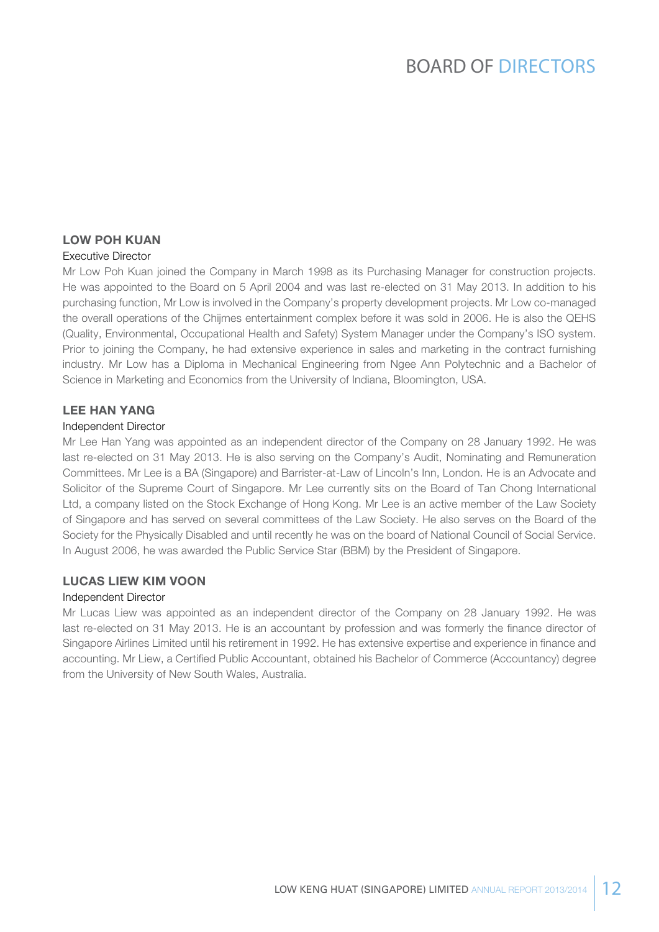# BOARD OF DIRECTORS

### Low Poh Kuan

#### Executive Director

Mr Low Poh Kuan joined the Company in March 1998 as its Purchasing Manager for construction projects. He was appointed to the Board on 5 April 2004 and was last re-elected on 31 May 2013. In addition to his purchasing function, Mr Low is involved in the Company's property development projects. Mr Low co-managed the overall operations of the Chijmes entertainment complex before it was sold in 2006. He is also the QEHS (Quality, Environmental, Occupational Health and Safety) System Manager under the Company's ISO system. Prior to joining the Company, he had extensive experience in sales and marketing in the contract furnishing industry. Mr Low has a Diploma in Mechanical Engineering from Ngee Ann Polytechnic and a Bachelor of Science in Marketing and Economics from the University of Indiana, Bloomington, USA.

### Lee Han Yang

#### Independent Director

Mr Lee Han Yang was appointed as an independent director of the Company on 28 January 1992. He was last re-elected on 31 May 2013. He is also serving on the Company's Audit, Nominating and Remuneration Committees. Mr Lee is a BA (Singapore) and Barrister-at-Law of Lincoln's Inn, London. He is an Advocate and Solicitor of the Supreme Court of Singapore. Mr Lee currently sits on the Board of Tan Chong International Ltd, a company listed on the Stock Exchange of Hong Kong. Mr Lee is an active member of the Law Society of Singapore and has served on several committees of the Law Society. He also serves on the Board of the Society for the Physically Disabled and until recently he was on the board of National Council of Social Service. In August 2006, he was awarded the Public Service Star (BBM) by the President of Singapore.

#### Lucas Liew Kim Voon

#### Independent Director

Mr Lucas Liew was appointed as an independent director of the Company on 28 January 1992. He was last re-elected on 31 May 2013. He is an accountant by profession and was formerly the finance director of Singapore Airlines Limited until his retirement in 1992. He has extensive expertise and experience in finance and accounting. Mr Liew, a Certified Public Accountant, obtained his Bachelor of Commerce (Accountancy) degree from the University of New South Wales, Australia.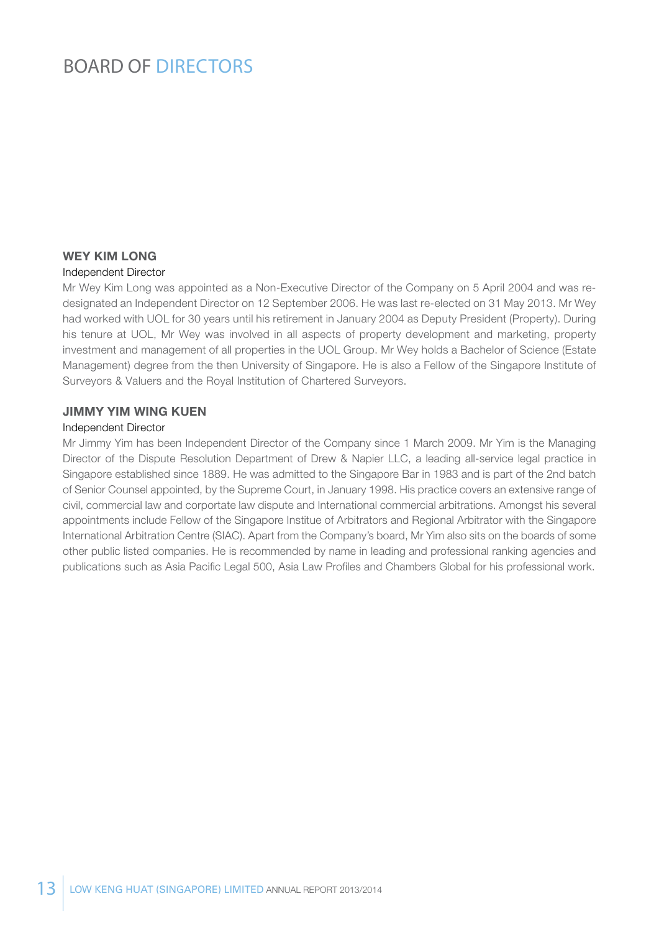# BOARD OF DIRECTORS

### Wey Kim Long

#### Independent Director

Mr Wey Kim Long was appointed as a Non-Executive Director of the Company on 5 April 2004 and was redesignated an Independent Director on 12 September 2006. He was last re-elected on 31 May 2013. Mr Wey had worked with UOL for 30 years until his retirement in January 2004 as Deputy President (Property). During his tenure at UOL, Mr Wey was involved in all aspects of property development and marketing, property investment and management of all properties in the UOL Group. Mr Wey holds a Bachelor of Science (Estate Management) degree from the then University of Singapore. He is also a Fellow of the Singapore Institute of Surveyors & Valuers and the Royal Institution of Chartered Surveyors.

#### Jimmy Yim Wing Kuen

#### Independent Director

Mr Jimmy Yim has been Independent Director of the Company since 1 March 2009. Mr Yim is the Managing Director of the Dispute Resolution Department of Drew & Napier LLC, a leading all-service legal practice in Singapore established since 1889. He was admitted to the Singapore Bar in 1983 and is part of the 2nd batch of Senior Counsel appointed, by the Supreme Court, in January 1998. His practice covers an extensive range of civil, commercial law and corportate law dispute and International commercial arbitrations. Amongst his several appointments include Fellow of the Singapore Institue of Arbitrators and Regional Arbitrator with the Singapore International Arbitration Centre (SIAC). Apart from the Company's board, Mr Yim also sits on the boards of some other public listed companies. He is recommended by name in leading and professional ranking agencies and publications such as Asia Pacific Legal 500, Asia Law Profiles and Chambers Global for his professional work.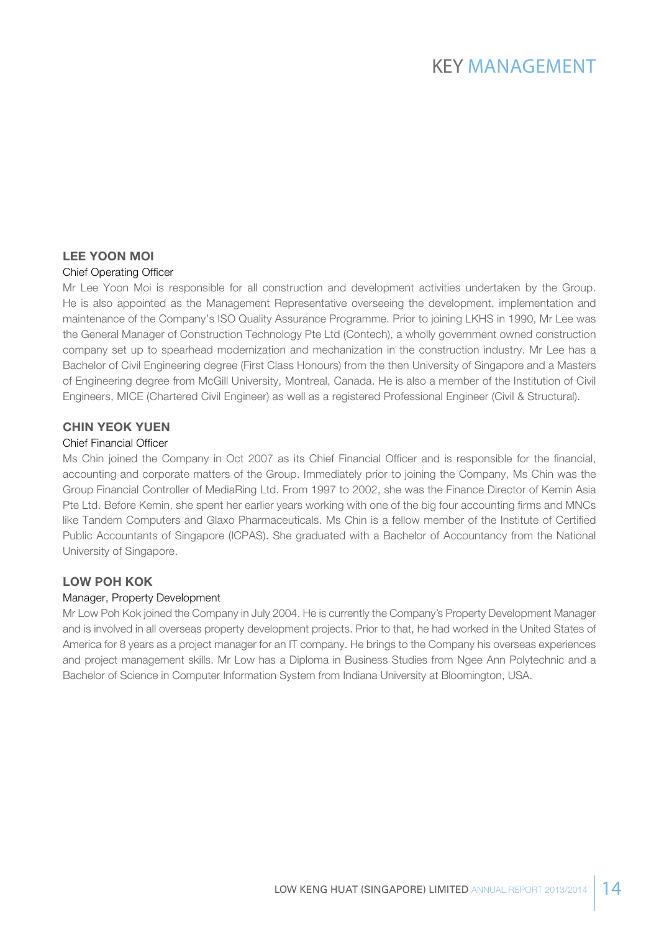### Lee Yoon Moi

#### Chief Operating Officer

Mr Lee Yoon Moi is responsible for all construction and development activities undertaken by the Group. He is also appointed as the Management Representative overseeing the development, implementation and maintenance of the Company's ISO Quality Assurance Programme. Prior to joining LKHS in 1990, Mr Lee was the General Manager of Construction Technology Pte Ltd (Contech), a wholly government owned construction company set up to spearhead modernization and mechanization in the construction industry. Mr Lee has a Bachelor of Civil Engineering degree (First Class Honours) from the then University of Singapore and a Masters of Engineering degree from McGill University, Montreal, Canada. He is also a member of the Institution of Civil Engineers, MICE (Chartered Civil Engineer) as well as a registered Professional Engineer (Civil & Structural).

### Chin Yeok Yuen

#### Chief Financial Officer

Ms Chin joined the Company in Oct 2007 as its Chief Financial Officer and is responsible for the financial, accounting and corporate matters of the Group. Immediately prior to joining the Company, Ms Chin was the Group Financial Controller of MediaRing Ltd. From 1997 to 2002, she was the Finance Director of Kemin Asia Pte Ltd. Before Kemin, she spent her earlier years working with one of the big four accounting firms and MNCs like Tandem Computers and Glaxo Pharmaceuticals. Ms Chin is a fellow member of the Institute of Certified Public Accountants of Singapore (ICPAS). She graduated with a Bachelor of Accountancy from the National University of Singapore.

### Low Poh Kok

#### Manager, Property Development

Mr Low Poh Kok joined the Company in July 2004. He is currently the Company's Property Development Manager and is involved in all overseas property development projects. Prior to that, he had worked in the United States of America for 8 years as a project manager for an IT company. He brings to the Company his overseas experiences and project management skills. Mr Low has a Diploma in Business Studies from Ngee Ann Polytechnic and a Bachelor of Science in Computer Information System from Indiana University at Bloomington, USA.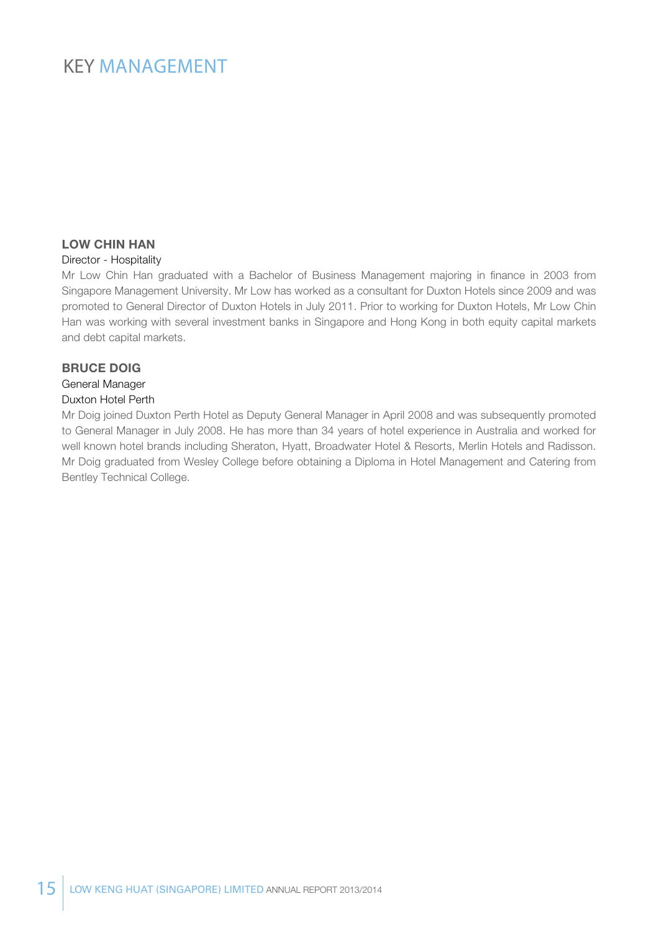### KEY MANAGEMENT

### Low Chin Han

#### Director - Hospitality

Mr Low Chin Han graduated with a Bachelor of Business Management majoring in finance in 2003 from Singapore Management University. Mr Low has worked as a consultant for Duxton Hotels since 2009 and was promoted to General Director of Duxton Hotels in July 2011. Prior to working for Duxton Hotels, Mr Low Chin Han was working with several investment banks in Singapore and Hong Kong in both equity capital markets and debt capital markets.

#### Bruce Doig

#### General Manager Duxton Hotel Perth

Mr Doig joined Duxton Perth Hotel as Deputy General Manager in April 2008 and was subsequently promoted to General Manager in July 2008. He has more than 34 years of hotel experience in Australia and worked for well known hotel brands including Sheraton, Hyatt, Broadwater Hotel & Resorts, Merlin Hotels and Radisson. Mr Doig graduated from Wesley College before obtaining a Diploma in Hotel Management and Catering from Bentley Technical College.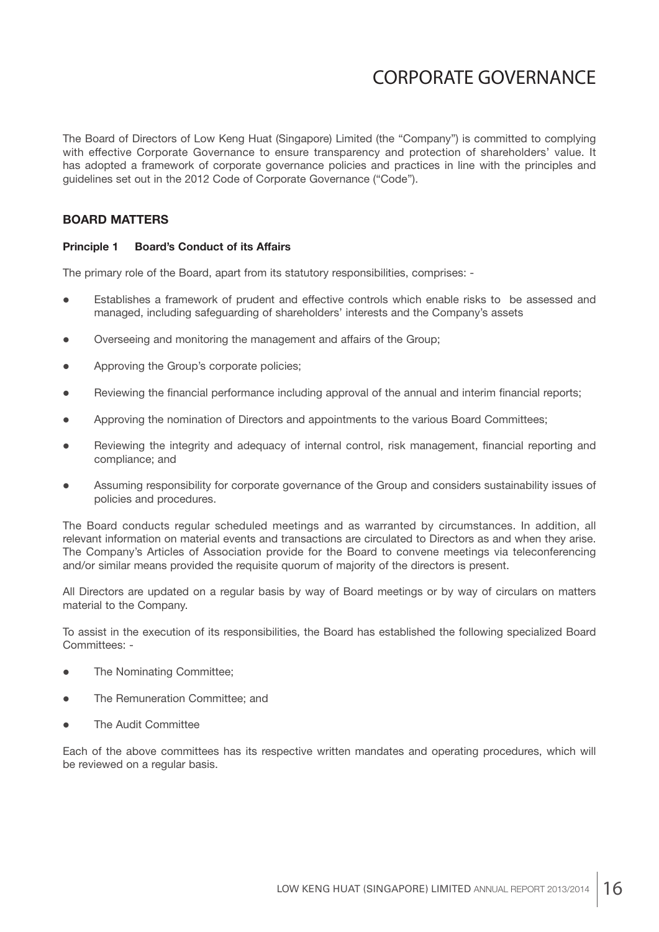The Board of Directors of Low Keng Huat (Singapore) Limited (the "Company") is committed to complying with effective Corporate Governance to ensure transparency and protection of shareholders' value. It has adopted a framework of corporate governance policies and practices in line with the principles and guidelines set out in the 2012 Code of Corporate Governance ("Code").

### **BOARD MATTERS**

#### **Principle 1 Board's Conduct of its Affairs**

The primary role of the Board, apart from its statutory responsibilities, comprises: -

- Establishes a framework of prudent and effective controls which enable risks to be assessed and managed, including safeguarding of shareholders' interests and the Company's assets
- Overseeing and monitoring the management and affairs of the Group;
- Approving the Group's corporate policies;
- Reviewing the financial performance including approval of the annual and interim financial reports;
- Approving the nomination of Directors and appointments to the various Board Committees;
- Reviewing the integrity and adequacy of internal control, risk management, financial reporting and compliance; and
- Assuming responsibility for corporate governance of the Group and considers sustainability issues of policies and procedures.

The Board conducts regular scheduled meetings and as warranted by circumstances. In addition, all relevant information on material events and transactions are circulated to Directors as and when they arise. The Company's Articles of Association provide for the Board to convene meetings via teleconferencing and/or similar means provided the requisite quorum of majority of the directors is present.

All Directors are updated on a regular basis by way of Board meetings or by way of circulars on matters material to the Company.

To assist in the execution of its responsibilities, the Board has established the following specialized Board Committees: -

- The Nominating Committee;
- The Remuneration Committee; and
- The Audit Committee

Each of the above committees has its respective written mandates and operating procedures, which will be reviewed on a regular basis.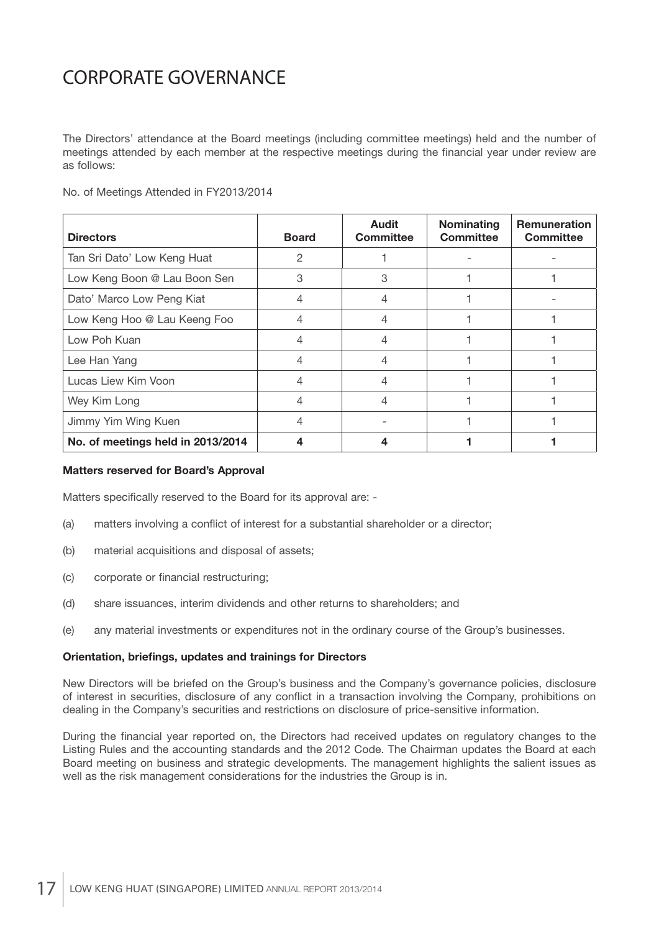The Directors' attendance at the Board meetings (including committee meetings) held and the number of meetings attended by each member at the respective meetings during the financial year under review are as follows:

No. of Meetings Attended in FY2013/2014

| <b>Directors</b>                  | <b>Board</b> | <b>Audit</b><br><b>Committee</b> | <b>Nominating</b><br><b>Committee</b> | <b>Remuneration</b><br><b>Committee</b> |
|-----------------------------------|--------------|----------------------------------|---------------------------------------|-----------------------------------------|
| Tan Sri Dato' Low Keng Huat       | 2            |                                  |                                       |                                         |
| Low Keng Boon @ Lau Boon Sen      | 3            | 3                                |                                       |                                         |
| Dato' Marco Low Peng Kiat         | 4            |                                  |                                       |                                         |
| Low Keng Hoo @ Lau Keeng Foo      | 4            |                                  |                                       |                                         |
| Low Poh Kuan                      | 4            |                                  |                                       |                                         |
| Lee Han Yang                      | 4            |                                  |                                       |                                         |
| Lucas Liew Kim Voon               |              |                                  |                                       |                                         |
| Wey Kim Long                      | 4            |                                  |                                       |                                         |
| Jimmy Yim Wing Kuen               | 4            |                                  |                                       |                                         |
| No. of meetings held in 2013/2014 |              |                                  |                                       |                                         |

#### **Matters reserved for Board's Approval**

Matters specifically reserved to the Board for its approval are: -

- (a) matters involving a conflict of interest for a substantial shareholder or a director;
- (b) material acquisitions and disposal of assets;
- (c) corporate or financial restructuring;
- (d) share issuances, interim dividends and other returns to shareholders; and
- (e) any material investments or expenditures not in the ordinary course of the Group's businesses.

#### **Orientation, briefings, updates and trainings for Directors**

New Directors will be briefed on the Group's business and the Company's governance policies, disclosure of interest in securities, disclosure of any conflict in a transaction involving the Company, prohibitions on dealing in the Company's securities and restrictions on disclosure of price-sensitive information.

During the financial year reported on, the Directors had received updates on regulatory changes to the Listing Rules and the accounting standards and the 2012 Code. The Chairman updates the Board at each Board meeting on business and strategic developments. The management highlights the salient issues as well as the risk management considerations for the industries the Group is in.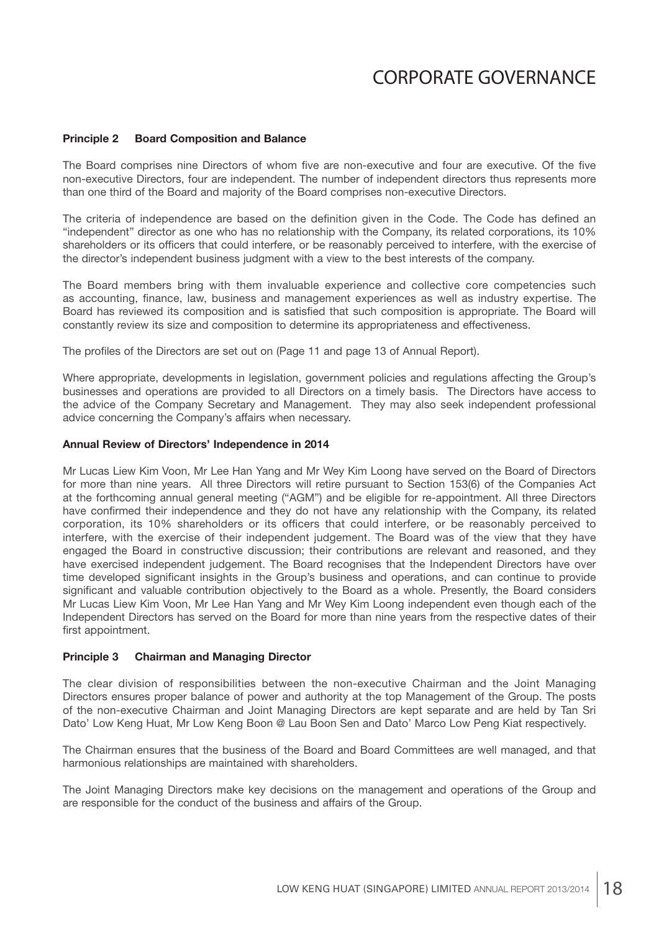#### **Principle 2 Board Composition and Balance**

The Board comprises nine Directors of whom five are non-executive and four are executive. Of the five non-executive Directors, four are independent. The number of independent directors thus represents more than one third of the Board and majority of the Board comprises non-executive Directors.

The criteria of independence are based on the definition given in the Code. The Code has defined an "independent" director as one who has no relationship with the Company, its related corporations, its 10% shareholders or its officers that could interfere, or be reasonably perceived to interfere, with the exercise of the director's independent business judgment with a view to the best interests of the company.

The Board members bring with them invaluable experience and collective core competencies such as accounting, finance, law, business and management experiences as well as industry expertise. The Board has reviewed its composition and is satisfied that such composition is appropriate. The Board will constantly review its size and composition to determine its appropriateness and effectiveness.

The profiles of the Directors are set out on (Page 11 and page 13 of Annual Report).

Where appropriate, developments in legislation, government policies and regulations affecting the Group's businesses and operations are provided to all Directors on a timely basis. The Directors have access to the advice of the Company Secretary and Management. They may also seek independent professional advice concerning the Company's affairs when necessary.

#### **Annual Review of Directors' Independence in 2014**

Mr Lucas Liew Kim Voon, Mr Lee Han Yang and Mr Wey Kim Loong have served on the Board of Directors for more than nine years. All three Directors will retire pursuant to Section 153(6) of the Companies Act at the forthcoming annual general meeting ("AGM") and be eligible for re-appointment. All three Directors have confirmed their independence and they do not have any relationship with the Company, its related corporation, its 10% shareholders or its officers that could interfere, or be reasonably perceived to interfere, with the exercise of their independent judgement. The Board was of the view that they have engaged the Board in constructive discussion; their contributions are relevant and reasoned, and they have exercised independent judgement. The Board recognises that the Independent Directors have over time developed significant insights in the Group's business and operations, and can continue to provide significant and valuable contribution objectively to the Board as a whole. Presently, the Board considers Mr Lucas Liew Kim Voon, Mr Lee Han Yang and Mr Wey Kim Loong independent even though each of the Independent Directors has served on the Board for more than nine years from the respective dates of their first appointment.

#### **Principle 3 Chairman and Managing Director**

The clear division of responsibilities between the non-executive Chairman and the Joint Managing Directors ensures proper balance of power and authority at the top Management of the Group. The posts of the non-executive Chairman and Joint Managing Directors are kept separate and are held by Tan Sri Dato' Low Keng Huat, Mr Low Keng Boon @ Lau Boon Sen and Dato' Marco Low Peng Kiat respectively.

The Chairman ensures that the business of the Board and Board Committees are well managed, and that harmonious relationships are maintained with shareholders.

The Joint Managing Directors make key decisions on the management and operations of the Group and are responsible for the conduct of the business and affairs of the Group.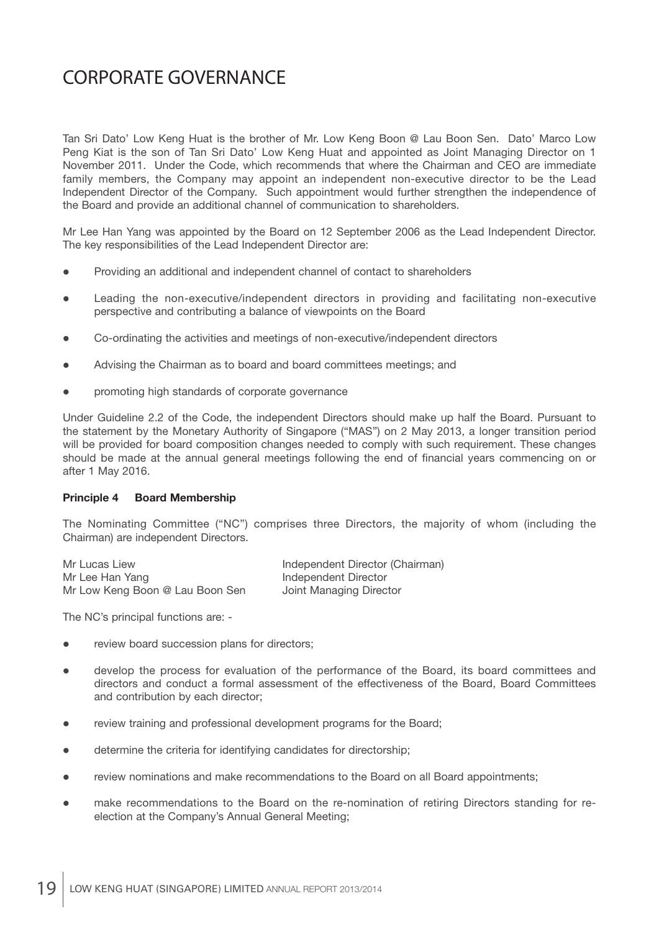Tan Sri Dato' Low Keng Huat is the brother of Mr. Low Keng Boon @ Lau Boon Sen. Dato' Marco Low Peng Kiat is the son of Tan Sri Dato' Low Keng Huat and appointed as Joint Managing Director on 1 November 2011. Under the Code, which recommends that where the Chairman and CEO are immediate family members, the Company may appoint an independent non-executive director to be the Lead Independent Director of the Company. Such appointment would further strengthen the independence of the Board and provide an additional channel of communication to shareholders.

Mr Lee Han Yang was appointed by the Board on 12 September 2006 as the Lead Independent Director. The key responsibilities of the Lead Independent Director are:

- Providing an additional and independent channel of contact to shareholders
- Leading the non-executive/independent directors in providing and facilitating non-executive perspective and contributing a balance of viewpoints on the Board
- Co-ordinating the activities and meetings of non-executive/independent directors
- Advising the Chairman as to board and board committees meetings; and
- promoting high standards of corporate governance

Under Guideline 2.2 of the Code, the independent Directors should make up half the Board. Pursuant to the statement by the Monetary Authority of Singapore ("MAS") on 2 May 2013, a longer transition period will be provided for board composition changes needed to comply with such requirement. These changes should be made at the annual general meetings following the end of financial years commencing on or after 1 May 2016.

#### **Principle 4 Board Membership**

The Nominating Committee ("NC") comprises three Directors, the majority of whom (including the Chairman) are independent Directors.

Mr Lucas Liew **Independent Director (Chairman)** Mr Lee Han Yang **Independent Director** Mr Low Keng Boon @ Lau Boon Sen Joint Managing Director

The NC's principal functions are: -

- review board succession plans for directors;
- develop the process for evaluation of the performance of the Board, its board committees and directors and conduct a formal assessment of the effectiveness of the Board, Board Committees and contribution by each director;
- review training and professional development programs for the Board;
- determine the criteria for identifying candidates for directorship;
- review nominations and make recommendations to the Board on all Board appointments;
- make recommendations to the Board on the re-nomination of retiring Directors standing for reelection at the Company's Annual General Meeting;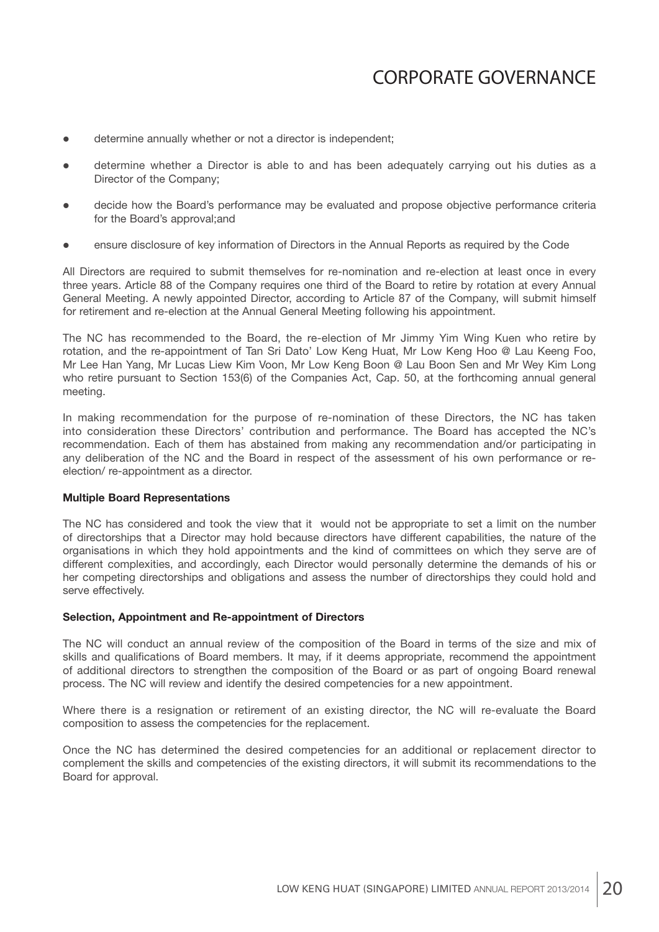- determine annually whether or not a director is independent;
- determine whether a Director is able to and has been adequately carrying out his duties as a Director of the Company;
- decide how the Board's performance may be evaluated and propose objective performance criteria for the Board's approval;and
- ensure disclosure of key information of Directors in the Annual Reports as required by the Code

All Directors are required to submit themselves for re-nomination and re-election at least once in every three years. Article 88 of the Company requires one third of the Board to retire by rotation at every Annual General Meeting. A newly appointed Director, according to Article 87 of the Company, will submit himself for retirement and re-election at the Annual General Meeting following his appointment.

The NC has recommended to the Board, the re-election of Mr Jimmy Yim Wing Kuen who retire by rotation, and the re-appointment of Tan Sri Dato' Low Keng Huat, Mr Low Keng Hoo @ Lau Keeng Foo, Mr Lee Han Yang, Mr Lucas Liew Kim Voon, Mr Low Keng Boon @ Lau Boon Sen and Mr Wey Kim Long who retire pursuant to Section 153(6) of the Companies Act, Cap. 50, at the forthcoming annual general meeting.

In making recommendation for the purpose of re-nomination of these Directors, the NC has taken into consideration these Directors' contribution and performance. The Board has accepted the NC's recommendation. Each of them has abstained from making any recommendation and/or participating in any deliberation of the NC and the Board in respect of the assessment of his own performance or reelection/ re-appointment as a director.

#### **Multiple Board Representations**

The NC has considered and took the view that it would not be appropriate to set a limit on the number of directorships that a Director may hold because directors have different capabilities, the nature of the organisations in which they hold appointments and the kind of committees on which they serve are of different complexities, and accordingly, each Director would personally determine the demands of his or her competing directorships and obligations and assess the number of directorships they could hold and serve effectively.

#### **Selection, Appointment and Re-appointment of Directors**

The NC will conduct an annual review of the composition of the Board in terms of the size and mix of skills and qualifications of Board members. It may, if it deems appropriate, recommend the appointment of additional directors to strengthen the composition of the Board or as part of ongoing Board renewal process. The NC will review and identify the desired competencies for a new appointment.

Where there is a resignation or retirement of an existing director, the NC will re-evaluate the Board composition to assess the competencies for the replacement.

Once the NC has determined the desired competencies for an additional or replacement director to complement the skills and competencies of the existing directors, it will submit its recommendations to the Board for approval.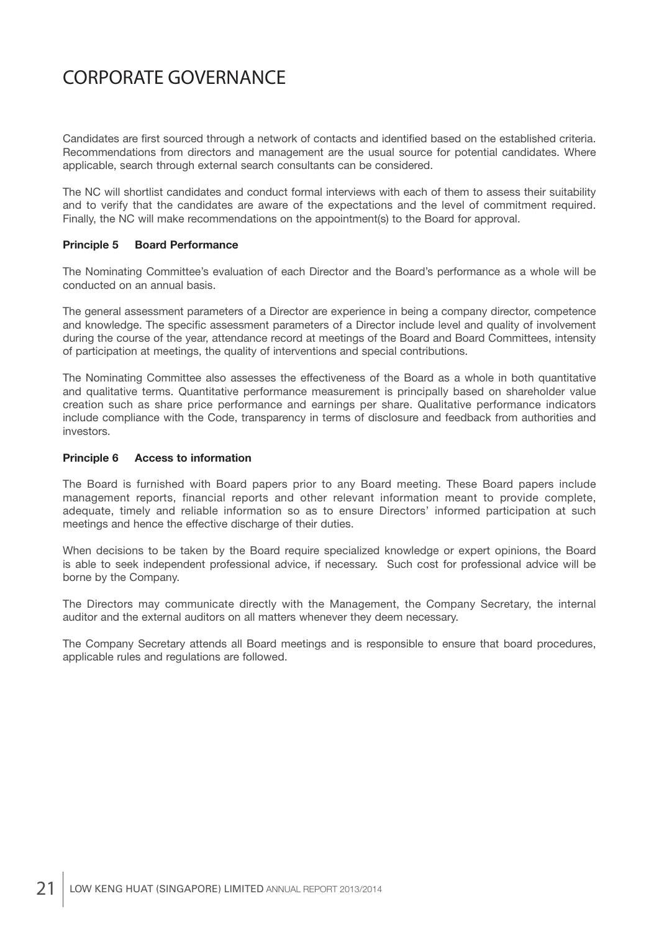Candidates are first sourced through a network of contacts and identified based on the established criteria. Recommendations from directors and management are the usual source for potential candidates. Where applicable, search through external search consultants can be considered.

The NC will shortlist candidates and conduct formal interviews with each of them to assess their suitability and to verify that the candidates are aware of the expectations and the level of commitment required. Finally, the NC will make recommendations on the appointment(s) to the Board for approval.

#### **Principle 5 Board Performance**

The Nominating Committee's evaluation of each Director and the Board's performance as a whole will be conducted on an annual basis.

The general assessment parameters of a Director are experience in being a company director, competence and knowledge. The specific assessment parameters of a Director include level and quality of involvement during the course of the year, attendance record at meetings of the Board and Board Committees, intensity of participation at meetings, the quality of interventions and special contributions.

The Nominating Committee also assesses the effectiveness of the Board as a whole in both quantitative and qualitative terms. Quantitative performance measurement is principally based on shareholder value creation such as share price performance and earnings per share. Qualitative performance indicators include compliance with the Code, transparency in terms of disclosure and feedback from authorities and investors.

#### **Principle 6 Access to information**

The Board is furnished with Board papers prior to any Board meeting. These Board papers include management reports, financial reports and other relevant information meant to provide complete, adequate, timely and reliable information so as to ensure Directors' informed participation at such meetings and hence the effective discharge of their duties.

When decisions to be taken by the Board require specialized knowledge or expert opinions, the Board is able to seek independent professional advice, if necessary. Such cost for professional advice will be borne by the Company.

The Directors may communicate directly with the Management, the Company Secretary, the internal auditor and the external auditors on all matters whenever they deem necessary.

The Company Secretary attends all Board meetings and is responsible to ensure that board procedures, applicable rules and regulations are followed.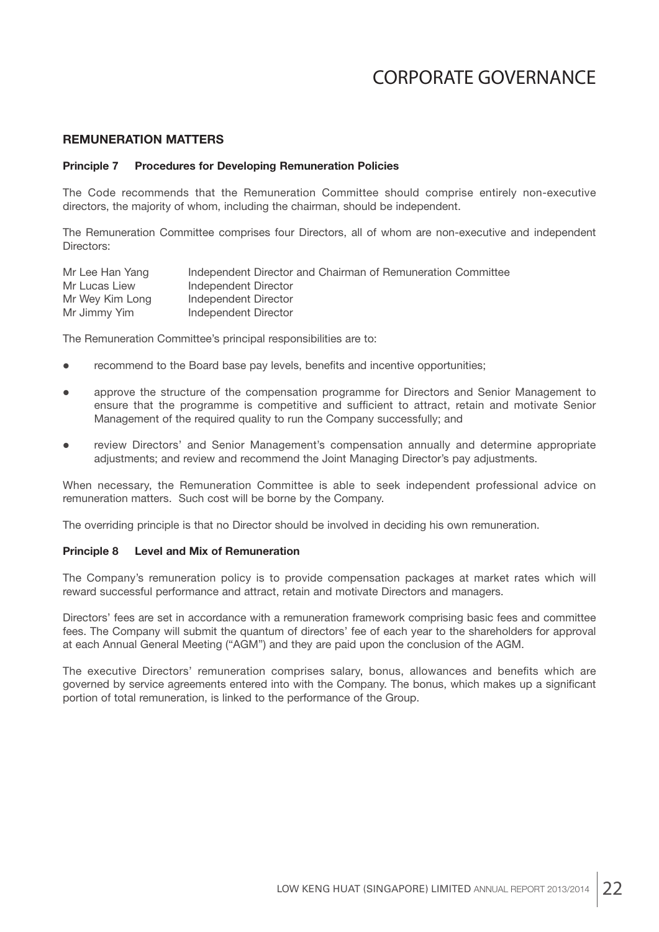### **REMUNERATION MATTERS**

#### **Principle 7 Procedures for Developing Remuneration Policies**

The Code recommends that the Remuneration Committee should comprise entirely non-executive directors, the majority of whom, including the chairman, should be independent.

The Remuneration Committee comprises four Directors, all of whom are non-executive and independent Directors:

| Mr Lee Han Yang | Independent Director and Chairman of Remuneration Committee |
|-----------------|-------------------------------------------------------------|
| Mr Lucas Liew   | Independent Director                                        |
| Mr Wey Kim Long | Independent Director                                        |
| Mr Jimmy Yim    | Independent Director                                        |

The Remuneration Committee's principal responsibilities are to:

- recommend to the Board base pay levels, benefits and incentive opportunities;
- approve the structure of the compensation programme for Directors and Senior Management to ensure that the programme is competitive and sufficient to attract, retain and motivate Senior Management of the required quality to run the Company successfully; and
- review Directors' and Senior Management's compensation annually and determine appropriate adjustments; and review and recommend the Joint Managing Director's pay adjustments.

When necessary, the Remuneration Committee is able to seek independent professional advice on remuneration matters. Such cost will be borne by the Company.

The overriding principle is that no Director should be involved in deciding his own remuneration.

### **Principle 8 Level and Mix of Remuneration**

The Company's remuneration policy is to provide compensation packages at market rates which will reward successful performance and attract, retain and motivate Directors and managers.

Directors' fees are set in accordance with a remuneration framework comprising basic fees and committee fees. The Company will submit the quantum of directors' fee of each year to the shareholders for approval at each Annual General Meeting ("AGM") and they are paid upon the conclusion of the AGM.

The executive Directors' remuneration comprises salary, bonus, allowances and benefits which are governed by service agreements entered into with the Company. The bonus, which makes up a significant portion of total remuneration, is linked to the performance of the Group.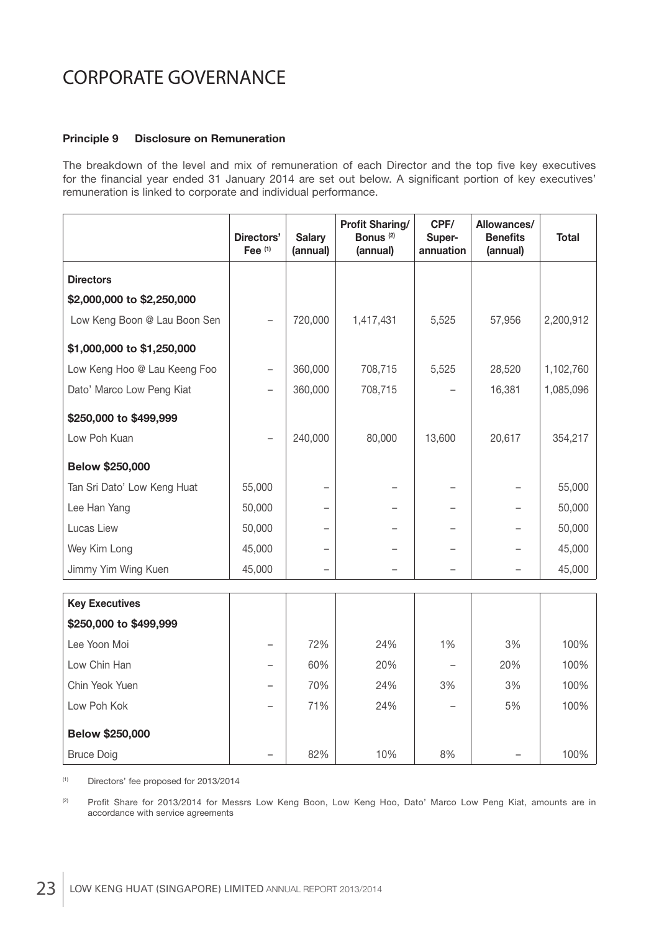### **Principle 9 Disclosure on Remuneration**

The breakdown of the level and mix of remuneration of each Director and the top five key executives for the financial year ended 31 January 2014 are set out below. A significant portion of key executives' remuneration is linked to corporate and individual performance.

|                              | Directors'<br>Fee <sup>(1)</sup> | <b>Salary</b><br>(annual) | <b>Profit Sharing/</b><br>Bonus <sup>(2)</sup><br>(annual) | CPF/<br>Super-<br>annuation | Allowances/<br><b>Benefits</b><br>(annual) | <b>Total</b> |
|------------------------------|----------------------------------|---------------------------|------------------------------------------------------------|-----------------------------|--------------------------------------------|--------------|
| <b>Directors</b>             |                                  |                           |                                                            |                             |                                            |              |
| \$2,000,000 to \$2,250,000   |                                  |                           |                                                            |                             |                                            |              |
| Low Keng Boon @ Lau Boon Sen |                                  | 720,000                   | 1,417,431                                                  | 5,525                       | 57,956                                     | 2,200,912    |
| \$1,000,000 to \$1,250,000   |                                  |                           |                                                            |                             |                                            |              |
| Low Keng Hoo @ Lau Keeng Foo |                                  | 360,000                   | 708,715                                                    | 5,525                       | 28,520                                     | 1,102,760    |
| Dato' Marco Low Peng Kiat    |                                  | 360,000                   | 708,715                                                    |                             | 16,381                                     | 1,085,096    |
| \$250,000 to \$499,999       |                                  |                           |                                                            |                             |                                            |              |
| Low Poh Kuan                 |                                  | 240,000                   | 80,000                                                     | 13,600                      | 20,617                                     | 354,217      |
| Below \$250,000              |                                  |                           |                                                            |                             |                                            |              |
| Tan Sri Dato' Low Keng Huat  | 55,000                           |                           |                                                            |                             |                                            | 55,000       |
| Lee Han Yang                 | 50,000                           |                           |                                                            |                             |                                            | 50,000       |
| Lucas Liew                   | 50,000                           |                           |                                                            |                             |                                            | 50,000       |
| Wey Kim Long                 | 45,000                           |                           |                                                            |                             |                                            | 45,000       |
| Jimmy Yim Wing Kuen          | 45,000                           |                           |                                                            |                             |                                            | 45,000       |
|                              |                                  |                           |                                                            |                             |                                            |              |
| <b>Key Executives</b>        |                                  |                           |                                                            |                             |                                            |              |
| \$250,000 to \$499,999       |                                  |                           |                                                            |                             |                                            |              |
| Lee Yoon Moi                 |                                  | 72%                       | 24%                                                        | 1%                          | 3%                                         | 100%         |
| Low Chin Han                 | $\overline{\phantom{0}}$         | 60%                       | 20%                                                        |                             | 20%                                        | 100%         |
| Chin Yeok Yuen               |                                  | 70%                       | 24%                                                        | 3%                          | 3%                                         | 100%         |
| Low Poh Kok                  |                                  | 71%                       | 24%                                                        |                             | 5%                                         | 100%         |
| Below \$250,000              |                                  |                           |                                                            |                             |                                            |              |
| <b>Bruce Doig</b>            |                                  | 82%                       | 10%                                                        | 8%                          |                                            | 100%         |

(1) Directors' fee proposed for 2013/2014

(2) Profit Share for 2013/2014 for Messrs Low Keng Boon, Low Keng Hoo, Dato' Marco Low Peng Kiat, amounts are in accordance with service agreements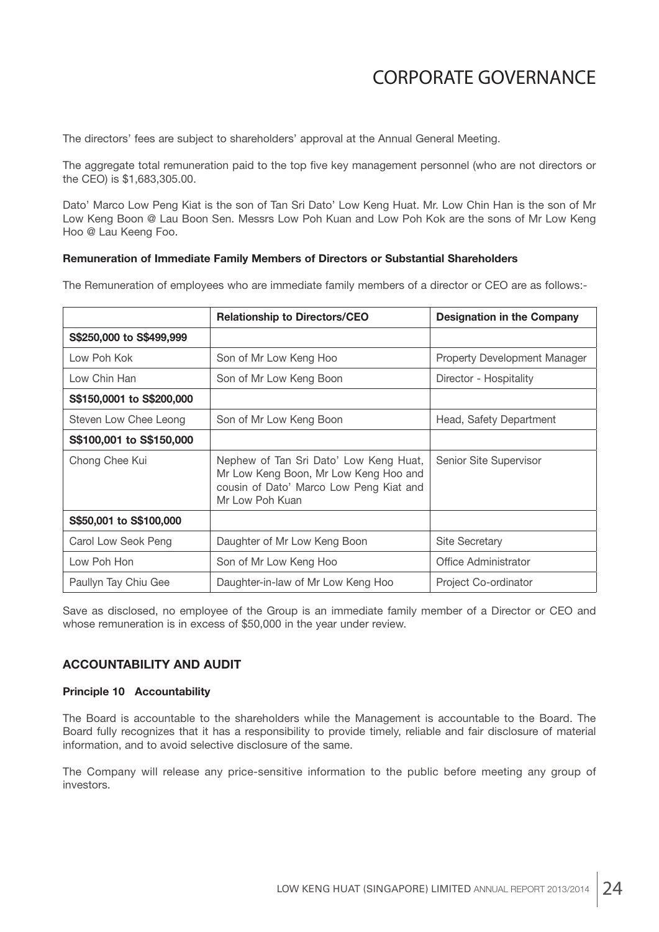The directors' fees are subject to shareholders' approval at the Annual General Meeting.

The aggregate total remuneration paid to the top five key management personnel (who are not directors or the CEO) is \$1,683,305.00.

Dato' Marco Low Peng Kiat is the son of Tan Sri Dato' Low Keng Huat. Mr. Low Chin Han is the son of Mr Low Keng Boon @ Lau Boon Sen. Messrs Low Poh Kuan and Low Poh Kok are the sons of Mr Low Keng Hoo @ Lau Keeng Foo.

#### **Remuneration of Immediate Family Members of Directors or Substantial Shareholders**

The Remuneration of employees who are immediate family members of a director or CEO are as follows:-

|                           | <b>Relationship to Directors/CEO</b>                                                                                                          | <b>Designation in the Company</b> |
|---------------------------|-----------------------------------------------------------------------------------------------------------------------------------------------|-----------------------------------|
| S\$250,000 to S\$499,999  |                                                                                                                                               |                                   |
| Low Poh Kok               | Son of Mr Low Keng Hoo                                                                                                                        | Property Development Manager      |
| Low Chin Han              | Son of Mr Low Keng Boon                                                                                                                       | Director - Hospitality            |
| S\$150,0001 to S\$200,000 |                                                                                                                                               |                                   |
| Steven Low Chee Leong     | Son of Mr Low Keng Boon                                                                                                                       | Head, Safety Department           |
| S\$100,001 to S\$150,000  |                                                                                                                                               |                                   |
| Chong Chee Kui            | Nephew of Tan Sri Dato' Low Keng Huat,<br>Mr Low Keng Boon, Mr Low Keng Hoo and<br>cousin of Dato' Marco Low Peng Kiat and<br>Mr Low Poh Kuan | Senior Site Supervisor            |
| S\$50,001 to S\$100,000   |                                                                                                                                               |                                   |
| Carol Low Seok Peng       | Daughter of Mr Low Keng Boon                                                                                                                  | <b>Site Secretary</b>             |
| Low Poh Hon               | Son of Mr Low Keng Hoo                                                                                                                        | Office Administrator              |
| Paullyn Tay Chiu Gee      | Daughter-in-law of Mr Low Keng Hoo                                                                                                            | Project Co-ordinator              |

Save as disclosed, no employee of the Group is an immediate family member of a Director or CEO and whose remuneration is in excess of \$50,000 in the year under review.

#### **ACCOUNTABILITY AND AUDIT**

#### **Principle 10 Accountability**

The Board is accountable to the shareholders while the Management is accountable to the Board. The Board fully recognizes that it has a responsibility to provide timely, reliable and fair disclosure of material information, and to avoid selective disclosure of the same.

The Company will release any price-sensitive information to the public before meeting any group of investors.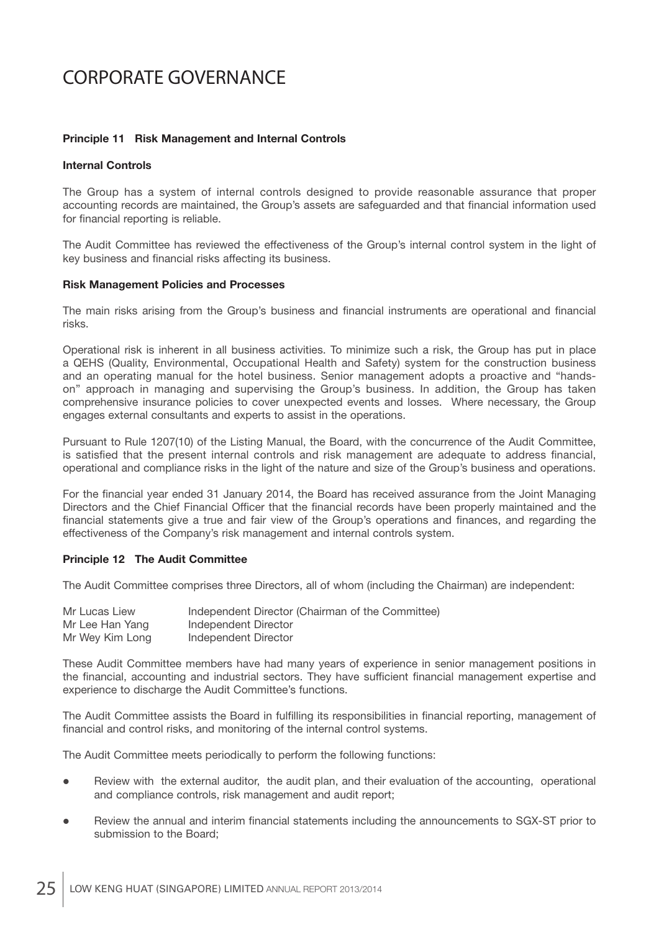#### **Principle 11 Risk Management and Internal Controls**

#### **Internal Controls**

The Group has a system of internal controls designed to provide reasonable assurance that proper accounting records are maintained, the Group's assets are safeguarded and that financial information used for financial reporting is reliable.

The Audit Committee has reviewed the effectiveness of the Group's internal control system in the light of key business and financial risks affecting its business.

#### **Risk Management Policies and Processes**

The main risks arising from the Group's business and financial instruments are operational and financial risks.

Operational risk is inherent in all business activities. To minimize such a risk, the Group has put in place a QEHS (Quality, Environmental, Occupational Health and Safety) system for the construction business and an operating manual for the hotel business. Senior management adopts a proactive and "handson" approach in managing and supervising the Group's business. In addition, the Group has taken comprehensive insurance policies to cover unexpected events and losses. Where necessary, the Group engages external consultants and experts to assist in the operations.

Pursuant to Rule 1207(10) of the Listing Manual, the Board, with the concurrence of the Audit Committee, is satisfied that the present internal controls and risk management are adequate to address financial, operational and compliance risks in the light of the nature and size of the Group's business and operations.

For the financial year ended 31 January 2014, the Board has received assurance from the Joint Managing Directors and the Chief Financial Officer that the financial records have been properly maintained and the financial statements give a true and fair view of the Group's operations and finances, and regarding the effectiveness of the Company's risk management and internal controls system.

#### **Principle 12 The Audit Committee**

The Audit Committee comprises three Directors, all of whom (including the Chairman) are independent:

| Mr Lucas Liew   | Independent Director (Chairman of the Committee) |
|-----------------|--------------------------------------------------|
| Mr Lee Han Yang | Independent Director                             |
| Mr Wey Kim Long | Independent Director                             |

These Audit Committee members have had many years of experience in senior management positions in the financial, accounting and industrial sectors. They have sufficient financial management expertise and experience to discharge the Audit Committee's functions.

The Audit Committee assists the Board in fulfilling its responsibilities in financial reporting, management of financial and control risks, and monitoring of the internal control systems.

The Audit Committee meets periodically to perform the following functions:

- Review with the external auditor, the audit plan, and their evaluation of the accounting, operational and compliance controls, risk management and audit report;
- Review the annual and interim financial statements including the announcements to SGX-ST prior to submission to the Board;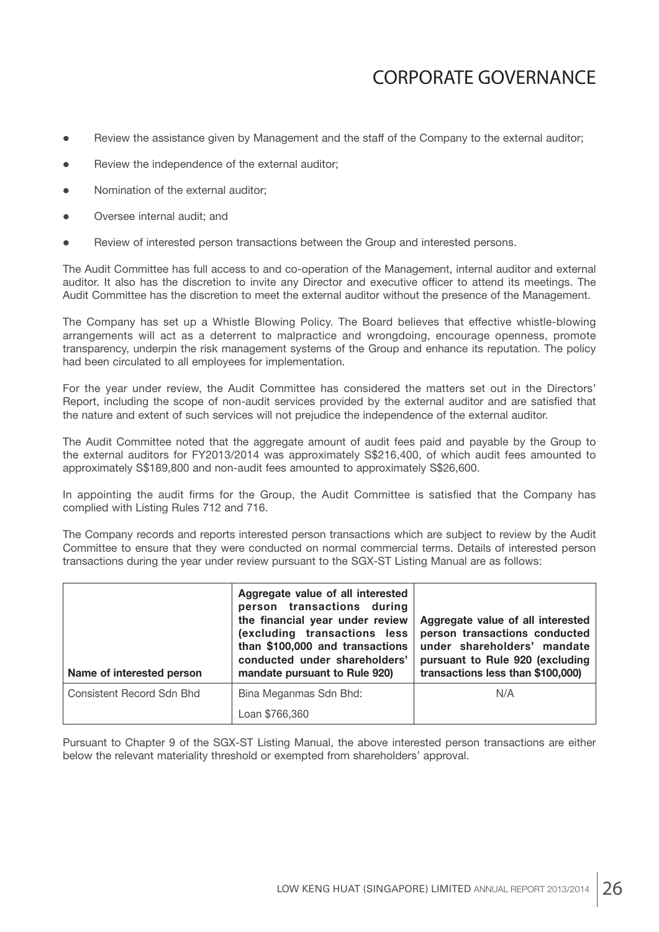- Review the assistance given by Management and the staff of the Company to the external auditor;
- Review the independence of the external auditor;
- Nomination of the external auditor;
- Oversee internal audit; and
- Review of interested person transactions between the Group and interested persons.

The Audit Committee has full access to and co-operation of the Management, internal auditor and external auditor. It also has the discretion to invite any Director and executive officer to attend its meetings. The Audit Committee has the discretion to meet the external auditor without the presence of the Management.

The Company has set up a Whistle Blowing Policy. The Board believes that effective whistle-blowing arrangements will act as a deterrent to malpractice and wrongdoing, encourage openness, promote transparency, underpin the risk management systems of the Group and enhance its reputation. The policy had been circulated to all employees for implementation.

For the year under review, the Audit Committee has considered the matters set out in the Directors' Report, including the scope of non-audit services provided by the external auditor and are satisfied that the nature and extent of such services will not prejudice the independence of the external auditor.

The Audit Committee noted that the aggregate amount of audit fees paid and payable by the Group to the external auditors for FY2013/2014 was approximately S\$216,400, of which audit fees amounted to approximately S\$189,800 and non-audit fees amounted to approximately S\$26,600.

In appointing the audit firms for the Group, the Audit Committee is satisfied that the Company has complied with Listing Rules 712 and 716.

The Company records and reports interested person transactions which are subject to review by the Audit Committee to ensure that they were conducted on normal commercial terms. Details of interested person transactions during the year under review pursuant to the SGX-ST Listing Manual are as follows:

| Name of interested person | Aggregate value of all interested<br>person transactions during<br>the financial year under review<br>(excluding transactions less<br>than \$100,000 and transactions<br>conducted under shareholders'<br>mandate pursuant to Rule 920) | Aggregate value of all interested<br>person transactions conducted<br>under shareholders' mandate<br>pursuant to Rule 920 (excluding<br>transactions less than \$100,000) |
|---------------------------|-----------------------------------------------------------------------------------------------------------------------------------------------------------------------------------------------------------------------------------------|---------------------------------------------------------------------------------------------------------------------------------------------------------------------------|
| Consistent Record Sdn Bhd | Bina Meganmas Sdn Bhd:                                                                                                                                                                                                                  | N/A                                                                                                                                                                       |
|                           | Loan \$766,360                                                                                                                                                                                                                          |                                                                                                                                                                           |

Pursuant to Chapter 9 of the SGX-ST Listing Manual, the above interested person transactions are either below the relevant materiality threshold or exempted from shareholders' approval.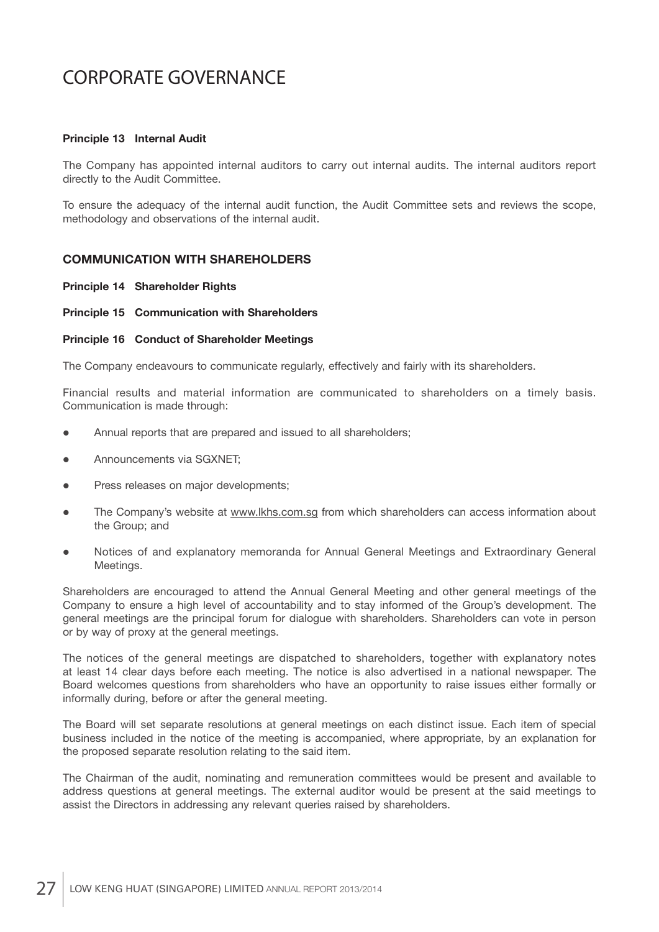#### **Principle 13 Internal Audit**

The Company has appointed internal auditors to carry out internal audits. The internal auditors report directly to the Audit Committee.

To ensure the adequacy of the internal audit function, the Audit Committee sets and reviews the scope, methodology and observations of the internal audit.

#### **COMMUNICATION WITH SHAREHOLDERS**

#### **Principle 14 Shareholder Rights**

#### **Principle 15 Communication with Shareholders**

#### **Principle 16 Conduct of Shareholder Meetings**

The Company endeavours to communicate regularly, effectively and fairly with its shareholders.

Financial results and material information are communicated to shareholders on a timely basis. Communication is made through:

- Annual reports that are prepared and issued to all shareholders;
- Announcements via SGXNET;
- Press releases on major developments;
- The Company's website at www.lkhs.com.sg from which shareholders can access information about the Group; and
- Notices of and explanatory memoranda for Annual General Meetings and Extraordinary General Meetings.

Shareholders are encouraged to attend the Annual General Meeting and other general meetings of the Company to ensure a high level of accountability and to stay informed of the Group's development. The general meetings are the principal forum for dialogue with shareholders. Shareholders can vote in person or by way of proxy at the general meetings.

The notices of the general meetings are dispatched to shareholders, together with explanatory notes at least 14 clear days before each meeting. The notice is also advertised in a national newspaper. The Board welcomes questions from shareholders who have an opportunity to raise issues either formally or informally during, before or after the general meeting.

The Board will set separate resolutions at general meetings on each distinct issue. Each item of special business included in the notice of the meeting is accompanied, where appropriate, by an explanation for the proposed separate resolution relating to the said item.

The Chairman of the audit, nominating and remuneration committees would be present and available to address questions at general meetings. The external auditor would be present at the said meetings to assist the Directors in addressing any relevant queries raised by shareholders.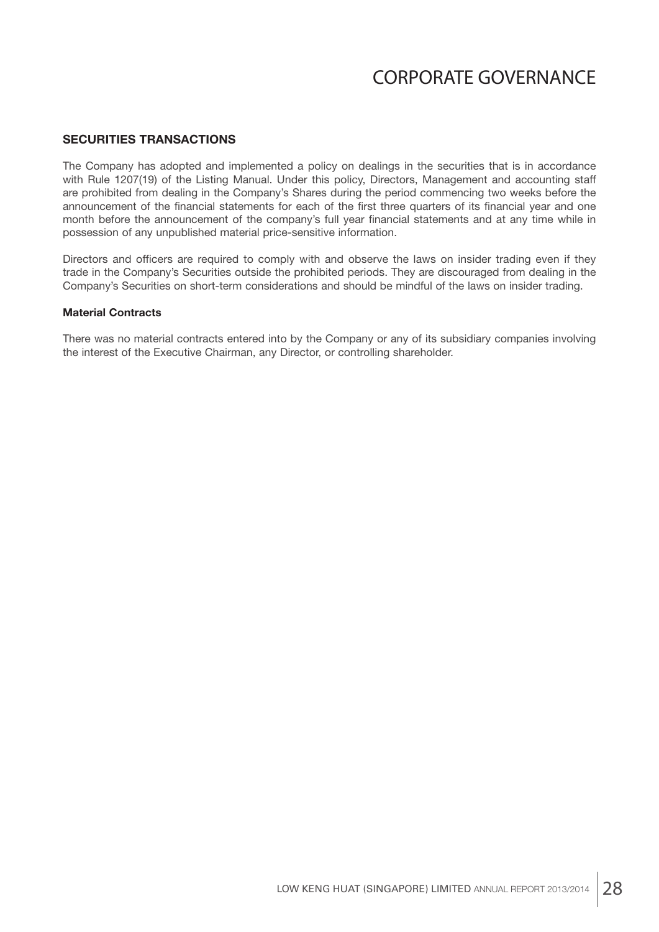### **SECURITIES TRANSACTIONS**

The Company has adopted and implemented a policy on dealings in the securities that is in accordance with Rule 1207(19) of the Listing Manual. Under this policy, Directors, Management and accounting staff are prohibited from dealing in the Company's Shares during the period commencing two weeks before the announcement of the financial statements for each of the first three quarters of its financial year and one month before the announcement of the company's full year financial statements and at any time while in possession of any unpublished material price-sensitive information.

Directors and officers are required to comply with and observe the laws on insider trading even if they trade in the Company's Securities outside the prohibited periods. They are discouraged from dealing in the Company's Securities on short-term considerations and should be mindful of the laws on insider trading.

#### **Material Contracts**

There was no material contracts entered into by the Company or any of its subsidiary companies involving the interest of the Executive Chairman, any Director, or controlling shareholder.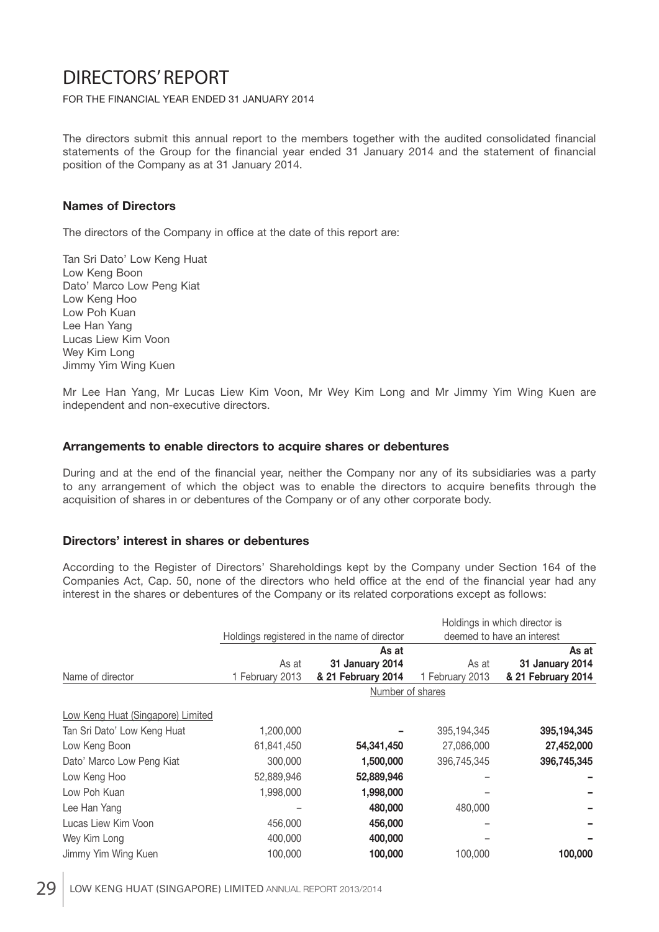#### FOR THE FINANCIAL YEAR ENDED 31 JANUARY 2014

The directors submit this annual report to the members together with the audited consolidated financial statements of the Group for the financial year ended 31 January 2014 and the statement of financial position of the Company as at 31 January 2014.

### **Names of Directors**

The directors of the Company in office at the date of this report are:

Tan Sri Dato' Low Keng Huat Low Keng Boon Dato' Marco Low Peng Kiat Low Keng Hoo Low Poh Kuan Lee Han Yang Lucas Liew Kim Voon Wey Kim Long Jimmy Yim Wing Kuen

Mr Lee Han Yang, Mr Lucas Liew Kim Voon, Mr Wey Kim Long and Mr Jimmy Yim Wing Kuen are independent and non-executive directors.

#### **Arrangements to enable directors to acquire shares or debentures**

During and at the end of the financial year, neither the Company nor any of its subsidiaries was a party to any arrangement of which the object was to enable the directors to acquire benefits through the acquisition of shares in or debentures of the Company or of any other corporate body.

#### **Directors' interest in shares or debentures**

According to the Register of Directors' Shareholdings kept by the Company under Section 164 of the Companies Act, Cap. 50, none of the directors who held office at the end of the financial year had any interest in the shares or debentures of the Company or its related corporations except as follows:

|                                   |                  |                                             |                            | Holdings in which director is |  |
|-----------------------------------|------------------|---------------------------------------------|----------------------------|-------------------------------|--|
|                                   |                  | Holdings registered in the name of director | deemed to have an interest |                               |  |
|                                   |                  | As at                                       |                            | As at                         |  |
|                                   | As at            | 31 January 2014                             | As at                      | 31 January 2014               |  |
| Name of director                  | 1 February 2013  | & 21 February 2014                          | 1 February 2013            | & 21 February 2014            |  |
|                                   | Number of shares |                                             |                            |                               |  |
| Low Keng Huat (Singapore) Limited |                  |                                             |                            |                               |  |
| Tan Sri Dato' Low Keng Huat       | 1,200,000        |                                             | 395,194,345                | 395, 194, 345                 |  |
| Low Keng Boon                     | 61,841,450       | 54,341,450                                  | 27,086,000                 | 27,452,000                    |  |
| Dato' Marco Low Peng Kiat         | 300,000          | 1,500,000                                   | 396,745,345                | 396,745,345                   |  |
| Low Keng Hoo                      | 52,889,946       | 52,889,946                                  |                            |                               |  |
| Low Poh Kuan                      | 1,998,000        | 1,998,000                                   |                            |                               |  |
| Lee Han Yang                      |                  | 480,000                                     | 480,000                    |                               |  |
| Lucas Liew Kim Voon               | 456,000          | 456,000                                     |                            |                               |  |
| Wey Kim Long                      | 400,000          | 400,000                                     |                            |                               |  |
| Jimmy Yim Wing Kuen               | 100,000          | 100,000                                     | 100,000                    | 100,000                       |  |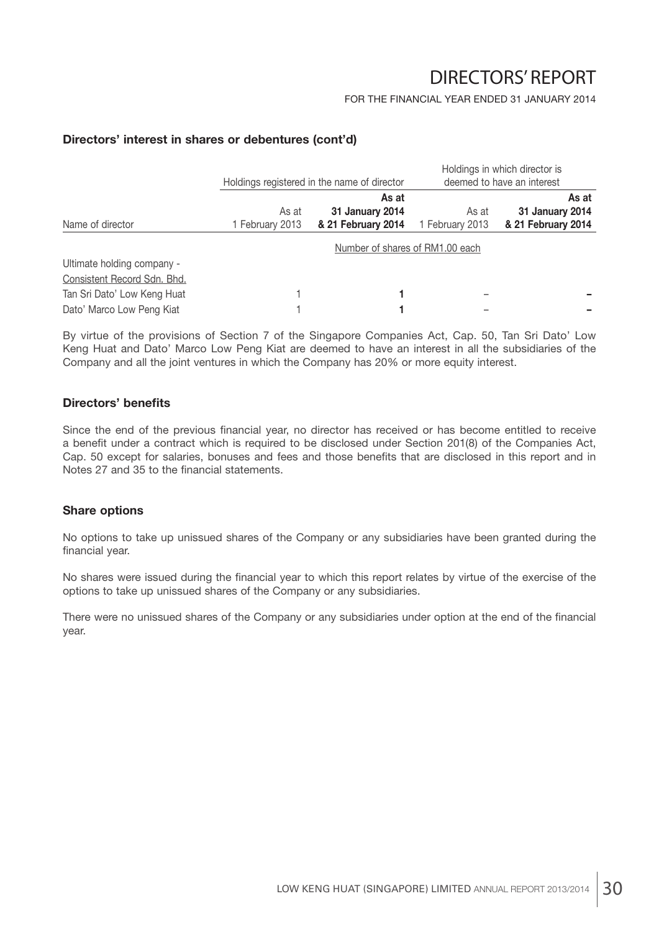#### FOR THE FINANCIAL YEAR ENDED 31 JANUARY 2014

### **Directors' interest in shares or debentures (cont'd)**

|                             |                 |                                             |                 | Holdings in which director is         |
|-----------------------------|-----------------|---------------------------------------------|-----------------|---------------------------------------|
|                             |                 | Holdings registered in the name of director |                 | deemed to have an interest            |
|                             |                 | As at                                       |                 | As at                                 |
|                             | As at           | 31 January 2014                             | As at           | 31 January 2014<br>& 21 February 2014 |
| Name of director            | 1 February 2013 | & 21 February 2014                          | 1 February 2013 |                                       |
|                             |                 | Number of shares of RM1.00 each             |                 |                                       |
| Ultimate holding company -  |                 |                                             |                 |                                       |
| Consistent Record Sdn. Bhd. |                 |                                             |                 |                                       |
| Tan Sri Dato' Low Keng Huat |                 |                                             |                 |                                       |
| Dato' Marco Low Peng Kiat   |                 |                                             |                 |                                       |

By virtue of the provisions of Section 7 of the Singapore Companies Act, Cap. 50, Tan Sri Dato' Low Keng Huat and Dato' Marco Low Peng Kiat are deemed to have an interest in all the subsidiaries of the Company and all the joint ventures in which the Company has 20% or more equity interest.

#### **Directors' benefits**

Since the end of the previous financial year, no director has received or has become entitled to receive a benefit under a contract which is required to be disclosed under Section 201(8) of the Companies Act, Cap. 50 except for salaries, bonuses and fees and those benefits that are disclosed in this report and in Notes 27 and 35 to the financial statements.

#### **Share options**

No options to take up unissued shares of the Company or any subsidiaries have been granted during the financial year.

No shares were issued during the financial year to which this report relates by virtue of the exercise of the options to take up unissued shares of the Company or any subsidiaries.

There were no unissued shares of the Company or any subsidiaries under option at the end of the financial year.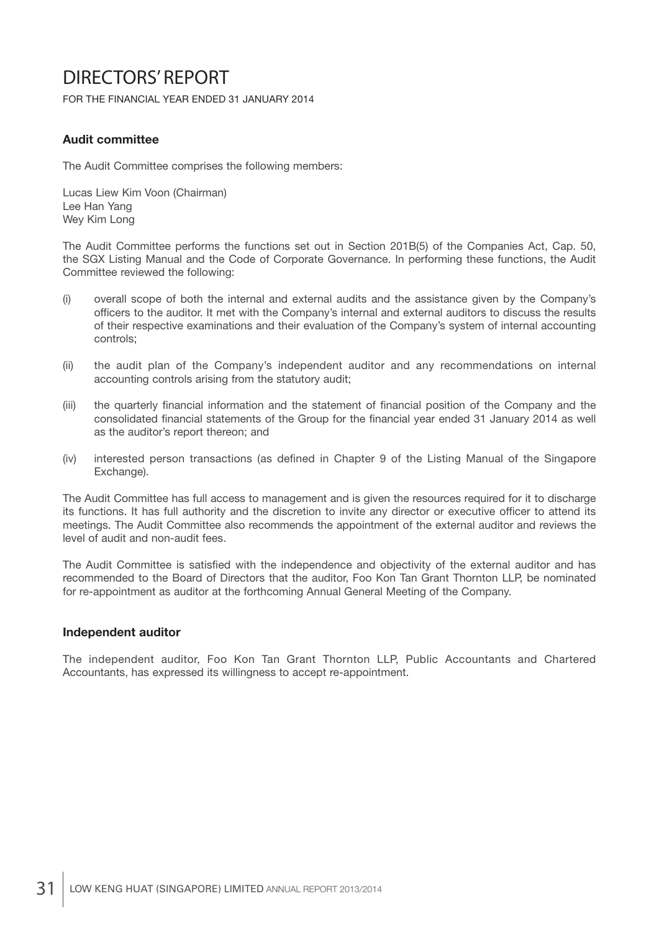FOR THE FINANCIAL YEAR ENDED 31 JANUARY 2014

### **Audit committee**

The Audit Committee comprises the following members:

Lucas Liew Kim Voon (Chairman) Lee Han Yang Wey Kim Long

The Audit Committee performs the functions set out in Section 201B(5) of the Companies Act, Cap. 50, the SGX Listing Manual and the Code of Corporate Governance. In performing these functions, the Audit Committee reviewed the following:

- (i) overall scope of both the internal and external audits and the assistance given by the Company's officers to the auditor. It met with the Company's internal and external auditors to discuss the results of their respective examinations and their evaluation of the Company's system of internal accounting controls;
- (ii) the audit plan of the Company's independent auditor and any recommendations on internal accounting controls arising from the statutory audit;
- (iii) the quarterly financial information and the statement of financial position of the Company and the consolidated financial statements of the Group for the financial year ended 31 January 2014 as well as the auditor's report thereon; and
- (iv) interested person transactions (as defined in Chapter 9 of the Listing Manual of the Singapore Exchange).

The Audit Committee has full access to management and is given the resources required for it to discharge its functions. It has full authority and the discretion to invite any director or executive officer to attend its meetings. The Audit Committee also recommends the appointment of the external auditor and reviews the level of audit and non-audit fees.

The Audit Committee is satisfied with the independence and objectivity of the external auditor and has recommended to the Board of Directors that the auditor, Foo Kon Tan Grant Thornton LLP, be nominated for re-appointment as auditor at the forthcoming Annual General Meeting of the Company.

#### **Independent auditor**

The independent auditor, Foo Kon Tan Grant Thornton LLP, Public Accountants and Chartered Accountants, has expressed its willingness to accept re-appointment.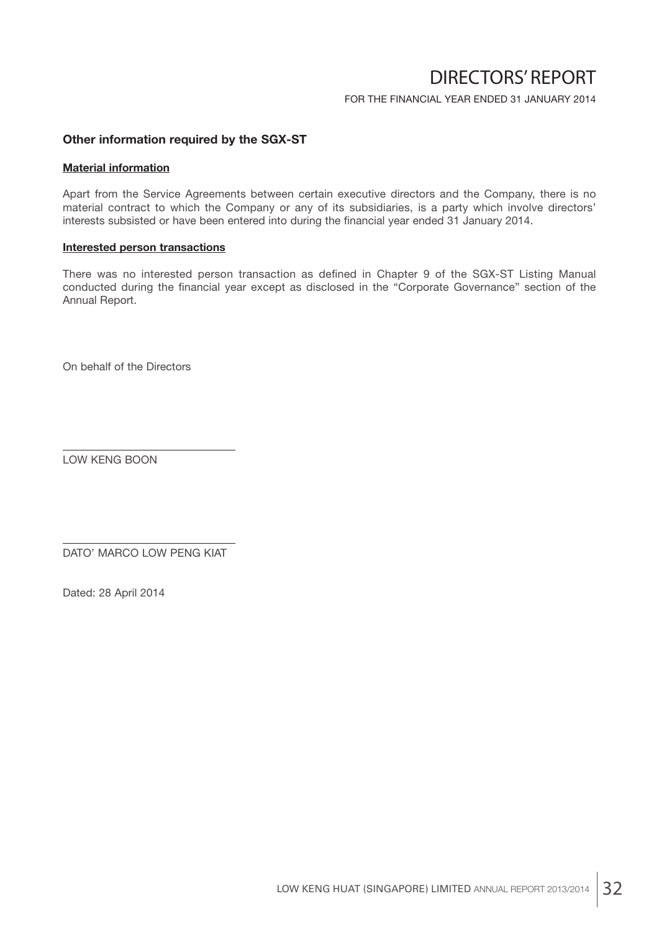FOR THE FINANCIAL YEAR ENDED 31 JANUARY 2014

### **Other information required by the SGX-ST**

#### **Material information**

Apart from the Service Agreements between certain executive directors and the Company, there is no material contract to which the Company or any of its subsidiaries, is a party which involve directors' interests subsisted or have been entered into during the financial year ended 31 January 2014.

#### **Interested person transactions**

There was no interested person transaction as defined in Chapter 9 of the SGX-ST Listing Manual conducted during the financial year except as disclosed in the "Corporate Governance" section of the Annual Report.

On behalf of the Directors

LOW KENG BOON

DATO' MARCO LOW PENG KIAT

Dated: 28 April 2014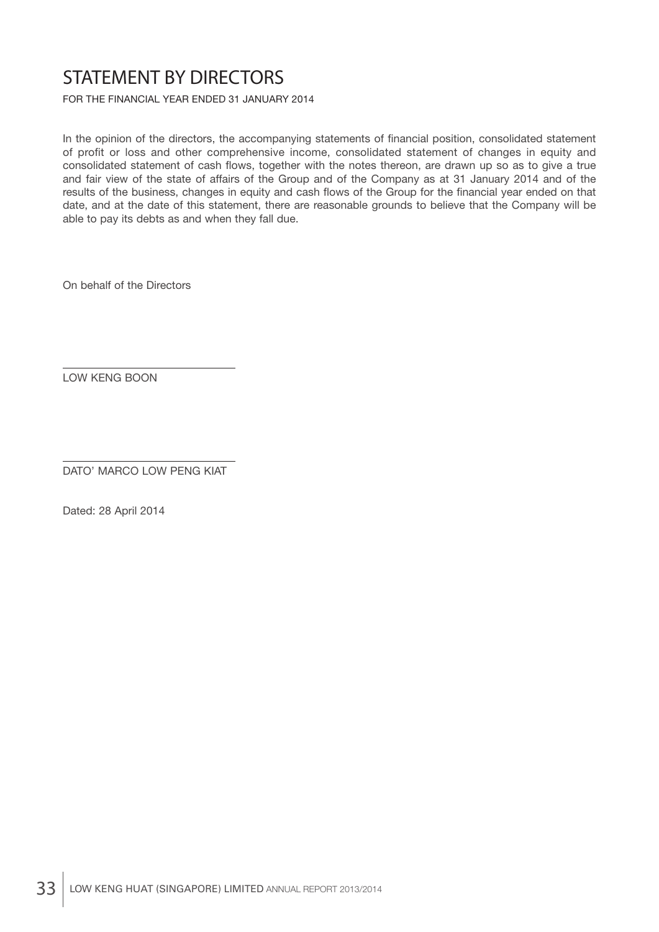# STATEMENT BY DIRECTORS

FOR THE FINANCIAL YEAR ENDED 31 JANUARY 2014

In the opinion of the directors, the accompanying statements of financial position, consolidated statement of profit or loss and other comprehensive income, consolidated statement of changes in equity and consolidated statement of cash flows, together with the notes thereon, are drawn up so as to give a true and fair view of the state of affairs of the Group and of the Company as at 31 January 2014 and of the results of the business, changes in equity and cash flows of the Group for the financial year ended on that date, and at the date of this statement, there are reasonable grounds to believe that the Company will be able to pay its debts as and when they fall due.

On behalf of the Directors

LOW KENG BOON

DATO' MARCO LOW PENG KIAT

Dated: 28 April 2014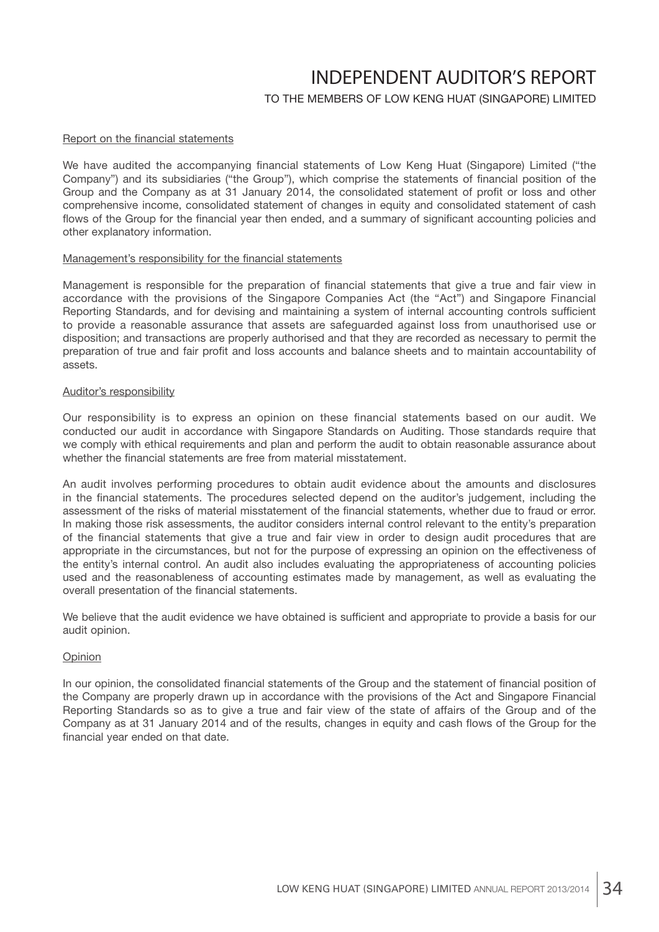## INDEPENDENT AUDITOR'S REPORT

## TO THE MEMBERS OF LOW KENG HUAT (SINGAPORE) LIMITED

#### Report on the financial statements

We have audited the accompanying financial statements of Low Keng Huat (Singapore) Limited ("the Company") and its subsidiaries ("the Group"), which comprise the statements of financial position of the Group and the Company as at 31 January 2014, the consolidated statement of profit or loss and other comprehensive income, consolidated statement of changes in equity and consolidated statement of cash flows of the Group for the financial year then ended, and a summary of significant accounting policies and other explanatory information.

#### Management's responsibility for the financial statements

Management is responsible for the preparation of financial statements that give a true and fair view in accordance with the provisions of the Singapore Companies Act (the "Act") and Singapore Financial Reporting Standards, and for devising and maintaining a system of internal accounting controls sufficient to provide a reasonable assurance that assets are safeguarded against loss from unauthorised use or disposition; and transactions are properly authorised and that they are recorded as necessary to permit the preparation of true and fair profit and loss accounts and balance sheets and to maintain accountability of assets.

#### Auditor's responsibility

Our responsibility is to express an opinion on these financial statements based on our audit. We conducted our audit in accordance with Singapore Standards on Auditing. Those standards require that we comply with ethical requirements and plan and perform the audit to obtain reasonable assurance about whether the financial statements are free from material misstatement.

An audit involves performing procedures to obtain audit evidence about the amounts and disclosures in the financial statements. The procedures selected depend on the auditor's judgement, including the assessment of the risks of material misstatement of the financial statements, whether due to fraud or error. In making those risk assessments, the auditor considers internal control relevant to the entity's preparation of the financial statements that give a true and fair view in order to design audit procedures that are appropriate in the circumstances, but not for the purpose of expressing an opinion on the effectiveness of the entity's internal control. An audit also includes evaluating the appropriateness of accounting policies used and the reasonableness of accounting estimates made by management, as well as evaluating the overall presentation of the financial statements.

We believe that the audit evidence we have obtained is sufficient and appropriate to provide a basis for our audit opinion.

#### Opinion

In our opinion, the consolidated financial statements of the Group and the statement of financial position of the Company are properly drawn up in accordance with the provisions of the Act and Singapore Financial Reporting Standards so as to give a true and fair view of the state of affairs of the Group and of the Company as at 31 January 2014 and of the results, changes in equity and cash flows of the Group for the financial year ended on that date.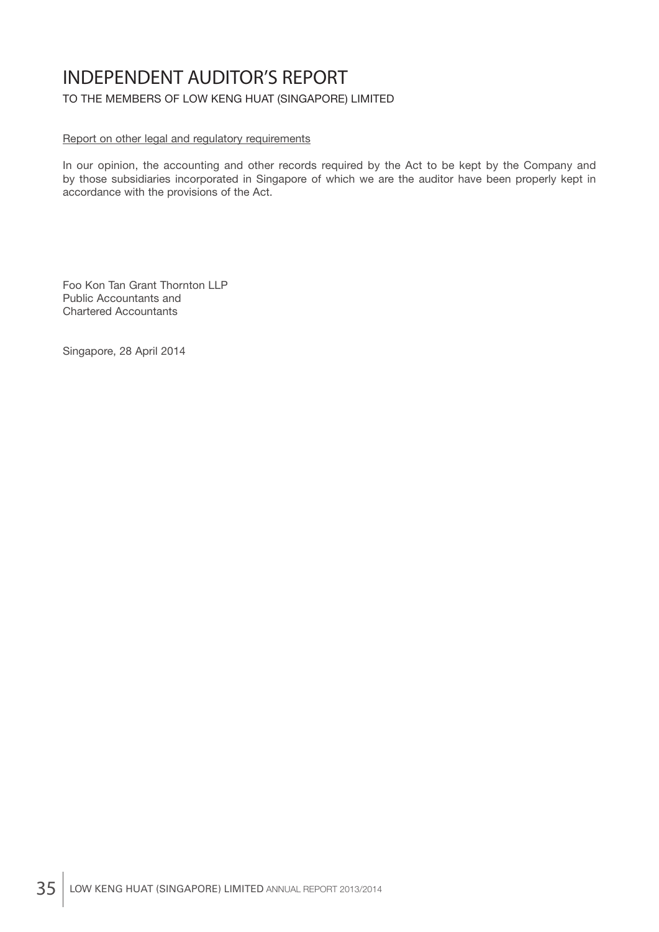# INDEPENDENT AUDITOR'S REPORT

TO THE MEMBERS OF LOW KENG HUAT (SINGAPORE) LIMITED

### Report on other legal and regulatory requirements

In our opinion, the accounting and other records required by the Act to be kept by the Company and by those subsidiaries incorporated in Singapore of which we are the auditor have been properly kept in accordance with the provisions of the Act.

Foo Kon Tan Grant Thornton LLP Public Accountants and Chartered Accountants

Singapore, 28 April 2014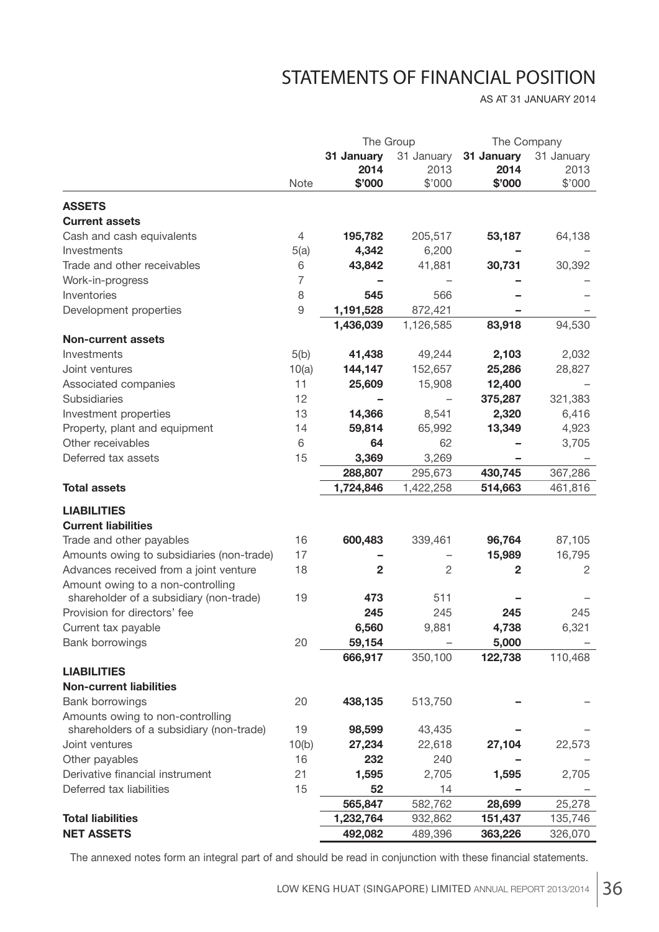# STATEMENTS OF FINANCIAL POSITION

AS AT 31 JANUARY 2014

|                                           | The Group      |              |                |            | The Company    |
|-------------------------------------------|----------------|--------------|----------------|------------|----------------|
|                                           |                | 31 January   | 31 January     | 31 January | 31 January     |
|                                           |                | 2014         | 2013           | 2014       | 2013           |
|                                           | Note           | \$'000       | \$'000         | \$'000     | \$'000         |
| <b>ASSETS</b>                             |                |              |                |            |                |
| <b>Current assets</b>                     |                |              |                |            |                |
| Cash and cash equivalents                 | 4              | 195,782      | 205,517        | 53,187     | 64,138         |
| Investments                               | 5(a)           | 4,342        | 6,200          |            |                |
| Trade and other receivables               | 6              | 43,842       | 41,881         | 30,731     | 30,392         |
| Work-in-progress                          | $\overline{7}$ |              |                |            |                |
| Inventories                               | 8              | 545          | 566            |            |                |
| Development properties                    | $\mathsf{9}$   | 1,191,528    | 872,421        |            |                |
|                                           |                | 1,436,039    | 1,126,585      | 83,918     | 94,530         |
| <b>Non-current assets</b>                 |                |              |                |            |                |
| Investments                               | 5(b)           | 41,438       | 49,244         | 2,103      | 2,032          |
| Joint ventures                            | 10(a)          | 144,147      | 152,657        | 25,286     | 28,827         |
| Associated companies                      | 11             | 25,609       | 15,908         | 12,400     |                |
| Subsidiaries                              | 12             |              |                | 375,287    | 321,383        |
| Investment properties                     | 13             | 14,366       | 8,541          | 2,320      | 6,416          |
| Property, plant and equipment             | 14             | 59,814       | 65,992         | 13,349     | 4,923          |
| Other receivables                         | 6              | 64           | 62             |            | 3,705          |
| Deferred tax assets                       | 15             | 3,369        | 3,269          |            |                |
|                                           |                | 288,807      | 295,673        | 430,745    | 367,286        |
| <b>Total assets</b>                       |                | 1,724,846    | 1,422,258      | 514,663    | 461,816        |
| <b>LIABILITIES</b>                        |                |              |                |            |                |
| <b>Current liabilities</b>                |                |              |                |            |                |
| Trade and other payables                  | 16             | 600,483      | 339,461        | 96,764     | 87,105         |
| Amounts owing to subsidiaries (non-trade) | 17             |              |                | 15,989     | 16,795         |
| Advances received from a joint venture    | 18             | $\mathbf{2}$ | $\overline{2}$ | 2          | $\overline{2}$ |
| Amount owing to a non-controlling         |                |              |                |            |                |
| shareholder of a subsidiary (non-trade)   | 19             | 473          | 511            |            |                |
| Provision for directors' fee              |                | 245          | 245            | 245        | 245            |
| Current tax payable                       |                | 6,560        | 9,881          | 4,738      | 6,321          |
| <b>Bank borrowings</b>                    | 20             | 59,154       |                | 5,000      |                |
|                                           |                | 666,917      | 350,100        | 122,738    | 110,468        |
| <b>LIABILITIES</b>                        |                |              |                |            |                |
| <b>Non-current liabilities</b>            |                |              |                |            |                |
| Bank borrowings                           | 20             | 438,135      | 513,750        |            |                |
| Amounts owing to non-controlling          |                |              |                |            |                |
| shareholders of a subsidiary (non-trade)  | 19             | 98,599       | 43,435         |            |                |
| Joint ventures                            | 10(b)          | 27,234       | 22,618         | 27,104     | 22,573         |
| Other payables                            | 16             | 232          | 240            |            |                |
| Derivative financial instrument           | 21             | 1,595        | 2,705          | 1,595      | 2,705          |
| Deferred tax liabilities                  | 15             | 52           | 14             |            |                |
|                                           |                | 565,847      | 582,762        | 28,699     | 25,278         |
| <b>Total liabilities</b>                  |                | 1,232,764    | 932,862        | 151,437    | 135,746        |
| <b>NET ASSETS</b>                         |                | 492,082      | 489,396        | 363,226    | 326,070        |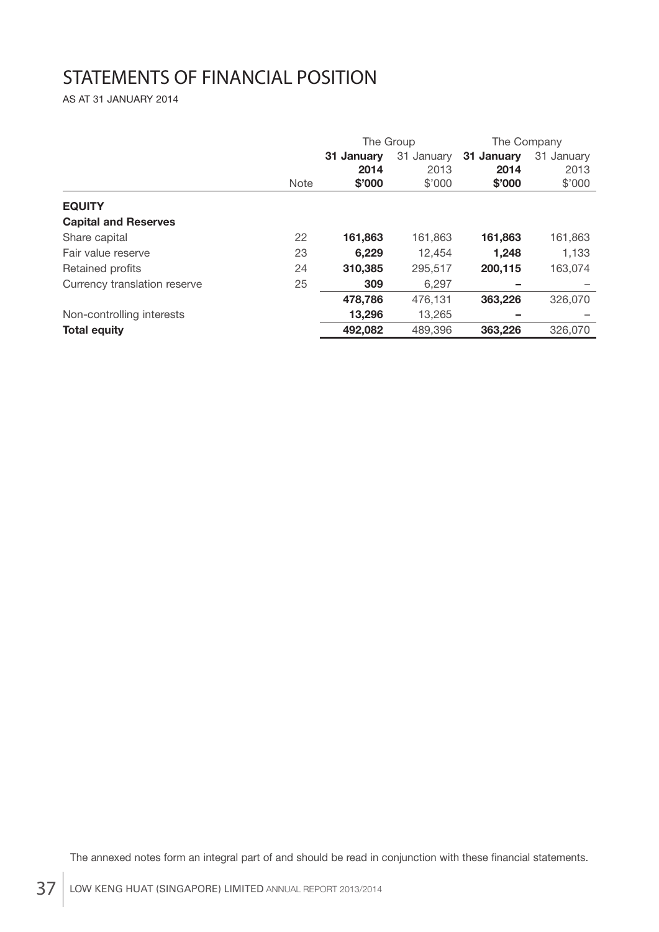# STATEMENTS OF FINANCIAL POSITION

AS AT 31 JANUARY 2014

|                              | The Group   |                    | The Company        |                    |                    |
|------------------------------|-------------|--------------------|--------------------|--------------------|--------------------|
|                              |             | 31 January<br>2014 | 31 January<br>2013 | 31 January<br>2014 | 31 January<br>2013 |
|                              | <b>Note</b> | \$'000             | \$'000             | \$'000             | \$'000             |
| <b>EQUITY</b>                |             |                    |                    |                    |                    |
| <b>Capital and Reserves</b>  |             |                    |                    |                    |                    |
| Share capital                | 22          | 161,863            | 161,863            | 161,863            | 161,863            |
| Fair value reserve           | 23          | 6.229              | 12,454             | 1.248              | 1,133              |
| Retained profits             | 24          | 310,385            | 295,517            | 200.115            | 163.074            |
| Currency translation reserve | 25          | 309                | 6,297              |                    |                    |
|                              |             | 478,786            | 476,131            | 363,226            | 326,070            |
| Non-controlling interests    |             | 13,296             | 13,265             |                    |                    |
| <b>Total equity</b>          |             | 492,082            | 489,396            | 363,226            | 326,070            |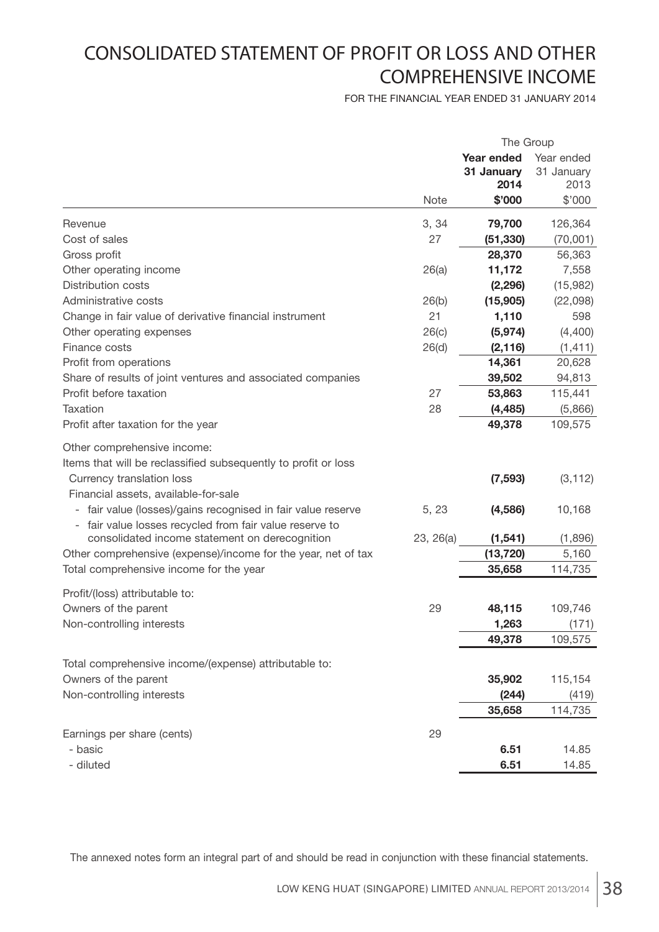# CONSOLIDATED STATEMENT OF PROFIT OR LOSS AND OTHER COMPREHENSIVE INCOME

FOR THE FINANCIAL YEAR ENDED 31 JANUARY 2014

|                                                                                                                                                                                           |             | The Group          |                    |
|-------------------------------------------------------------------------------------------------------------------------------------------------------------------------------------------|-------------|--------------------|--------------------|
|                                                                                                                                                                                           |             | <b>Year ended</b>  | Year ended         |
|                                                                                                                                                                                           |             | 31 January<br>2014 | 31 January<br>2013 |
|                                                                                                                                                                                           | <b>Note</b> | \$'000             | \$'000             |
|                                                                                                                                                                                           |             |                    |                    |
| Revenue                                                                                                                                                                                   | 3, 34       | 79,700             | 126,364            |
| Cost of sales                                                                                                                                                                             | 27          | (51, 330)          | (70,001)           |
| Gross profit                                                                                                                                                                              |             | 28,370             | 56,363             |
| Other operating income                                                                                                                                                                    | 26(a)       | 11,172             | 7,558              |
| <b>Distribution costs</b>                                                                                                                                                                 |             | (2, 296)           | (15,982)           |
| Administrative costs                                                                                                                                                                      | 26(b)       | (15,905)           | (22,098)           |
| Change in fair value of derivative financial instrument                                                                                                                                   | 21          | 1,110              | 598                |
| Other operating expenses                                                                                                                                                                  | 26(c)       | (5, 974)           | (4,400)            |
| Finance costs                                                                                                                                                                             | 26(d)       | (2, 116)           | (1, 411)           |
| Profit from operations                                                                                                                                                                    |             | 14,361             | 20,628             |
| Share of results of joint ventures and associated companies                                                                                                                               |             | 39,502             | 94,813             |
| Profit before taxation                                                                                                                                                                    | 27          | 53,863             | 115,441            |
| <b>Taxation</b>                                                                                                                                                                           | 28          | (4, 485)           | (5,866)            |
| Profit after taxation for the year                                                                                                                                                        |             | 49,378             | 109,575            |
| Other comprehensive income:<br>Items that will be reclassified subsequently to profit or loss<br>Currency translation loss                                                                |             | (7, 593)           | (3, 112)           |
| Financial assets, available-for-sale<br>fair value (losses)/gains recognised in fair value reserve<br>$\overline{\phantom{a}}$<br>- fair value losses recycled from fair value reserve to | 5, 23       | (4, 586)           | 10,168             |
| consolidated income statement on derecognition                                                                                                                                            | 23, 26(a)   | (1, 541)           | (1,896)            |
| Other comprehensive (expense)/income for the year, net of tax                                                                                                                             |             | (13, 720)          | 5,160              |
| Total comprehensive income for the year                                                                                                                                                   |             | 35,658             | 114,735            |
| Profit/(loss) attributable to:                                                                                                                                                            |             |                    |                    |
| Owners of the parent                                                                                                                                                                      | 29          | 48,115             | 109,746            |
| Non-controlling interests                                                                                                                                                                 |             | 1,263              | (171)              |
|                                                                                                                                                                                           |             | 49,378             | 109,575            |
|                                                                                                                                                                                           |             |                    |                    |
| Total comprehensive income/(expense) attributable to:                                                                                                                                     |             |                    |                    |
| Owners of the parent                                                                                                                                                                      |             | 35,902             | 115,154            |
| Non-controlling interests                                                                                                                                                                 |             | (244)              | (419)              |
|                                                                                                                                                                                           |             | 35,658             | 114,735            |
| Earnings per share (cents)                                                                                                                                                                | 29          |                    |                    |
| - basic                                                                                                                                                                                   |             | 6.51               | 14.85              |
| - diluted                                                                                                                                                                                 |             | 6.51               | 14.85              |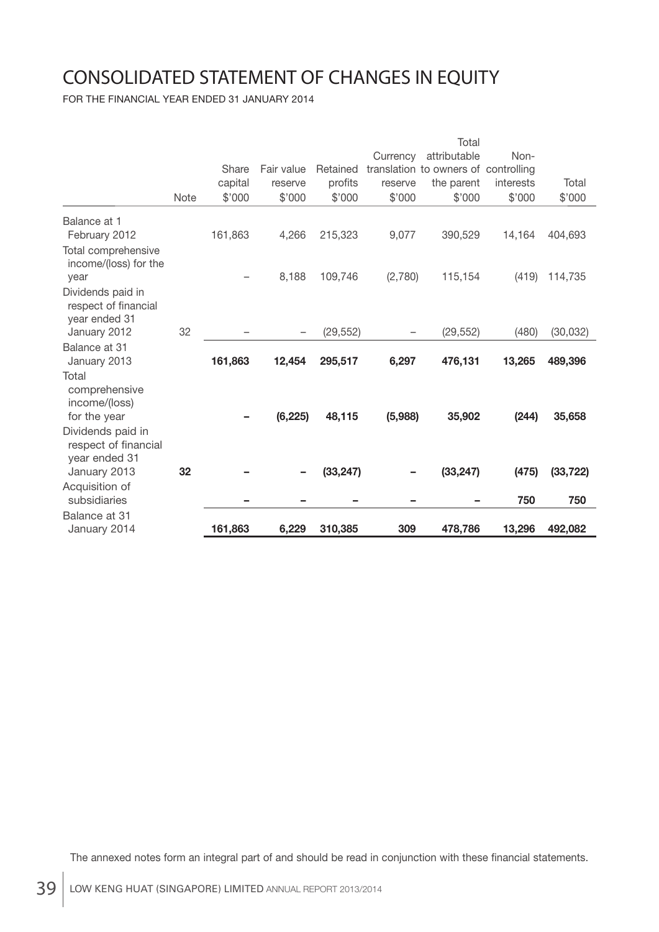# CONSOLIDATED STATEMENT OF CHANGES IN EQUITY

FOR THE FINANCIAL YEAR ENDED 31 JANUARY 2014

|                                                            |      |         |            |           |          | Total                                |           |           |
|------------------------------------------------------------|------|---------|------------|-----------|----------|--------------------------------------|-----------|-----------|
|                                                            |      |         |            |           | Currency | attributable                         | Non-      |           |
|                                                            |      | Share   | Fair value | Retained  |          | translation to owners of controlling |           |           |
|                                                            |      | capital | reserve    | profits   | reserve  | the parent                           | interests | Total     |
|                                                            | Note | \$'000  | \$'000     | \$'000    | \$'000   | \$'000                               | \$'000    | \$'000    |
| Balance at 1<br>February 2012                              |      | 161,863 | 4,266      | 215,323   | 9,077    | 390,529                              | 14,164    | 404,693   |
| Total comprehensive<br>income/(loss) for the<br>year       |      |         | 8,188      | 109,746   | (2,780)  | 115,154                              | (419)     | 114,735   |
| Dividends paid in<br>respect of financial<br>year ended 31 |      |         |            |           |          |                                      |           |           |
| January 2012                                               | 32   |         |            | (29, 552) |          | (29, 552)                            | (480)     | (30, 032) |
| Balance at 31<br>January 2013                              |      | 161,863 | 12,454     | 295,517   | 6,297    | 476,131                              | 13,265    | 489,396   |
| Total<br>comprehensive<br>income/(loss)<br>for the year    |      |         | (6, 225)   | 48,115    | (5,988)  | 35,902                               | (244)     | 35,658    |
| Dividends paid in<br>respect of financial<br>year ended 31 |      |         |            |           |          |                                      |           |           |
| January 2013                                               | 32   |         |            | (33, 247) |          | (33, 247)                            | (475)     | (33, 722) |
| Acquisition of<br>subsidiaries                             |      |         |            |           |          |                                      | 750       | 750       |
| Balance at 31<br>January 2014                              |      | 161,863 | 6,229      | 310,385   | 309      | 478,786                              | 13,296    | 492,082   |
|                                                            |      |         |            |           |          |                                      |           |           |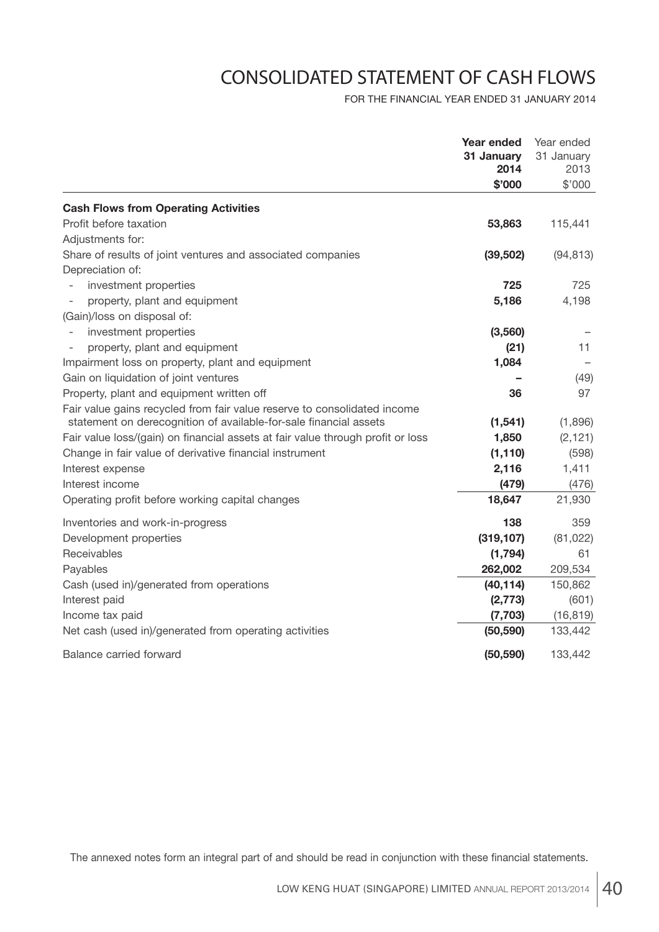# CONSOLIDATED STATEMENT OF CASH FLOWS

FOR THE FINANCIAL YEAR ENDED 31 JANUARY 2014

|                                                                                 | <b>Year ended</b><br>31 January<br>2014 | Year ended<br>31 January<br>2013 |
|---------------------------------------------------------------------------------|-----------------------------------------|----------------------------------|
|                                                                                 | \$'000                                  | \$'000                           |
| <b>Cash Flows from Operating Activities</b>                                     |                                         |                                  |
| Profit before taxation                                                          | 53,863                                  | 115,441                          |
| Adjustments for:                                                                |                                         |                                  |
| Share of results of joint ventures and associated companies                     | (39, 502)                               | (94, 813)                        |
| Depreciation of:                                                                |                                         |                                  |
| investment properties                                                           | 725                                     | 725                              |
| property, plant and equipment                                                   | 5,186                                   | 4,198                            |
| (Gain)/loss on disposal of:                                                     |                                         |                                  |
| investment properties                                                           | (3, 560)                                |                                  |
| property, plant and equipment                                                   | (21)                                    | 11                               |
| Impairment loss on property, plant and equipment                                | 1,084                                   |                                  |
| Gain on liquidation of joint ventures                                           |                                         | (49)                             |
| Property, plant and equipment written off                                       | 36                                      | 97                               |
| Fair value gains recycled from fair value reserve to consolidated income        |                                         |                                  |
| statement on derecognition of available-for-sale financial assets               | (1, 541)                                | (1,896)                          |
| Fair value loss/(gain) on financial assets at fair value through profit or loss | 1,850                                   | (2, 121)                         |
| Change in fair value of derivative financial instrument                         | (1, 110)                                | (598)                            |
| Interest expense                                                                | 2,116                                   | 1,411                            |
| Interest income                                                                 | (479)                                   | (476)                            |
| Operating profit before working capital changes                                 | 18,647                                  | 21,930                           |
| Inventories and work-in-progress                                                | 138                                     | 359                              |
| Development properties                                                          | (319, 107)                              | (81, 022)                        |
| Receivables                                                                     | (1,794)                                 | 61                               |
| Payables                                                                        | 262,002                                 | 209,534                          |
| Cash (used in)/generated from operations                                        | (40, 114)                               | 150,862                          |
| Interest paid                                                                   | (2, 773)                                | (601)                            |
| Income tax paid                                                                 | (7, 703)                                | (16, 819)                        |
| Net cash (used in)/generated from operating activities                          | (50, 590)                               | 133,442                          |
| Balance carried forward                                                         | (50, 590)                               | 133,442                          |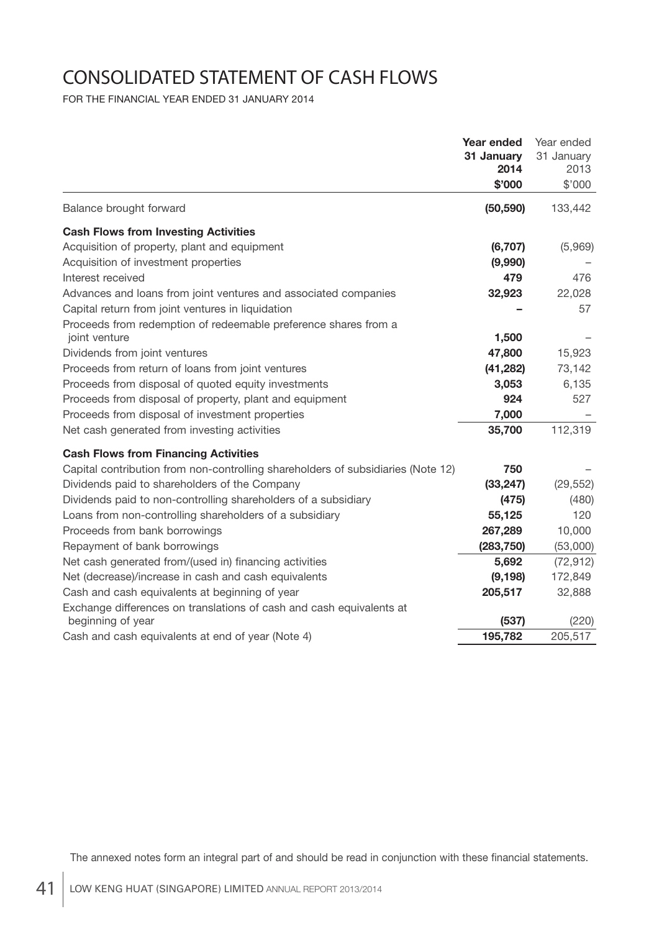# CONSOLIDATED STATEMENT OF CASH FLOWS

FOR THE FINANCIAL YEAR ENDED 31 JANUARY 2014

|                                                                                  | Year ended<br>31 January<br>2014 | Year ended<br>31 January<br>2013 |
|----------------------------------------------------------------------------------|----------------------------------|----------------------------------|
|                                                                                  | \$'000                           | \$'000                           |
| Balance brought forward                                                          | (50, 590)                        | 133,442                          |
| <b>Cash Flows from Investing Activities</b>                                      |                                  |                                  |
| Acquisition of property, plant and equipment                                     | (6, 707)                         | (5,969)                          |
| Acquisition of investment properties                                             | (9,990)                          |                                  |
| Interest received                                                                | 479                              | 476                              |
| Advances and loans from joint ventures and associated companies                  | 32,923                           | 22,028                           |
| Capital return from joint ventures in liquidation                                |                                  | 57                               |
| Proceeds from redemption of redeemable preference shares from a                  |                                  |                                  |
| joint venture                                                                    | 1,500                            |                                  |
| Dividends from joint ventures                                                    | 47,800                           | 15,923                           |
| Proceeds from return of loans from joint ventures                                | (41, 282)                        | 73,142                           |
| Proceeds from disposal of quoted equity investments                              | 3,053                            | 6,135                            |
| Proceeds from disposal of property, plant and equipment                          | 924                              | 527                              |
| Proceeds from disposal of investment properties                                  | 7,000                            |                                  |
| Net cash generated from investing activities                                     | 35,700                           | 112,319                          |
| <b>Cash Flows from Financing Activities</b>                                      |                                  |                                  |
| Capital contribution from non-controlling shareholders of subsidiaries (Note 12) | 750                              |                                  |
| Dividends paid to shareholders of the Company                                    | (33, 247)                        | (29, 552)                        |
| Dividends paid to non-controlling shareholders of a subsidiary                   | (475)                            | (480)                            |
| Loans from non-controlling shareholders of a subsidiary                          | 55,125                           | 120                              |
| Proceeds from bank borrowings                                                    | 267,289                          | 10,000                           |
| Repayment of bank borrowings                                                     | (283, 750)                       | (53,000)                         |
| Net cash generated from/(used in) financing activities                           | 5,692                            | (72, 912)                        |
| Net (decrease)/increase in cash and cash equivalents                             | (9, 198)                         | 172,849                          |
| Cash and cash equivalents at beginning of year                                   | 205,517                          | 32,888                           |
| Exchange differences on translations of cash and cash equivalents at             |                                  |                                  |
| beginning of year                                                                | (537)                            | (220)                            |
| Cash and cash equivalents at end of year (Note 4)                                | 195,782                          | 205,517                          |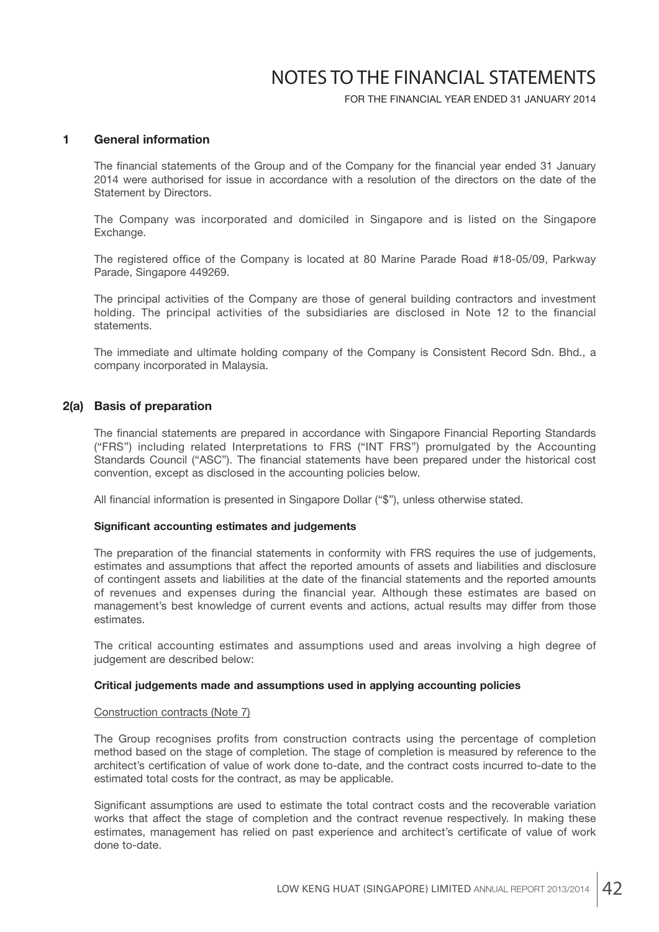FOR THE FINANCIAL YEAR ENDED 31 JANUARY 2014

### **1 General information**

The financial statements of the Group and of the Company for the financial year ended 31 January 2014 were authorised for issue in accordance with a resolution of the directors on the date of the Statement by Directors.

 The Company was incorporated and domiciled in Singapore and is listed on the Singapore Exchange.

The registered office of the Company is located at 80 Marine Parade Road #18-05/09, Parkway Parade, Singapore 449269.

 The principal activities of the Company are those of general building contractors and investment holding. The principal activities of the subsidiaries are disclosed in Note 12 to the financial statements.

 The immediate and ultimate holding company of the Company is Consistent Record Sdn. Bhd., a company incorporated in Malaysia.

### **2(a) Basis of preparation**

The financial statements are prepared in accordance with Singapore Financial Reporting Standards ("FRS") including related Interpretations to FRS ("INT FRS") promulgated by the Accounting Standards Council ("ASC"). The financial statements have been prepared under the historical cost convention, except as disclosed in the accounting policies below.

All financial information is presented in Singapore Dollar ("\$"), unless otherwise stated.

#### **Significant accounting estimates and judgements**

The preparation of the financial statements in conformity with FRS requires the use of judgements, estimates and assumptions that affect the reported amounts of assets and liabilities and disclosure of contingent assets and liabilities at the date of the financial statements and the reported amounts of revenues and expenses during the financial year. Although these estimates are based on management's best knowledge of current events and actions, actual results may differ from those estimates.

 The critical accounting estimates and assumptions used and areas involving a high degree of judgement are described below:

#### **Critical judgements made and assumptions used in applying accounting policies**

#### Construction contracts (Note 7)

The Group recognises profits from construction contracts using the percentage of completion method based on the stage of completion. The stage of completion is measured by reference to the architect's certification of value of work done to-date, and the contract costs incurred to-date to the estimated total costs for the contract, as may be applicable.

Significant assumptions are used to estimate the total contract costs and the recoverable variation works that affect the stage of completion and the contract revenue respectively. In making these estimates, management has relied on past experience and architect's certificate of value of work done to-date.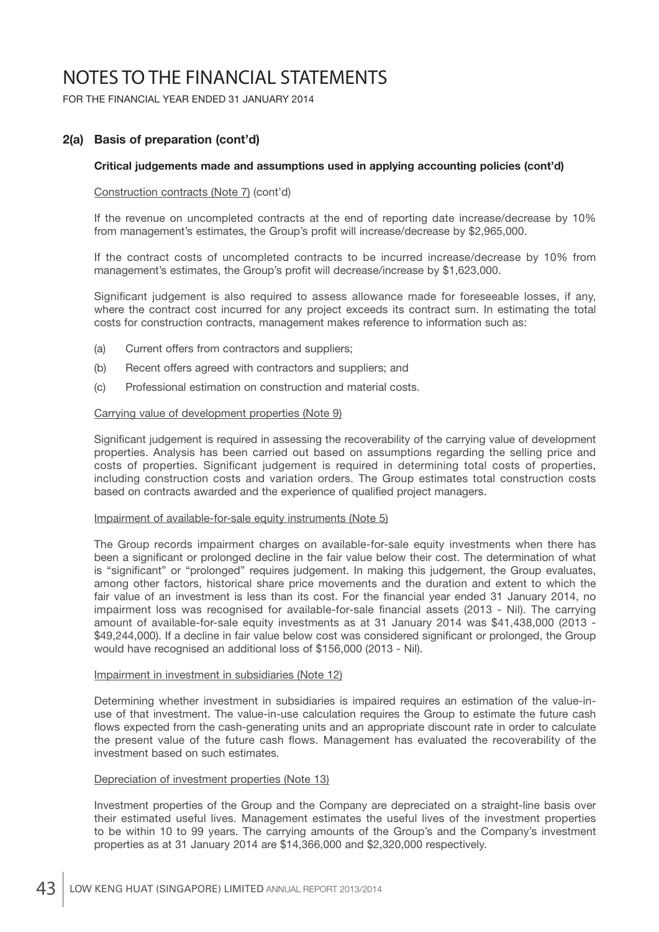FOR THE FINANCIAL YEAR ENDED 31 JANUARY 2014

## **2(a) Basis of preparation (cont'd)**

#### **Critical judgements made and assumptions used in applying accounting policies (cont'd)**

#### Construction contracts (Note 7) (cont'd)

 If the revenue on uncompleted contracts at the end of reporting date increase/decrease by 10% from management's estimates, the Group's profit will increase/decrease by \$2,965,000.

 If the contract costs of uncompleted contracts to be incurred increase/decrease by 10% from management's estimates, the Group's profit will decrease/increase by \$1,623,000.

Significant judgement is also required to assess allowance made for foreseeable losses, if any, where the contract cost incurred for any project exceeds its contract sum. In estimating the total costs for construction contracts, management makes reference to information such as:

- (a) Current offers from contractors and suppliers;
- (b) Recent offers agreed with contractors and suppliers; and
- (c) Professional estimation on construction and material costs.

#### Carrying value of development properties (Note 9)

Significant judgement is required in assessing the recoverability of the carrying value of development properties. Analysis has been carried out based on assumptions regarding the selling price and costs of properties. Significant judgement is required in determining total costs of properties, including construction costs and variation orders. The Group estimates total construction costs based on contracts awarded and the experience of qualified project managers.

#### Impairment of available-for-sale equity instruments (Note 5)

 The Group records impairment charges on available-for-sale equity investments when there has been a significant or prolonged decline in the fair value below their cost. The determination of what is "significant" or "prolonged" requires judgement. In making this judgement, the Group evaluates, among other factors, historical share price movements and the duration and extent to which the fair value of an investment is less than its cost. For the financial year ended 31 January 2014, no impairment loss was recognised for available-for-sale financial assets (2013 - Nil). The carrying amount of available-for-sale equity investments as at 31 January 2014 was \$41,438,000 (2013 - \$49,244,000). If a decline in fair value below cost was considered significant or prolonged, the Group would have recognised an additional loss of \$156,000 (2013 - Nil).

#### Impairment in investment in subsidiaries (Note 12)

 Determining whether investment in subsidiaries is impaired requires an estimation of the value-inuse of that investment. The value-in-use calculation requires the Group to estimate the future cash flows expected from the cash-generating units and an appropriate discount rate in order to calculate the present value of the future cash flows. Management has evaluated the recoverability of the investment based on such estimates.

#### Depreciation of investment properties (Note 13)

 Investment properties of the Group and the Company are depreciated on a straight-line basis over their estimated useful lives. Management estimates the useful lives of the investment properties to be within 10 to 99 years. The carrying amounts of the Group's and the Company's investment properties as at 31 January 2014 are \$14,366,000 and \$2,320,000 respectively.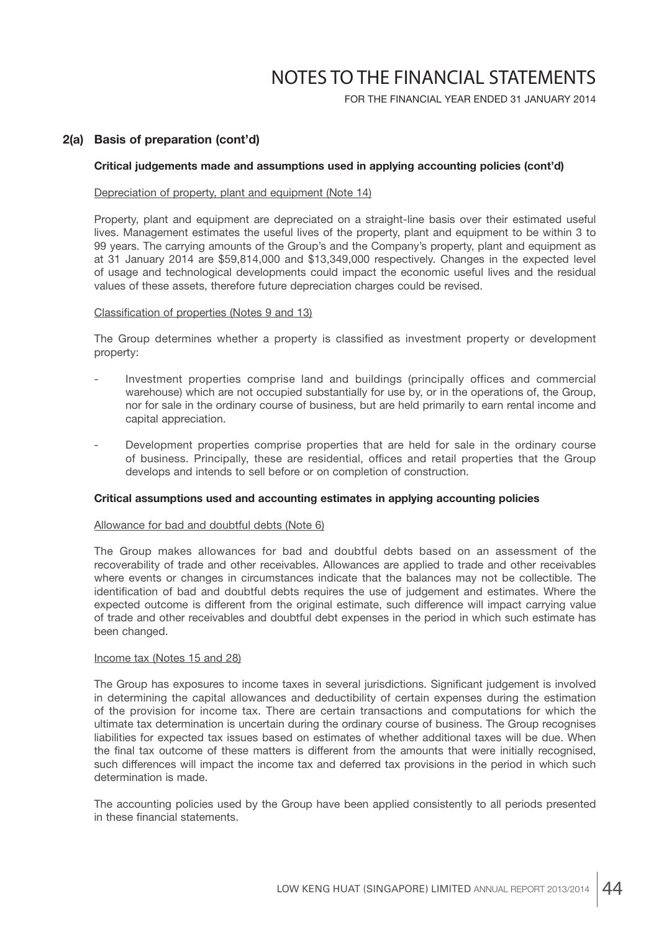FOR THE FINANCIAL YEAR ENDED 31 JANUARY 2014

## **2(a) Basis of preparation (cont'd)**

#### **Critical judgements made and assumptions used in applying accounting policies (cont'd)**

#### Depreciation of property, plant and equipment (Note 14)

 Property, plant and equipment are depreciated on a straight-line basis over their estimated useful lives. Management estimates the useful lives of the property, plant and equipment to be within 3 to 99 years. The carrying amounts of the Group's and the Company's property, plant and equipment as at 31 January 2014 are \$59,814,000 and \$13,349,000 respectively. Changes in the expected level of usage and technological developments could impact the economic useful lives and the residual values of these assets, therefore future depreciation charges could be revised.

#### Classification of properties (Notes 9 and 13)

The Group determines whether a property is classified as investment property or development property:

- Investment properties comprise land and buildings (principally offices and commercial warehouse) which are not occupied substantially for use by, or in the operations of, the Group, nor for sale in the ordinary course of business, but are held primarily to earn rental income and capital appreciation.
- Development properties comprise properties that are held for sale in the ordinary course of business. Principally, these are residential, offices and retail properties that the Group develops and intends to sell before or on completion of construction.

#### **Critical assumptions used and accounting estimates in applying accounting policies**

#### Allowance for bad and doubtful debts (Note 6)

 The Group makes allowances for bad and doubtful debts based on an assessment of the recoverability of trade and other receivables. Allowances are applied to trade and other receivables where events or changes in circumstances indicate that the balances may not be collectible. The identification of bad and doubtful debts requires the use of judgement and estimates. Where the expected outcome is different from the original estimate, such difference will impact carrying value of trade and other receivables and doubtful debt expenses in the period in which such estimate has been changed.

#### Income tax (Notes 15 and 28)

The Group has exposures to income taxes in several jurisdictions. Significant judgement is involved in determining the capital allowances and deductibility of certain expenses during the estimation of the provision for income tax. There are certain transactions and computations for which the ultimate tax determination is uncertain during the ordinary course of business. The Group recognises liabilities for expected tax issues based on estimates of whether additional taxes will be due. When the final tax outcome of these matters is different from the amounts that were initially recognised, such differences will impact the income tax and deferred tax provisions in the period in which such determination is made.

 The accounting policies used by the Group have been applied consistently to all periods presented in these financial statements.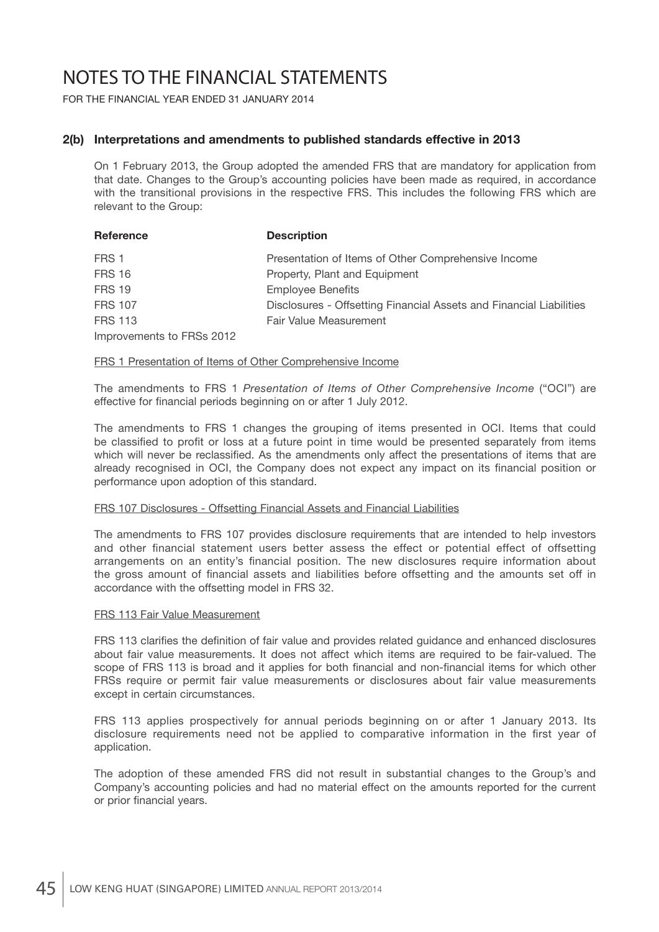FOR THE FINANCIAL YEAR ENDED 31 JANUARY 2014

### **2(b) Interpretations and amendments to published standards effective in 2013**

 On 1 February 2013, the Group adopted the amended FRS that are mandatory for application from that date. Changes to the Group's accounting policies have been made as required, in accordance with the transitional provisions in the respective FRS. This includes the following FRS which are relevant to the Group:

| Reference                 | <b>Description</b>                                                  |
|---------------------------|---------------------------------------------------------------------|
| FRS 1                     | Presentation of Items of Other Comprehensive Income                 |
| <b>FRS 16</b>             | Property, Plant and Equipment                                       |
| <b>FRS 19</b>             | <b>Employee Benefits</b>                                            |
| <b>FRS 107</b>            | Disclosures - Offsetting Financial Assets and Financial Liabilities |
| <b>FRS 113</b>            | Fair Value Measurement                                              |
| Improvements to FRSs 2012 |                                                                     |

#### FRS 1 Presentation of Items of Other Comprehensive Income

 The amendments to FRS 1 *Presentation of Items of Other Comprehensive Income* ("OCI") are effective for financial periods beginning on or after 1 July 2012.

 The amendments to FRS 1 changes the grouping of items presented in OCI. Items that could be classified to profit or loss at a future point in time would be presented separately from items which will never be reclassified. As the amendments only affect the presentations of items that are already recognised in OCI, the Company does not expect any impact on its financial position or performance upon adoption of this standard.

#### FRS 107 Disclosures - Offsetting Financial Assets and Financial Liabilities

 The amendments to FRS 107 provides disclosure requirements that are intended to help investors and other financial statement users better assess the effect or potential effect of offsetting arrangements on an entity's financial position. The new disclosures require information about the gross amount of financial assets and liabilities before offsetting and the amounts set off in accordance with the offsetting model in FRS 32.

#### FRS 113 Fair Value Measurement

FRS 113 clarifies the definition of fair value and provides related guidance and enhanced disclosures about fair value measurements. It does not affect which items are required to be fair-valued. The scope of FRS 113 is broad and it applies for both financial and non-financial items for which other FRSs require or permit fair value measurements or disclosures about fair value measurements except in certain circumstances.

 FRS 113 applies prospectively for annual periods beginning on or after 1 January 2013. Its disclosure requirements need not be applied to comparative information in the first year of application.

 The adoption of these amended FRS did not result in substantial changes to the Group's and Company's accounting policies and had no material effect on the amounts reported for the current or prior financial years.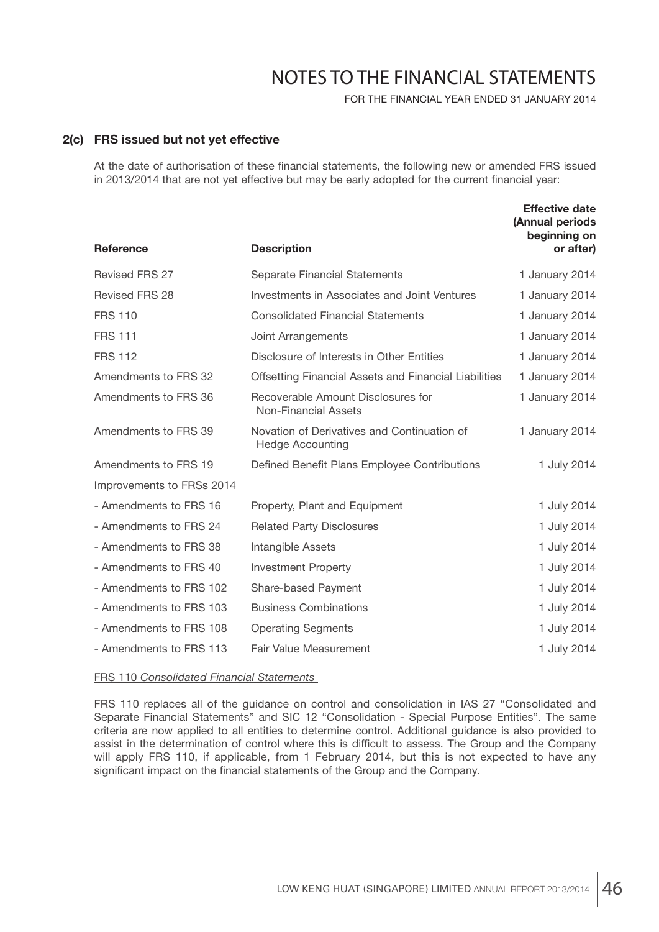FOR THE FINANCIAL YEAR ENDED 31 JANUARY 2014

### **2(c) FRS issued but not yet effective**

At the date of authorisation of these financial statements, the following new or amended FRS issued in 2013/2014 that are not yet effective but may be early adopted for the current financial year:

| Reference                 | <b>Description</b>                                                     | <b>Effective date</b><br>(Annual periods<br>beginning on<br>or after) |
|---------------------------|------------------------------------------------------------------------|-----------------------------------------------------------------------|
| <b>Revised FRS 27</b>     | Separate Financial Statements                                          | 1 January 2014                                                        |
| <b>Revised FRS 28</b>     | Investments in Associates and Joint Ventures                           | 1 January 2014                                                        |
| <b>FRS 110</b>            | <b>Consolidated Financial Statements</b>                               | 1 January 2014                                                        |
| <b>FRS 111</b>            | Joint Arrangements                                                     | 1 January 2014                                                        |
| <b>FRS 112</b>            | Disclosure of Interests in Other Entities                              | 1 January 2014                                                        |
| Amendments to FRS 32      | Offsetting Financial Assets and Financial Liabilities                  | 1 January 2014                                                        |
| Amendments to FRS 36      | Recoverable Amount Disclosures for<br><b>Non-Financial Assets</b>      | 1 January 2014                                                        |
| Amendments to FRS 39      | Novation of Derivatives and Continuation of<br><b>Hedge Accounting</b> | 1 January 2014                                                        |
| Amendments to FRS 19      | Defined Benefit Plans Employee Contributions                           | 1 July 2014                                                           |
| Improvements to FRSs 2014 |                                                                        |                                                                       |
| - Amendments to FRS 16    | Property, Plant and Equipment                                          | 1 July 2014                                                           |
| - Amendments to FRS 24    | <b>Related Party Disclosures</b>                                       | 1 July 2014                                                           |
| - Amendments to FRS 38    | Intangible Assets                                                      | 1 July 2014                                                           |
| - Amendments to FRS 40    | <b>Investment Property</b>                                             | 1 July 2014                                                           |
| - Amendments to FRS 102   | Share-based Payment                                                    | 1 July 2014                                                           |
| - Amendments to FRS 103   | <b>Business Combinations</b>                                           | 1 July 2014                                                           |
| - Amendments to FRS 108   | <b>Operating Segments</b>                                              | 1 July 2014                                                           |
| - Amendments to FRS 113   | <b>Fair Value Measurement</b>                                          | 1 July 2014                                                           |

#### FRS 110 *Consolidated Financial Statements*

 FRS 110 replaces all of the guidance on control and consolidation in IAS 27 "Consolidated and Separate Financial Statements" and SIC 12 "Consolidation - Special Purpose Entities". The same criteria are now applied to all entities to determine control. Additional guidance is also provided to assist in the determination of control where this is difficult to assess. The Group and the Company will apply FRS 110, if applicable, from 1 February 2014, but this is not expected to have any significant impact on the financial statements of the Group and the Company.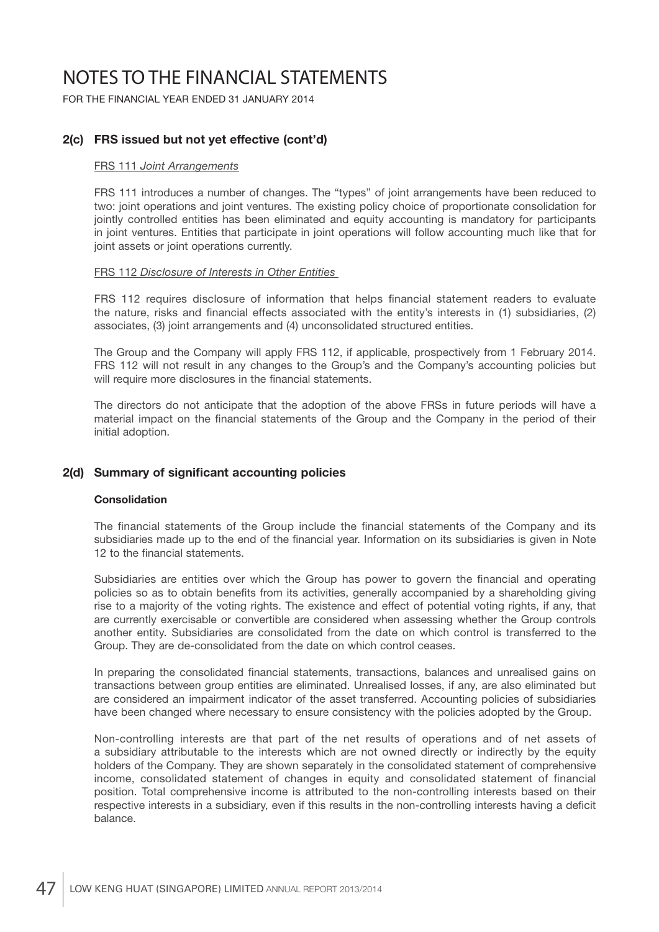FOR THE FINANCIAL YEAR ENDED 31 JANUARY 2014

## **2(c) FRS issued but not yet effective (cont'd)**

#### FRS 111 *Joint Arrangements*

 FRS 111 introduces a number of changes. The "types" of joint arrangements have been reduced to two: joint operations and joint ventures. The existing policy choice of proportionate consolidation for jointly controlled entities has been eliminated and equity accounting is mandatory for participants in joint ventures. Entities that participate in joint operations will follow accounting much like that for joint assets or joint operations currently.

#### FRS 112 *Disclosure of Interests in Other Entities*

FRS 112 requires disclosure of information that helps financial statement readers to evaluate the nature, risks and financial effects associated with the entity's interests in (1) subsidiaries, (2) associates, (3) joint arrangements and (4) unconsolidated structured entities.

 The Group and the Company will apply FRS 112, if applicable, prospectively from 1 February 2014. FRS 112 will not result in any changes to the Group's and the Company's accounting policies but will require more disclosures in the financial statements.

 The directors do not anticipate that the adoption of the above FRSs in future periods will have a material impact on the financial statements of the Group and the Company in the period of their initial adoption.

## **2(d) Summary of significant accounting policies**

### **Consolidation**

The financial statements of the Group include the financial statements of the Company and its subsidiaries made up to the end of the financial year. Information on its subsidiaries is given in Note 12 to the financial statements.

Subsidiaries are entities over which the Group has power to govern the financial and operating policies so as to obtain benefits from its activities, generally accompanied by a shareholding giving rise to a majority of the voting rights. The existence and effect of potential voting rights, if any, that are currently exercisable or convertible are considered when assessing whether the Group controls another entity. Subsidiaries are consolidated from the date on which control is transferred to the Group. They are de-consolidated from the date on which control ceases.

In preparing the consolidated financial statements, transactions, balances and unrealised gains on transactions between group entities are eliminated. Unrealised losses, if any, are also eliminated but are considered an impairment indicator of the asset transferred. Accounting policies of subsidiaries have been changed where necessary to ensure consistency with the policies adopted by the Group.

 Non-controlling interests are that part of the net results of operations and of net assets of a subsidiary attributable to the interests which are not owned directly or indirectly by the equity holders of the Company. They are shown separately in the consolidated statement of comprehensive income, consolidated statement of changes in equity and consolidated statement of financial position. Total comprehensive income is attributed to the non-controlling interests based on their respective interests in a subsidiary, even if this results in the non-controlling interests having a deficit balance.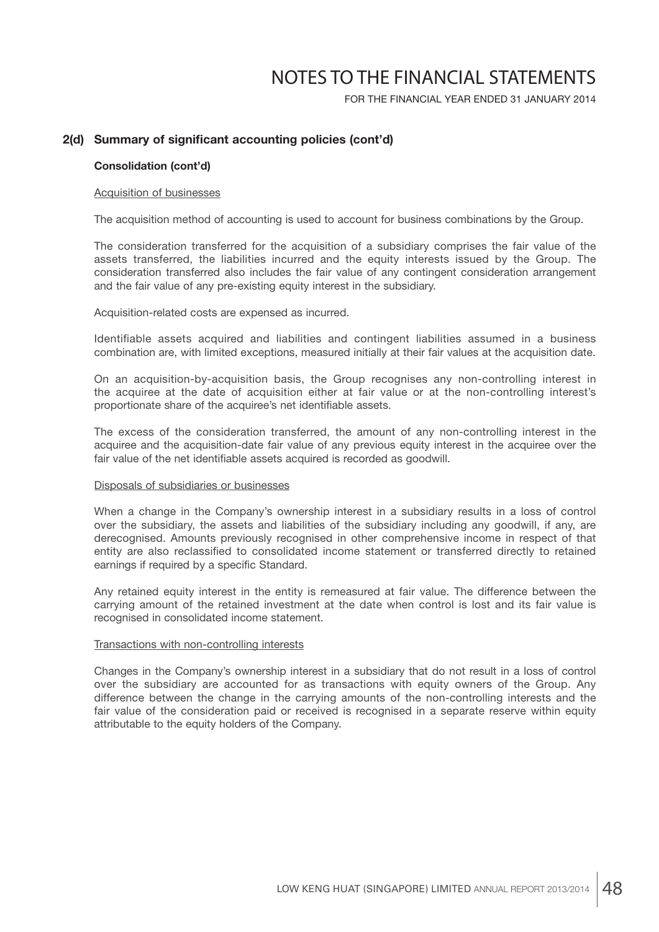FOR THE FINANCIAL YEAR ENDED 31 JANUARY 2014

## 2(d) Summary of significant accounting policies (cont'd)

#### **Consolidation (cont'd)**

#### Acquisition of businesses

The acquisition method of accounting is used to account for business combinations by the Group.

 The consideration transferred for the acquisition of a subsidiary comprises the fair value of the assets transferred, the liabilities incurred and the equity interests issued by the Group. The consideration transferred also includes the fair value of any contingent consideration arrangement and the fair value of any pre-existing equity interest in the subsidiary.

Acquisition-related costs are expensed as incurred.

 Identifiable assets acquired and liabilities and contingent liabilities assumed in a business combination are, with limited exceptions, measured initially at their fair values at the acquisition date.

 On an acquisition-by-acquisition basis, the Group recognises any non-controlling interest in the acquiree at the date of acquisition either at fair value or at the non-controlling interest's proportionate share of the acquiree's net identifiable assets.

 The excess of the consideration transferred, the amount of any non-controlling interest in the acquiree and the acquisition-date fair value of any previous equity interest in the acquiree over the fair value of the net identifiable assets acquired is recorded as goodwill.

#### Disposals of subsidiaries or businesses

 When a change in the Company's ownership interest in a subsidiary results in a loss of control over the subsidiary, the assets and liabilities of the subsidiary including any goodwill, if any, are derecognised. Amounts previously recognised in other comprehensive income in respect of that entity are also reclassified to consolidated income statement or transferred directly to retained earnings if required by a specific Standard.

 Any retained equity interest in the entity is remeasured at fair value. The difference between the carrying amount of the retained investment at the date when control is lost and its fair value is recognised in consolidated income statement.

#### Transactions with non-controlling interests

 Changes in the Company's ownership interest in a subsidiary that do not result in a loss of control over the subsidiary are accounted for as transactions with equity owners of the Group. Any difference between the change in the carrying amounts of the non-controlling interests and the fair value of the consideration paid or received is recognised in a separate reserve within equity attributable to the equity holders of the Company.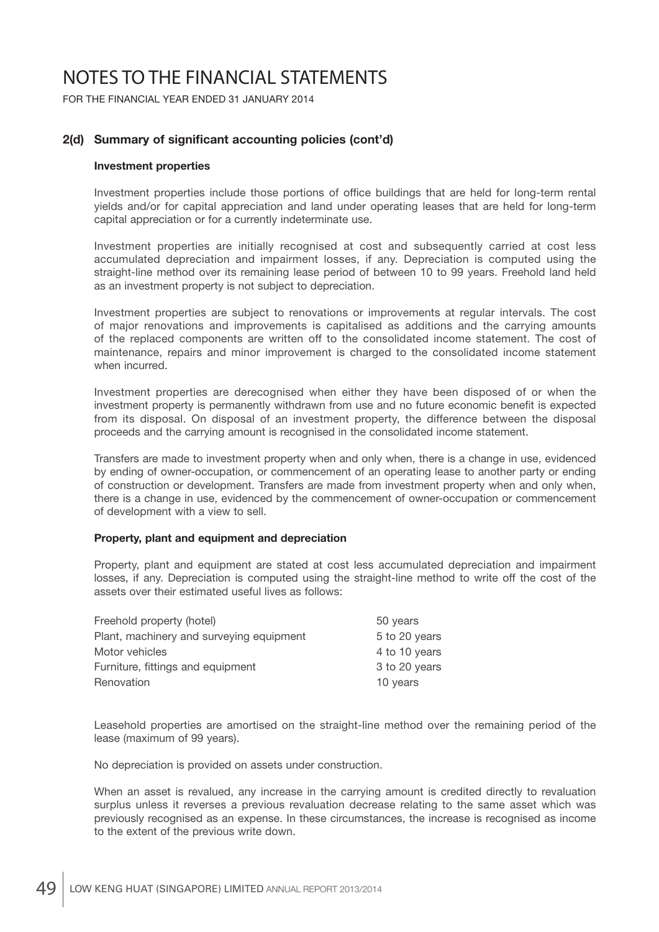FOR THE FINANCIAL YEAR ENDED 31 JANUARY 2014

## 2(d) Summary of significant accounting policies (cont'd)

#### **Investment properties**

Investment properties include those portions of office buildings that are held for long-term rental yields and/or for capital appreciation and land under operating leases that are held for long-term capital appreciation or for a currently indeterminate use.

 Investment properties are initially recognised at cost and subsequently carried at cost less accumulated depreciation and impairment losses, if any. Depreciation is computed using the straight-line method over its remaining lease period of between 10 to 99 years. Freehold land held as an investment property is not subject to depreciation.

 Investment properties are subject to renovations or improvements at regular intervals. The cost of major renovations and improvements is capitalised as additions and the carrying amounts of the replaced components are written off to the consolidated income statement. The cost of maintenance, repairs and minor improvement is charged to the consolidated income statement when incurred.

 Investment properties are derecognised when either they have been disposed of or when the investment property is permanently withdrawn from use and no future economic benefit is expected from its disposal. On disposal of an investment property, the difference between the disposal proceeds and the carrying amount is recognised in the consolidated income statement.

 Transfers are made to investment property when and only when, there is a change in use, evidenced by ending of owner-occupation, or commencement of an operating lease to another party or ending of construction or development. Transfers are made from investment property when and only when, there is a change in use, evidenced by the commencement of owner-occupation or commencement of development with a view to sell.

### **Property, plant and equipment and depreciation**

 Property, plant and equipment are stated at cost less accumulated depreciation and impairment losses, if any. Depreciation is computed using the straight-line method to write off the cost of the assets over their estimated useful lives as follows:

| Freehold property (hotel)                | 50 years      |
|------------------------------------------|---------------|
| Plant, machinery and surveying equipment | 5 to 20 years |
| Motor vehicles                           | 4 to 10 years |
| Furniture, fittings and equipment        | 3 to 20 years |
| Renovation                               | 10 years      |
|                                          |               |

 Leasehold properties are amortised on the straight-line method over the remaining period of the lease (maximum of 99 years).

No depreciation is provided on assets under construction.

 When an asset is revalued, any increase in the carrying amount is credited directly to revaluation surplus unless it reverses a previous revaluation decrease relating to the same asset which was previously recognised as an expense. In these circumstances, the increase is recognised as income to the extent of the previous write down.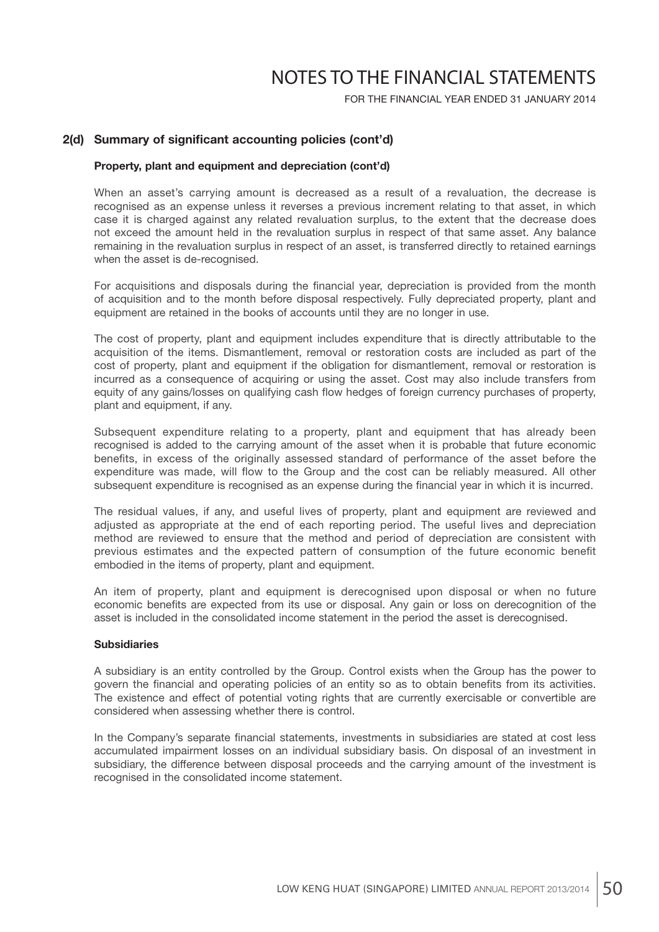FOR THE FINANCIAL YEAR ENDED 31 JANUARY 2014

### 2(d) Summary of significant accounting policies (cont'd)

#### **Property, plant and equipment and depreciation (cont'd)**

 When an asset's carrying amount is decreased as a result of a revaluation, the decrease is recognised as an expense unless it reverses a previous increment relating to that asset, in which case it is charged against any related revaluation surplus, to the extent that the decrease does not exceed the amount held in the revaluation surplus in respect of that same asset. Any balance remaining in the revaluation surplus in respect of an asset, is transferred directly to retained earnings when the asset is de-recognised.

For acquisitions and disposals during the financial year, depreciation is provided from the month of acquisition and to the month before disposal respectively. Fully depreciated property, plant and equipment are retained in the books of accounts until they are no longer in use.

 The cost of property, plant and equipment includes expenditure that is directly attributable to the acquisition of the items. Dismantlement, removal or restoration costs are included as part of the cost of property, plant and equipment if the obligation for dismantlement, removal or restoration is incurred as a consequence of acquiring or using the asset. Cost may also include transfers from equity of any gains/losses on qualifying cash flow hedges of foreign currency purchases of property, plant and equipment, if any.

 Subsequent expenditure relating to a property, plant and equipment that has already been recognised is added to the carrying amount of the asset when it is probable that future economic benefits, in excess of the originally assessed standard of performance of the asset before the expenditure was made, will flow to the Group and the cost can be reliably measured. All other subsequent expenditure is recognised as an expense during the financial year in which it is incurred.

 The residual values, if any, and useful lives of property, plant and equipment are reviewed and adjusted as appropriate at the end of each reporting period. The useful lives and depreciation method are reviewed to ensure that the method and period of depreciation are consistent with previous estimates and the expected pattern of consumption of the future economic benefit embodied in the items of property, plant and equipment.

 An item of property, plant and equipment is derecognised upon disposal or when no future economic benefits are expected from its use or disposal. Any gain or loss on derecognition of the asset is included in the consolidated income statement in the period the asset is derecognised.

#### **Subsidiaries**

 A subsidiary is an entity controlled by the Group. Control exists when the Group has the power to govern the financial and operating policies of an entity so as to obtain benefits from its activities. The existence and effect of potential voting rights that are currently exercisable or convertible are considered when assessing whether there is control.

In the Company's separate financial statements, investments in subsidiaries are stated at cost less accumulated impairment losses on an individual subsidiary basis. On disposal of an investment in subsidiary, the difference between disposal proceeds and the carrying amount of the investment is recognised in the consolidated income statement.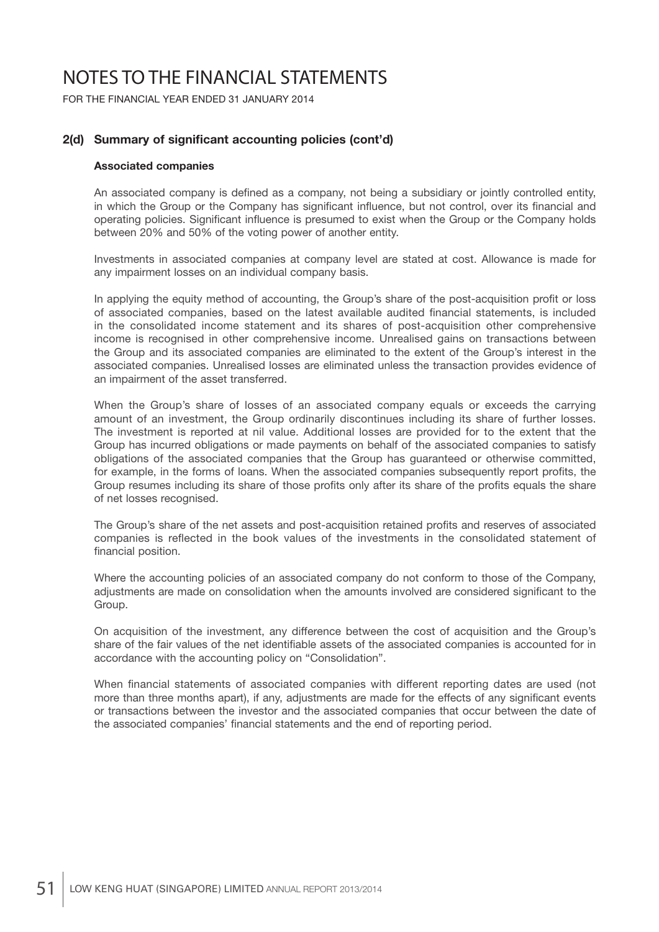FOR THE FINANCIAL YEAR ENDED 31 JANUARY 2014

### 2(d) Summary of significant accounting policies (cont'd)

#### **Associated companies**

An associated company is defined as a company, not being a subsidiary or jointly controlled entity, in which the Group or the Company has significant influence, but not control, over its financial and operating policies. Significant influence is presumed to exist when the Group or the Company holds between 20% and 50% of the voting power of another entity.

 Investments in associated companies at company level are stated at cost. Allowance is made for any impairment losses on an individual company basis.

In applying the equity method of accounting, the Group's share of the post-acquisition profit or loss of associated companies, based on the latest available audited financial statements, is included in the consolidated income statement and its shares of post-acquisition other comprehensive income is recognised in other comprehensive income. Unrealised gains on transactions between the Group and its associated companies are eliminated to the extent of the Group's interest in the associated companies. Unrealised losses are eliminated unless the transaction provides evidence of an impairment of the asset transferred.

 When the Group's share of losses of an associated company equals or exceeds the carrying amount of an investment, the Group ordinarily discontinues including its share of further losses. The investment is reported at nil value. Additional losses are provided for to the extent that the Group has incurred obligations or made payments on behalf of the associated companies to satisfy obligations of the associated companies that the Group has guaranteed or otherwise committed, for example, in the forms of loans. When the associated companies subsequently report profits, the Group resumes including its share of those profits only after its share of the profits equals the share of net losses recognised.

The Group's share of the net assets and post-acquisition retained profits and reserves of associated companies is reflected in the book values of the investments in the consolidated statement of financial position.

 Where the accounting policies of an associated company do not conform to those of the Company, adjustments are made on consolidation when the amounts involved are considered significant to the Group.

 On acquisition of the investment, any difference between the cost of acquisition and the Group's share of the fair values of the net identifiable assets of the associated companies is accounted for in accordance with the accounting policy on "Consolidation".

When financial statements of associated companies with different reporting dates are used (not more than three months apart), if any, adjustments are made for the effects of any significant events or transactions between the investor and the associated companies that occur between the date of the associated companies' financial statements and the end of reporting period.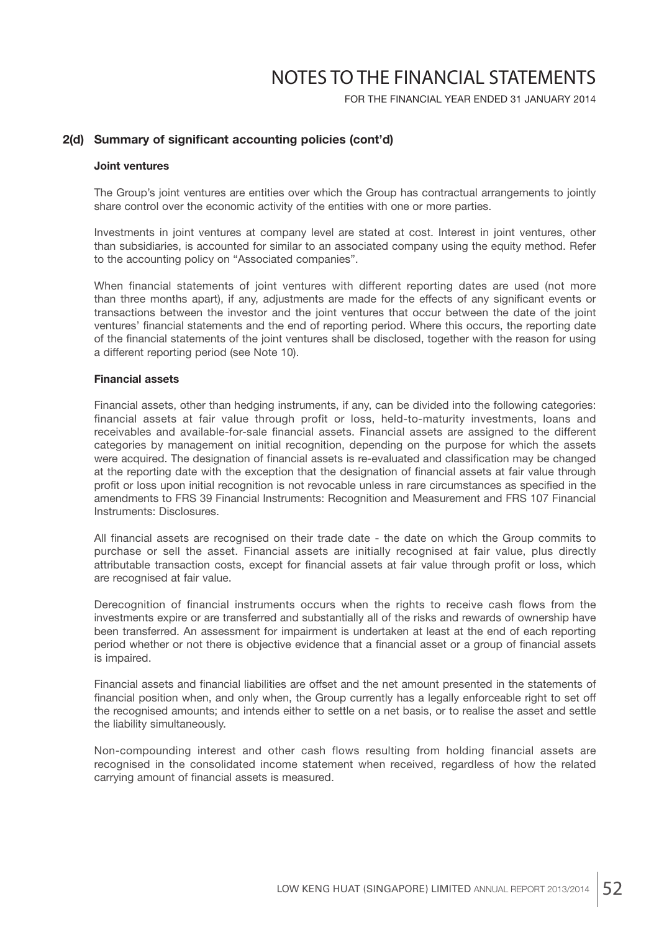FOR THE FINANCIAL YEAR ENDED 31 JANUARY 2014

### 2(d) Summary of significant accounting policies (cont'd)

#### **Joint ventures**

 The Group's joint ventures are entities over which the Group has contractual arrangements to jointly share control over the economic activity of the entities with one or more parties.

 Investments in joint ventures at company level are stated at cost. Interest in joint ventures, other than subsidiaries, is accounted for similar to an associated company using the equity method. Refer to the accounting policy on "Associated companies".

When financial statements of joint ventures with different reporting dates are used (not more than three months apart), if any, adjustments are made for the effects of any significant events or transactions between the investor and the joint ventures that occur between the date of the joint ventures' financial statements and the end of reporting period. Where this occurs, the reporting date of the financial statements of the joint ventures shall be disclosed, together with the reason for using a different reporting period (see Note 10).

#### **Financial assets**

 Financial assets, other than hedging instruments, if any, can be divided into the following categories: financial assets at fair value through profit or loss, held-to-maturity investments, loans and receivables and available-for-sale financial assets. Financial assets are assigned to the different categories by management on initial recognition, depending on the purpose for which the assets were acquired. The designation of financial assets is re-evaluated and classification may be changed at the reporting date with the exception that the designation of financial assets at fair value through profit or loss upon initial recognition is not revocable unless in rare circumstances as specified in the amendments to FRS 39 Financial Instruments: Recognition and Measurement and FRS 107 Financial Instruments: Disclosures.

All financial assets are recognised on their trade date - the date on which the Group commits to purchase or sell the asset. Financial assets are initially recognised at fair value, plus directly attributable transaction costs, except for financial assets at fair value through profit or loss, which are recognised at fair value.

Derecognition of financial instruments occurs when the rights to receive cash flows from the investments expire or are transferred and substantially all of the risks and rewards of ownership have been transferred. An assessment for impairment is undertaken at least at the end of each reporting period whether or not there is objective evidence that a financial asset or a group of financial assets is impaired.

Financial assets and financial liabilities are offset and the net amount presented in the statements of financial position when, and only when, the Group currently has a legally enforceable right to set off the recognised amounts; and intends either to settle on a net basis, or to realise the asset and settle the liability simultaneously.

 Non-compounding interest and other cash flows resulting from holding financial assets are recognised in the consolidated income statement when received, regardless of how the related carrying amount of financial assets is measured.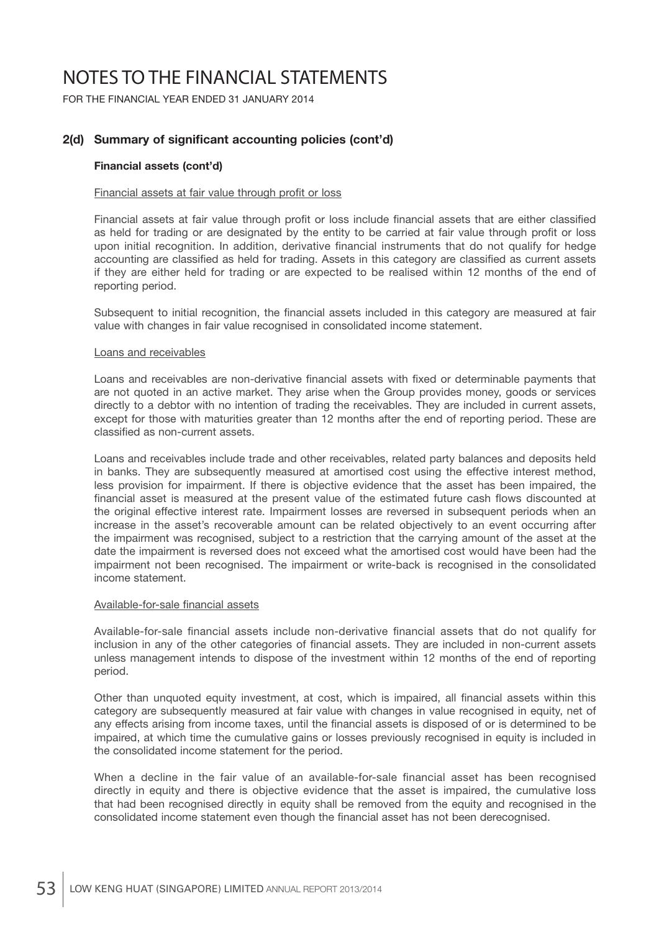FOR THE FINANCIAL YEAR ENDED 31 JANUARY 2014

## 2(d) Summary of significant accounting policies (cont'd)

#### **Financial assets (cont'd)**

#### Financial assets at fair value through profit or loss

Financial assets at fair value through profit or loss include financial assets that are either classified as held for trading or are designated by the entity to be carried at fair value through profit or loss upon initial recognition. In addition, derivative financial instruments that do not qualify for hedge accounting are classified as held for trading. Assets in this category are classified as current assets if they are either held for trading or are expected to be realised within 12 months of the end of reporting period.

Subsequent to initial recognition, the financial assets included in this category are measured at fair value with changes in fair value recognised in consolidated income statement.

#### Loans and receivables

Loans and receivables are non-derivative financial assets with fixed or determinable payments that are not quoted in an active market. They arise when the Group provides money, goods or services directly to a debtor with no intention of trading the receivables. They are included in current assets, except for those with maturities greater than 12 months after the end of reporting period. These are classified as non-current assets.

 Loans and receivables include trade and other receivables, related party balances and deposits held in banks. They are subsequently measured at amortised cost using the effective interest method, less provision for impairment. If there is objective evidence that the asset has been impaired, the financial asset is measured at the present value of the estimated future cash flows discounted at the original effective interest rate. Impairment losses are reversed in subsequent periods when an increase in the asset's recoverable amount can be related objectively to an event occurring after the impairment was recognised, subject to a restriction that the carrying amount of the asset at the date the impairment is reversed does not exceed what the amortised cost would have been had the impairment not been recognised. The impairment or write-back is recognised in the consolidated income statement.

#### Available-for-sale financial assets

Available-for-sale financial assets include non-derivative financial assets that do not qualify for inclusion in any of the other categories of financial assets. They are included in non-current assets unless management intends to dispose of the investment within 12 months of the end of reporting period.

Other than unquoted equity investment, at cost, which is impaired, all financial assets within this category are subsequently measured at fair value with changes in value recognised in equity, net of any effects arising from income taxes, until the financial assets is disposed of or is determined to be impaired, at which time the cumulative gains or losses previously recognised in equity is included in the consolidated income statement for the period.

When a decline in the fair value of an available-for-sale financial asset has been recognised directly in equity and there is objective evidence that the asset is impaired, the cumulative loss that had been recognised directly in equity shall be removed from the equity and recognised in the consolidated income statement even though the financial asset has not been derecognised.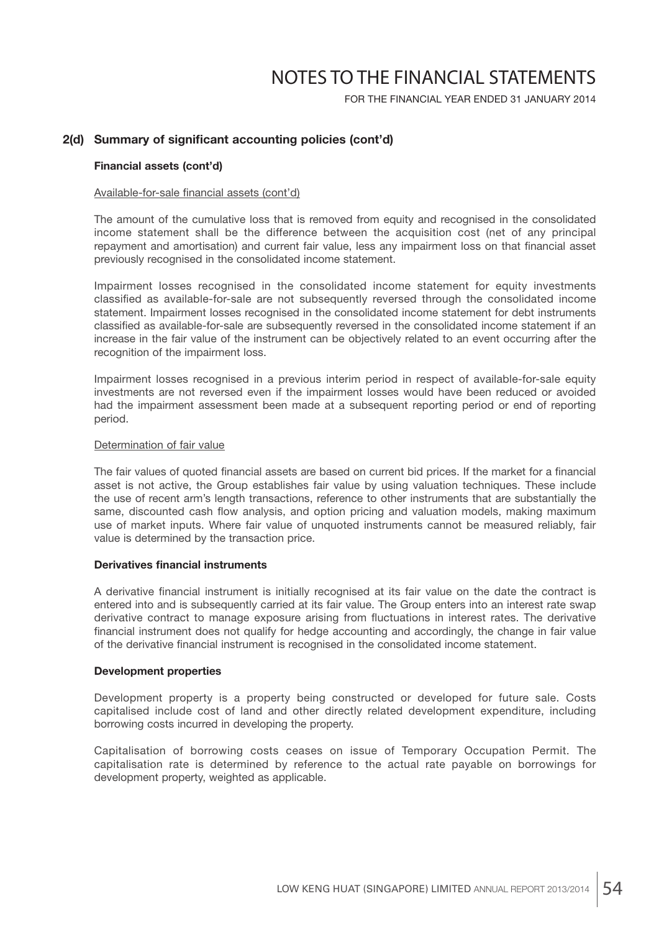FOR THE FINANCIAL YEAR ENDED 31 JANUARY 2014

### 2(d) Summary of significant accounting policies (cont'd)

#### **Financial assets (cont'd)**

#### Available-for-sale financial assets (cont'd)

 The amount of the cumulative loss that is removed from equity and recognised in the consolidated income statement shall be the difference between the acquisition cost (net of any principal repayment and amortisation) and current fair value, less any impairment loss on that financial asset previously recognised in the consolidated income statement.

 Impairment losses recognised in the consolidated income statement for equity investments classified as available-for-sale are not subsequently reversed through the consolidated income statement. Impairment losses recognised in the consolidated income statement for debt instruments classified as available-for-sale are subsequently reversed in the consolidated income statement if an increase in the fair value of the instrument can be objectively related to an event occurring after the recognition of the impairment loss.

 Impairment losses recognised in a previous interim period in respect of available-for-sale equity investments are not reversed even if the impairment losses would have been reduced or avoided had the impairment assessment been made at a subsequent reporting period or end of reporting period.

#### Determination of fair value

The fair values of quoted financial assets are based on current bid prices. If the market for a financial asset is not active, the Group establishes fair value by using valuation techniques. These include the use of recent arm's length transactions, reference to other instruments that are substantially the same, discounted cash flow analysis, and option pricing and valuation models, making maximum use of market inputs. Where fair value of unquoted instruments cannot be measured reliably, fair value is determined by the transaction price.

#### **Derivatives financial instruments**

A derivative financial instrument is initially recognised at its fair value on the date the contract is entered into and is subsequently carried at its fair value. The Group enters into an interest rate swap derivative contract to manage exposure arising from fluctuations in interest rates. The derivative financial instrument does not qualify for hedge accounting and accordingly, the change in fair value of the derivative financial instrument is recognised in the consolidated income statement.

#### **Development properties**

 Development property is a property being constructed or developed for future sale. Costs capitalised include cost of land and other directly related development expenditure, including borrowing costs incurred in developing the property.

 Capitalisation of borrowing costs ceases on issue of Temporary Occupation Permit. The capitalisation rate is determined by reference to the actual rate payable on borrowings for development property, weighted as applicable.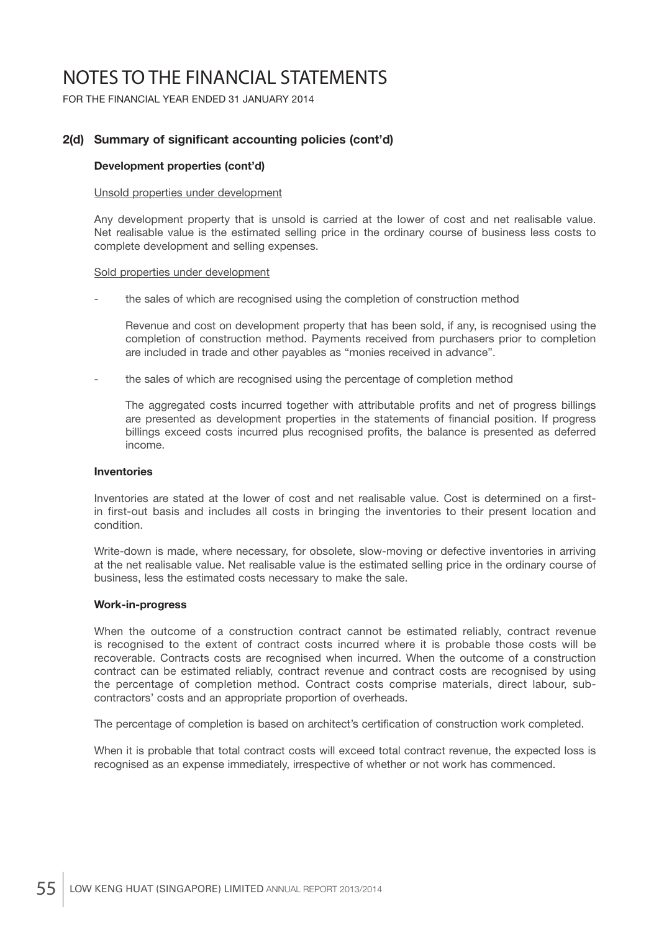FOR THE FINANCIAL YEAR ENDED 31 JANUARY 2014

## 2(d) Summary of significant accounting policies (cont'd)

#### **Development properties (cont'd)**

#### Unsold properties under development

 Any development property that is unsold is carried at the lower of cost and net realisable value. Net realisable value is the estimated selling price in the ordinary course of business less costs to complete development and selling expenses.

#### Sold properties under development

the sales of which are recognised using the completion of construction method

 Revenue and cost on development property that has been sold, if any, is recognised using the completion of construction method. Payments received from purchasers prior to completion are included in trade and other payables as "monies received in advance".

the sales of which are recognised using the percentage of completion method

The aggregated costs incurred together with attributable profits and net of progress billings are presented as development properties in the statements of financial position. If progress billings exceed costs incurred plus recognised profits, the balance is presented as deferred income.

#### **Inventories**

Inventories are stated at the lower of cost and net realisable value. Cost is determined on a firstin first-out basis and includes all costs in bringing the inventories to their present location and condition.

 Write-down is made, where necessary, for obsolete, slow-moving or defective inventories in arriving at the net realisable value. Net realisable value is the estimated selling price in the ordinary course of business, less the estimated costs necessary to make the sale.

#### **Work-in-progress**

 When the outcome of a construction contract cannot be estimated reliably, contract revenue is recognised to the extent of contract costs incurred where it is probable those costs will be recoverable. Contracts costs are recognised when incurred. When the outcome of a construction contract can be estimated reliably, contract revenue and contract costs are recognised by using the percentage of completion method. Contract costs comprise materials, direct labour, subcontractors' costs and an appropriate proportion of overheads.

The percentage of completion is based on architect's certification of construction work completed.

 When it is probable that total contract costs will exceed total contract revenue, the expected loss is recognised as an expense immediately, irrespective of whether or not work has commenced.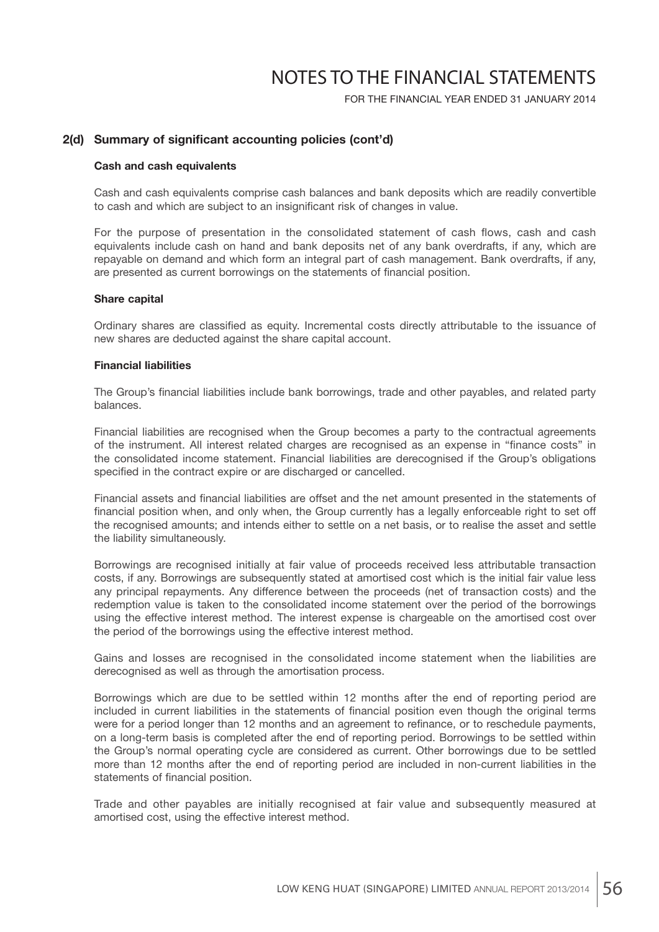FOR THE FINANCIAL YEAR ENDED 31 JANUARY 2014

### 2(d) Summary of significant accounting policies (cont'd)

#### **Cash and cash equivalents**

 Cash and cash equivalents comprise cash balances and bank deposits which are readily convertible to cash and which are subject to an insignificant risk of changes in value.

For the purpose of presentation in the consolidated statement of cash flows, cash and cash equivalents include cash on hand and bank deposits net of any bank overdrafts, if any, which are repayable on demand and which form an integral part of cash management. Bank overdrafts, if any, are presented as current borrowings on the statements of financial position.

#### **Share capital**

Ordinary shares are classified as equity. Incremental costs directly attributable to the issuance of new shares are deducted against the share capital account.

#### **Financial liabilities**

The Group's financial liabilities include bank borrowings, trade and other payables, and related party balances.

 Financial liabilities are recognised when the Group becomes a party to the contractual agreements of the instrument. All interest related charges are recognised as an expense in "finance costs" in the consolidated income statement. Financial liabilities are derecognised if the Group's obligations specified in the contract expire or are discharged or cancelled.

Financial assets and financial liabilities are offset and the net amount presented in the statements of financial position when, and only when, the Group currently has a legally enforceable right to set off the recognised amounts; and intends either to settle on a net basis, or to realise the asset and settle the liability simultaneously.

 Borrowings are recognised initially at fair value of proceeds received less attributable transaction costs, if any. Borrowings are subsequently stated at amortised cost which is the initial fair value less any principal repayments. Any difference between the proceeds (net of transaction costs) and the redemption value is taken to the consolidated income statement over the period of the borrowings using the effective interest method. The interest expense is chargeable on the amortised cost over the period of the borrowings using the effective interest method.

 Gains and losses are recognised in the consolidated income statement when the liabilities are derecognised as well as through the amortisation process.

 Borrowings which are due to be settled within 12 months after the end of reporting period are included in current liabilities in the statements of financial position even though the original terms were for a period longer than 12 months and an agreement to refinance, or to reschedule payments, on a long-term basis is completed after the end of reporting period. Borrowings to be settled within the Group's normal operating cycle are considered as current. Other borrowings due to be settled more than 12 months after the end of reporting period are included in non-current liabilities in the statements of financial position.

 Trade and other payables are initially recognised at fair value and subsequently measured at amortised cost, using the effective interest method.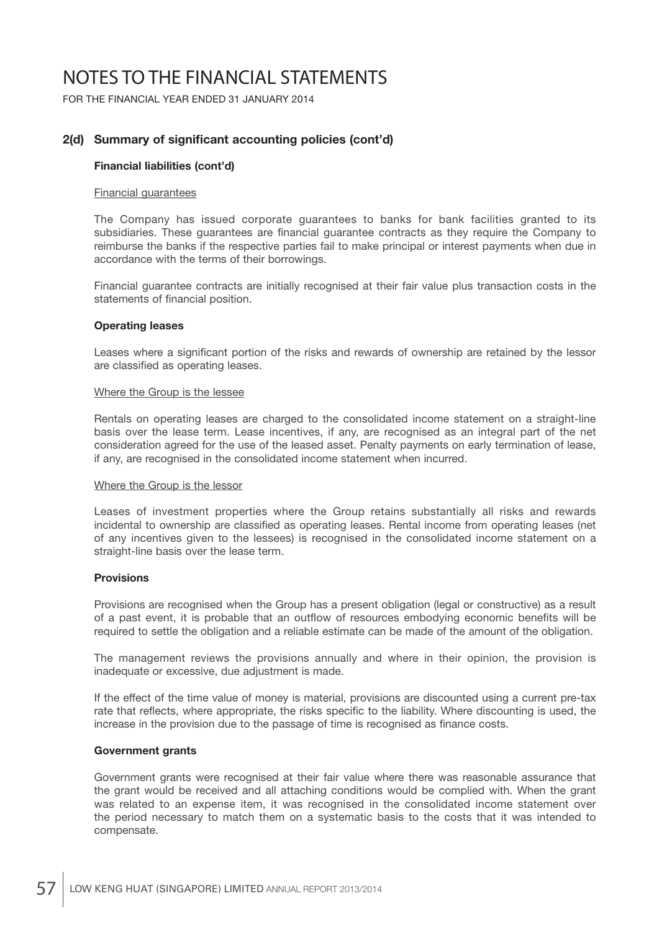FOR THE FINANCIAL YEAR ENDED 31 JANUARY 2014

## 2(d) Summary of significant accounting policies (cont'd)

#### **Financial liabilities (cont'd)**

#### Financial guarantees

 The Company has issued corporate guarantees to banks for bank facilities granted to its subsidiaries. These guarantees are financial guarantee contracts as they require the Company to reimburse the banks if the respective parties fail to make principal or interest payments when due in accordance with the terms of their borrowings.

 Financial guarantee contracts are initially recognised at their fair value plus transaction costs in the statements of financial position.

#### **Operating leases**

Leases where a significant portion of the risks and rewards of ownership are retained by the lessor are classified as operating leases.

#### Where the Group is the lessee

 Rentals on operating leases are charged to the consolidated income statement on a straight-line basis over the lease term. Lease incentives, if any, are recognised as an integral part of the net consideration agreed for the use of the leased asset. Penalty payments on early termination of lease, if any, are recognised in the consolidated income statement when incurred.

#### Where the Group is the lessor

 Leases of investment properties where the Group retains substantially all risks and rewards incidental to ownership are classified as operating leases. Rental income from operating leases (net of any incentives given to the lessees) is recognised in the consolidated income statement on a straight-line basis over the lease term.

#### **Provisions**

 Provisions are recognised when the Group has a present obligation (legal or constructive) as a result of a past event, it is probable that an outflow of resources embodying economic benefits will be required to settle the obligation and a reliable estimate can be made of the amount of the obligation.

 The management reviews the provisions annually and where in their opinion, the provision is inadequate or excessive, due adjustment is made.

 If the effect of the time value of money is material, provisions are discounted using a current pre-tax rate that reflects, where appropriate, the risks specific to the liability. Where discounting is used, the increase in the provision due to the passage of time is recognised as finance costs.

#### **Government grants**

 Government grants were recognised at their fair value where there was reasonable assurance that the grant would be received and all attaching conditions would be complied with. When the grant was related to an expense item, it was recognised in the consolidated income statement over the period necessary to match them on a systematic basis to the costs that it was intended to compensate.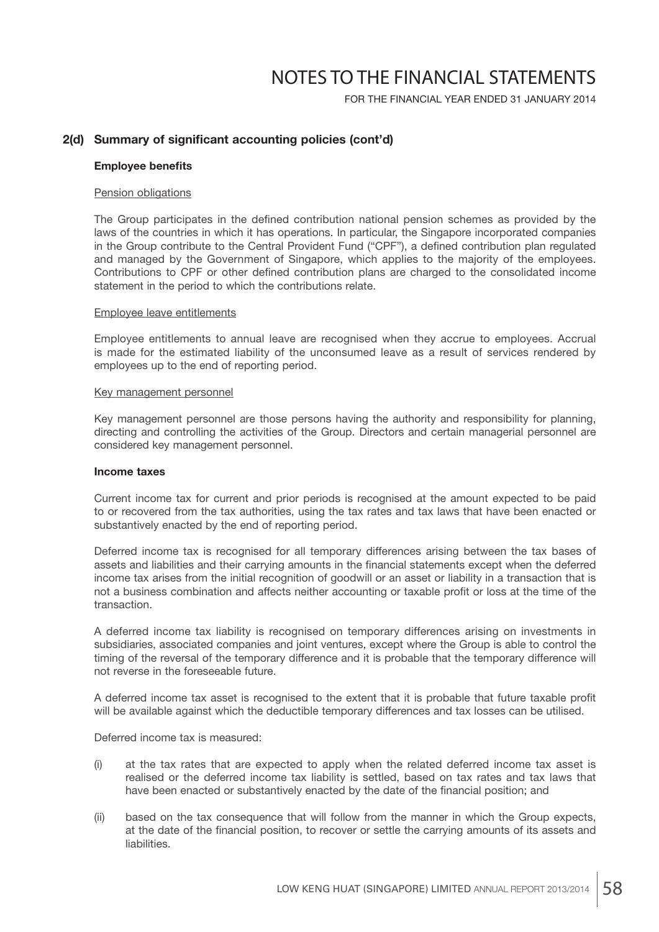FOR THE FINANCIAL YEAR ENDED 31 JANUARY 2014

### 2(d) Summary of significant accounting policies (cont'd)

#### **Employee benefits**

#### Pension obligations

The Group participates in the defined contribution national pension schemes as provided by the laws of the countries in which it has operations. In particular, the Singapore incorporated companies in the Group contribute to the Central Provident Fund ("CPF"), a defined contribution plan regulated and managed by the Government of Singapore, which applies to the majority of the employees. Contributions to CPF or other defined contribution plans are charged to the consolidated income statement in the period to which the contributions relate.

#### Employee leave entitlements

 Employee entitlements to annual leave are recognised when they accrue to employees. Accrual is made for the estimated liability of the unconsumed leave as a result of services rendered by employees up to the end of reporting period.

#### Key management personnel

 Key management personnel are those persons having the authority and responsibility for planning, directing and controlling the activities of the Group. Directors and certain managerial personnel are considered key management personnel.

#### **Income taxes**

 Current income tax for current and prior periods is recognised at the amount expected to be paid to or recovered from the tax authorities, using the tax rates and tax laws that have been enacted or substantively enacted by the end of reporting period.

 Deferred income tax is recognised for all temporary differences arising between the tax bases of assets and liabilities and their carrying amounts in the financial statements except when the deferred income tax arises from the initial recognition of goodwill or an asset or liability in a transaction that is not a business combination and affects neither accounting or taxable profit or loss at the time of the transaction.

 A deferred income tax liability is recognised on temporary differences arising on investments in subsidiaries, associated companies and joint ventures, except where the Group is able to control the timing of the reversal of the temporary difference and it is probable that the temporary difference will not reverse in the foreseeable future.

A deferred income tax asset is recognised to the extent that it is probable that future taxable profit will be available against which the deductible temporary differences and tax losses can be utilised.

Deferred income tax is measured:

- (i) at the tax rates that are expected to apply when the related deferred income tax asset is realised or the deferred income tax liability is settled, based on tax rates and tax laws that have been enacted or substantively enacted by the date of the financial position; and
- (ii) based on the tax consequence that will follow from the manner in which the Group expects, at the date of the financial position, to recover or settle the carrying amounts of its assets and liabilities.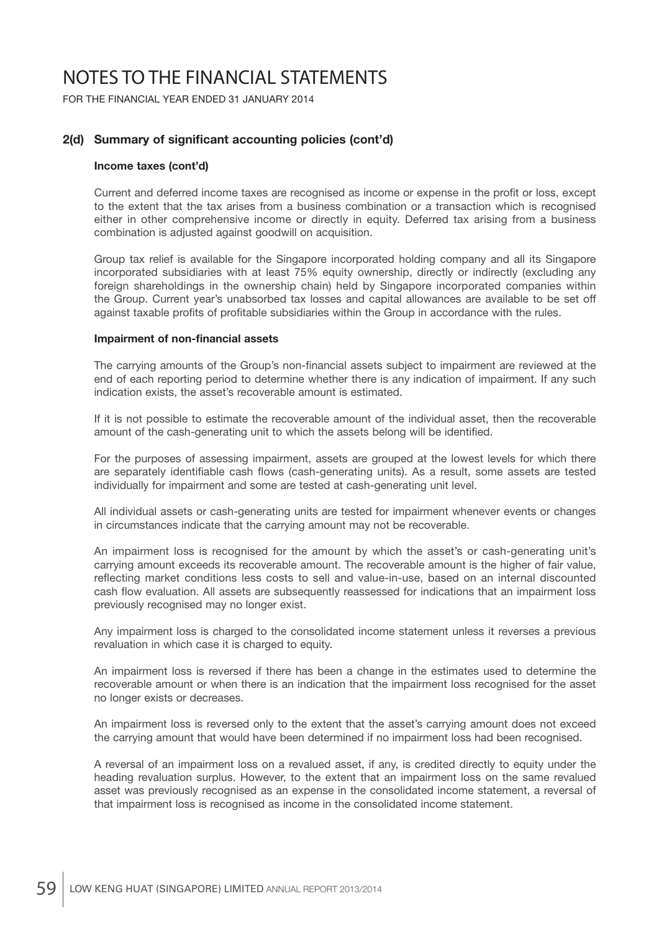FOR THE FINANCIAL YEAR ENDED 31 JANUARY 2014

## 2(d) Summary of significant accounting policies (cont'd)

#### **Income taxes (cont'd)**

Current and deferred income taxes are recognised as income or expense in the profit or loss, except to the extent that the tax arises from a business combination or a transaction which is recognised either in other comprehensive income or directly in equity. Deferred tax arising from a business combination is adjusted against goodwill on acquisition.

 Group tax relief is available for the Singapore incorporated holding company and all its Singapore incorporated subsidiaries with at least 75% equity ownership, directly or indirectly (excluding any foreign shareholdings in the ownership chain) held by Singapore incorporated companies within the Group. Current year's unabsorbed tax losses and capital allowances are available to be set off against taxable profits of profitable subsidiaries within the Group in accordance with the rules.

#### **Impairment of non-financial assets**

The carrying amounts of the Group's non-financial assets subject to impairment are reviewed at the end of each reporting period to determine whether there is any indication of impairment. If any such indication exists, the asset's recoverable amount is estimated.

 If it is not possible to estimate the recoverable amount of the individual asset, then the recoverable amount of the cash-generating unit to which the assets belong will be identified.

 For the purposes of assessing impairment, assets are grouped at the lowest levels for which there are separately identifiable cash flows (cash-generating units). As a result, some assets are tested individually for impairment and some are tested at cash-generating unit level.

 All individual assets or cash-generating units are tested for impairment whenever events or changes in circumstances indicate that the carrying amount may not be recoverable.

 An impairment loss is recognised for the amount by which the asset's or cash-generating unit's carrying amount exceeds its recoverable amount. The recoverable amount is the higher of fair value, reflecting market conditions less costs to sell and value-in-use, based on an internal discounted cash flow evaluation. All assets are subsequently reassessed for indications that an impairment loss previously recognised may no longer exist.

 Any impairment loss is charged to the consolidated income statement unless it reverses a previous revaluation in which case it is charged to equity.

 An impairment loss is reversed if there has been a change in the estimates used to determine the recoverable amount or when there is an indication that the impairment loss recognised for the asset no longer exists or decreases.

 An impairment loss is reversed only to the extent that the asset's carrying amount does not exceed the carrying amount that would have been determined if no impairment loss had been recognised.

 A reversal of an impairment loss on a revalued asset, if any, is credited directly to equity under the heading revaluation surplus. However, to the extent that an impairment loss on the same revalued asset was previously recognised as an expense in the consolidated income statement, a reversal of that impairment loss is recognised as income in the consolidated income statement.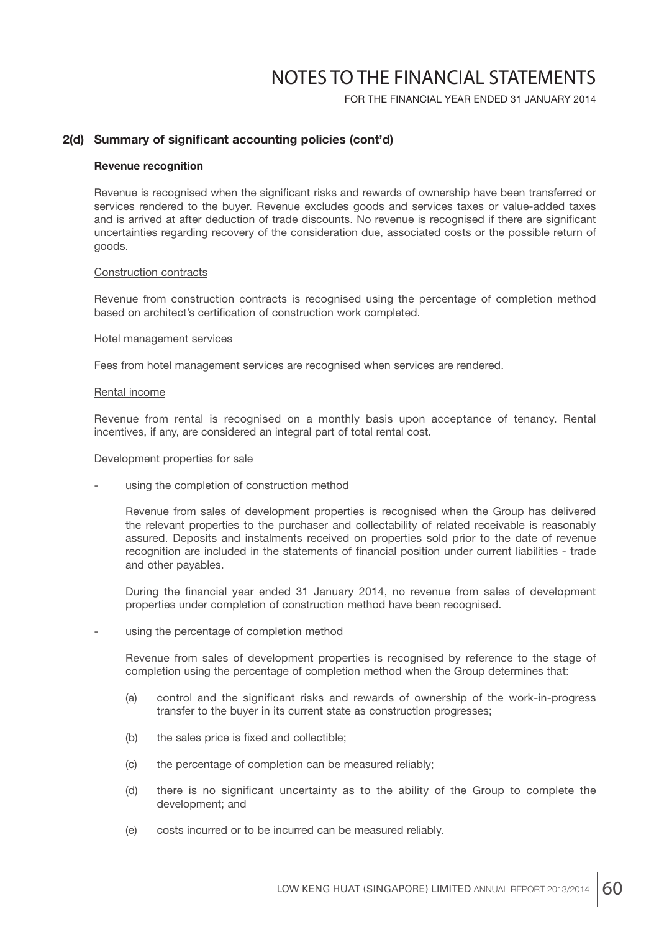FOR THE FINANCIAL YEAR ENDED 31 JANUARY 2014

### 2(d) Summary of significant accounting policies (cont'd)

#### **Revenue recognition**

Revenue is recognised when the significant risks and rewards of ownership have been transferred or services rendered to the buyer. Revenue excludes goods and services taxes or value-added taxes and is arrived at after deduction of trade discounts. No revenue is recognised if there are significant uncertainties regarding recovery of the consideration due, associated costs or the possible return of goods.

#### Construction contracts

 Revenue from construction contracts is recognised using the percentage of completion method based on architect's certification of construction work completed.

#### Hotel management services

Fees from hotel management services are recognised when services are rendered.

#### Rental income

 Revenue from rental is recognised on a monthly basis upon acceptance of tenancy. Rental incentives, if any, are considered an integral part of total rental cost.

#### Development properties for sale

using the completion of construction method

 Revenue from sales of development properties is recognised when the Group has delivered the relevant properties to the purchaser and collectability of related receivable is reasonably assured. Deposits and instalments received on properties sold prior to the date of revenue recognition are included in the statements of financial position under current liabilities - trade and other payables.

During the financial year ended 31 January 2014, no revenue from sales of development properties under completion of construction method have been recognised.

using the percentage of completion method

 Revenue from sales of development properties is recognised by reference to the stage of completion using the percentage of completion method when the Group determines that:

- (a) control and the significant risks and rewards of ownership of the work-in-progress transfer to the buyer in its current state as construction progresses;
- (b) the sales price is fixed and collectible:
- (c) the percentage of completion can be measured reliably;
- (d) there is no significant uncertainty as to the ability of the Group to complete the development; and
- (e) costs incurred or to be incurred can be measured reliably.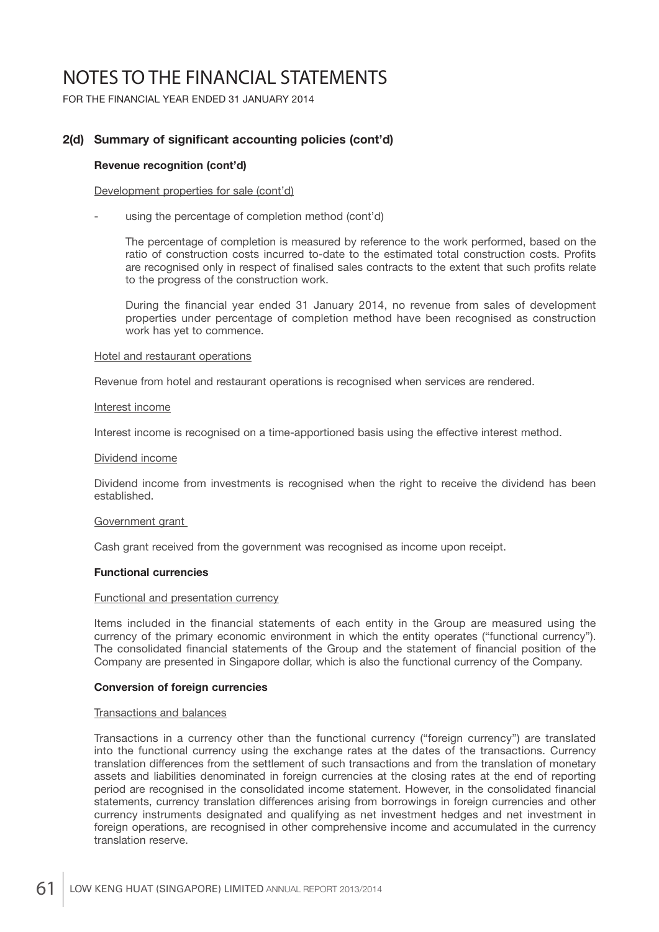FOR THE FINANCIAL YEAR ENDED 31 JANUARY 2014

## 2(d) Summary of significant accounting policies (cont'd)

#### **Revenue recognition (cont'd)**

#### Development properties for sale (cont'd)

using the percentage of completion method (cont'd)

 The percentage of completion is measured by reference to the work performed, based on the ratio of construction costs incurred to-date to the estimated total construction costs. Profits are recognised only in respect of finalised sales contracts to the extent that such profits relate to the progress of the construction work.

During the financial year ended 31 January 2014, no revenue from sales of development properties under percentage of completion method have been recognised as construction work has yet to commence.

#### Hotel and restaurant operations

Revenue from hotel and restaurant operations is recognised when services are rendered.

#### Interest income

Interest income is recognised on a time-apportioned basis using the effective interest method.

#### Dividend income

 Dividend income from investments is recognised when the right to receive the dividend has been established.

#### Government grant

Cash grant received from the government was recognised as income upon receipt.

#### **Functional currencies**

### Functional and presentation currency

Items included in the financial statements of each entity in the Group are measured using the currency of the primary economic environment in which the entity operates ("functional currency"). The consolidated financial statements of the Group and the statement of financial position of the Company are presented in Singapore dollar, which is also the functional currency of the Company.

#### **Conversion of foreign currencies**

#### Transactions and balances

 Transactions in a currency other than the functional currency ("foreign currency") are translated into the functional currency using the exchange rates at the dates of the transactions. Currency translation differences from the settlement of such transactions and from the translation of monetary assets and liabilities denominated in foreign currencies at the closing rates at the end of reporting period are recognised in the consolidated income statement. However, in the consolidated financial statements, currency translation differences arising from borrowings in foreign currencies and other currency instruments designated and qualifying as net investment hedges and net investment in foreign operations, are recognised in other comprehensive income and accumulated in the currency translation reserve.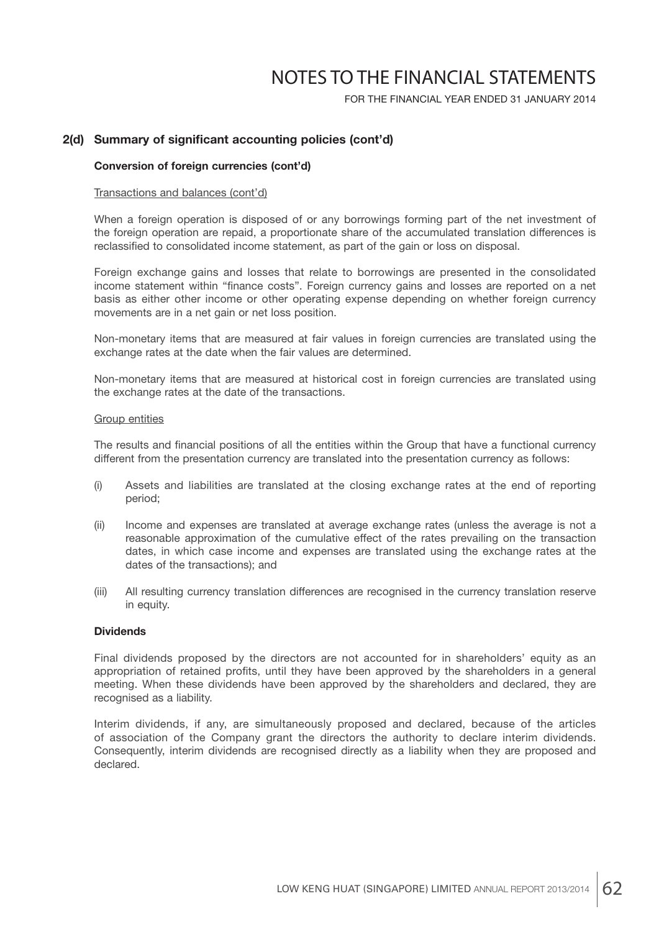FOR THE FINANCIAL YEAR ENDED 31 JANUARY 2014

### 2(d) Summary of significant accounting policies (cont'd)

#### **Conversion of foreign currencies (cont'd)**

#### Transactions and balances (cont'd)

 When a foreign operation is disposed of or any borrowings forming part of the net investment of the foreign operation are repaid, a proportionate share of the accumulated translation differences is reclassified to consolidated income statement, as part of the gain or loss on disposal.

 Foreign exchange gains and losses that relate to borrowings are presented in the consolidated income statement within "finance costs". Foreign currency gains and losses are reported on a net basis as either other income or other operating expense depending on whether foreign currency movements are in a net gain or net loss position.

 Non-monetary items that are measured at fair values in foreign currencies are translated using the exchange rates at the date when the fair values are determined.

 Non-monetary items that are measured at historical cost in foreign currencies are translated using the exchange rates at the date of the transactions.

#### Group entities

The results and financial positions of all the entities within the Group that have a functional currency different from the presentation currency are translated into the presentation currency as follows:

- (i) Assets and liabilities are translated at the closing exchange rates at the end of reporting period;
- (ii) Income and expenses are translated at average exchange rates (unless the average is not a reasonable approximation of the cumulative effect of the rates prevailing on the transaction dates, in which case income and expenses are translated using the exchange rates at the dates of the transactions); and
- (iii) All resulting currency translation differences are recognised in the currency translation reserve in equity.

#### **Dividends**

 Final dividends proposed by the directors are not accounted for in shareholders' equity as an appropriation of retained profits, until they have been approved by the shareholders in a general meeting. When these dividends have been approved by the shareholders and declared, they are recognised as a liability.

 Interim dividends, if any, are simultaneously proposed and declared, because of the articles of association of the Company grant the directors the authority to declare interim dividends. Consequently, interim dividends are recognised directly as a liability when they are proposed and declared.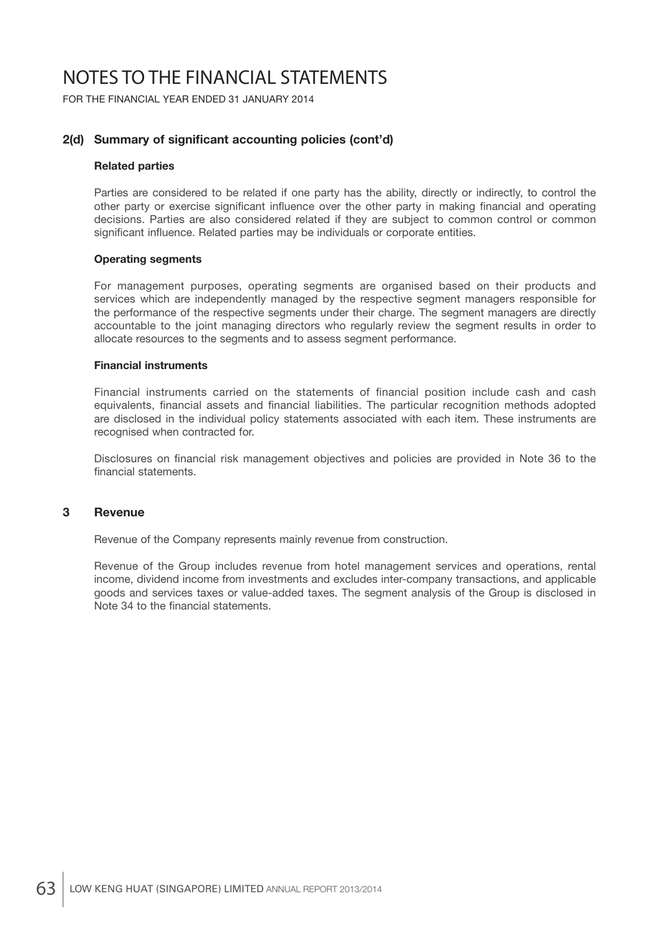FOR THE FINANCIAL YEAR ENDED 31 JANUARY 2014

## 2(d) Summary of significant accounting policies (cont'd)

#### **Related parties**

 Parties are considered to be related if one party has the ability, directly or indirectly, to control the other party or exercise significant influence over the other party in making financial and operating decisions. Parties are also considered related if they are subject to common control or common significant influence. Related parties may be individuals or corporate entities.

#### **Operating segments**

 For management purposes, operating segments are organised based on their products and services which are independently managed by the respective segment managers responsible for the performance of the respective segments under their charge. The segment managers are directly accountable to the joint managing directors who regularly review the segment results in order to allocate resources to the segments and to assess segment performance.

#### **Financial instruments**

Financial instruments carried on the statements of financial position include cash and cash equivalents, financial assets and financial liabilities. The particular recognition methods adopted are disclosed in the individual policy statements associated with each item. These instruments are recognised when contracted for.

Disclosures on financial risk management objectives and policies are provided in Note 36 to the financial statements.

#### **3 Revenue**

Revenue of the Company represents mainly revenue from construction.

 Revenue of the Group includes revenue from hotel management services and operations, rental income, dividend income from investments and excludes inter-company transactions, and applicable goods and services taxes or value-added taxes. The segment analysis of the Group is disclosed in Note 34 to the financial statements.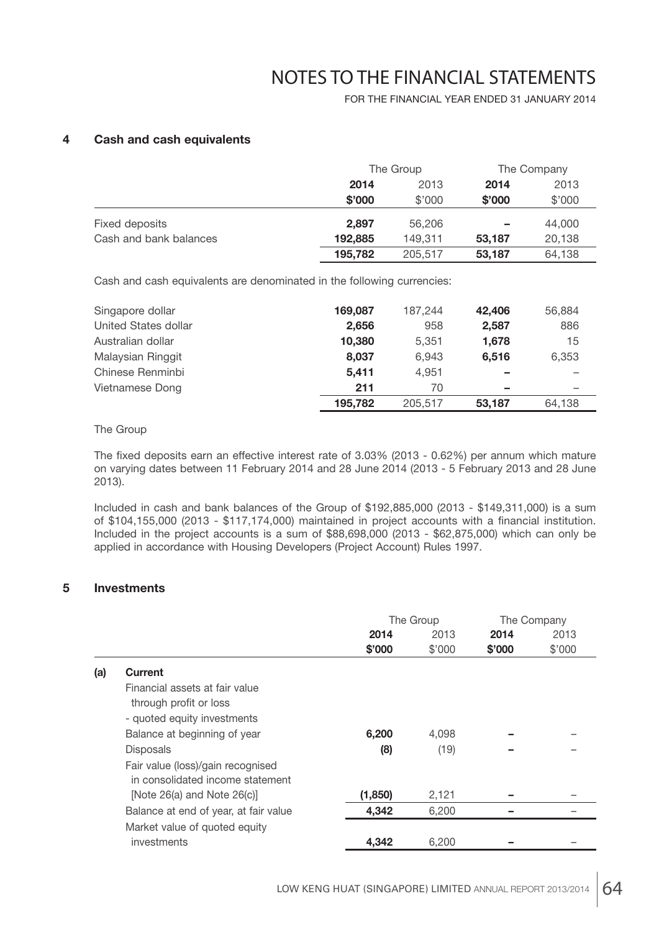FOR THE FINANCIAL YEAR ENDED 31 JANUARY 2014

### **4 Cash and cash equivalents**

|                        |         | The Group |        | The Company |
|------------------------|---------|-----------|--------|-------------|
|                        | 2014    | 2013      | 2014   | 2013        |
|                        | \$'000  | \$'000    | \$'000 | \$'000      |
| Fixed deposits         | 2.897   | 56,206    | -      | 44,000      |
| Cash and bank balances | 192,885 | 149.311   | 53.187 | 20,138      |
|                        | 195,782 | 205,517   | 53,187 | 64,138      |

Cash and cash equivalents are denominated in the following currencies:

| Singapore dollar     | 169.087 | 187.244 | 42.406 | 56,884 |
|----------------------|---------|---------|--------|--------|
| United States dollar | 2,656   | 958     | 2.587  | 886    |
| Australian dollar    | 10.380  | 5.351   | 1,678  | 15     |
| Malaysian Ringgit    | 8.037   | 6.943   | 6.516  | 6.353  |
| Chinese Renminbi     | 5.411   | 4.951   | -      |        |
| Vietnamese Dong      | 211     | 70      | -      |        |
|                      | 195,782 | 205.517 | 53.187 | 64,138 |

#### The Group

The fixed deposits earn an effective interest rate of 3.03% (2013 - 0.62%) per annum which mature on varying dates between 11 February 2014 and 28 June 2014 (2013 - 5 February 2013 and 28 June 2013).

 Included in cash and bank balances of the Group of \$192,885,000 (2013 - \$149,311,000) is a sum of \$104,155,000 (2013 - \$117,174,000) maintained in project accounts with a financial institution. Included in the project accounts is a sum of \$88,698,000 (2013 - \$62,875,000) which can only be applied in accordance with Housing Developers (Project Account) Rules 1997.

## **5 Investments**

|     |                                       | The Group |        | The Company |        |
|-----|---------------------------------------|-----------|--------|-------------|--------|
|     |                                       | 2014      | 2013   | 2014        | 2013   |
|     |                                       | \$'000    | \$'000 | \$'000      | \$'000 |
| (a) | <b>Current</b>                        |           |        |             |        |
|     | Financial assets at fair value        |           |        |             |        |
|     | through profit or loss                |           |        |             |        |
|     | - quoted equity investments           |           |        |             |        |
|     | Balance at beginning of year          | 6,200     | 4,098  |             |        |
|     | <b>Disposals</b>                      | (8)       | (19)   |             |        |
|     | Fair value (loss)/gain recognised     |           |        |             |        |
|     | in consolidated income statement      |           |        |             |        |
|     | [Note $26(a)$ and Note $26(c)$ ]      | (1,850)   | 2,121  |             |        |
|     | Balance at end of year, at fair value | 4,342     | 6,200  |             |        |
|     | Market value of quoted equity         |           |        |             |        |
|     | investments                           | 4,342     | 6.200  |             |        |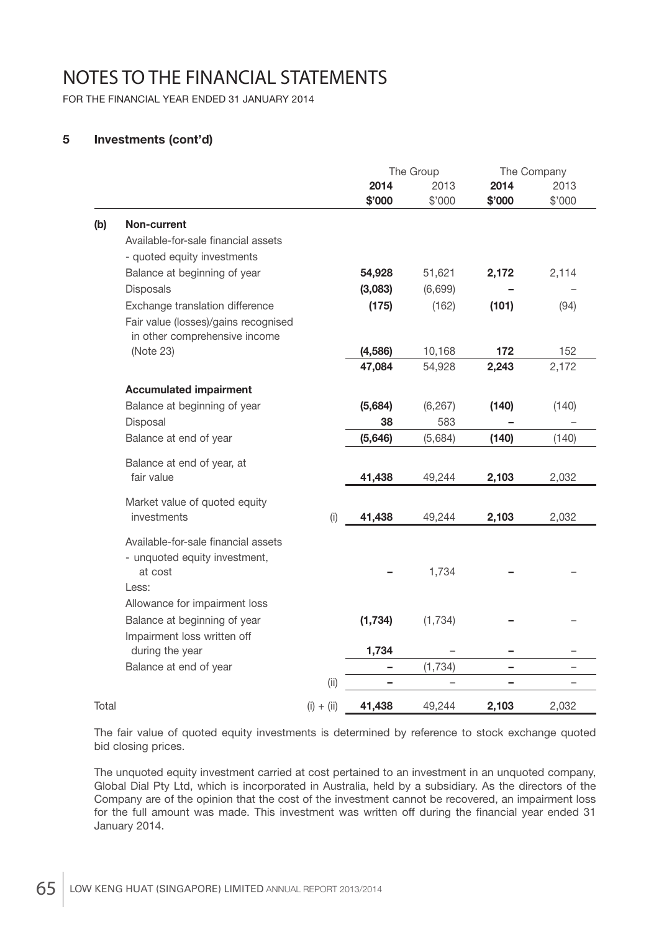FOR THE FINANCIAL YEAR ENDED 31 JANUARY 2014

## **5 Investments (cont'd)**

|       |                                      |              | The Group |          | The Company |        |
|-------|--------------------------------------|--------------|-----------|----------|-------------|--------|
|       |                                      |              | 2014      | 2013     | 2014        | 2013   |
|       |                                      |              | \$'000    | \$'000   | \$'000      | \$'000 |
| (b)   | Non-current                          |              |           |          |             |        |
|       | Available-for-sale financial assets  |              |           |          |             |        |
|       | - quoted equity investments          |              |           |          |             |        |
|       | Balance at beginning of year         |              | 54,928    | 51,621   | 2,172       | 2,114  |
|       | Disposals                            |              | (3,083)   | (6,699)  |             |        |
|       | Exchange translation difference      |              | (175)     | (162)    | (101)       | (94)   |
|       | Fair value (losses)/gains recognised |              |           |          |             |        |
|       | in other comprehensive income        |              |           |          |             |        |
|       | (Note 23)                            |              | (4,586)   | 10,168   | 172         | 152    |
|       |                                      |              | 47,084    | 54,928   | 2,243       | 2,172  |
|       | <b>Accumulated impairment</b>        |              |           |          |             |        |
|       | Balance at beginning of year         |              | (5,684)   | (6, 267) | (140)       | (140)  |
|       | Disposal                             |              | 38        | 583      |             |        |
|       | Balance at end of year               |              | (5,646)   | (5,684)  | (140)       | (140)  |
|       | Balance at end of year, at           |              |           |          |             |        |
|       | fair value                           |              | 41,438    | 49,244   | 2,103       | 2,032  |
|       | Market value of quoted equity        |              |           |          |             |        |
|       | investments                          | (i)          | 41,438    | 49,244   | 2,103       | 2,032  |
|       | Available-for-sale financial assets  |              |           |          |             |        |
|       | - unquoted equity investment,        |              |           |          |             |        |
|       | at cost                              |              |           | 1,734    |             |        |
|       | Less:                                |              |           |          |             |        |
|       | Allowance for impairment loss        |              |           |          |             |        |
|       | Balance at beginning of year         |              | (1, 734)  | (1,734)  |             |        |
|       | Impairment loss written off          |              |           |          |             |        |
|       | during the year                      |              | 1,734     |          |             |        |
|       | Balance at end of year               |              |           | (1, 734) | -           |        |
|       |                                      | (i)          |           |          |             |        |
| Total |                                      | $(i) + (ii)$ | 41,438    | 49,244   | 2,103       | 2,032  |

 The fair value of quoted equity investments is determined by reference to stock exchange quoted bid closing prices.

 The unquoted equity investment carried at cost pertained to an investment in an unquoted company, Global Dial Pty Ltd, which is incorporated in Australia, held by a subsidiary. As the directors of the Company are of the opinion that the cost of the investment cannot be recovered, an impairment loss for the full amount was made. This investment was written off during the financial year ended 31 January 2014.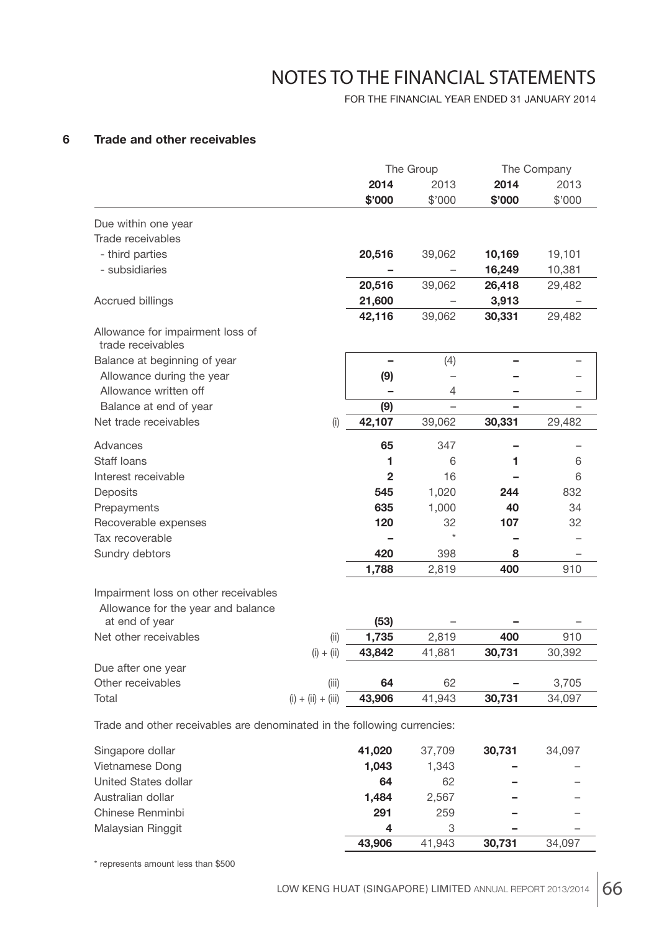FOR THE FINANCIAL YEAR ENDED 31 JANUARY 2014

## **6 Trade and other receivables**

| 2014<br>2014<br>2013<br>2013<br>\$'000<br>\$'000<br>\$'000<br>\$'000<br>Due within one year<br>Trade receivables<br>- third parties<br>20,516<br>10,169<br>19,101<br>39,062<br>- subsidiaries<br>16,249<br>10,381<br>20,516<br>39,062<br>26,418<br>29,482<br>21,600<br>3,913<br><b>Accrued billings</b><br>42,116<br>39,062<br>30,331<br>29,482<br>Allowance for impairment loss of<br>trade receivables<br>(4)<br>Balance at beginning of year<br>(9)<br>Allowance during the year<br>$\overline{\phantom{0}}$<br>Allowance written off<br>4<br>Balance at end of year<br>(9)<br>42,107<br>Net trade receivables<br>39,062<br>30,331<br>29,482<br>(i)<br>Advances<br>65<br>347<br>Staff loans<br>1<br>6<br>6<br>1<br>$\overline{2}$<br>Interest receivable<br>16<br>6<br>1,020<br>832<br>Deposits<br>545<br>244<br>1,000<br>34<br>635<br>40<br>Prepayments<br>Recoverable expenses<br>120<br>32<br>107<br>32<br>$\star$<br>Tax recoverable<br>420<br>Sundry debtors<br>398<br>8<br>1,788<br>2,819<br>400<br>910<br>Impairment loss on other receivables<br>Allowance for the year and balance<br>(53)<br>at end of year<br>Net other receivables<br>400<br>910<br>(ii)<br>1,735<br>2,819<br>43,842<br>$(i) + (ii)$<br>41,881<br>30,731<br>30,392<br>Due after one year<br>Other receivables<br>62<br>3,705<br>(iii)<br>64<br>43,906<br>30,731<br>Total<br>$(i) + (ii) + (iii)$<br>41,943<br>34,097 |  | The Group |  | The Company |
|-----------------------------------------------------------------------------------------------------------------------------------------------------------------------------------------------------------------------------------------------------------------------------------------------------------------------------------------------------------------------------------------------------------------------------------------------------------------------------------------------------------------------------------------------------------------------------------------------------------------------------------------------------------------------------------------------------------------------------------------------------------------------------------------------------------------------------------------------------------------------------------------------------------------------------------------------------------------------------------------------------------------------------------------------------------------------------------------------------------------------------------------------------------------------------------------------------------------------------------------------------------------------------------------------------------------------------------------------------------------------------------------------------|--|-----------|--|-------------|
|                                                                                                                                                                                                                                                                                                                                                                                                                                                                                                                                                                                                                                                                                                                                                                                                                                                                                                                                                                                                                                                                                                                                                                                                                                                                                                                                                                                                     |  |           |  |             |
|                                                                                                                                                                                                                                                                                                                                                                                                                                                                                                                                                                                                                                                                                                                                                                                                                                                                                                                                                                                                                                                                                                                                                                                                                                                                                                                                                                                                     |  |           |  |             |
|                                                                                                                                                                                                                                                                                                                                                                                                                                                                                                                                                                                                                                                                                                                                                                                                                                                                                                                                                                                                                                                                                                                                                                                                                                                                                                                                                                                                     |  |           |  |             |
|                                                                                                                                                                                                                                                                                                                                                                                                                                                                                                                                                                                                                                                                                                                                                                                                                                                                                                                                                                                                                                                                                                                                                                                                                                                                                                                                                                                                     |  |           |  |             |
|                                                                                                                                                                                                                                                                                                                                                                                                                                                                                                                                                                                                                                                                                                                                                                                                                                                                                                                                                                                                                                                                                                                                                                                                                                                                                                                                                                                                     |  |           |  |             |
|                                                                                                                                                                                                                                                                                                                                                                                                                                                                                                                                                                                                                                                                                                                                                                                                                                                                                                                                                                                                                                                                                                                                                                                                                                                                                                                                                                                                     |  |           |  |             |
|                                                                                                                                                                                                                                                                                                                                                                                                                                                                                                                                                                                                                                                                                                                                                                                                                                                                                                                                                                                                                                                                                                                                                                                                                                                                                                                                                                                                     |  |           |  |             |
|                                                                                                                                                                                                                                                                                                                                                                                                                                                                                                                                                                                                                                                                                                                                                                                                                                                                                                                                                                                                                                                                                                                                                                                                                                                                                                                                                                                                     |  |           |  |             |
|                                                                                                                                                                                                                                                                                                                                                                                                                                                                                                                                                                                                                                                                                                                                                                                                                                                                                                                                                                                                                                                                                                                                                                                                                                                                                                                                                                                                     |  |           |  |             |
|                                                                                                                                                                                                                                                                                                                                                                                                                                                                                                                                                                                                                                                                                                                                                                                                                                                                                                                                                                                                                                                                                                                                                                                                                                                                                                                                                                                                     |  |           |  |             |
|                                                                                                                                                                                                                                                                                                                                                                                                                                                                                                                                                                                                                                                                                                                                                                                                                                                                                                                                                                                                                                                                                                                                                                                                                                                                                                                                                                                                     |  |           |  |             |
|                                                                                                                                                                                                                                                                                                                                                                                                                                                                                                                                                                                                                                                                                                                                                                                                                                                                                                                                                                                                                                                                                                                                                                                                                                                                                                                                                                                                     |  |           |  |             |
|                                                                                                                                                                                                                                                                                                                                                                                                                                                                                                                                                                                                                                                                                                                                                                                                                                                                                                                                                                                                                                                                                                                                                                                                                                                                                                                                                                                                     |  |           |  |             |
|                                                                                                                                                                                                                                                                                                                                                                                                                                                                                                                                                                                                                                                                                                                                                                                                                                                                                                                                                                                                                                                                                                                                                                                                                                                                                                                                                                                                     |  |           |  |             |
|                                                                                                                                                                                                                                                                                                                                                                                                                                                                                                                                                                                                                                                                                                                                                                                                                                                                                                                                                                                                                                                                                                                                                                                                                                                                                                                                                                                                     |  |           |  |             |
|                                                                                                                                                                                                                                                                                                                                                                                                                                                                                                                                                                                                                                                                                                                                                                                                                                                                                                                                                                                                                                                                                                                                                                                                                                                                                                                                                                                                     |  |           |  |             |
|                                                                                                                                                                                                                                                                                                                                                                                                                                                                                                                                                                                                                                                                                                                                                                                                                                                                                                                                                                                                                                                                                                                                                                                                                                                                                                                                                                                                     |  |           |  |             |
|                                                                                                                                                                                                                                                                                                                                                                                                                                                                                                                                                                                                                                                                                                                                                                                                                                                                                                                                                                                                                                                                                                                                                                                                                                                                                                                                                                                                     |  |           |  |             |
|                                                                                                                                                                                                                                                                                                                                                                                                                                                                                                                                                                                                                                                                                                                                                                                                                                                                                                                                                                                                                                                                                                                                                                                                                                                                                                                                                                                                     |  |           |  |             |
|                                                                                                                                                                                                                                                                                                                                                                                                                                                                                                                                                                                                                                                                                                                                                                                                                                                                                                                                                                                                                                                                                                                                                                                                                                                                                                                                                                                                     |  |           |  |             |
|                                                                                                                                                                                                                                                                                                                                                                                                                                                                                                                                                                                                                                                                                                                                                                                                                                                                                                                                                                                                                                                                                                                                                                                                                                                                                                                                                                                                     |  |           |  |             |
|                                                                                                                                                                                                                                                                                                                                                                                                                                                                                                                                                                                                                                                                                                                                                                                                                                                                                                                                                                                                                                                                                                                                                                                                                                                                                                                                                                                                     |  |           |  |             |
|                                                                                                                                                                                                                                                                                                                                                                                                                                                                                                                                                                                                                                                                                                                                                                                                                                                                                                                                                                                                                                                                                                                                                                                                                                                                                                                                                                                                     |  |           |  |             |
|                                                                                                                                                                                                                                                                                                                                                                                                                                                                                                                                                                                                                                                                                                                                                                                                                                                                                                                                                                                                                                                                                                                                                                                                                                                                                                                                                                                                     |  |           |  |             |
|                                                                                                                                                                                                                                                                                                                                                                                                                                                                                                                                                                                                                                                                                                                                                                                                                                                                                                                                                                                                                                                                                                                                                                                                                                                                                                                                                                                                     |  |           |  |             |
|                                                                                                                                                                                                                                                                                                                                                                                                                                                                                                                                                                                                                                                                                                                                                                                                                                                                                                                                                                                                                                                                                                                                                                                                                                                                                                                                                                                                     |  |           |  |             |
|                                                                                                                                                                                                                                                                                                                                                                                                                                                                                                                                                                                                                                                                                                                                                                                                                                                                                                                                                                                                                                                                                                                                                                                                                                                                                                                                                                                                     |  |           |  |             |
|                                                                                                                                                                                                                                                                                                                                                                                                                                                                                                                                                                                                                                                                                                                                                                                                                                                                                                                                                                                                                                                                                                                                                                                                                                                                                                                                                                                                     |  |           |  |             |
|                                                                                                                                                                                                                                                                                                                                                                                                                                                                                                                                                                                                                                                                                                                                                                                                                                                                                                                                                                                                                                                                                                                                                                                                                                                                                                                                                                                                     |  |           |  |             |
|                                                                                                                                                                                                                                                                                                                                                                                                                                                                                                                                                                                                                                                                                                                                                                                                                                                                                                                                                                                                                                                                                                                                                                                                                                                                                                                                                                                                     |  |           |  |             |

Trade and other receivables are denominated in the following currencies:

| Singapore dollar     | 41,020 | 37.709 | 30.731 | 34.097 |
|----------------------|--------|--------|--------|--------|
| Vietnamese Dong      | 1.043  | 1.343  |        |        |
| United States dollar | 64     | 62     |        |        |
| Australian dollar    | 1.484  | 2.567  |        |        |
| Chinese Renminbi     | 291    | 259    |        |        |
| Malaysian Ringgit    | 4      | 3      | -      |        |
|                      | 43,906 | 41.943 | 30.731 | 34.097 |

\* represents amount less than \$500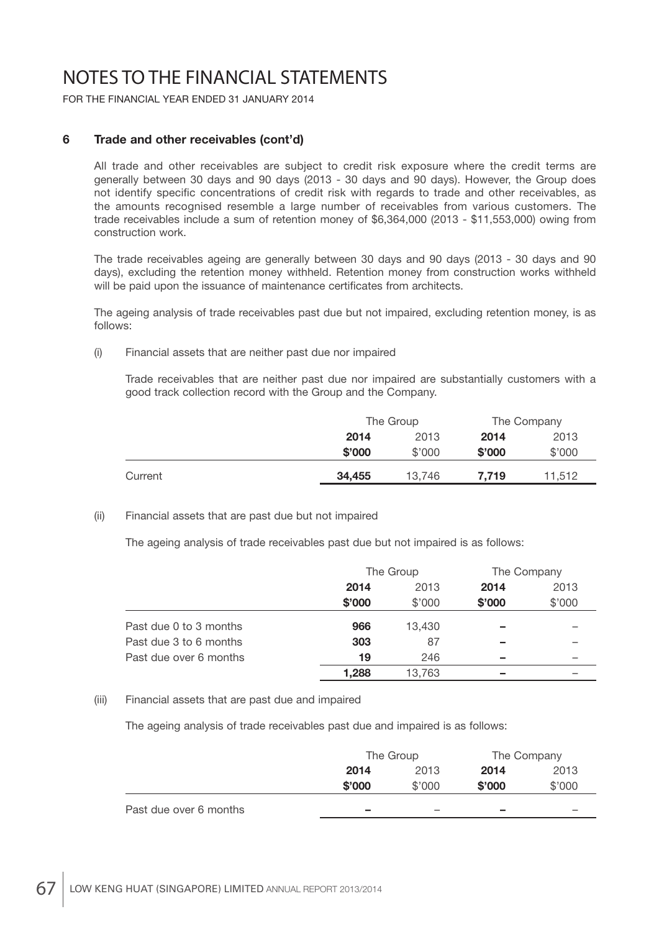FOR THE FINANCIAL YEAR ENDED 31 JANUARY 2014

## **6 Trade and other receivables (cont'd)**

 All trade and other receivables are subject to credit risk exposure where the credit terms are generally between 30 days and 90 days (2013 - 30 days and 90 days). However, the Group does not identify specific concentrations of credit risk with regards to trade and other receivables, as the amounts recognised resemble a large number of receivables from various customers. The trade receivables include a sum of retention money of \$6,364,000 (2013 - \$11,553,000) owing from construction work.

 The trade receivables ageing are generally between 30 days and 90 days (2013 - 30 days and 90 days), excluding the retention money withheld. Retention money from construction works withheld will be paid upon the issuance of maintenance certificates from architects.

 The ageing analysis of trade receivables past due but not impaired, excluding retention money, is as follows:

(i) Financial assets that are neither past due nor impaired

 Trade receivables that are neither past due nor impaired are substantially customers with a good track collection record with the Group and the Company.

|         |        | The Group |        | The Company |
|---------|--------|-----------|--------|-------------|
|         | 2014   | 2013      |        | 2013        |
|         | \$'000 | \$'000    | \$'000 | \$'000      |
| Current | 34,455 | 13,746    | 7.719  | 11,512      |

#### (ii) Financial assets that are past due but not impaired

The ageing analysis of trade receivables past due but not impaired is as follows:

|                        |        | The Group |        | The Company |
|------------------------|--------|-----------|--------|-------------|
|                        | 2014   | 2013      | 2014   | 2013        |
|                        | \$'000 | \$'000    | \$'000 | \$'000      |
| Past due 0 to 3 months | 966    | 13.430    |        |             |
| Past due 3 to 6 months | 303    | 87        |        |             |
| Past due over 6 months | 19     | 246       |        |             |
|                        | 1.288  | 13,763    |        |             |

#### (iii) Financial assets that are past due and impaired

The ageing analysis of trade receivables past due and impaired is as follows:

|                        | The Group                |                          | The Company              |        |
|------------------------|--------------------------|--------------------------|--------------------------|--------|
|                        | 2014                     | 2013                     | 2014                     | 2013   |
|                        | \$'000                   | \$'000                   | \$'000                   | \$'000 |
| Past due over 6 months | $\overline{\phantom{a}}$ | $\overline{\phantom{a}}$ | $\overline{\phantom{a}}$ |        |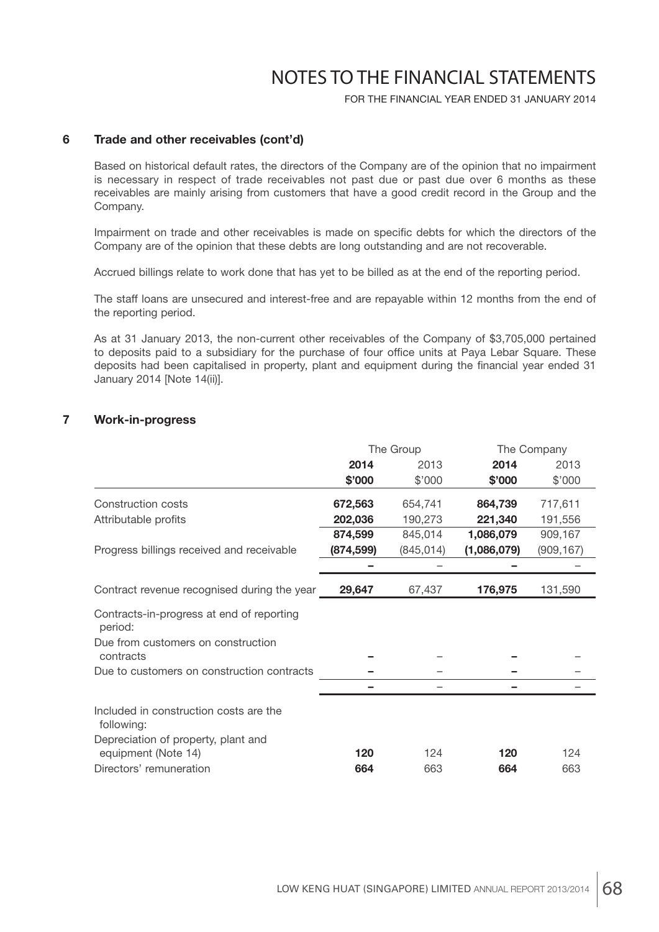FOR THE FINANCIAL YEAR ENDED 31 JANUARY 2014

#### **6 Trade and other receivables (cont'd)**

 Based on historical default rates, the directors of the Company are of the opinion that no impairment is necessary in respect of trade receivables not past due or past due over 6 months as these receivables are mainly arising from customers that have a good credit record in the Group and the Company.

Impairment on trade and other receivables is made on specific debts for which the directors of the Company are of the opinion that these debts are long outstanding and are not recoverable.

Accrued billings relate to work done that has yet to be billed as at the end of the reporting period.

 The staff loans are unsecured and interest-free and are repayable within 12 months from the end of the reporting period.

 As at 31 January 2013, the non-current other receivables of the Company of \$3,705,000 pertained to deposits paid to a subsidiary for the purchase of four office units at Paya Lebar Square. These deposits had been capitalised in property, plant and equipment during the financial year ended 31 January 2014 [Note 14(ii)].

#### **7 Work-in-progress**

|                                                      | The Group  |            |             | The Company |
|------------------------------------------------------|------------|------------|-------------|-------------|
|                                                      | 2014       | 2013       | 2014        | 2013        |
|                                                      | \$'000     | \$'000     | \$'000      | \$'000      |
| Construction costs                                   | 672,563    | 654,741    | 864,739     | 717,611     |
| Attributable profits                                 | 202,036    | 190,273    | 221,340     | 191,556     |
|                                                      | 874,599    | 845,014    | 1,086,079   | 909,167     |
| Progress billings received and receivable            | (874, 599) | (845, 014) | (1,086,079) | (909, 167)  |
|                                                      |            |            |             |             |
| Contract revenue recognised during the year          | 29,647     | 67,437     | 176,975     | 131,590     |
| Contracts-in-progress at end of reporting<br>period: |            |            |             |             |
| Due from customers on construction<br>contracts      |            |            |             |             |
| Due to customers on construction contracts           |            |            |             |             |
|                                                      |            |            |             |             |
| Included in construction costs are the<br>following: |            |            |             |             |
| Depreciation of property, plant and                  |            |            |             |             |
| equipment (Note 14)                                  | 120        | 124        | 120         | 124         |
| Directors' remuneration                              | 664        | 663        | 664         | 663         |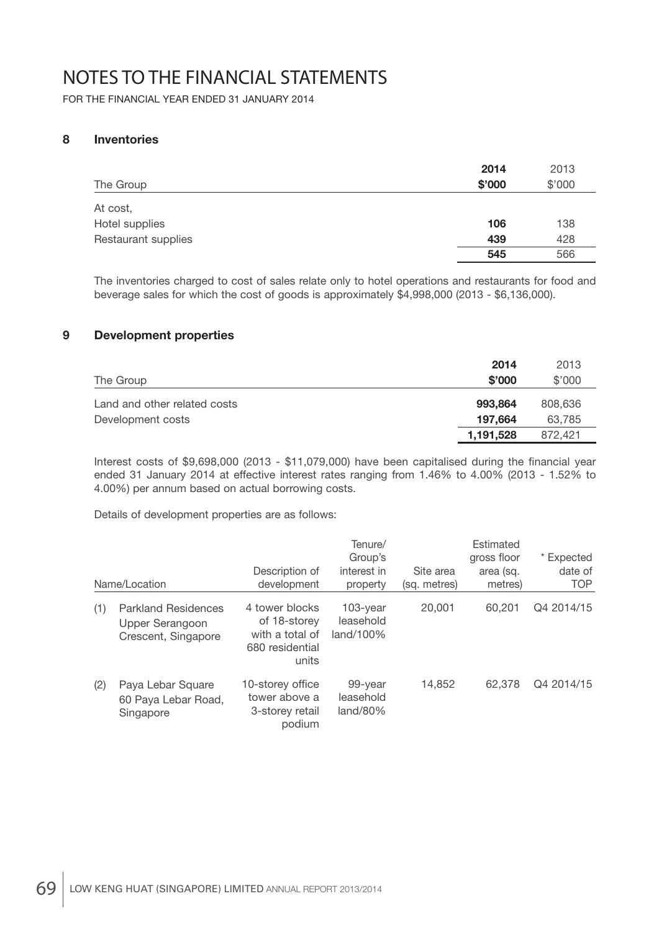FOR THE FINANCIAL YEAR ENDED 31 JANUARY 2014

## **8 Inventories**

| The Group           | 2014<br>\$'000 | 2013<br>\$'000 |
|---------------------|----------------|----------------|
| At cost,            |                |                |
| Hotel supplies      | 106            | 138            |
| Restaurant supplies | 439            | 428            |
|                     | 545            | 566            |

 The inventories charged to cost of sales relate only to hotel operations and restaurants for food and beverage sales for which the cost of goods is approximately \$4,998,000 (2013 - \$6,136,000).

## **9 Development properties**

|                              | 2014      | 2013    |
|------------------------------|-----------|---------|
| The Group                    | \$'000    | \$'000  |
| Land and other related costs | 993.864   | 808,636 |
| Development costs            | 197.664   | 63,785  |
|                              | 1,191,528 | 872.421 |

Interest costs of  $$9,698,000$  (2013 -  $$11,079,000$ ) have been capitalised during the financial year ended 31 January 2014 at effective interest rates ranging from 1.46% to 4.00% (2013 - 1.52% to 4.00%) per annum based on actual borrowing costs.

Details of development properties are as follows:

|     | Name/Location                                                        | Description of<br>development                                                 | Tenure/<br>Group's<br>interest in<br>property | Site area<br>(sq. metres) | Estimated<br>gross floor<br>area (sq.<br>metres) | * Expected<br>date of<br><b>TOP</b> |
|-----|----------------------------------------------------------------------|-------------------------------------------------------------------------------|-----------------------------------------------|---------------------------|--------------------------------------------------|-------------------------------------|
| (1) | <b>Parkland Residences</b><br>Upper Serangoon<br>Crescent, Singapore | 4 tower blocks<br>of 18-storey<br>with a total of<br>680 residential<br>units | $103$ -year<br>leasehold<br>$land/100\%$      | 20,001                    | 60,201                                           | Q4 2014/15                          |
| (2) | Paya Lebar Square<br>60 Paya Lebar Road,<br>Singapore                | 10-storey office<br>tower above a<br>3-storey retail<br>podium                | 99-year<br>leasehold<br>$land/80\%$           | 14.852                    | 62.378                                           | Q4 2014/15                          |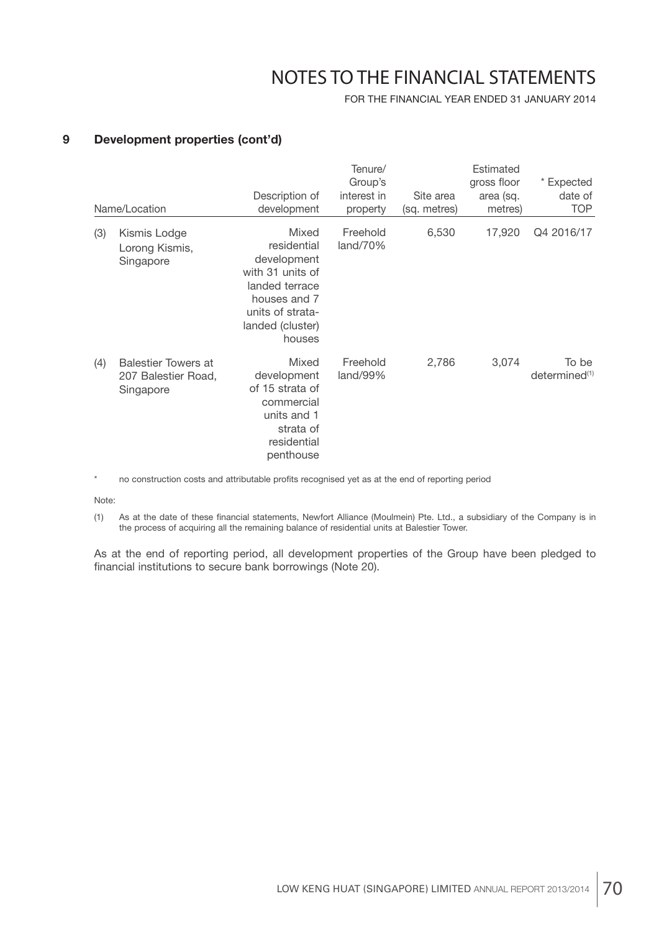FOR THE FINANCIAL YEAR ENDED 31 JANUARY 2014

### **9 Development properties (cont'd)**

|     | Name/Location                                                  | Description of<br>development                                                                                                               | Tenure/<br>Group's<br>interest in<br>property | Site area<br>(sq. metres) | Estimated<br>gross floor<br>area (sq.<br>metres) | * Expected<br>date of<br><b>TOP</b> |
|-----|----------------------------------------------------------------|---------------------------------------------------------------------------------------------------------------------------------------------|-----------------------------------------------|---------------------------|--------------------------------------------------|-------------------------------------|
| (3) | Kismis Lodge<br>Lorong Kismis,<br>Singapore                    | Mixed<br>residential<br>development<br>with 31 units of<br>landed terrace<br>houses and 7<br>units of strata-<br>landed (cluster)<br>houses | Freehold<br>land/70%                          | 6,530                     | 17,920                                           | Q4 2016/17                          |
| (4) | <b>Balestier Towers at</b><br>207 Balestier Road,<br>Singapore | Mixed<br>development<br>of 15 strata of<br>commercial<br>units and 1<br>strata of<br>residential<br>penthouse                               | Freehold<br>land/99%                          | 2,786                     | 3,074                                            | To be<br>determined <sup>(1)</sup>  |

no construction costs and attributable profits recognised yet as at the end of reporting period

Note:

(1) As at the date of these financial statements, Newfort Alliance (Moulmein) Pte. Ltd., a subsidiary of the Company is in the process of acquiring all the remaining balance of residential units at Balestier Tower.

 As at the end of reporting period, all development properties of the Group have been pledged to financial institutions to secure bank borrowings (Note 20).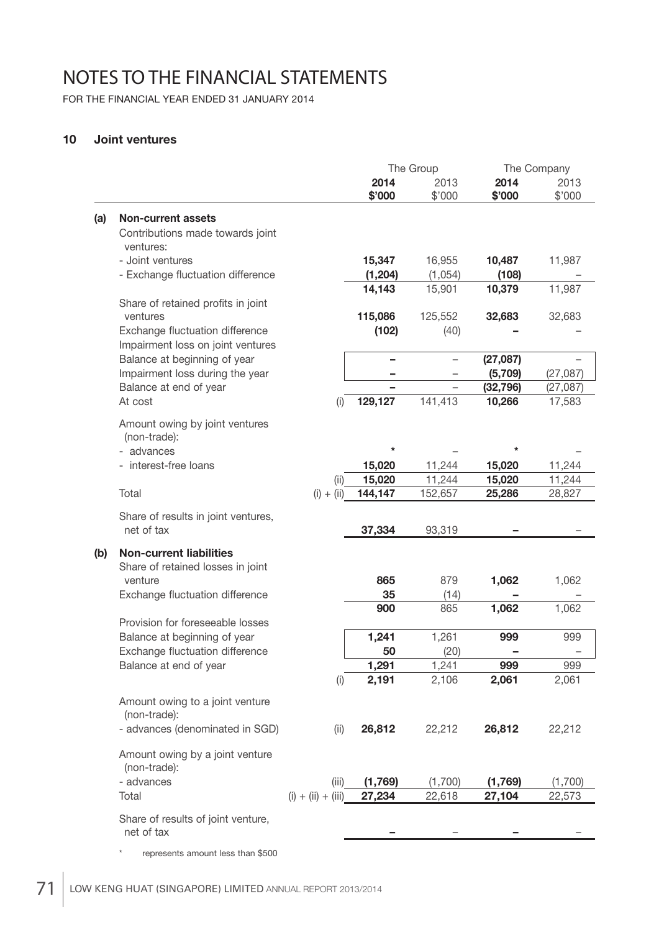FOR THE FINANCIAL YEAR ENDED 31 JANUARY 2014

### **10 Joint ventures**

|     |                                                   |                      |                  | The Group                | The Company      |                  |
|-----|---------------------------------------------------|----------------------|------------------|--------------------------|------------------|------------------|
|     |                                                   |                      | 2014<br>\$'000   | 2013<br>\$'000           | 2014<br>\$'000   | 2013<br>\$'000   |
|     |                                                   |                      |                  |                          |                  |                  |
| (a) | <b>Non-current assets</b>                         |                      |                  |                          |                  |                  |
|     | Contributions made towards joint<br>ventures:     |                      |                  |                          |                  |                  |
|     | - Joint ventures                                  |                      | 15,347           | 16,955                   | 10,487           | 11,987           |
|     | - Exchange fluctuation difference                 |                      | (1, 204)         | (1,054)                  | (108)            |                  |
|     |                                                   |                      | 14,143           | 15,901                   | 10,379           | 11,987           |
|     | Share of retained profits in joint<br>ventures    |                      | 115,086          | 125,552                  | 32,683           | 32,683           |
|     | Exchange fluctuation difference                   |                      | (102)            | (40)                     |                  |                  |
|     | Impairment loss on joint ventures                 |                      |                  |                          |                  |                  |
|     | Balance at beginning of year                      |                      |                  |                          | (27,087)         |                  |
|     | Impairment loss during the year                   |                      |                  |                          | (5,709)          | (27,087)         |
|     | Balance at end of year                            |                      |                  | $\overline{\phantom{0}}$ | (32, 796)        | (27, 087)        |
|     | At cost                                           | (i)                  | 129,127          | 141,413                  | 10,266           | 17,583           |
|     | Amount owing by joint ventures                    |                      |                  |                          |                  |                  |
|     | (non-trade):                                      |                      |                  |                          |                  |                  |
|     | - advances                                        |                      | $^\star$         |                          | $^\star$         |                  |
|     | - interest-free loans                             | (ii)                 | 15,020<br>15,020 | 11,244<br>11,244         | 15,020<br>15,020 | 11,244<br>11,244 |
|     | Total                                             | $(i) + (ii)$         | 144,147          | 152,657                  | 25,286           | 28,827           |
|     |                                                   |                      |                  |                          |                  |                  |
|     | Share of results in joint ventures,<br>net of tax |                      | 37,334           | 93,319                   |                  |                  |
|     |                                                   |                      |                  |                          |                  |                  |
| (b) | <b>Non-current liabilities</b>                    |                      |                  |                          |                  |                  |
|     | Share of retained losses in joint<br>venture      |                      | 865              | 879                      | 1,062            | 1,062            |
|     | Exchange fluctuation difference                   |                      | 35               | (14)                     |                  |                  |
|     |                                                   |                      | 900              | 865                      | 1,062            | 1,062            |
|     | Provision for foreseeable losses                  |                      |                  |                          |                  |                  |
|     | Balance at beginning of year                      |                      | 1,241            | 1,261                    | 999              | 999              |
|     | Exchange fluctuation difference                   |                      | 50               | (20)                     |                  |                  |
|     | Balance at end of year                            |                      | 1,291            | 1,241                    | 999<br>2,061     | 999              |
|     |                                                   | (i)                  | 2,191            | 2,106                    |                  | 2,061            |
|     | Amount owing to a joint venture                   |                      |                  |                          |                  |                  |
|     | (non-trade):                                      |                      |                  |                          |                  |                  |
|     | - advances (denominated in SGD)                   | (ii)                 | 26,812           | 22,212                   | 26,812           | 22,212           |
|     | Amount owing by a joint venture                   |                      |                  |                          |                  |                  |
|     | (non-trade):                                      |                      |                  |                          |                  |                  |
|     | - advances                                        | (iii)                | (1,769)          | (1,700)                  | (1,769)          | (1,700)          |
|     | Total                                             | $(i) + (ii) + (iii)$ | 27,234           | 22,618                   | 27,104           | 22,573           |
|     | Share of results of joint venture,                |                      |                  |                          |                  |                  |
|     | net of tax                                        |                      |                  |                          |                  |                  |
|     |                                                   |                      |                  |                          |                  |                  |

\* represents amount less than \$500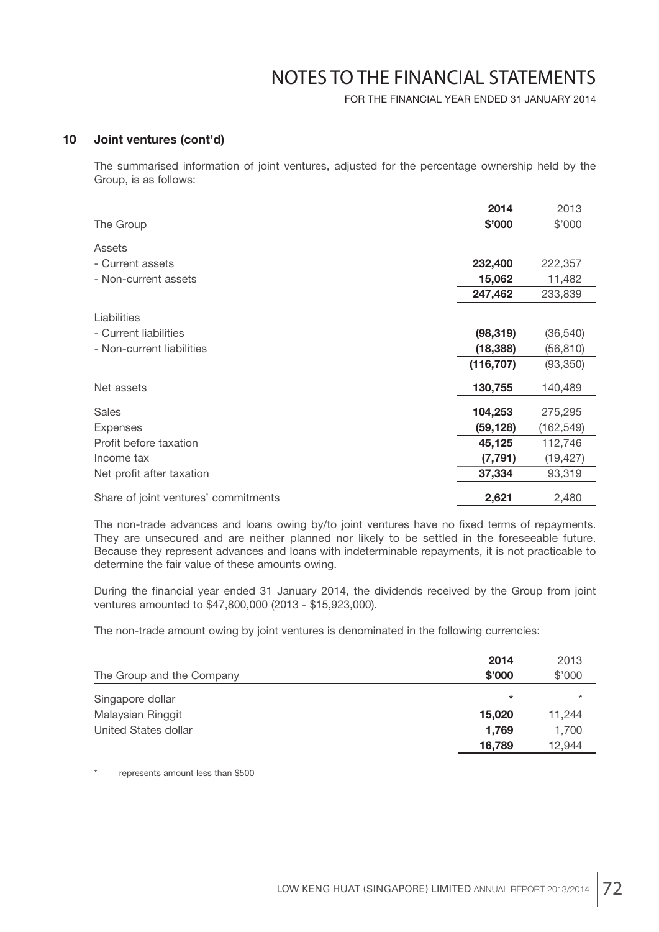FOR THE FINANCIAL YEAR ENDED 31 JANUARY 2014

#### **10 Joint ventures (cont'd)**

 The summarised information of joint ventures, adjusted for the percentage ownership held by the Group, is as follows:

|                                      | 2014       | 2013       |
|--------------------------------------|------------|------------|
| The Group                            | \$'000     | \$'000     |
| Assets                               |            |            |
| - Current assets                     | 232,400    | 222,357    |
| - Non-current assets                 | 15,062     | 11,482     |
|                                      | 247,462    | 233,839    |
| Liabilities                          |            |            |
| - Current liabilities                | (98, 319)  | (36, 540)  |
| - Non-current liabilities            | (18, 388)  | (56, 810)  |
|                                      | (116, 707) | (93, 350)  |
| Net assets                           | 130,755    | 140,489    |
| <b>Sales</b>                         | 104,253    | 275,295    |
| <b>Expenses</b>                      | (59, 128)  | (162, 549) |
| Profit before taxation               | 45,125     | 112,746    |
| Income tax                           | (7, 791)   | (19, 427)  |
| Net profit after taxation            | 37,334     | 93,319     |
| Share of joint ventures' commitments | 2,621      | 2,480      |

The non-trade advances and loans owing by/to joint ventures have no fixed terms of repayments. They are unsecured and are neither planned nor likely to be settled in the foreseeable future. Because they represent advances and loans with indeterminable repayments, it is not practicable to determine the fair value of these amounts owing.

During the financial year ended 31 January 2014, the dividends received by the Group from joint ventures amounted to \$47,800,000 (2013 - \$15,923,000).

The non-trade amount owing by joint ventures is denominated in the following currencies:

| The Group and the Company | 2014<br>\$'000 | 2013<br>\$'000 |
|---------------------------|----------------|----------------|
| Singapore dollar          | $\ast$         | $\ast$         |
| Malaysian Ringgit         | 15,020         | 11.244         |
| United States dollar      | 1.769          | 1,700          |
|                           | 16.789         | 12.944         |

represents amount less than \$500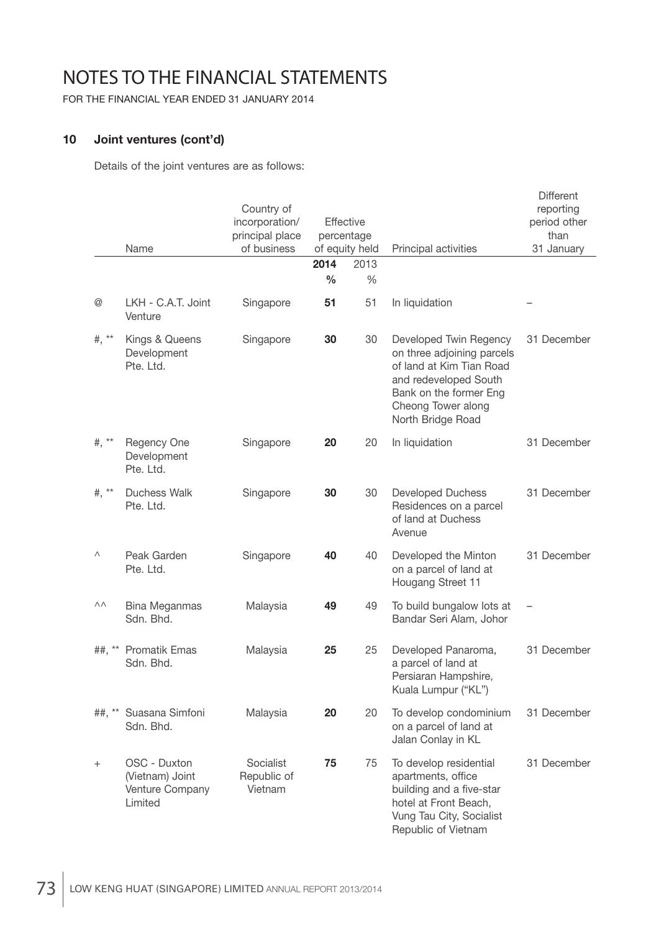FOR THE FINANCIAL YEAR ENDED 31 JANUARY 2014

### **10 Joint ventures (cont'd)**

Details of the joint ventures are as follows:

|                 | Name                                                          | Country of<br>incorporation/<br>principal place<br>of business | Effective<br>percentage<br>of equity held |      | Principal activities                                                                                                                                                           | <b>Different</b><br>reporting<br>period other<br>than<br>31 January |
|-----------------|---------------------------------------------------------------|----------------------------------------------------------------|-------------------------------------------|------|--------------------------------------------------------------------------------------------------------------------------------------------------------------------------------|---------------------------------------------------------------------|
|                 |                                                               |                                                                | 2014                                      | 2013 |                                                                                                                                                                                |                                                                     |
|                 |                                                               |                                                                | $\frac{0}{0}$                             | %    |                                                                                                                                                                                |                                                                     |
| $^{\copyright}$ | LKH - C.A.T. Joint<br>Venture                                 | Singapore                                                      | 51                                        | 51   | In liquidation                                                                                                                                                                 |                                                                     |
| #, $**$         | Kings & Queens<br>Development<br>Pte. Ltd.                    | Singapore                                                      | 30                                        | 30   | Developed Twin Regency<br>on three adjoining parcels<br>of land at Kim Tian Road<br>and redeveloped South<br>Bank on the former Eng<br>Cheong Tower along<br>North Bridge Road | 31 December                                                         |
| #, $**$         | Regency One<br>Development<br>Pte. Ltd.                       | Singapore                                                      | 20                                        | 20   | In liquidation                                                                                                                                                                 | 31 December                                                         |
| #, $**$         | <b>Duchess Walk</b><br>Pte. Ltd.                              | Singapore                                                      | 30                                        | 30   | <b>Developed Duchess</b><br>Residences on a parcel<br>of land at Duchess<br>Avenue                                                                                             | 31 December                                                         |
| Λ               | Peak Garden<br>Pte. Ltd.                                      | Singapore                                                      | 40                                        | 40   | Developed the Minton<br>on a parcel of land at<br>Hougang Street 11                                                                                                            | 31 December                                                         |
| ΛΛ              | <b>Bina Meganmas</b><br>Sdn. Bhd.                             | Malaysia                                                       | 49                                        | 49   | To build bungalow lots at<br>Bandar Seri Alam, Johor                                                                                                                           |                                                                     |
| $##$ , **       | <b>Promatik Emas</b><br>Sdn. Bhd.                             | Malaysia                                                       | 25                                        | 25   | Developed Panaroma,<br>a parcel of land at<br>Persiaran Hampshire,<br>Kuala Lumpur ("KL")                                                                                      | 31 December                                                         |
| $##$ , **       | Suasana Simfoni<br>Sdn. Bhd.                                  | Malaysia                                                       | 20                                        | 20   | To develop condominium<br>on a parcel of land at<br>Jalan Conlay in KL                                                                                                         | 31 December                                                         |
| $^{+}$          | OSC - Duxton<br>(Vietnam) Joint<br>Venture Company<br>Limited | Socialist<br>Republic of<br>Vietnam                            | 75                                        | 75   | To develop residential<br>apartments, office<br>building and a five-star<br>hotel at Front Beach,<br>Vung Tau City, Socialist<br>Republic of Vietnam                           | 31 December                                                         |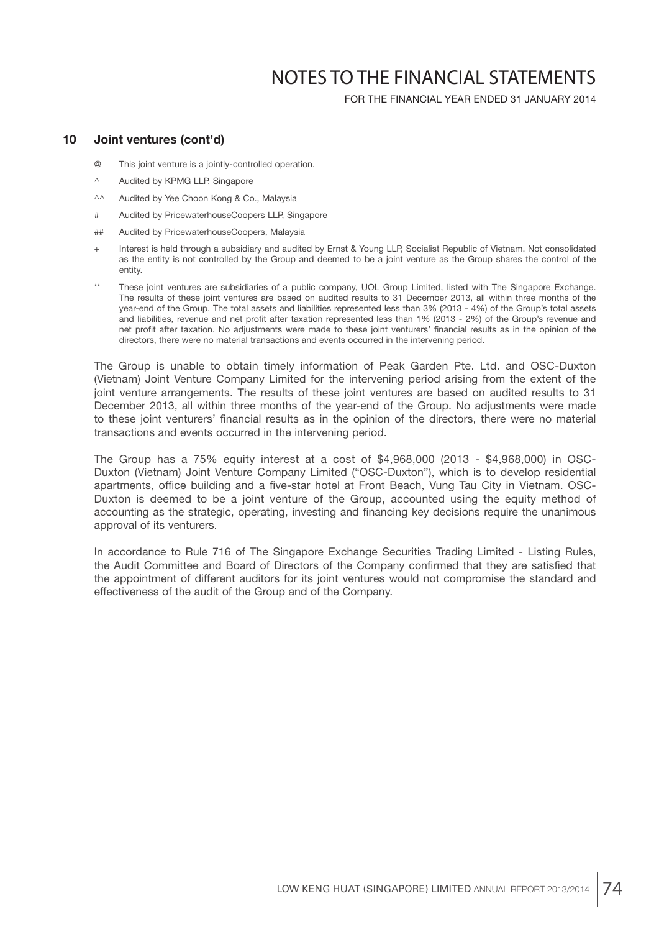FOR THE FINANCIAL YEAR ENDED 31 JANUARY 2014

#### **10 Joint ventures (cont'd)**

- @ This joint venture is a jointly-controlled operation.
- ^ Audited by KPMG LLP, Singapore
- ^^ Audited by Yee Choon Kong & Co., Malaysia
- # Audited by PricewaterhouseCoopers LLP, Singapore
- ## Audited by PricewaterhouseCoopers, Malaysia
- + Interest is held through a subsidiary and audited by Ernst & Young LLP, Socialist Republic of Vietnam. Not consolidated as the entity is not controlled by the Group and deemed to be a joint venture as the Group shares the control of the entity.
- These joint ventures are subsidiaries of a public company, UOL Group Limited, listed with The Singapore Exchange. The results of these joint ventures are based on audited results to 31 December 2013, all within three months of the year-end of the Group. The total assets and liabilities represented less than 3% (2013 - 4%) of the Group's total assets and liabilities, revenue and net profit after taxation represented less than 1% (2013 - 2%) of the Group's revenue and net profit after taxation. No adjustments were made to these joint venturers' financial results as in the opinion of the directors, there were no material transactions and events occurred in the intervening period.

 The Group is unable to obtain timely information of Peak Garden Pte. Ltd. and OSC-Duxton (Vietnam) Joint Venture Company Limited for the intervening period arising from the extent of the joint venture arrangements. The results of these joint ventures are based on audited results to 31 December 2013, all within three months of the year-end of the Group. No adjustments were made to these joint venturers' financial results as in the opinion of the directors, there were no material transactions and events occurred in the intervening period.

 The Group has a 75% equity interest at a cost of \$4,968,000 (2013 - \$4,968,000) in OSC-Duxton (Vietnam) Joint Venture Company Limited ("OSC-Duxton"), which is to develop residential apartments, office building and a five-star hotel at Front Beach, Vung Tau City in Vietnam. OSC-Duxton is deemed to be a joint venture of the Group, accounted using the equity method of accounting as the strategic, operating, investing and financing key decisions require the unanimous approval of its venturers.

 In accordance to Rule 716 of The Singapore Exchange Securities Trading Limited - Listing Rules, the Audit Committee and Board of Directors of the Company confirmed that they are satisfied that the appointment of different auditors for its joint ventures would not compromise the standard and effectiveness of the audit of the Group and of the Company.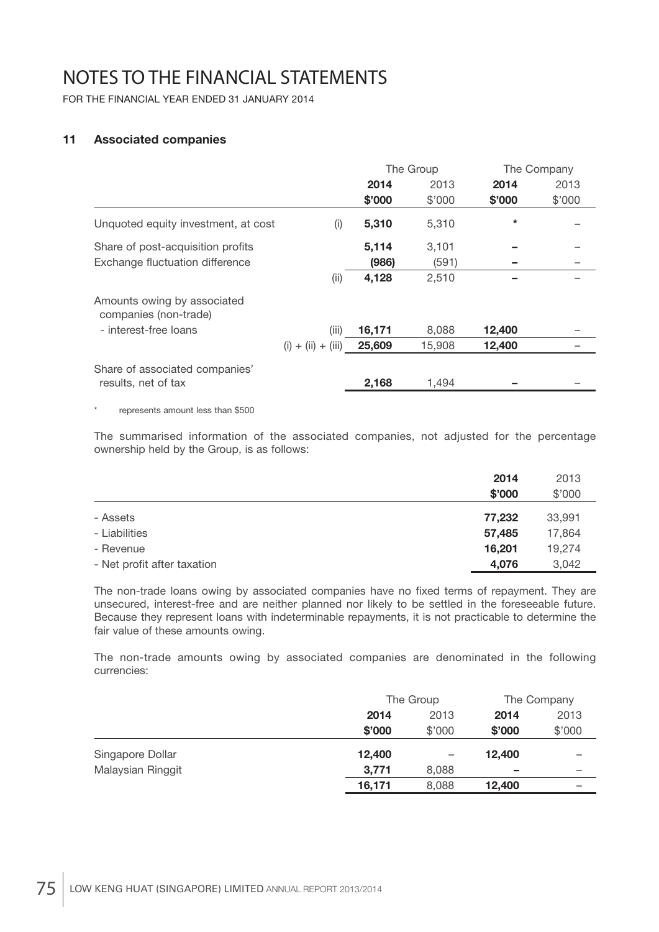FOR THE FINANCIAL YEAR ENDED 31 JANUARY 2014

### **11 Associated companies**

|                                            |        |                      |           | The Company |
|--------------------------------------------|--------|----------------------|-----------|-------------|
|                                            | 2014   | 2013                 | 2014      | 2013        |
|                                            | \$'000 | \$'000               | \$'000    | \$'000      |
| Unquoted equity investment, at cost<br>(i) | 5,310  | 5,310                | $\ast$    |             |
|                                            | 5,114  | 3,101                |           |             |
|                                            | (986)  | (591)                |           |             |
| (i)                                        | 4,128  | 2,510                |           |             |
|                                            |        |                      |           |             |
| (iii)                                      | 16,171 | 8,088                | 12,400    |             |
|                                            | 25,609 | 15,908               | 12,400    |             |
|                                            | 2,168  | 1,494                |           |             |
|                                            |        | $(i) + (ii) + (iii)$ | The Group |             |

represents amount less than \$500

 The summarised information of the associated companies, not adjusted for the percentage ownership held by the Group, is as follows:

|                             | 2014   | 2013   |
|-----------------------------|--------|--------|
|                             | \$'000 | \$'000 |
| - Assets                    | 77.232 | 33,991 |
| - Liabilities               | 57,485 | 17,864 |
| - Revenue                   | 16.201 | 19.274 |
| - Net profit after taxation | 4,076  | 3,042  |

The non-trade loans owing by associated companies have no fixed terms of repayment. They are unsecured, interest-free and are neither planned nor likely to be settled in the foreseeable future. Because they represent loans with indeterminable repayments, it is not practicable to determine the fair value of these amounts owing.

 The non-trade amounts owing by associated companies are denominated in the following currencies:

|                   |        | The Group                |        | The Company |
|-------------------|--------|--------------------------|--------|-------------|
|                   | 2014   | 2013                     | 2014   | 2013        |
|                   | \$'000 | \$'000                   | \$'000 | \$'000      |
| Singapore Dollar  | 12,400 | $\overline{\phantom{0}}$ | 12,400 |             |
| Malaysian Ringgit | 3,771  | 8,088                    | -      |             |
|                   | 16,171 | 8,088                    | 12,400 |             |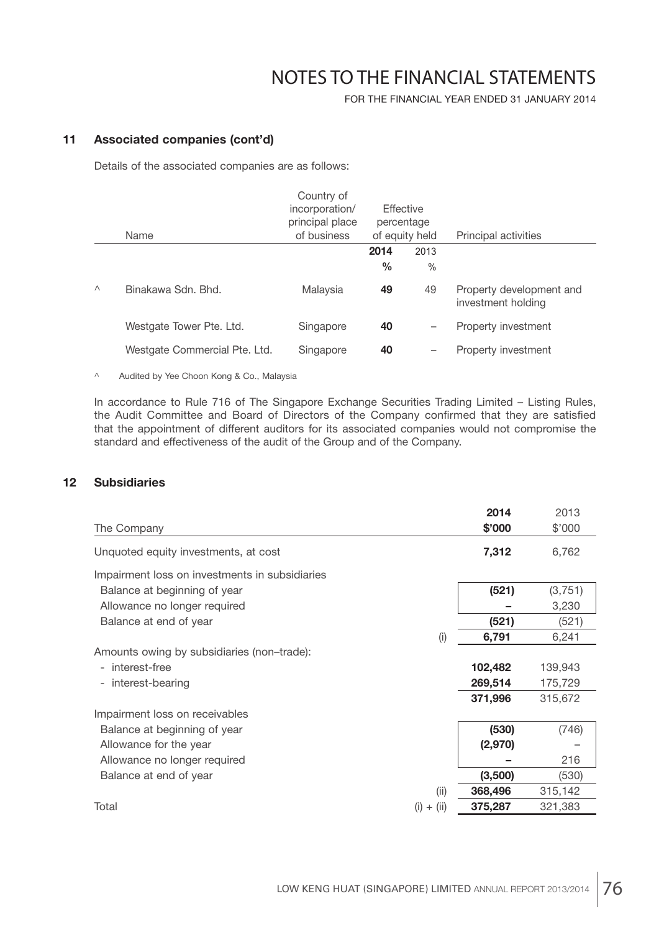FOR THE FINANCIAL YEAR ENDED 31 JANUARY 2014

### **11 Associated companies (cont'd)**

Details of the associated companies are as follows:

|                    | Country of<br>incorporation/<br>principal place<br>of business    |               |      | Principal activities                           |
|--------------------|-------------------------------------------------------------------|---------------|------|------------------------------------------------|
|                    |                                                                   | 2014          | 2013 |                                                |
|                    |                                                                   | $\frac{0}{0}$ | $\%$ |                                                |
| Binakawa Sdn. Bhd. | Malaysia                                                          | 49            | 49   | Property development and<br>investment holding |
|                    | Singapore                                                         | 40            | -    | Property investment                            |
|                    | Singapore                                                         | 40            | -    | Property investment                            |
|                    | Name<br>Westgate Tower Pte. Ltd.<br>Westgate Commercial Pte. Ltd. |               |      | Effective<br>percentage<br>of equity held      |

^ Audited by Yee Choon Kong & Co., Malaysia

 In accordance to Rule 716 of The Singapore Exchange Securities Trading Limited – Listing Rules, the Audit Committee and Board of Directors of the Company confirmed that they are satisfied that the appointment of different auditors for its associated companies would not compromise the standard and effectiveness of the audit of the Group and of the Company.

### **12 Subsidiaries**

|                                                |          | 2014    | 2013    |
|------------------------------------------------|----------|---------|---------|
| The Company                                    |          | \$'000  | \$'000  |
| Unquoted equity investments, at cost           |          | 7,312   | 6,762   |
| Impairment loss on investments in subsidiaries |          |         |         |
| Balance at beginning of year                   |          | (521)   | (3,751) |
| Allowance no longer required                   |          |         | 3,230   |
| Balance at end of year                         |          | (521)   | (521)   |
|                                                | (i)      | 6,791   | 6,241   |
| Amounts owing by subsidiaries (non-trade):     |          |         |         |
| interest-free<br>-                             |          | 102,482 | 139,943 |
| interest-bearing<br>-                          |          | 269,514 | 175,729 |
|                                                |          | 371,996 | 315,672 |
| Impairment loss on receivables                 |          |         |         |
| Balance at beginning of year                   |          | (530)   | (746)   |
| Allowance for the year                         |          | (2,970) |         |
| Allowance no longer required                   |          |         | 216     |
| Balance at end of year                         |          | (3,500) | (530)   |
|                                                | (ii)     | 368,496 | 315,142 |
| Total<br>(i)                                   | $+$ (ii) | 375,287 | 321,383 |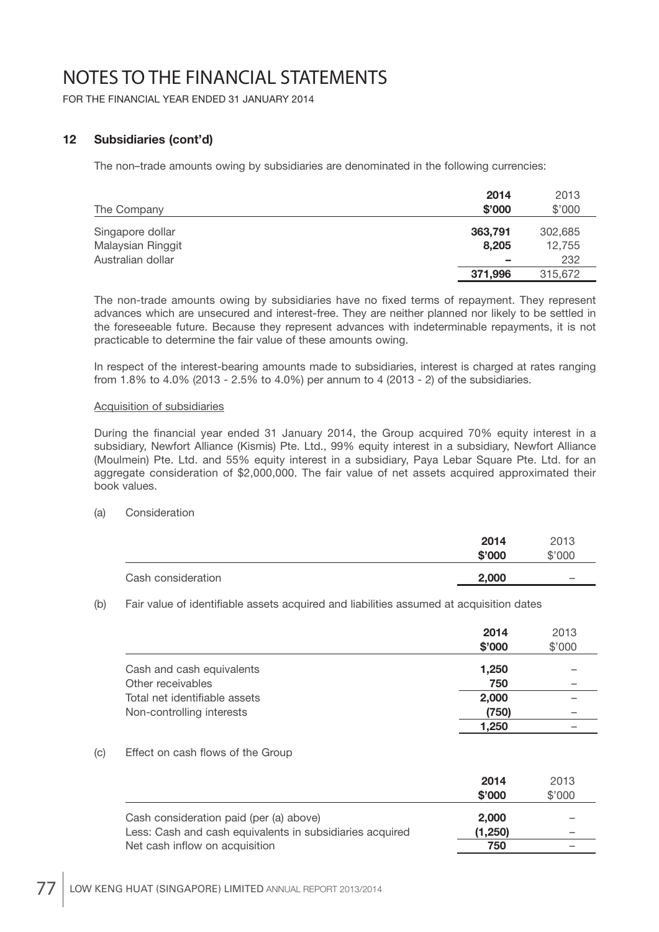FOR THE FINANCIAL YEAR ENDED 31 JANUARY 2014

### **12 Subsidiaries (cont'd)**

The non–trade amounts owing by subsidiaries are denominated in the following currencies:

|                   | 2014    | 2013    |
|-------------------|---------|---------|
| The Company       | \$'000  | \$'000  |
| Singapore dollar  | 363,791 | 302,685 |
| Malaysian Ringgit | 8.205   | 12,755  |
| Australian dollar | -       | 232     |
|                   | 371,996 | 315,672 |

The non-trade amounts owing by subsidiaries have no fixed terms of repayment. They represent advances which are unsecured and interest-free. They are neither planned nor likely to be settled in the foreseeable future. Because they represent advances with indeterminable repayments, it is not practicable to determine the fair value of these amounts owing.

 In respect of the interest-bearing amounts made to subsidiaries, interest is charged at rates ranging from 1.8% to 4.0% (2013 - 2.5% to 4.0%) per annum to 4 (2013 - 2) of the subsidiaries.

#### Acquisition of subsidiaries

During the financial year ended 31 January 2014, the Group acquired 70% equity interest in a subsidiary, Newfort Alliance (Kismis) Pte. Ltd., 99% equity interest in a subsidiary, Newfort Alliance (Moulmein) Pte. Ltd. and 55% equity interest in a subsidiary, Paya Lebar Square Pte. Ltd. for an aggregate consideration of \$2,000,000. The fair value of net assets acquired approximated their book values.

#### (a) Consideration

|                    | 2014<br>\$'000 | 2013<br>\$'000           |
|--------------------|----------------|--------------------------|
| Cash consideration | 2,000          | $\overline{\phantom{a}}$ |

(b) Fair value of identifiable assets acquired and liabilities assumed at acquisition dates

|                               | 2014<br>\$'000 | 2013<br>\$'000 |
|-------------------------------|----------------|----------------|
| Cash and cash equivalents     | 1,250          |                |
| Other receivables             | 750            |                |
| Total net identifiable assets | 2,000          |                |
| Non-controlling interests     | (750)          |                |
|                               | 1,250          |                |

(c) Effect on cash flows of the Group

|                                                          | 2014<br>\$'000 | 2013<br>\$'000 |
|----------------------------------------------------------|----------------|----------------|
| Cash consideration paid (per (a) above)                  | 2.000          |                |
| Less: Cash and cash equivalents in subsidiaries acquired | (1,250)        |                |
| Net cash inflow on acquisition                           | 750            |                |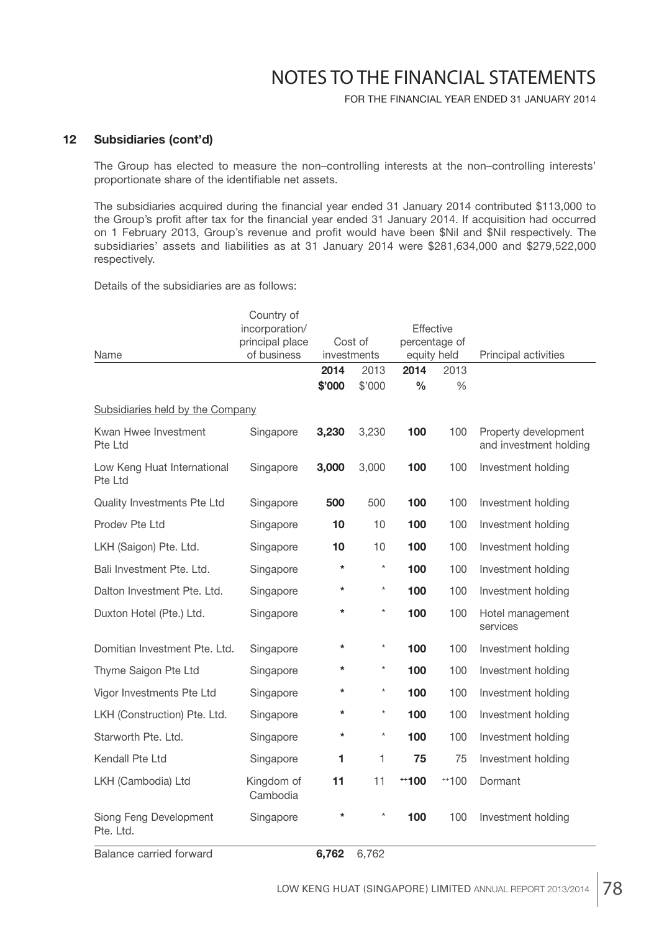FOR THE FINANCIAL YEAR ENDED 31 JANUARY 2014

#### **12 Subsidiaries (cont'd)**

 The Group has elected to measure the non–controlling interests at the non–controlling interests' proportionate share of the identifiable net assets.

The subsidiaries acquired during the financial year ended 31 January 2014 contributed \$113,000 to the Group's profit after tax for the financial year ended 31 January 2014. If acquisition had occurred on 1 February 2013, Group's revenue and profit would have been \$Nil and \$Nil respectively. The subsidiaries' assets and liabilities as at 31 January 2014 were \$281,634,000 and \$279,522,000 respectively.

Details of the subsidiaries are as follows:

|                                        | Country of             |         |             |               |        |                                                |
|----------------------------------------|------------------------|---------|-------------|---------------|--------|------------------------------------------------|
|                                        | incorporation/         |         |             | Effective     |        |                                                |
|                                        | principal place        |         | Cost of     | percentage of |        |                                                |
| Name                                   | of business            |         | investments | equity held   |        | Principal activities                           |
|                                        |                        | 2014    | 2013        | 2014          | 2013   |                                                |
|                                        |                        | \$'000  | \$'000      | $\frac{0}{0}$ | $\%$   |                                                |
| Subsidiaries held by the Company       |                        |         |             |               |        |                                                |
| Kwan Hwee Investment<br>Pte Ltd        | Singapore              | 3,230   | 3,230       | 100           | 100    | Property development<br>and investment holding |
| Low Keng Huat International<br>Pte Ltd | Singapore              | 3,000   | 3,000       | 100           | 100    | Investment holding                             |
| Quality Investments Pte Ltd            | Singapore              | 500     | 500         | 100           | 100    | Investment holding                             |
| Prodev Pte Ltd                         | Singapore              | 10      | 10          | 100           | 100    | Investment holding                             |
| LKH (Saigon) Pte. Ltd.                 | Singapore              | 10      | 10          | 100           | 100    | Investment holding                             |
| Bali Investment Pte. Ltd.              | Singapore              | *       | $\star$     | 100           | 100    | Investment holding                             |
| Dalton Investment Pte. Ltd.            | Singapore              | *       | $\star$     | 100           | 100    | Investment holding                             |
| Duxton Hotel (Pte.) Ltd.               | Singapore              | $\star$ | $\star$     | 100           | 100    | Hotel management<br>services                   |
| Domitian Investment Pte. Ltd.          | Singapore              | $\star$ | $\star$     | 100           | 100    | Investment holding                             |
| Thyme Saigon Pte Ltd                   | Singapore              | *       | $^\star$    | 100           | 100    | Investment holding                             |
| Vigor Investments Pte Ltd              | Singapore              | *       | $\star$     | 100           | 100    | Investment holding                             |
| LKH (Construction) Pte. Ltd.           | Singapore              | *       | $^\star$    | 100           | 100    | Investment holding                             |
| Starworth Pte. Ltd.                    | Singapore              | *       | $\star$     | 100           | 100    | Investment holding                             |
| Kendall Pte Ltd                        | Singapore              | 1       | 1           | 75            | 75     | Investment holding                             |
| LKH (Cambodia) Ltd                     | Kingdom of<br>Cambodia | 11      | 11          | $+100$        | $+100$ | Dormant                                        |
| Siong Feng Development<br>Pte. Ltd.    | Singapore              | $\star$ | $\star$     | 100           | 100    | Investment holding                             |

Balance carried forward **6,762** 6,762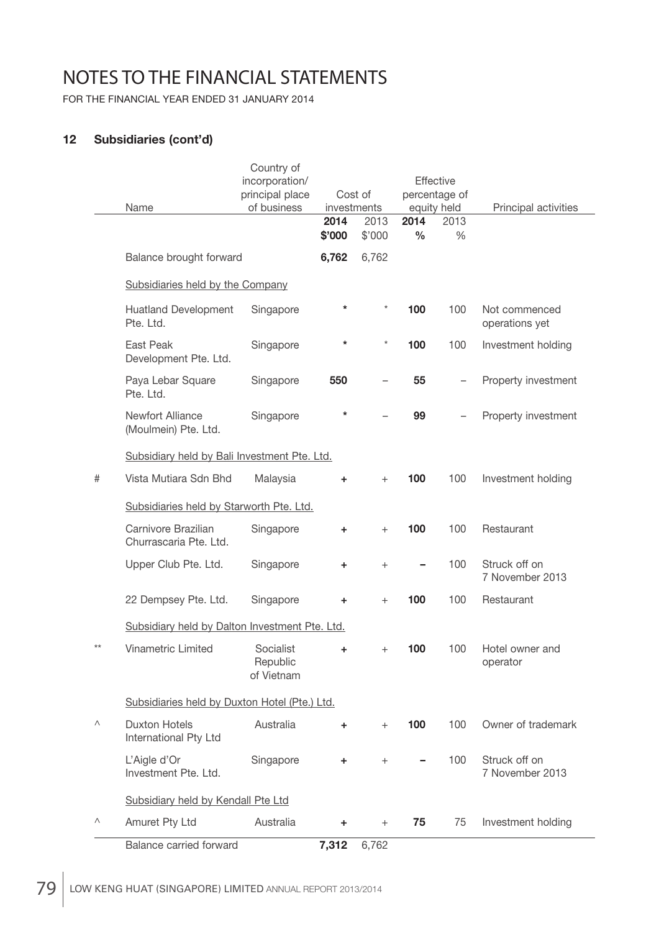FOR THE FINANCIAL YEAR ENDED 31 JANUARY 2014

### **12 Subsidiaries (cont'd)**

|      | Name                                           | Country of<br>incorporation/<br>principal place<br>of business | 2014   | Cost of<br>investments<br>2013 |               | Effective<br>percentage of<br>equity held<br>2013 | Principal activities             |
|------|------------------------------------------------|----------------------------------------------------------------|--------|--------------------------------|---------------|---------------------------------------------------|----------------------------------|
|      |                                                |                                                                | \$'000 | \$'000<br>6,762                | $\frac{0}{0}$ | $\%$                                              |                                  |
|      | Balance brought forward                        |                                                                | 6,762  |                                |               |                                                   |                                  |
|      | Subsidiaries held by the Company               |                                                                |        |                                |               |                                                   |                                  |
|      | <b>Huatland Development</b><br>Pte. Ltd.       | Singapore                                                      | *      | $\star$                        | 100           | 100                                               | Not commenced<br>operations yet  |
|      | East Peak<br>Development Pte. Ltd.             | Singapore                                                      | *      | $\star$                        | 100           | 100                                               | Investment holding               |
|      | Paya Lebar Square<br>Pte. Ltd.                 | Singapore                                                      | 550    |                                | 55            |                                                   | Property investment              |
|      | Newfort Alliance<br>(Moulmein) Pte. Ltd.       | Singapore                                                      | *      |                                | 99            |                                                   | Property investment              |
|      | Subsidiary held by Bali Investment Pte. Ltd.   |                                                                |        |                                |               |                                                   |                                  |
| #    | Vista Mutiara Sdn Bhd                          | Malaysia                                                       | ÷.     | $^{+}$                         | 100           | 100                                               | Investment holding               |
|      | Subsidiaries held by Starworth Pte. Ltd.       |                                                                |        |                                |               |                                                   |                                  |
|      | Carnivore Brazilian<br>Churrascaria Pte. Ltd.  | Singapore                                                      | ÷.     | $^{+}$                         | 100           | 100                                               | Restaurant                       |
|      | Upper Club Pte. Ltd.                           | Singapore                                                      | ٠      | $^{+}$                         |               | 100                                               | Struck off on<br>7 November 2013 |
|      | 22 Dempsey Pte. Ltd.                           | Singapore                                                      | ÷      | $^{+}$                         | 100           | 100                                               | Restaurant                       |
|      | Subsidiary held by Dalton Investment Pte. Ltd. |                                                                |        |                                |               |                                                   |                                  |
| $**$ | <b>Vinametric Limited</b>                      | Socialist<br>Republic<br>of Vietnam                            | ÷      | $^{+}$                         | 100           | 100                                               | Hotel owner and<br>operator      |
|      | Subsidiaries held by Duxton Hotel (Pte.) Ltd.  |                                                                |        |                                |               |                                                   |                                  |
| Λ    | <b>Duxton Hotels</b><br>International Pty Ltd  | Australia                                                      | ÷.     | $+$                            | 100           | 100                                               | Owner of trademark               |
|      | L'Aigle d'Or<br>Investment Pte. Ltd.           | Singapore                                                      | ÷      | $^{+}$                         |               | 100                                               | Struck off on<br>7 November 2013 |
|      | Subsidiary held by Kendall Pte Ltd             |                                                                |        |                                |               |                                                   |                                  |
| Λ    | Amuret Pty Ltd                                 | Australia                                                      | ÷      | $^{+}$                         | 75            | 75                                                | Investment holding               |
|      | Balance carried forward                        |                                                                | 7,312  | 6,762                          |               |                                                   |                                  |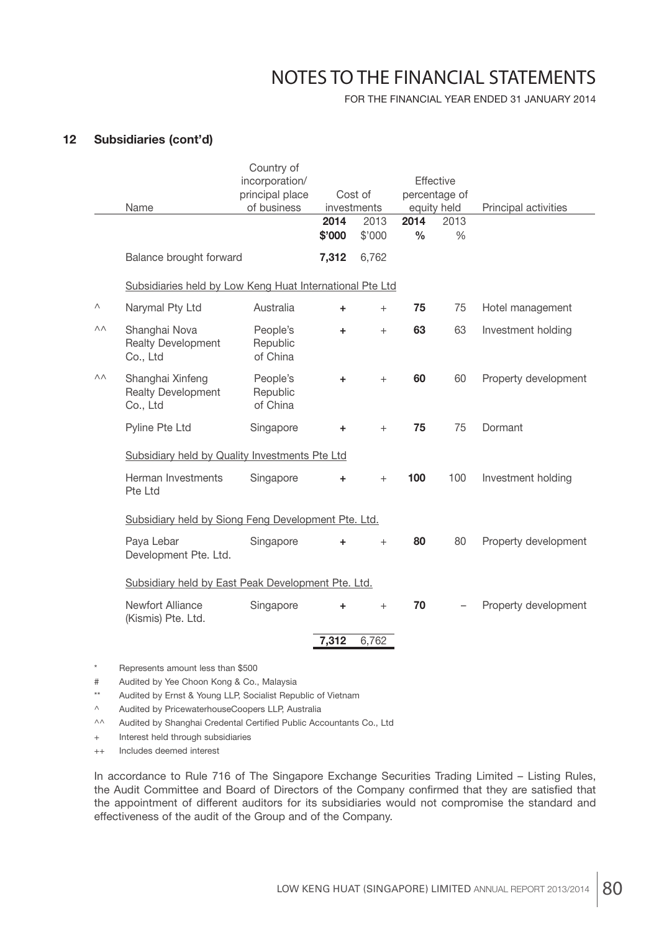FOR THE FINANCIAL YEAR ENDED 31 JANUARY 2014

### **12 Subsidiaries (cont'd)**

|    |                                                           | Country of                       |           |             |               |               |                      |
|----|-----------------------------------------------------------|----------------------------------|-----------|-------------|---------------|---------------|----------------------|
|    |                                                           | incorporation/                   |           |             |               | Effective     |                      |
|    |                                                           | principal place                  |           | Cost of     |               | percentage of |                      |
|    | Name                                                      | of business                      |           | investments |               | equity held   | Principal activities |
|    |                                                           |                                  | 2014      | 2013        | 2014          | 2013          |                      |
|    |                                                           |                                  | \$'000    | \$'000      | $\frac{0}{0}$ | $\%$          |                      |
|    | Balance brought forward                                   |                                  | 7,312     | 6,762       |               |               |                      |
|    | Subsidiaries held by Low Keng Huat International Pte Ltd  |                                  |           |             |               |               |                      |
| Λ  | Narymal Pty Ltd                                           | Australia                        | ÷.        | $^{+}$      | 75            | 75            | Hotel management     |
| ΛΛ | Shanghai Nova<br><b>Realty Development</b><br>Co., Ltd    | People's<br>Republic<br>of China | ÷.        | $^{+}$      | 63            | 63            | Investment holding   |
| ΛΛ | Shanghai Xinfeng<br><b>Realty Development</b><br>Co., Ltd | People's<br>Republic<br>of China | $\ddot{}$ | $+$         | 60            | 60            | Property development |
|    | Pyline Pte Ltd                                            | Singapore                        | ÷.        | $^{+}$      | 75            | 75            | Dormant              |
|    | Subsidiary held by Quality Investments Pte Ltd            |                                  |           |             |               |               |                      |
|    | Herman Investments<br>Pte Ltd                             | Singapore                        | ÷.        | $^{+}$      | 100           | 100           | Investment holding   |
|    | Subsidiary held by Siong Feng Development Pte. Ltd.       |                                  |           |             |               |               |                      |
|    | Paya Lebar<br>Development Pte. Ltd.                       | Singapore                        | ÷         | $+$         | 80            | 80            | Property development |
|    | Subsidiary held by East Peak Development Pte. Ltd.        |                                  |           |             |               |               |                      |
|    | Newfort Alliance<br>(Kismis) Pte. Ltd.                    | Singapore                        | ÷.        | $^{+}$      | 70            |               | Property development |
|    |                                                           |                                  | 7,312     | 6,762       |               |               |                      |
|    |                                                           |                                  |           |             |               |               |                      |

\* Represents amount less than \$500

# Audited by Yee Choon Kong & Co., Malaysia

\*\* Audited by Ernst & Young LLP, Socialist Republic of Vietnam

^ Audited by PricewaterhouseCoopers LLP, Australia

^^ Audited by Shanghai Credental Certified Public Accountants Co., Ltd

+ Interest held through subsidiaries

++ Includes deemed interest

 In accordance to Rule 716 of The Singapore Exchange Securities Trading Limited – Listing Rules, the Audit Committee and Board of Directors of the Company confirmed that they are satisfied that the appointment of different auditors for its subsidiaries would not compromise the standard and effectiveness of the audit of the Group and of the Company.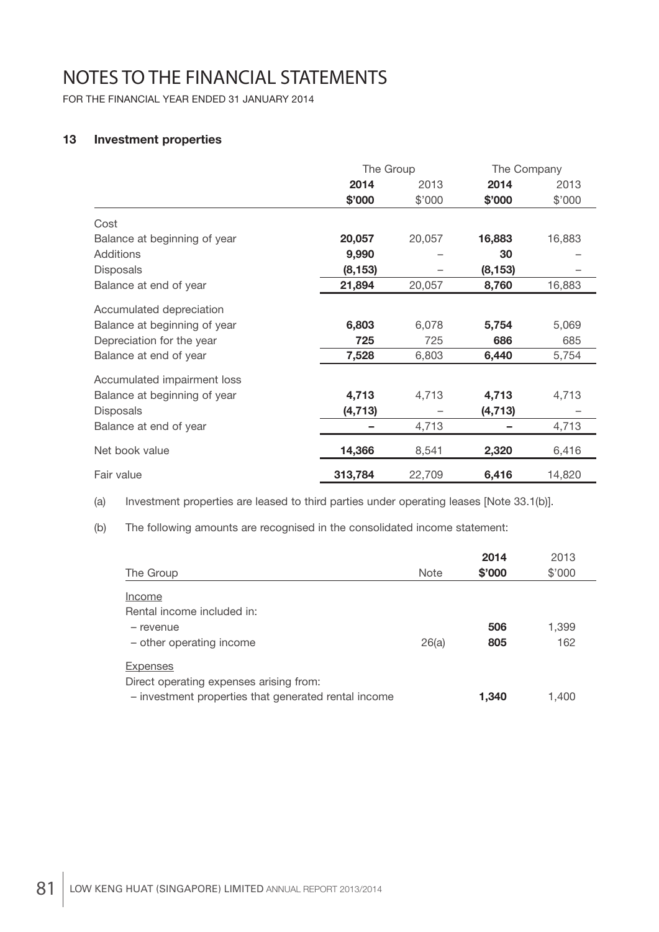FOR THE FINANCIAL YEAR ENDED 31 JANUARY 2014

### **13 Investment properties**

|                              | The Group |        | The Company |        |
|------------------------------|-----------|--------|-------------|--------|
|                              | 2014      | 2013   | 2014        | 2013   |
|                              | \$'000    | \$'000 | \$'000      | \$'000 |
| Cost                         |           |        |             |        |
| Balance at beginning of year | 20,057    | 20,057 | 16,883      | 16,883 |
| <b>Additions</b>             | 9,990     |        | 30          |        |
| <b>Disposals</b>             | (8, 153)  |        | (8, 153)    |        |
| Balance at end of year       | 21,894    | 20,057 | 8,760       | 16,883 |
| Accumulated depreciation     |           |        |             |        |
| Balance at beginning of year | 6,803     | 6,078  | 5,754       | 5,069  |
| Depreciation for the year    | 725       | 725    | 686         | 685    |
| Balance at end of year       | 7,528     | 6,803  | 6,440       | 5,754  |
| Accumulated impairment loss  |           |        |             |        |
| Balance at beginning of year | 4,713     | 4,713  | 4,713       | 4,713  |
| <b>Disposals</b>             | (4, 713)  |        | (4, 713)    |        |
| Balance at end of year       |           | 4,713  |             | 4,713  |
| Net book value               | 14,366    | 8,541  | 2,320       | 6,416  |
| Fair value                   | 313,784   | 22,709 | 6,416       | 14,820 |

(a) Investment properties are leased to third parties under operating leases [Note 33.1(b)].

(b) The following amounts are recognised in the consolidated income statement:

|                                                      |             | 2014   | 2013   |
|------------------------------------------------------|-------------|--------|--------|
| The Group                                            | <b>Note</b> | \$'000 | \$'000 |
| Income                                               |             |        |        |
| Rental income included in:                           |             |        |        |
| - revenue                                            |             | 506    | 1,399  |
| - other operating income                             | 26(a)       | 805    | 162    |
| <b>Expenses</b>                                      |             |        |        |
| Direct operating expenses arising from:              |             |        |        |
| - investment properties that generated rental income |             | 1,340  | 1.400  |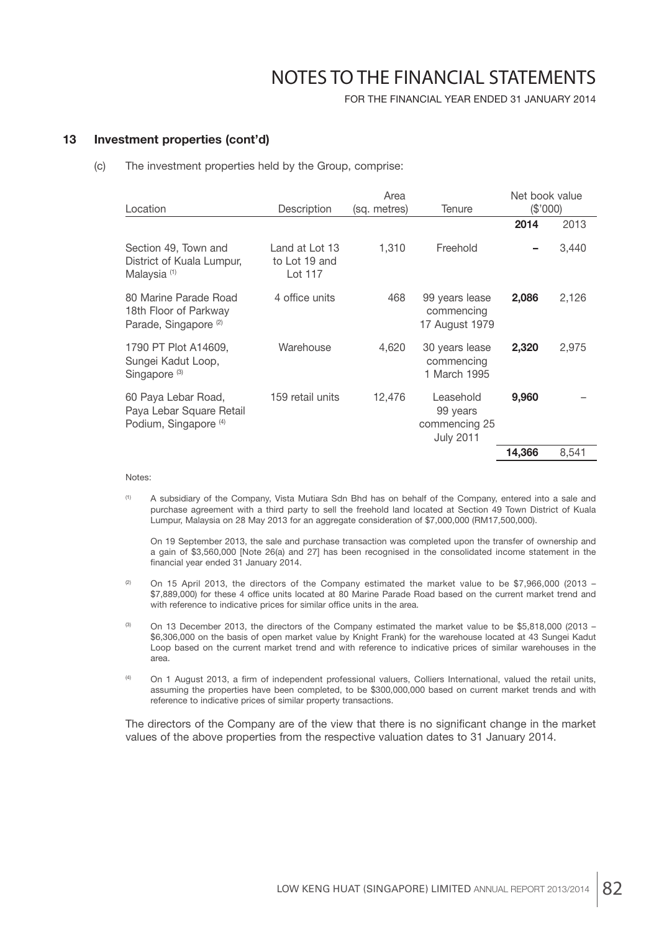FOR THE FINANCIAL YEAR ENDED 31 JANUARY 2014

#### **13 Investment properties (cont'd)**

(c) The investment properties held by the Group, comprise:

| Location                                                                            | Description                                | Area<br>(sq. metres) | Tenure                                                     | Net book value<br>(\$'000) |       |
|-------------------------------------------------------------------------------------|--------------------------------------------|----------------------|------------------------------------------------------------|----------------------------|-------|
|                                                                                     |                                            |                      |                                                            | 2014                       | 2013  |
| Section 49, Town and<br>District of Kuala Lumpur,<br>Malaysia <sup>(1)</sup>        | Land at Lot 13<br>to Lot 19 and<br>Lot 117 | 1,310                | Freehold                                                   |                            | 3,440 |
| 80 Marine Parade Road<br>18th Floor of Parkway<br>Parade, Singapore <sup>(2)</sup>  | 4 office units                             | 468                  | 99 years lease<br>commencing<br>17 August 1979             | 2,086                      | 2,126 |
| 1790 PT Plot A14609,<br>Sungei Kadut Loop,<br>Singapore <sup>(3)</sup>              | Warehouse                                  | 4,620                | 30 years lease<br>commencing<br>1 March 1995               | 2,320                      | 2,975 |
| 60 Paya Lebar Road,<br>Paya Lebar Square Retail<br>Podium, Singapore <sup>(4)</sup> | 159 retail units                           | 12,476               | Leasehold<br>99 years<br>commencing 25<br><b>July 2011</b> | 9,960                      |       |
|                                                                                     |                                            |                      |                                                            | 14,366                     | 8,541 |

Notes:

 (1) A subsidiary of the Company, Vista Mutiara Sdn Bhd has on behalf of the Company, entered into a sale and purchase agreement with a third party to sell the freehold land located at Section 49 Town District of Kuala Lumpur, Malaysia on 28 May 2013 for an aggregate consideration of \$7,000,000 (RM17,500,000).

 On 19 September 2013, the sale and purchase transaction was completed upon the transfer of ownership and a gain of \$3,560,000 [Note 26(a) and 27] has been recognised in the consolidated income statement in the financial year ended 31 January 2014.

- $(2)$  On 15 April 2013, the directors of the Company estimated the market value to be \$7,966,000 (2013 \$7,889,000) for these 4 office units located at 80 Marine Parade Road based on the current market trend and with reference to indicative prices for similar office units in the area.
- <sup>(3)</sup> On 13 December 2013, the directors of the Company estimated the market value to be \$5,818,000 (2013 \$6,306,000 on the basis of open market value by Knight Frank) for the warehouse located at 43 Sungei Kadut Loop based on the current market trend and with reference to indicative prices of similar warehouses in the area.
- (4) On 1 August 2013, a firm of independent professional valuers, Colliers International, valued the retail units, assuming the properties have been completed, to be \$300,000,000 based on current market trends and with reference to indicative prices of similar property transactions.

The directors of the Company are of the view that there is no significant change in the market values of the above properties from the respective valuation dates to 31 January 2014.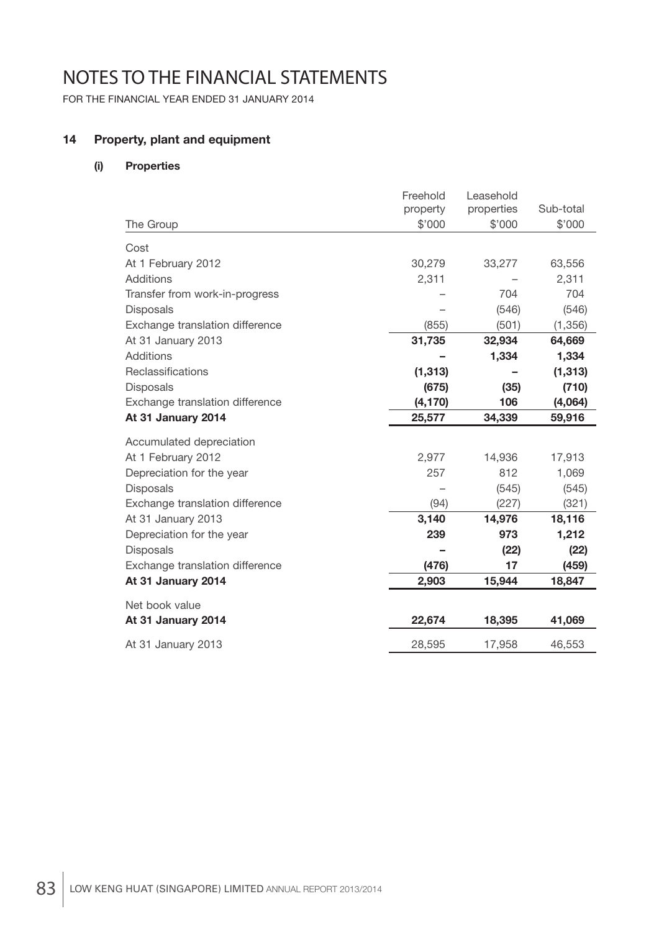FOR THE FINANCIAL YEAR ENDED 31 JANUARY 2014

### **14 Property, plant and equipment**

### **(i) Properties**

|                                 | Freehold | Leasehold  |           |
|---------------------------------|----------|------------|-----------|
|                                 | property | properties | Sub-total |
| The Group                       | \$'000   | \$'000     | \$'000    |
| Cost                            |          |            |           |
| At 1 February 2012              | 30,279   | 33,277     | 63,556    |
| Additions                       | 2,311    |            | 2,311     |
| Transfer from work-in-progress  |          | 704        | 704       |
| <b>Disposals</b>                |          | (546)      | (546)     |
| Exchange translation difference | (855)    | (501)      | (1, 356)  |
| At 31 January 2013              | 31,735   | 32,934     | 64,669    |
| Additions                       |          | 1,334      | 1,334     |
| Reclassifications               | (1, 313) |            | (1, 313)  |
| <b>Disposals</b>                | (675)    | (35)       | (710)     |
| Exchange translation difference | (4, 170) | 106        | (4,064)   |
| At 31 January 2014              | 25,577   | 34,339     | 59,916    |
| Accumulated depreciation        |          |            |           |
| At 1 February 2012              | 2,977    | 14,936     | 17,913    |
| Depreciation for the year       | 257      | 812        | 1,069     |
| <b>Disposals</b>                |          | (545)      | (545)     |
| Exchange translation difference | (94)     | (227)      | (321)     |
| At 31 January 2013              | 3,140    | 14,976     | 18,116    |
| Depreciation for the year       | 239      | 973        | 1,212     |
| <b>Disposals</b>                |          | (22)       | (22)      |
| Exchange translation difference | (476)    | 17         | (459)     |
| At 31 January 2014              | 2,903    | 15,944     | 18,847    |
| Net book value                  |          |            |           |
| At 31 January 2014              | 22,674   | 18,395     | 41,069    |
| At 31 January 2013              | 28,595   | 17,958     | 46,553    |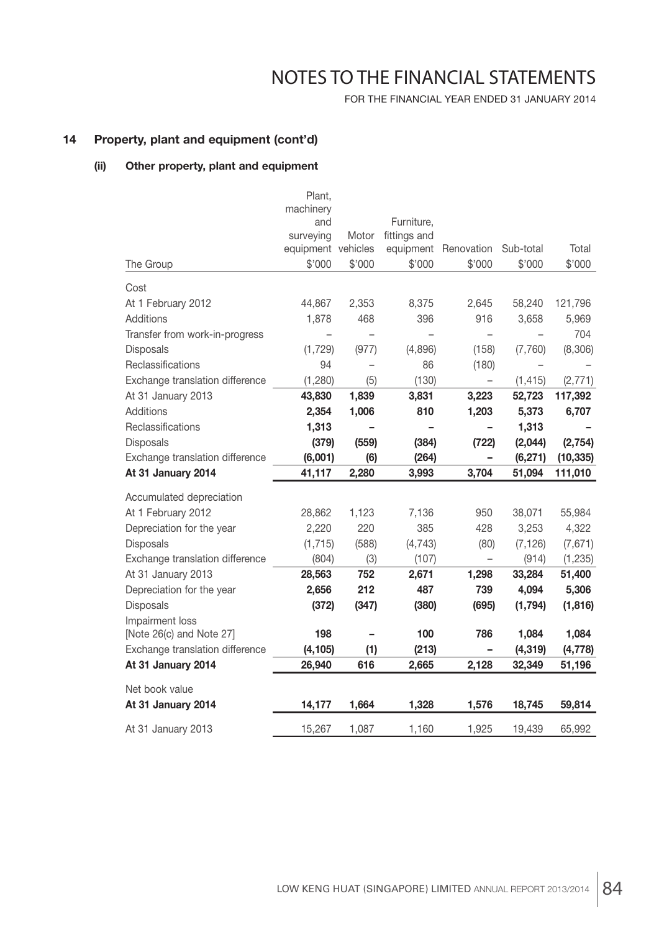FOR THE FINANCIAL YEAR ENDED 31 JANUARY 2014

### **14 Property, plant and equipment (cont'd)**

### **(ii) Other property, plant and equipment**

|                                 | Plant,<br>machinery      |        |              |                          |           |           |
|---------------------------------|--------------------------|--------|--------------|--------------------------|-----------|-----------|
|                                 | and                      |        | Furniture,   |                          |           |           |
|                                 | surveying                | Motor  | fittings and |                          |           |           |
|                                 | equipment vehicles       |        |              | equipment Renovation     | Sub-total | Total     |
| The Group                       | \$'000                   | \$'000 | \$'000       | \$'000                   | \$'000    | \$'000    |
| Cost                            |                          |        |              |                          |           |           |
| At 1 February 2012              | 44,867                   | 2,353  | 8,375        | 2,645                    | 58,240    | 121,796   |
| Additions                       | 1,878                    | 468    | 396          | 916                      | 3,658     | 5,969     |
| Transfer from work-in-progress  | $\overline{\phantom{a}}$ |        |              |                          |           | 704       |
| Disposals                       | (1,729)                  | (977)  | (4,896)      | (158)                    | (7,760)   | (8,306)   |
| Reclassifications               | 94                       |        | 86           | (180)                    |           |           |
| Exchange translation difference | (1,280)                  | (5)    | (130)        | $\overline{\phantom{0}}$ | (1, 415)  | (2, 771)  |
| At 31 January 2013              | 43,830                   | 1,839  | 3,831        | 3,223                    | 52,723    | 117,392   |
| <b>Additions</b>                | 2,354                    | 1,006  | 810          | 1,203                    | 5,373     | 6,707     |
| Reclassifications               | 1,313                    |        |              |                          | 1,313     |           |
| Disposals                       | (379)                    | (559)  | (384)        | (722)                    | (2,044)   | (2, 754)  |
| Exchange translation difference | (6,001)                  | (6)    | (264)        | -                        | (6, 271)  | (10, 335) |
| At 31 January 2014              | 41,117                   | 2,280  | 3,993        | 3,704                    | 51,094    | 111,010   |
| Accumulated depreciation        |                          |        |              |                          |           |           |
| At 1 February 2012              | 28,862                   | 1,123  | 7,136        | 950                      | 38,071    | 55,984    |
| Depreciation for the year       | 2,220                    | 220    | 385          | 428                      | 3,253     | 4,322     |
| <b>Disposals</b>                | (1, 715)                 | (588)  | (4, 743)     | (80)                     | (7, 126)  | (7,671)   |
| Exchange translation difference | (804)                    | (3)    | (107)        | $\overline{\phantom{0}}$ | (914)     | (1, 235)  |
| At 31 January 2013              | 28,563                   | 752    | 2,671        | 1,298                    | 33,284    | 51,400    |
| Depreciation for the year       | 2,656                    | 212    | 487          | 739                      | 4,094     | 5,306     |
| Disposals                       | (372)                    | (347)  | (380)        | (695)                    | (1,794)   | (1, 816)  |
| Impairment loss                 |                          |        |              |                          |           |           |
| [Note 26(c) and Note 27]        | 198                      |        | 100          | 786                      | 1,084     | 1,084     |
| Exchange translation difference | (4, 105)                 | (1)    | (213)        |                          | (4, 319)  | (4, 778)  |
| At 31 January 2014              | 26,940                   | 616    | 2,665        | 2,128                    | 32,349    | 51,196    |
| Net book value                  |                          |        |              |                          |           |           |
| At 31 January 2014              | 14,177                   | 1,664  | 1,328        | 1,576                    | 18,745    | 59,814    |
| At 31 January 2013              | 15,267                   | 1,087  | 1,160        | 1,925                    | 19,439    | 65,992    |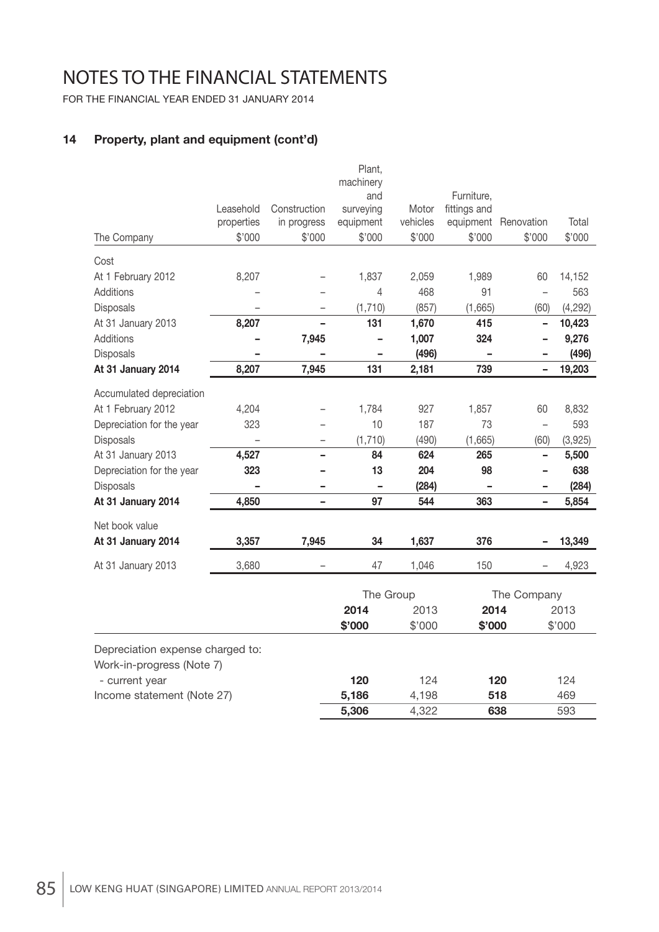FOR THE FINANCIAL YEAR ENDED 31 JANUARY 2014

## **14 Property, plant and equipment (cont'd)**

|                           |            |                   | Plant,           |          |              |            |          |
|---------------------------|------------|-------------------|------------------|----------|--------------|------------|----------|
|                           |            |                   | machinery<br>and |          | Furniture,   |            |          |
|                           | Leasehold  | Construction      | surveying        | Motor    | fittings and |            |          |
|                           | properties | in progress       | equipment        | vehicles | equipment    | Renovation | Total    |
| The Company               | \$'000     | \$'000            | \$'000           | \$'000   | \$'000       | \$'000     | \$'000   |
| Cost                      |            |                   |                  |          |              |            |          |
| At 1 February 2012        | 8,207      |                   | 1,837            | 2,059    | 1,989        | 60         | 14,152   |
| Additions                 |            |                   | 4                | 468      | 91           |            | 563      |
| Disposals                 |            | $\qquad \qquad -$ | (1,710)          | (857)    | (1,665)      | (60)       | (4, 292) |
| At 31 January 2013        | 8,207      | ÷                 | 131              | 1,670    | 415          | -          | 10,423   |
| Additions                 |            | 7,945             |                  | 1,007    | 324          |            | 9,276    |
| <b>Disposals</b>          |            |                   |                  | (496)    |              |            | (496)    |
| At 31 January 2014        | 8,207      | 7,945             | 131              | 2,181    | 739          |            | 19,203   |
| Accumulated depreciation  |            |                   |                  |          |              |            |          |
| At 1 February 2012        | 4,204      |                   | 1,784            | 927      | 1,857        | 60         | 8,832    |
| Depreciation for the year | 323        |                   | 10               | 187      | 73           |            | 593      |
| Disposals                 |            |                   | (1,710)          | (490)    | (1,665)      | (60)       | (3,925)  |
| At 31 January 2013        | 4,527      |                   | 84               | 624      | 265          |            | 5,500    |
| Depreciation for the year | 323        |                   | 13               | 204      | 98           |            | 638      |
| Disposals                 |            |                   |                  | (284)    |              |            | (284)    |
| At 31 January 2014        | 4,850      |                   | 97               | 544      | 363          |            | 5,854    |
| Net book value            |            |                   |                  |          |              |            |          |
| At 31 January 2014        | 3,357      | 7,945             | 34               | 1,637    | 376          |            | 13,349   |
| At 31 January 2013        | 3,680      |                   | 47               | 1,046    | 150          |            | 4,923    |
|                           |            |                   |                  |          |              |            |          |

|                                  | The Group |        | The Company |        |
|----------------------------------|-----------|--------|-------------|--------|
|                                  | 2014      | 2013   | 2014        | 2013   |
|                                  | \$'000    | \$'000 | \$'000      | \$'000 |
| Depreciation expense charged to: |           |        |             |        |
| Work-in-progress (Note 7)        |           |        |             |        |
| - current year                   | 120       | 124    | 120         | 124    |
| Income statement (Note 27)       | 5,186     | 4,198  | 518         | 469    |
|                                  | 5,306     | 4.322  | 638         | 593    |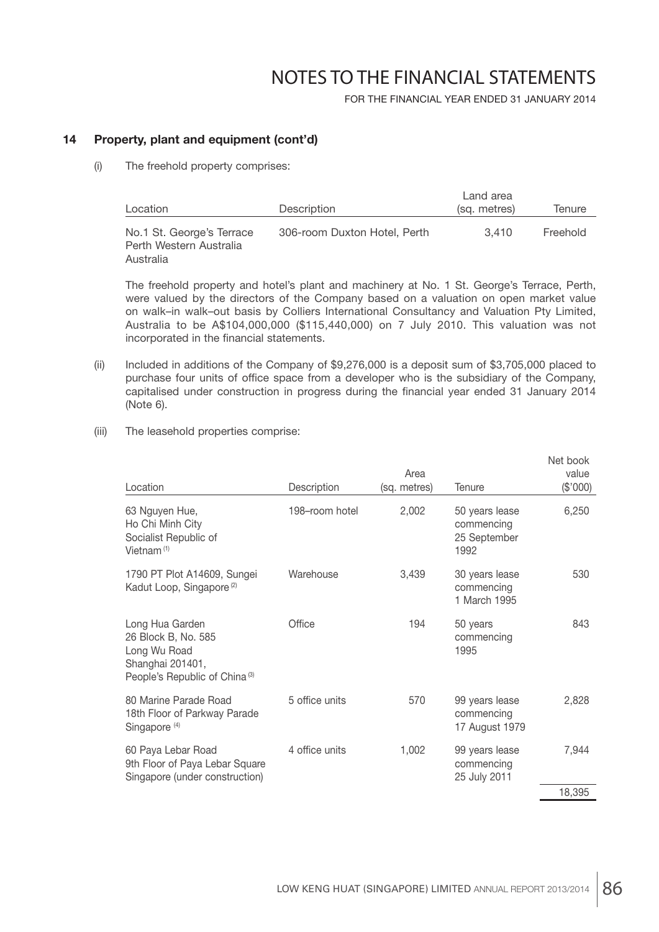FOR THE FINANCIAL YEAR ENDED 31 JANUARY 2014

### **14 Property, plant and equipment (cont'd)**

(i) The freehold property comprises:

| Location                                                          | <b>Description</b>           | Land area<br>(sq. metres) | Tenure   |
|-------------------------------------------------------------------|------------------------------|---------------------------|----------|
| No.1 St. George's Terrace<br>Perth Western Australia<br>Australia | 306-room Duxton Hotel, Perth | 3.410                     | Freehold |

 The freehold property and hotel's plant and machinery at No. 1 St. George's Terrace, Perth, were valued by the directors of the Company based on a valuation on open market value on walk–in walk–out basis by Colliers International Consultancy and Valuation Pty Limited, Australia to be A\$104,000,000 (\$115,440,000) on 7 July 2010. This valuation was not incorporated in the financial statements.

- (ii) Included in additions of the Company of \$9,276,000 is a deposit sum of \$3,705,000 placed to purchase four units of office space from a developer who is the subsidiary of the Company, capitalised under construction in progress during the financial year ended 31 January 2014 (Note 6).
- (iii) The leasehold properties comprise:

| Location                                                                                                                | Description    | Area<br>(sq. metres) | Tenure                                               | Net book<br>value<br>(\$'000) |
|-------------------------------------------------------------------------------------------------------------------------|----------------|----------------------|------------------------------------------------------|-------------------------------|
| 63 Nguyen Hue,<br>Ho Chi Minh City<br>Socialist Republic of<br>Vietnam $(1)$                                            | 198-room hotel | 2,002                | 50 years lease<br>commencing<br>25 September<br>1992 | 6,250                         |
| 1790 PT Plot A14609, Sungei<br>Kadut Loop, Singapore <sup>(2)</sup>                                                     | Warehouse      | 3,439                | 30 years lease<br>commencing<br>1 March 1995         | 530                           |
| Long Hua Garden<br>26 Block B, No. 585<br>Long Wu Road<br>Shanghai 201401,<br>People's Republic of China <sup>(3)</sup> | Office         | 194                  | 50 years<br>commencing<br>1995                       | 843                           |
| 80 Marine Parade Road<br>18th Floor of Parkway Parade<br>Singapore <sup>(4)</sup>                                       | 5 office units | 570                  | 99 years lease<br>commencing<br>17 August 1979       | 2,828                         |
| 60 Paya Lebar Road<br>9th Floor of Paya Lebar Square<br>Singapore (under construction)                                  | 4 office units | 1,002                | 99 years lease<br>commencing<br>25 July 2011         | 7,944                         |
|                                                                                                                         |                |                      |                                                      | 18,395                        |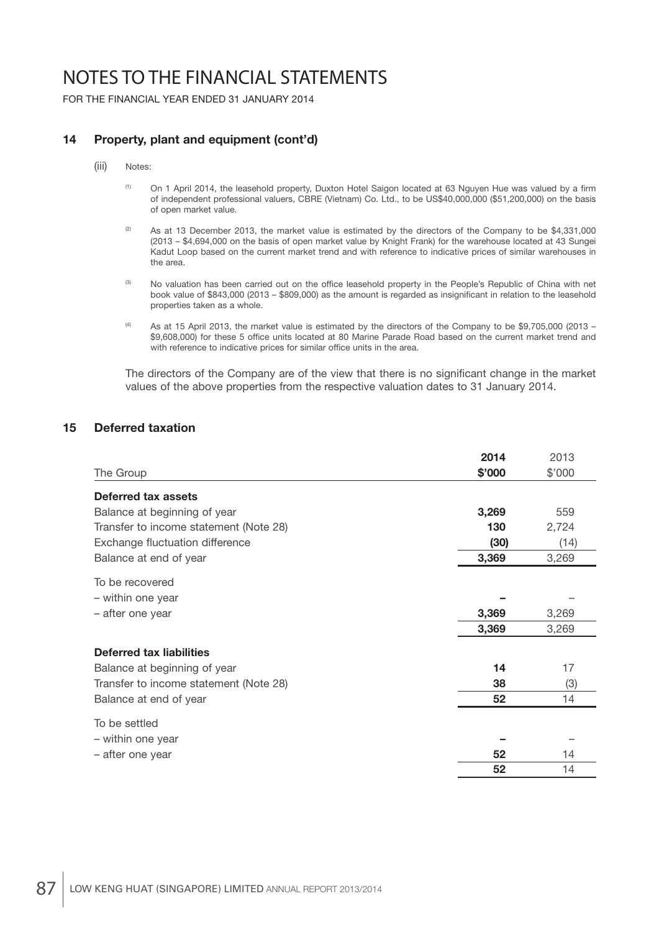FOR THE FINANCIAL YEAR ENDED 31 JANUARY 2014

### **14 Property, plant and equipment (cont'd)**

#### (iii) Notes:

- <sup>(1)</sup> On 1 April 2014, the leasehold property, Duxton Hotel Saigon located at 63 Nguyen Hue was valued by a firm of independent professional valuers, CBRE (Vietnam) Co. Ltd., to be US\$40,000,000 (\$51,200,000) on the basis of open market value.
- <sup>(2)</sup> As at 13 December 2013, the market value is estimated by the directors of the Company to be \$4,331,000 (2013 – \$4,694,000 on the basis of open market value by Knight Frank) for the warehouse located at 43 Sungei Kadut Loop based on the current market trend and with reference to indicative prices of similar warehouses in the area.
- (3) No valuation has been carried out on the office leasehold property in the People's Republic of China with net book value of \$843,000 (2013 – \$809,000) as the amount is regarded as insignificant in relation to the leasehold properties taken as a whole.
- (4) As at 15 April 2013, the market value is estimated by the directors of the Company to be \$9,705,000 (2013 \$9,608,000) for these 5 office units located at 80 Marine Parade Road based on the current market trend and with reference to indicative prices for similar office units in the area.

The directors of the Company are of the view that there is no significant change in the market values of the above properties from the respective valuation dates to 31 January 2014.

#### **15 Deferred taxation**

|                                        | 2014   | 2013   |
|----------------------------------------|--------|--------|
| The Group                              | \$'000 | \$'000 |
| <b>Deferred tax assets</b>             |        |        |
| Balance at beginning of year           | 3,269  | 559    |
| Transfer to income statement (Note 28) | 130    | 2,724  |
| Exchange fluctuation difference        | (30)   | (14)   |
| Balance at end of year                 | 3,369  | 3,269  |
| To be recovered                        |        |        |
| - within one year                      |        |        |
| - after one year                       | 3,369  | 3,269  |
|                                        | 3,369  | 3,269  |
| <b>Deferred tax liabilities</b>        |        |        |
| Balance at beginning of year           | 14     | 17     |
| Transfer to income statement (Note 28) | 38     | (3)    |
| Balance at end of year                 | 52     | 14     |
| To be settled                          |        |        |
| - within one year                      |        |        |
| – after one year                       | 52     | 14     |
|                                        | 52     | 14     |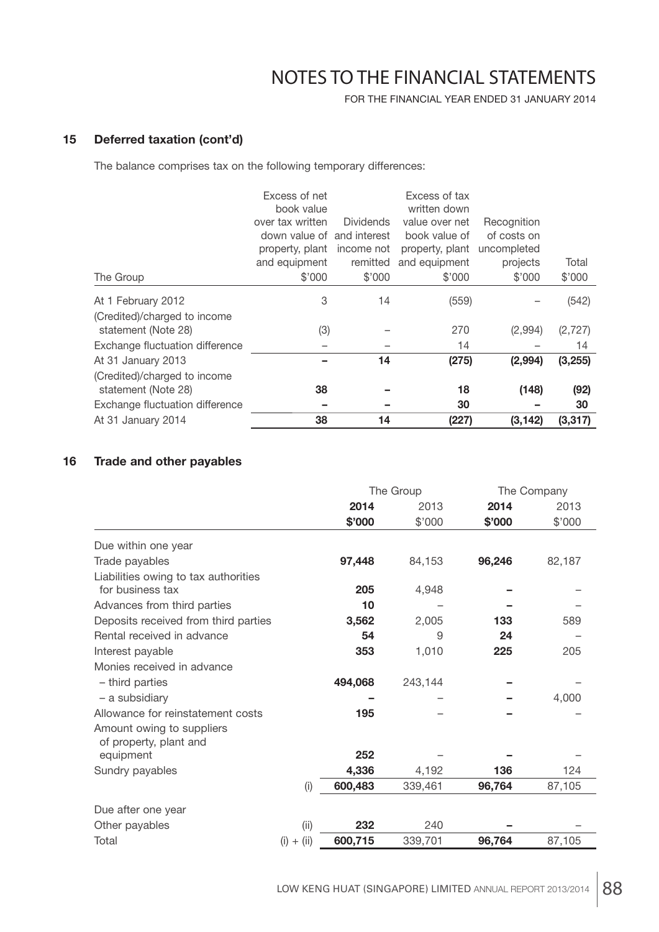FOR THE FINANCIAL YEAR ENDED 31 JANUARY 2014

### **15 Deferred taxation (cont'd)**

The balance comprises tax on the following temporary differences:

|                                 | Excess of net<br>book value |                  | Excess of tax<br>written down |             |          |
|---------------------------------|-----------------------------|------------------|-------------------------------|-------------|----------|
|                                 | over tax written            | <b>Dividends</b> | value over net                | Recognition |          |
|                                 | down value of and interest  |                  | book value of                 | of costs on |          |
|                                 | property, plant             | income not       | property, plant               | uncompleted |          |
|                                 | and equipment               | remitted         | and equipment                 | projects    | Total    |
| The Group                       | \$'000                      | \$'000           | \$'000                        | \$'000      | \$'000   |
| At 1 February 2012              | 3                           | 14               | (559)                         |             | (542)    |
| (Credited)/charged to income    |                             |                  |                               |             |          |
| statement (Note 28)             | (3)                         |                  | 270                           | (2,994)     | (2, 727) |
| Exchange fluctuation difference |                             |                  | 14                            |             | 14       |
| At 31 January 2013              |                             | 14               | (275)                         | (2,994)     | (3,255)  |
| (Credited)/charged to income    |                             |                  |                               |             |          |
| statement (Note 28)             | 38                          |                  | 18                            | (148)       | (92)     |
| Exchange fluctuation difference | -                           |                  | 30                            |             | 30       |
| At 31 January 2014              | 38                          | 14               | (227)                         | (3, 142)    | (3, 317) |

### **16 Trade and other payables**

|                                                          |              | The Group |         | The Company |        |
|----------------------------------------------------------|--------------|-----------|---------|-------------|--------|
|                                                          |              | 2014      | 2013    | 2014        | 2013   |
|                                                          |              | \$'000    | \$'000  | \$'000      | \$'000 |
| Due within one year                                      |              |           |         |             |        |
| Trade payables                                           |              | 97,448    | 84,153  | 96,246      | 82,187 |
| Liabilities owing to tax authorities<br>for business tax |              | 205       | 4,948   |             |        |
| Advances from third parties                              |              | 10        |         |             |        |
| Deposits received from third parties                     |              | 3,562     | 2,005   | 133         | 589    |
| Rental received in advance                               |              | 54        | 9       | 24          |        |
| Interest payable                                         |              | 353       | 1,010   | 225         | 205    |
| Monies received in advance                               |              |           |         |             |        |
| - third parties                                          |              | 494,068   | 243,144 |             |        |
| - a subsidiary                                           |              |           |         |             | 4,000  |
| Allowance for reinstatement costs                        |              | 195       |         |             |        |
| Amount owing to suppliers<br>of property, plant and      |              |           |         |             |        |
| equipment                                                |              | 252       |         |             |        |
| Sundry payables                                          |              | 4,336     | 4,192   | 136         | 124    |
|                                                          | (i)          | 600,483   | 339,461 | 96,764      | 87,105 |
| Due after one year                                       |              |           |         |             |        |
| Other payables                                           | (i)          | 232       | 240     |             |        |
| Total                                                    | $(i) + (ii)$ | 600,715   | 339,701 | 96,764      | 87,105 |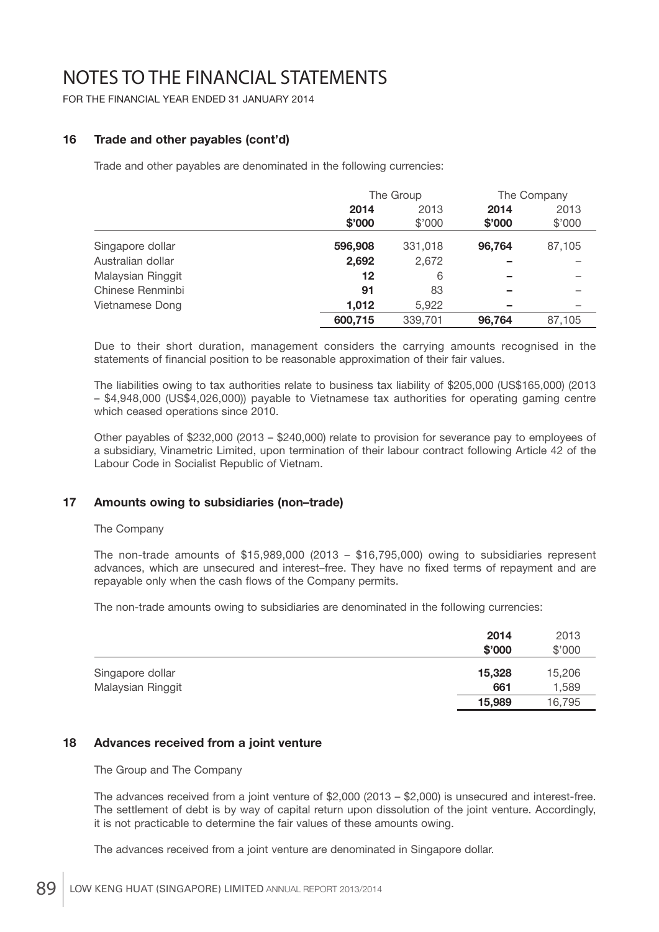FOR THE FINANCIAL YEAR ENDED 31 JANUARY 2014

### **16 Trade and other payables (cont'd)**

Trade and other payables are denominated in the following currencies:

|                   | The Group |         | The Company |        |
|-------------------|-----------|---------|-------------|--------|
|                   | 2014      | 2013    | 2014        | 2013   |
|                   | \$'000    | \$'000  | \$'000      | \$'000 |
| Singapore dollar  | 596,908   | 331,018 | 96.764      | 87,105 |
| Australian dollar | 2,692     | 2,672   |             |        |
| Malaysian Ringgit | 12        | 6       |             |        |
| Chinese Renminbi  | 91        | 83      |             |        |
| Vietnamese Dong   | 1,012     | 5,922   |             |        |
|                   | 600,715   | 339,701 | 96.764      | 87,105 |

 Due to their short duration, management considers the carrying amounts recognised in the statements of financial position to be reasonable approximation of their fair values.

 The liabilities owing to tax authorities relate to business tax liability of \$205,000 (US\$165,000) (2013 – \$4,948,000 (US\$4,026,000)) payable to Vietnamese tax authorities for operating gaming centre which ceased operations since 2010.

 Other payables of \$232,000 (2013 – \$240,000) relate to provision for severance pay to employees of a subsidiary, Vinametric Limited, upon termination of their labour contract following Article 42 of the Labour Code in Socialist Republic of Vietnam.

### **17 Amounts owing to subsidiaries (non–trade)**

#### The Company

 The non-trade amounts of \$15,989,000 (2013 – \$16,795,000) owing to subsidiaries represent advances, which are unsecured and interest–free. They have no fixed terms of repayment and are repayable only when the cash flows of the Company permits.

The non-trade amounts owing to subsidiaries are denominated in the following currencies:

|                   | 2014   | 2013   |
|-------------------|--------|--------|
|                   | \$'000 | \$'000 |
| Singapore dollar  | 15,328 | 15,206 |
| Malaysian Ringgit | 661    | 1,589  |
|                   | 15,989 | 16,795 |

#### **18 Advances received from a joint venture**

The Group and The Company

 The advances received from a joint venture of \$2,000 (2013 – \$2,000) is unsecured and interest-free. The settlement of debt is by way of capital return upon dissolution of the joint venture. Accordingly, it is not practicable to determine the fair values of these amounts owing.

The advances received from a joint venture are denominated in Singapore dollar.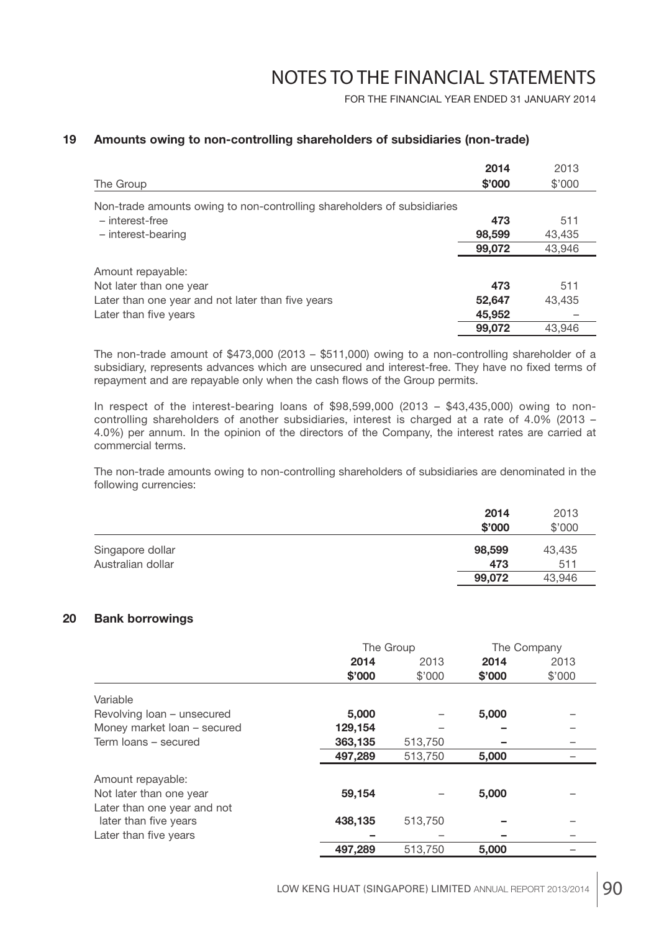FOR THE FINANCIAL YEAR ENDED 31 JANUARY 2014

#### **19 Amounts owing to non-controlling shareholders of subsidiaries (non-trade)**

|                                                                         | 2014   | 2013   |
|-------------------------------------------------------------------------|--------|--------|
| The Group                                                               | \$'000 | \$'000 |
| Non-trade amounts owing to non-controlling shareholders of subsidiaries |        |        |
| - interest-free                                                         | 473    | 511    |
| - interest-bearing                                                      | 98,599 | 43,435 |
|                                                                         | 99,072 | 43,946 |
| Amount repayable:                                                       |        |        |
| Not later than one year                                                 | 473    | 511    |
| Later than one year and not later than five years                       | 52,647 | 43,435 |
| Later than five years                                                   | 45,952 |        |
|                                                                         | 99,072 | 43.946 |

 The non-trade amount of \$473,000 (2013 – \$511,000) owing to a non-controlling shareholder of a subsidiary, represents advances which are unsecured and interest-free. They have no fixed terms of repayment and are repayable only when the cash flows of the Group permits.

In respect of the interest-bearing loans of \$98,599,000 (2013 – \$43,435,000) owing to noncontrolling shareholders of another subsidiaries, interest is charged at a rate of 4.0% (2013 – 4.0%) per annum. In the opinion of the directors of the Company, the interest rates are carried at commercial terms.

 The non-trade amounts owing to non-controlling shareholders of subsidiaries are denominated in the following currencies:

|                   | 2014   | 2013   |
|-------------------|--------|--------|
|                   | \$'000 | \$'000 |
| Singapore dollar  | 98,599 | 43,435 |
| Australian dollar | 473    | 511    |
|                   | 99,072 | 43.946 |

#### **20 Bank borrowings**

|                             | The Group |         | The Company |        |
|-----------------------------|-----------|---------|-------------|--------|
|                             | 2014      | 2013    | 2014        | 2013   |
|                             | \$'000    | \$'000  | \$'000      | \$'000 |
| Variable                    |           |         |             |        |
| Revolving loan - unsecured  | 5,000     |         | 5,000       |        |
| Money market loan - secured | 129,154   |         |             |        |
| Term loans - secured        | 363,135   | 513,750 |             |        |
|                             | 497,289   | 513,750 | 5,000       |        |
| Amount repayable:           |           |         |             |        |
| Not later than one year     | 59,154    |         | 5,000       |        |
| Later than one year and not |           |         |             |        |
| later than five years       | 438,135   | 513,750 |             |        |
| Later than five years       |           |         |             |        |
|                             | 497,289   | 513,750 | 5,000       |        |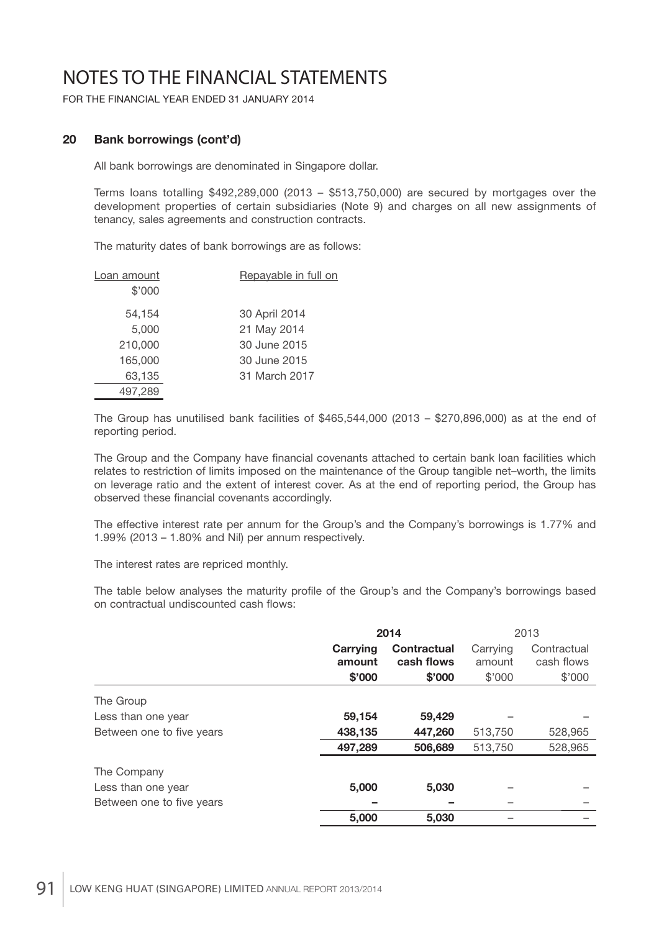FOR THE FINANCIAL YEAR ENDED 31 JANUARY 2014

### **20 Bank borrowings (cont'd)**

All bank borrowings are denominated in Singapore dollar.

 Terms loans totalling \$492,289,000 (2013 – \$513,750,000) are secured by mortgages over the development properties of certain subsidiaries (Note 9) and charges on all new assignments of tenancy, sales agreements and construction contracts.

The maturity dates of bank borrowings are as follows:

| Loan amount | Repayable in full on |
|-------------|----------------------|
| \$'000      |                      |
| 54,154      | 30 April 2014        |
| 5,000       | 21 May 2014          |
| 210,000     | 30 June 2015         |
| 165,000     | 30 June 2015         |
| 63,135      | 31 March 2017        |
| 497,289     |                      |

 The Group has unutilised bank facilities of \$465,544,000 (2013 – \$270,896,000) as at the end of reporting period.

The Group and the Company have financial covenants attached to certain bank loan facilities which relates to restriction of limits imposed on the maintenance of the Group tangible net–worth, the limits on leverage ratio and the extent of interest cover. As at the end of reporting period, the Group has observed these financial covenants accordingly.

 The effective interest rate per annum for the Group's and the Company's borrowings is 1.77% and 1.99% (2013 – 1.80% and Nil) per annum respectively.

The interest rates are repriced monthly.

The table below analyses the maturity profile of the Group's and the Company's borrowings based on contractual undiscounted cash flows:

|                           | 2014               |                                  | 2013               |                           |
|---------------------------|--------------------|----------------------------------|--------------------|---------------------------|
|                           | Carrying<br>amount | <b>Contractual</b><br>cash flows | Carrying<br>amount | Contractual<br>cash flows |
|                           | \$'000             | \$'000                           | \$'000             | \$'000                    |
| The Group                 |                    |                                  |                    |                           |
| Less than one year        | 59,154             | 59,429                           |                    |                           |
| Between one to five years | 438,135            | 447,260                          | 513,750            | 528,965                   |
|                           | 497,289            | 506,689                          | 513,750            | 528,965                   |
| The Company               |                    |                                  |                    |                           |
| Less than one year        | 5,000              | 5,030                            |                    |                           |
| Between one to five years |                    |                                  |                    |                           |
|                           | 5,000              | 5,030                            |                    |                           |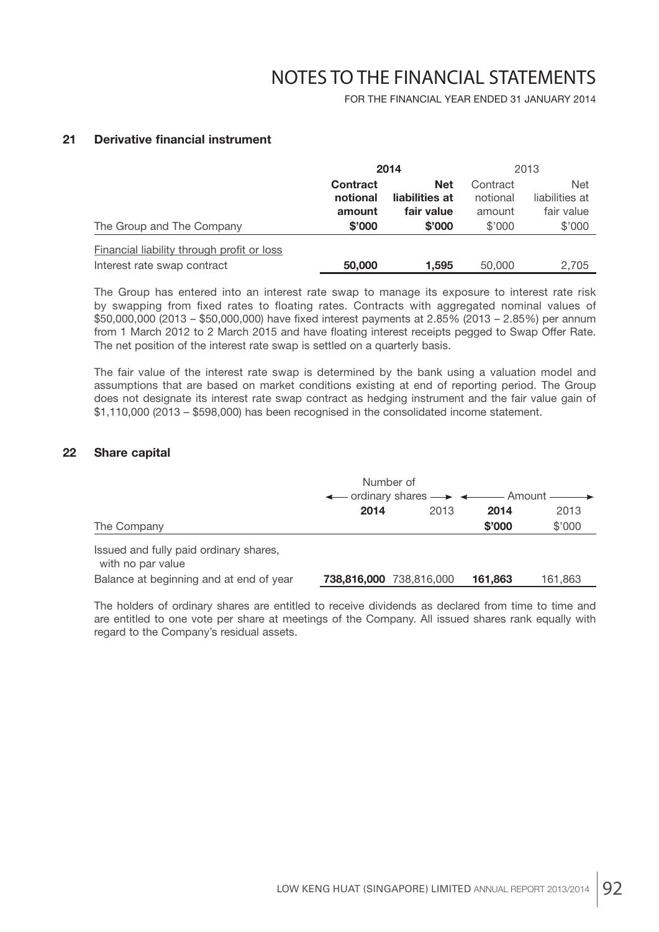FOR THE FINANCIAL YEAR ENDED 31 JANUARY 2014

### **21 Derivative financial instrument**

|                                            | 2014            |                | 2013     |                |
|--------------------------------------------|-----------------|----------------|----------|----------------|
|                                            | <b>Contract</b> | <b>Net</b>     | Contract | <b>Net</b>     |
|                                            | notional        | liabilities at | notional | liabilities at |
|                                            | amount          | fair value     | amount   | fair value     |
| The Group and The Company                  | \$'000          | \$'000         | \$'000   | \$'000         |
| Financial liability through profit or loss |                 |                |          |                |
| Interest rate swap contract                | 50,000          | 1.595          | 50,000   | 2,705          |

 The Group has entered into an interest rate swap to manage its exposure to interest rate risk by swapping from fixed rates to floating rates. Contracts with aggregated nominal values of \$50,000,000 (2013 – \$50,000,000) have fixed interest payments at 2.85% (2013 – 2.85%) per annum from 1 March 2012 to 2 March 2015 and have floating interest receipts pegged to Swap Offer Rate. The net position of the interest rate swap is settled on a quarterly basis.

 The fair value of the interest rate swap is determined by the bank using a valuation model and assumptions that are based on market conditions existing at end of reporting period. The Group does not designate its interest rate swap contract as hedging instrument and the fair value gain of \$1,110,000 (2013 – \$598,000) has been recognised in the consolidated income statement.

#### **22 Share capital**

|                                                             | Number of<br>$\leftarrow$ ordinary shares $\rightarrow$ $\leftarrow$ Amount $\rightarrow$ |      |         |         |
|-------------------------------------------------------------|-------------------------------------------------------------------------------------------|------|---------|---------|
|                                                             | 2014                                                                                      | 2013 | 2014    | 2013    |
| The Company                                                 |                                                                                           |      | \$'000  | \$'000  |
| Issued and fully paid ordinary shares,<br>with no par value |                                                                                           |      |         |         |
| Balance at beginning and at end of year                     | <b>738,816,000</b> 738,816,000                                                            |      | 161,863 | 161,863 |

 The holders of ordinary shares are entitled to receive dividends as declared from time to time and are entitled to one vote per share at meetings of the Company. All issued shares rank equally with regard to the Company's residual assets.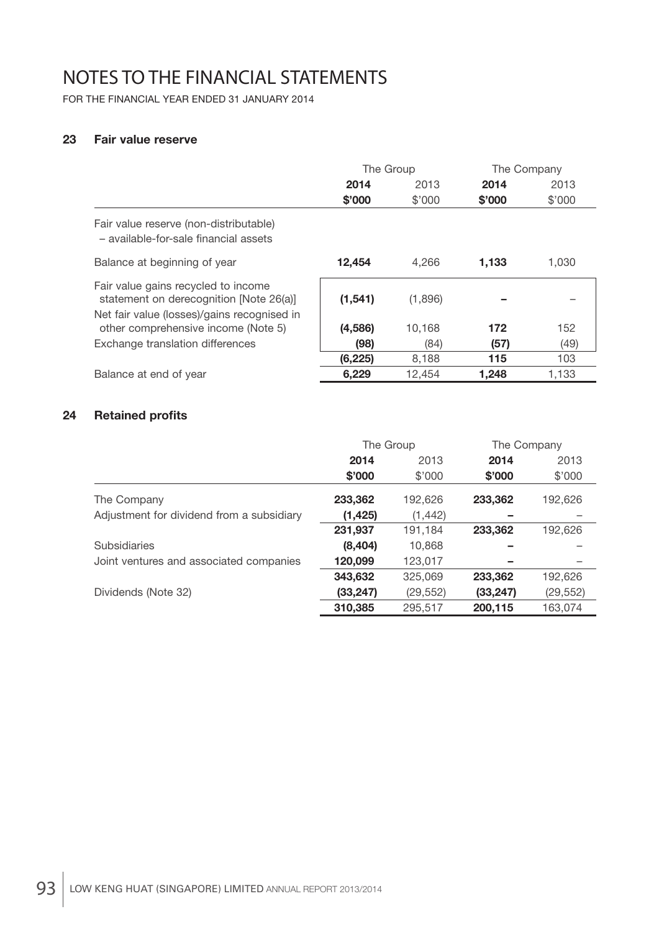FOR THE FINANCIAL YEAR ENDED 31 JANUARY 2014

### **23 Fair value reserve**

|                                                                                                                               | The Group |         | The Company |        |
|-------------------------------------------------------------------------------------------------------------------------------|-----------|---------|-------------|--------|
|                                                                                                                               | 2014      | 2013    | 2014        | 2013   |
|                                                                                                                               | \$'000    | \$'000  | \$'000      | \$'000 |
| Fair value reserve (non-distributable)<br>- available-for-sale financial assets                                               |           |         |             |        |
| Balance at beginning of year                                                                                                  | 12,454    | 4.266   | 1.133       | 1.030  |
| Fair value gains recycled to income<br>statement on derecognition [Note 26(a)]<br>Net fair value (losses)/gains recognised in | (1,541)   | (1,896) |             |        |
| other comprehensive income (Note 5)                                                                                           | (4,586)   | 10,168  | 172         | 152    |
| Exchange translation differences                                                                                              | (98)      | (84)    | (57)        | (49)   |
|                                                                                                                               | (6, 225)  | 8,188   | 115         | 103    |
| Balance at end of year                                                                                                        | 6,229     | 12,454  | 1,248       | 1,133  |

### **24** Retained profits

|                                           | The Group |           | The Company |           |
|-------------------------------------------|-----------|-----------|-------------|-----------|
|                                           | 2014      | 2013      | 2014        | 2013      |
|                                           | \$'000    | \$'000    | \$'000      | \$'000    |
| The Company                               | 233,362   | 192,626   | 233,362     | 192,626   |
| Adjustment for dividend from a subsidiary | (1, 425)  | (1, 442)  |             |           |
|                                           | 231,937   | 191,184   | 233,362     | 192,626   |
| <b>Subsidiaries</b>                       | (8,404)   | 10,868    |             |           |
| Joint ventures and associated companies   | 120,099   | 123,017   |             |           |
|                                           | 343,632   | 325,069   | 233,362     | 192,626   |
| Dividends (Note 32)                       | (33, 247) | (29, 552) | (33, 247)   | (29, 552) |
|                                           | 310,385   | 295,517   | 200,115     | 163,074   |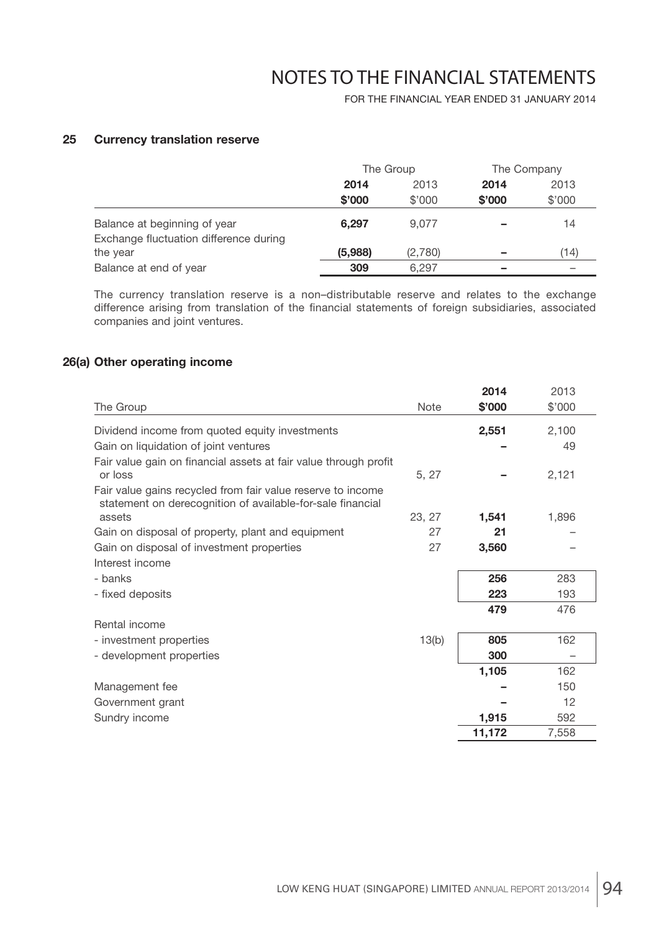FOR THE FINANCIAL YEAR ENDED 31 JANUARY 2014

### **25 Currency translation reserve**

|                                        | The Group |         | The Company |        |
|----------------------------------------|-----------|---------|-------------|--------|
|                                        | 2014      | 2013    | 2014        | 2013   |
|                                        | \$'000    | \$'000  | \$'000      | \$'000 |
| Balance at beginning of year           | 6.297     | 9.077   |             | 14     |
| Exchange fluctuation difference during |           |         |             |        |
| the year                               | (5,988)   | (2,780) |             | 14)    |
| Balance at end of year                 | 309       | 6.297   |             |        |

 The currency translation reserve is a non–distributable reserve and relates to the exchange difference arising from translation of the financial statements of foreign subsidiaries, associated companies and joint ventures.

### **26(a) Other operating income**

|                                                                                                                           |             | 2014   | 2013   |
|---------------------------------------------------------------------------------------------------------------------------|-------------|--------|--------|
| The Group                                                                                                                 | <b>Note</b> | \$'000 | \$'000 |
| Dividend income from quoted equity investments                                                                            |             | 2,551  | 2,100  |
| Gain on liquidation of joint ventures                                                                                     |             |        | 49     |
| Fair value gain on financial assets at fair value through profit<br>or loss                                               | 5, 27       |        | 2,121  |
| Fair value gains recycled from fair value reserve to income<br>statement on derecognition of available-for-sale financial |             |        |        |
| assets                                                                                                                    | 23, 27      | 1,541  | 1,896  |
| Gain on disposal of property, plant and equipment                                                                         | 27          | 21     |        |
| Gain on disposal of investment properties                                                                                 | 27          | 3,560  |        |
| Interest income                                                                                                           |             |        |        |
| - banks                                                                                                                   |             | 256    | 283    |
| - fixed deposits                                                                                                          |             | 223    | 193    |
|                                                                                                                           |             | 479    | 476    |
| Rental income                                                                                                             |             |        |        |
| - investment properties                                                                                                   | 13(b)       | 805    | 162    |
| - development properties                                                                                                  |             | 300    |        |
|                                                                                                                           |             | 1,105  | 162    |
| Management fee                                                                                                            |             |        | 150    |
| Government grant                                                                                                          |             |        | 12     |
| Sundry income                                                                                                             |             | 1,915  | 592    |
|                                                                                                                           |             | 11,172 | 7,558  |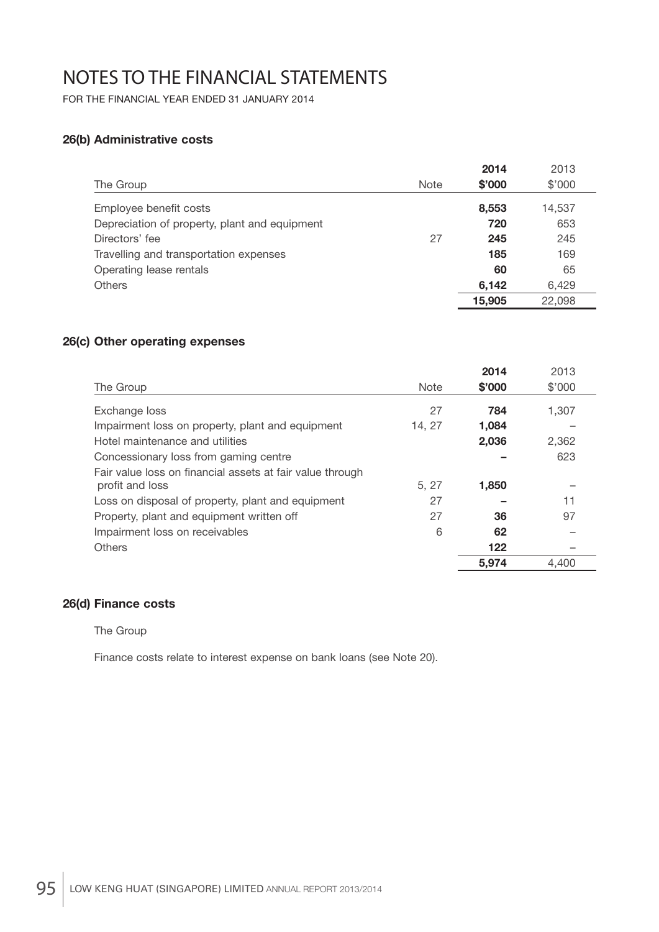FOR THE FINANCIAL YEAR ENDED 31 JANUARY 2014

### **26(b) Administrative costs**

|                                               |             | 2014   | 2013   |
|-----------------------------------------------|-------------|--------|--------|
| The Group                                     | <b>Note</b> | \$'000 | \$'000 |
| Employee benefit costs                        |             | 8,553  | 14,537 |
| Depreciation of property, plant and equipment |             | 720    | 653    |
| Directors' fee                                | 27          | 245    | 245    |
| Travelling and transportation expenses        |             | 185    | 169    |
| Operating lease rentals                       |             | 60     | 65     |
| <b>Others</b>                                 |             | 6,142  | 6,429  |
|                                               |             | 15,905 | 22,098 |

### **26(c) Other operating expenses**

|                                                                              |             | 2014   | 2013   |
|------------------------------------------------------------------------------|-------------|--------|--------|
| The Group                                                                    | <b>Note</b> | \$'000 | \$'000 |
| Exchange loss                                                                | 27          | 784    | 1,307  |
| Impairment loss on property, plant and equipment                             | 14, 27      | 1,084  |        |
| Hotel maintenance and utilities                                              |             | 2,036  | 2,362  |
| Concessionary loss from gaming centre                                        |             |        | 623    |
| Fair value loss on financial assets at fair value through<br>profit and loss | 5, 27       | 1,850  |        |
| Loss on disposal of property, plant and equipment                            | 27          |        | 11     |
| Property, plant and equipment written off                                    | 27          | 36     | 97     |
| Impairment loss on receivables                                               | 6           | 62     |        |
| Others                                                                       |             | 122    |        |
|                                                                              |             | 5.974  | 4.400  |

### **26(d) Finance costs**

#### The Group

Finance costs relate to interest expense on bank loans (see Note 20).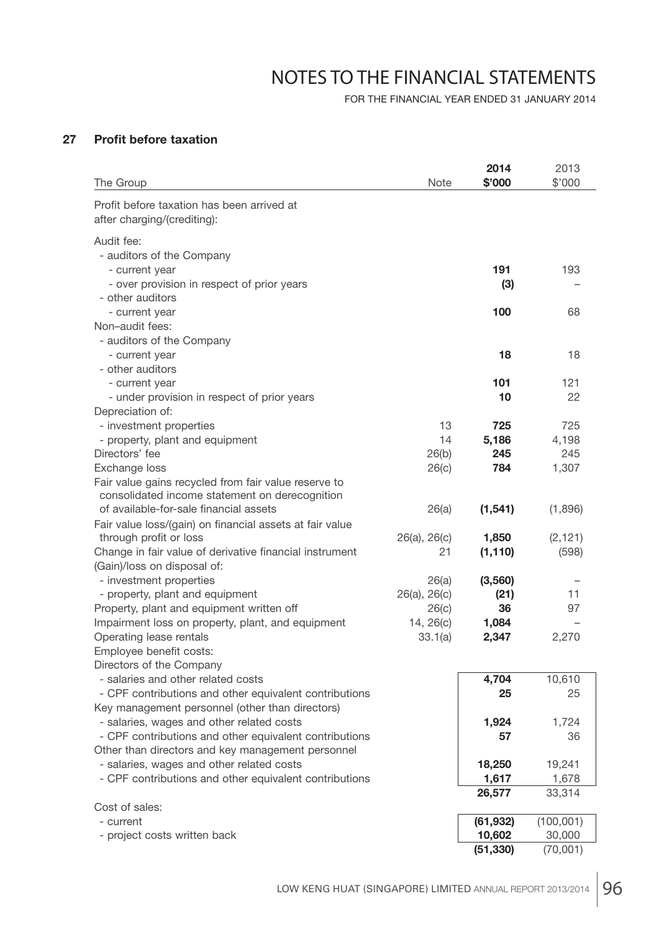FOR THE FINANCIAL YEAR ENDED 31 JANUARY 2014

### **27** Profit before taxation

| The Group                                                                              | <b>Note</b>       | 2014<br>\$'000 | 2013<br>\$'000 |
|----------------------------------------------------------------------------------------|-------------------|----------------|----------------|
| Profit before taxation has been arrived at<br>after charging/(crediting):              |                   |                |                |
| Audit fee:                                                                             |                   |                |                |
| - auditors of the Company                                                              |                   |                |                |
| - current year                                                                         |                   | 191            | 193            |
| - over provision in respect of prior years                                             |                   | (3)            |                |
| - other auditors                                                                       |                   |                |                |
| - current year                                                                         |                   | 100            | 68             |
| Non-audit fees:                                                                        |                   |                |                |
| - auditors of the Company<br>- current year                                            |                   | 18             | 18             |
| - other auditors                                                                       |                   |                |                |
| - current year                                                                         |                   | 101            | 121            |
| - under provision in respect of prior years                                            |                   | 10             | 22             |
| Depreciation of:                                                                       |                   |                |                |
| - investment properties                                                                | 13                | 725            | 725            |
| - property, plant and equipment                                                        | 14                | 5,186          | 4,198          |
| Directors' fee                                                                         | 26(b)             | 245            | 245            |
| Exchange loss                                                                          | 26(c)             | 784            | 1,307          |
| Fair value gains recycled from fair value reserve to                                   |                   |                |                |
| consolidated income statement on derecognition                                         |                   |                |                |
| of available-for-sale financial assets                                                 | 26(a)             | (1, 541)       | (1,896)        |
| Fair value loss/(gain) on financial assets at fair value                               |                   |                |                |
| through profit or loss                                                                 | $26(a)$ , $26(c)$ | 1,850          | (2, 121)       |
| Change in fair value of derivative financial instrument<br>(Gain)/loss on disposal of: | 21                | (1, 110)       | (598)          |
| - investment properties                                                                | 26(a)             | (3,560)        |                |
| - property, plant and equipment                                                        | $26(a)$ , $26(c)$ | (21)           | 11             |
| Property, plant and equipment written off                                              | 26(c)             | 36             | 97             |
| Impairment loss on property, plant, and equipment                                      | 14, 26(c)         | 1,084          |                |
| Operating lease rentals                                                                | 33.1(a)           | 2,347          | 2,270          |
| Employee benefit costs:                                                                |                   |                |                |
| Directors of the Company                                                               |                   |                |                |
| - salaries and other related costs                                                     |                   | 4,704          | 10,610         |
| - CPF contributions and other equivalent contributions                                 |                   | 25             | 25             |
| Key management personnel (other than directors)                                        |                   |                |                |
| - salaries, wages and other related costs                                              |                   | 1,924          | 1,724          |
| - CPF contributions and other equivalent contributions                                 |                   | 57             | 36             |
| Other than directors and key management personnel                                      |                   |                |                |
| - salaries, wages and other related costs                                              |                   | 18,250         | 19,241         |
| - CPF contributions and other equivalent contributions                                 |                   | 1,617          | 1,678          |
| Cost of sales:                                                                         |                   | 26,577         | 33,314         |
| - current                                                                              |                   | (61, 932)      | (100, 001)     |
| - project costs written back                                                           |                   | 10,602         | 30,000         |
|                                                                                        |                   | (51, 330)      | (70,001)       |
|                                                                                        |                   |                |                |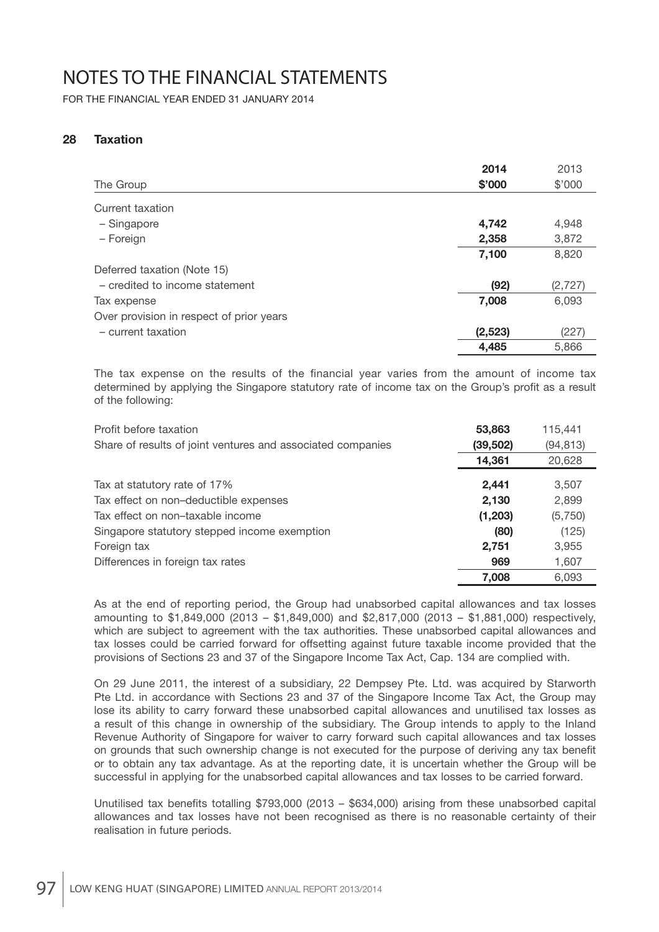FOR THE FINANCIAL YEAR ENDED 31 JANUARY 2014

### **28 Taxation**

|                                          | 2014    | 2013     |
|------------------------------------------|---------|----------|
| The Group                                | \$'000  | \$'000   |
| Current taxation                         |         |          |
| - Singapore                              | 4,742   | 4,948    |
| - Foreign                                | 2,358   | 3,872    |
|                                          | 7,100   | 8,820    |
| Deferred taxation (Note 15)              |         |          |
| - credited to income statement           | (92)    | (2, 727) |
| Tax expense                              | 7,008   | 6,093    |
| Over provision in respect of prior years |         |          |
| - current taxation                       | (2,523) | (227)    |
|                                          | 4,485   | 5,866    |

The tax expense on the results of the financial year varies from the amount of income tax determined by applying the Singapore statutory rate of income tax on the Group's profit as a result of the following:

| Profit before taxation                                      | 53,863   | 115,441   |
|-------------------------------------------------------------|----------|-----------|
| Share of results of joint ventures and associated companies | (39,502) | (94, 813) |
|                                                             | 14,361   | 20,628    |
| Tax at statutory rate of 17%                                | 2.441    | 3,507     |
| Tax effect on non-deductible expenses                       | 2,130    | 2,899     |
| Tax effect on non-taxable income                            | (1, 203) | (5,750)   |
| Singapore statutory stepped income exemption                | (80)     | (125)     |
| Foreign tax                                                 | 2,751    | 3,955     |
| Differences in foreign tax rates                            | 969      | 1,607     |
|                                                             | 7.008    | 6,093     |

 As at the end of reporting period, the Group had unabsorbed capital allowances and tax losses amounting to \$1,849,000 (2013 – \$1,849,000) and \$2,817,000 (2013 – \$1,881,000) respectively, which are subject to agreement with the tax authorities. These unabsorbed capital allowances and tax losses could be carried forward for offsetting against future taxable income provided that the provisions of Sections 23 and 37 of the Singapore Income Tax Act, Cap. 134 are complied with.

 On 29 June 2011, the interest of a subsidiary, 22 Dempsey Pte. Ltd. was acquired by Starworth Pte Ltd. in accordance with Sections 23 and 37 of the Singapore Income Tax Act, the Group may lose its ability to carry forward these unabsorbed capital allowances and unutilised tax losses as a result of this change in ownership of the subsidiary. The Group intends to apply to the Inland Revenue Authority of Singapore for waiver to carry forward such capital allowances and tax losses on grounds that such ownership change is not executed for the purpose of deriving any tax benefit or to obtain any tax advantage. As at the reporting date, it is uncertain whether the Group will be successful in applying for the unabsorbed capital allowances and tax losses to be carried forward.

Unutilised tax benefits totalling  $$793,000$  (2013 – \$634,000) arising from these unabsorbed capital allowances and tax losses have not been recognised as there is no reasonable certainty of their realisation in future periods.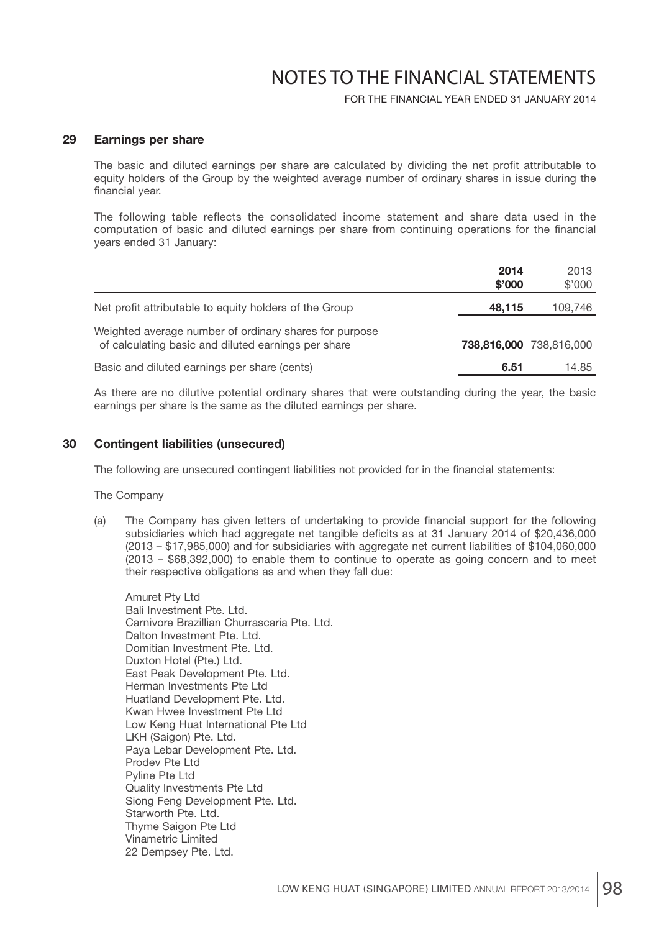FOR THE FINANCIAL YEAR ENDED 31 JANUARY 2014

#### **29 Earnings per share**

The basic and diluted earnings per share are calculated by dividing the net profit attributable to equity holders of the Group by the weighted average number of ordinary shares in issue during the financial year.

 The following table reflects the consolidated income statement and share data used in the computation of basic and diluted earnings per share from continuing operations for the financial years ended 31 January:

|                                                                                                               | 2014<br>\$'000 | 2013<br>\$'000          |
|---------------------------------------------------------------------------------------------------------------|----------------|-------------------------|
| Net profit attributable to equity holders of the Group                                                        | 48,115         | 109,746                 |
| Weighted average number of ordinary shares for purpose<br>of calculating basic and diluted earnings per share |                | 738,816,000 738,816,000 |
| Basic and diluted earnings per share (cents)                                                                  | 6.51           | 14.85                   |

 As there are no dilutive potential ordinary shares that were outstanding during the year, the basic earnings per share is the same as the diluted earnings per share.

#### **30 Contingent liabilities (unsecured)**

The following are unsecured contingent liabilities not provided for in the financial statements:

The Company

(a) The Company has given letters of undertaking to provide financial support for the following subsidiaries which had aggregate net tangible deficits as at 31 January 2014 of \$20,436,000 (2013 – \$17,985,000) and for subsidiaries with aggregate net current liabilities of \$104,060,000 (2013 – \$68,392,000) to enable them to continue to operate as going concern and to meet their respective obligations as and when they fall due:

 Amuret Pty Ltd Bali Investment Pte. Ltd. Carnivore Brazillian Churrascaria Pte. Ltd. Dalton Investment Pte. Ltd. Domitian Investment Pte. Ltd. Duxton Hotel (Pte.) Ltd. East Peak Development Pte. Ltd. Herman Investments Pte Ltd Huatland Development Pte. Ltd. Kwan Hwee Investment Pte Ltd Low Keng Huat International Pte Ltd LKH (Saigon) Pte. Ltd. Paya Lebar Development Pte. Ltd. Prodev Pte Ltd Pyline Pte Ltd Quality Investments Pte Ltd Siong Feng Development Pte. Ltd. Starworth Pte. Ltd. Thyme Saigon Pte Ltd Vinametric Limited 22 Dempsey Pte. Ltd.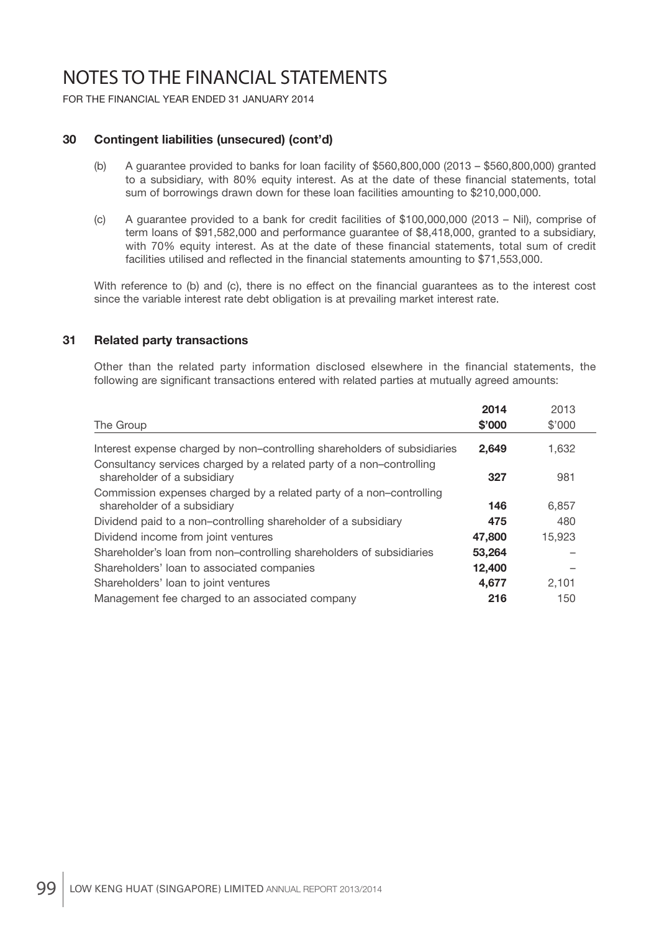FOR THE FINANCIAL YEAR ENDED 31 JANUARY 2014

### **30 Contingent liabilities (unsecured) (cont'd)**

- (b) A guarantee provided to banks for loan facility of \$560,800,000 (2013 \$560,800,000) granted to a subsidiary, with 80% equity interest. As at the date of these financial statements, total sum of borrowings drawn down for these loan facilities amounting to \$210,000,000.
- (c) A guarantee provided to a bank for credit facilities of \$100,000,000 (2013 Nil), comprise of term loans of \$91,582,000 and performance guarantee of \$8,418,000, granted to a subsidiary, with 70% equity interest. As at the date of these financial statements, total sum of credit facilities utilised and reflected in the financial statements amounting to \$71,553,000.

With reference to (b) and (c), there is no effect on the financial quarantees as to the interest cost since the variable interest rate debt obligation is at prevailing market interest rate.

#### **31 Related party transactions**

Other than the related party information disclosed elsewhere in the financial statements, the following are significant transactions entered with related parties at mutually agreed amounts:

|                                                                                                     | 2014   | 2013   |
|-----------------------------------------------------------------------------------------------------|--------|--------|
| The Group                                                                                           | \$'000 | \$'000 |
| Interest expense charged by non-controlling shareholders of subsidiaries                            | 2,649  | 1,632  |
| Consultancy services charged by a related party of a non-controlling<br>shareholder of a subsidiary | 327    | 981    |
| Commission expenses charged by a related party of a non-controlling<br>shareholder of a subsidiary  | 146    | 6,857  |
| Dividend paid to a non-controlling shareholder of a subsidiary                                      | 475    | 480    |
| Dividend income from joint ventures                                                                 | 47,800 | 15,923 |
| Shareholder's loan from non-controlling shareholders of subsidiaries                                | 53,264 |        |
| Shareholders' loan to associated companies                                                          | 12,400 |        |
| Shareholders' loan to joint ventures                                                                | 4,677  | 2.101  |
| Management fee charged to an associated company                                                     | 216    | 150    |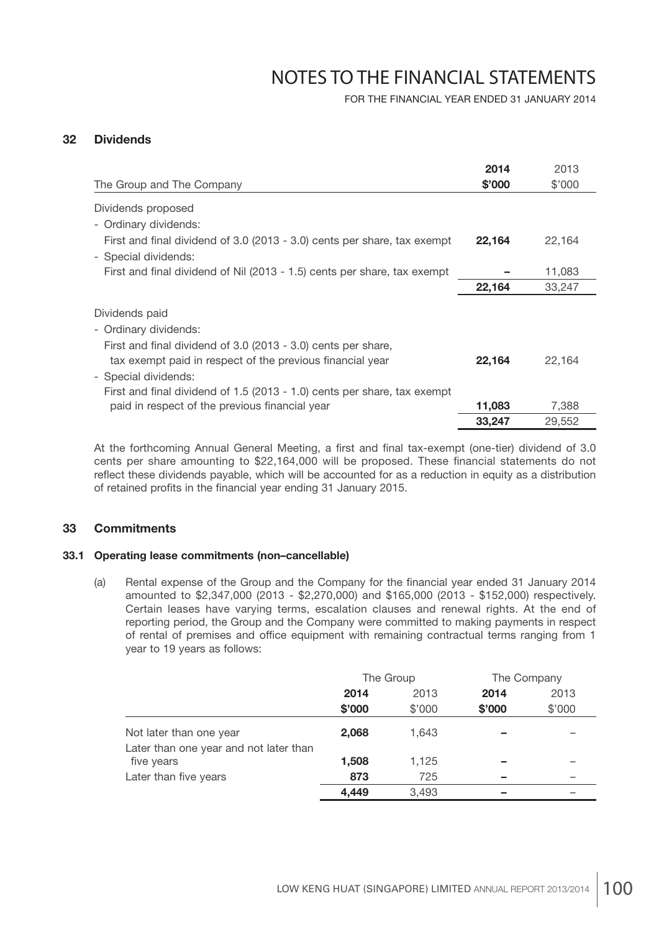FOR THE FINANCIAL YEAR ENDED 31 JANUARY 2014

### **32 Dividends**

| The Group and The Company                                                                                                                                                                                       | 2014<br>\$'000 | 2013<br>\$'000 |
|-----------------------------------------------------------------------------------------------------------------------------------------------------------------------------------------------------------------|----------------|----------------|
| Dividends proposed                                                                                                                                                                                              |                |                |
| - Ordinary dividends:                                                                                                                                                                                           |                |                |
| First and final dividend of 3.0 (2013 - 3.0) cents per share, tax exempt                                                                                                                                        | 22,164         | 22,164         |
| - Special dividends:                                                                                                                                                                                            |                |                |
| First and final dividend of Nil (2013 - 1.5) cents per share, tax exempt                                                                                                                                        |                | 11,083         |
|                                                                                                                                                                                                                 | 22,164         | 33,247         |
| Dividends paid<br>- Ordinary dividends:<br>First and final dividend of 3.0 (2013 - 3.0) cents per share,                                                                                                        | 22,164         | 22,164         |
| tax exempt paid in respect of the previous financial year<br>- Special dividends:<br>First and final dividend of 1.5 (2013 - 1.0) cents per share, tax exempt<br>paid in respect of the previous financial year | 11,083         | 7,388          |
|                                                                                                                                                                                                                 | 33,247         | 29,552         |

At the forthcoming Annual General Meeting, a first and final tax-exempt (one-tier) dividend of 3.0 cents per share amounting to \$22,164,000 will be proposed. These financial statements do not reflect these dividends payable, which will be accounted for as a reduction in equity as a distribution of retained profits in the financial year ending 31 January 2015.

#### **33 Commitments**

#### **33.1 Operating lease commitments (non–cancellable)**

(a) Rental expense of the Group and the Company for the financial year ended 31 January 2014 amounted to \$2,347,000 (2013 - \$2,270,000) and \$165,000 (2013 - \$152,000) respectively. Certain leases have varying terms, escalation clauses and renewal rights. At the end of reporting period, the Group and the Company were committed to making payments in respect of rental of premises and office equipment with remaining contractual terms ranging from 1 year to 19 years as follows:

|                                                      | The Group |        | The Company |        |
|------------------------------------------------------|-----------|--------|-------------|--------|
|                                                      | 2014      | 2013   | 2014        | 2013   |
|                                                      | \$'000    | \$'000 | \$'000      | \$'000 |
| Not later than one year                              | 2,068     | 1,643  |             |        |
| Later than one year and not later than<br>five years | 1,508     | 1,125  |             |        |
| Later than five years                                | 873       | 725    |             |        |
|                                                      | 4,449     | 3,493  |             |        |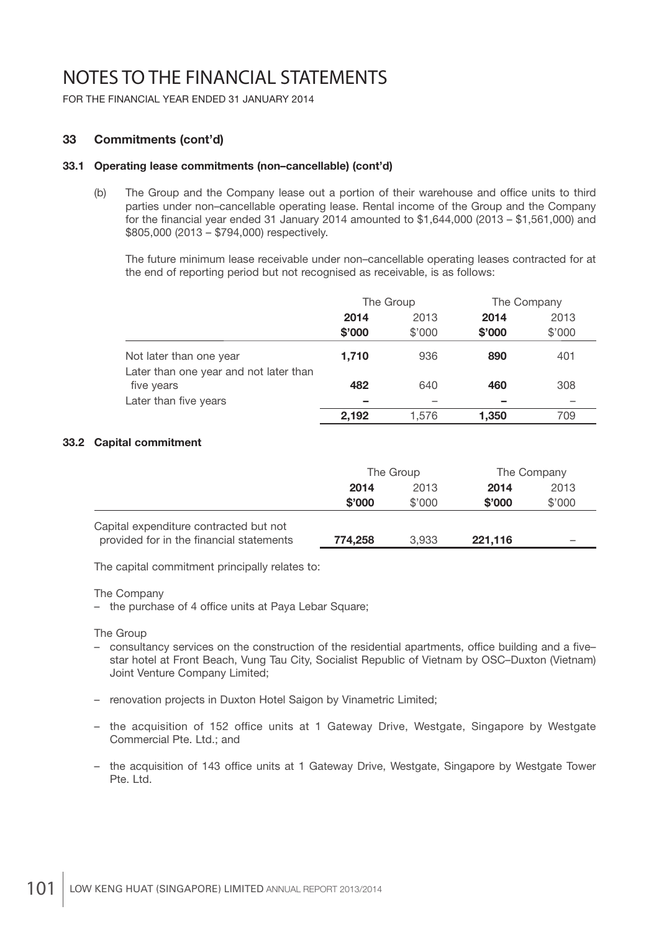FOR THE FINANCIAL YEAR ENDED 31 JANUARY 2014

### **33 Commitments (cont'd)**

#### **33.1 Operating lease commitments (non–cancellable) (cont'd)**

(b) The Group and the Company lease out a portion of their warehouse and office units to third parties under non–cancellable operating lease. Rental income of the Group and the Company for the financial year ended 31 January 2014 amounted to  $$1,644,000$  (2013 –  $$1,561,000$ ) and \$805,000 (2013 – \$794,000) respectively.

 The future minimum lease receivable under non–cancellable operating leases contracted for at the end of reporting period but not recognised as receivable, is as follows:

|                                                      | The Group |        |        | The Company |
|------------------------------------------------------|-----------|--------|--------|-------------|
|                                                      | 2014      | 2013   | 2014   | 2013        |
|                                                      | \$'000    | \$'000 | \$'000 | \$'000      |
| Not later than one year                              | 1,710     | 936    | 890    | 401         |
| Later than one year and not later than<br>five years | 482       | 640    | 460    | 308         |
| Later than five years                                |           |        |        |             |
|                                                      | 2.192     | 1,576  | 1,350  | 709         |

#### **33.2 Capital commitment**

|                                          | The Group    |        |         | The Company |
|------------------------------------------|--------------|--------|---------|-------------|
|                                          | 2013<br>2014 |        | 2014    | 2013        |
|                                          | \$'000       | \$'000 | \$'000  | \$'000      |
| Capital expenditure contracted but not   |              |        |         |             |
| provided for in the financial statements | 774,258      | 3.933  | 221,116 |             |

The capital commitment principally relates to:

The Company

- the purchase of 4 office units at Paya Lebar Square;

The Group

- consultancy services on the construction of the residential apartments, office building and a fivestar hotel at Front Beach, Vung Tau City, Socialist Republic of Vietnam by OSC–Duxton (Vietnam) Joint Venture Company Limited;
- renovation projects in Duxton Hotel Saigon by Vinametric Limited;
- the acquisition of 152 office units at 1 Gateway Drive, Westgate, Singapore by Westgate Commercial Pte. Ltd.; and
- the acquisition of 143 office units at 1 Gateway Drive, Westgate, Singapore by Westgate Tower Pte. Ltd.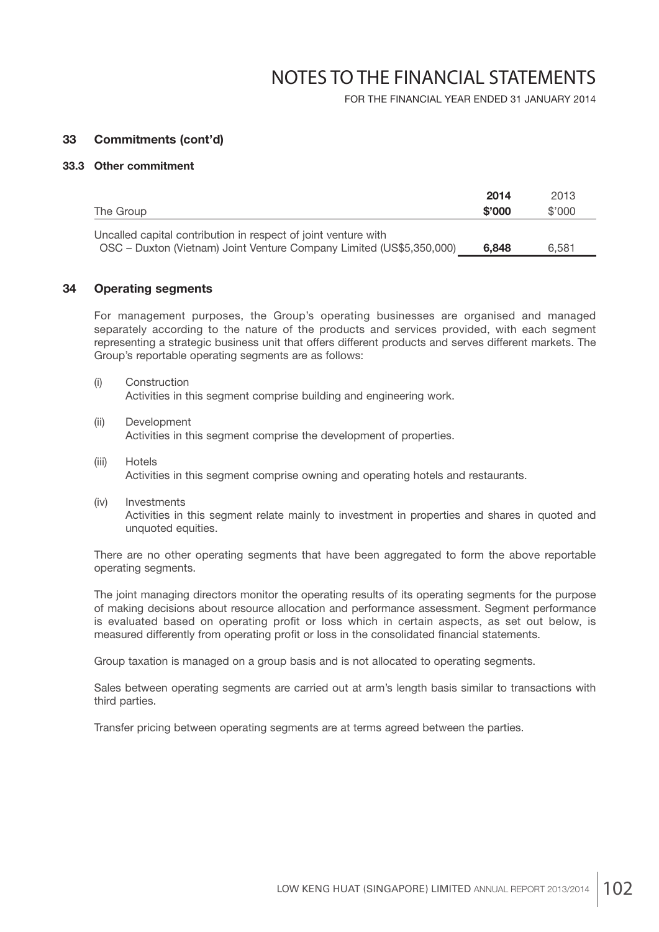FOR THE FINANCIAL YEAR ENDED 31 JANUARY 2014

#### **33 Commitments (cont'd)**

#### **33.3 Other commitment**

|                                                                                                                                        | 2014   | 2013   |
|----------------------------------------------------------------------------------------------------------------------------------------|--------|--------|
| The Group                                                                                                                              | \$'000 | \$'000 |
| Uncalled capital contribution in respect of joint venture with<br>OSC - Duxton (Vietnam) Joint Venture Company Limited (US\$5,350,000) | 6.848  | 6.581  |

#### **34 Operating segments**

 For management purposes, the Group's operating businesses are organised and managed separately according to the nature of the products and services provided, with each segment representing a strategic business unit that offers different products and serves different markets. The Group's reportable operating segments are as follows:

- (i) Construction Activities in this segment comprise building and engineering work.
- (ii) Development Activities in this segment comprise the development of properties.
- (iii) Hotels Activities in this segment comprise owning and operating hotels and restaurants.
- (iv) Investments Activities in this segment relate mainly to investment in properties and shares in quoted and unquoted equities.

 There are no other operating segments that have been aggregated to form the above reportable operating segments.

 The joint managing directors monitor the operating results of its operating segments for the purpose of making decisions about resource allocation and performance assessment. Segment performance is evaluated based on operating profit or loss which in certain aspects, as set out below, is measured differently from operating profit or loss in the consolidated financial statements.

Group taxation is managed on a group basis and is not allocated to operating segments.

 Sales between operating segments are carried out at arm's length basis similar to transactions with third parties.

Transfer pricing between operating segments are at terms agreed between the parties.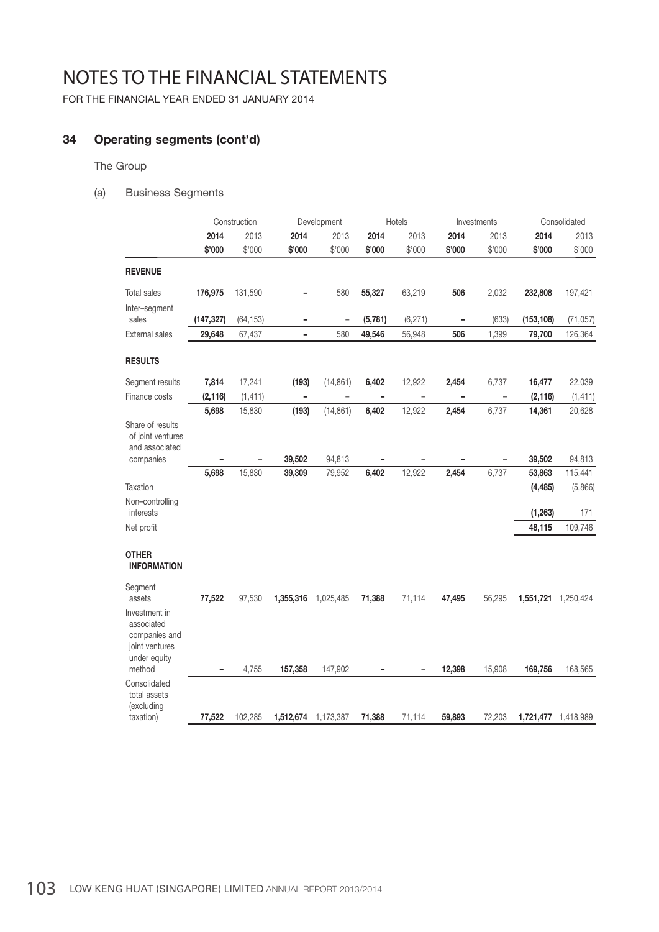FOR THE FINANCIAL YEAR ENDED 31 JANUARY 2014

### **34 Operating segments (cont'd)**

The Group

(a) Business Segments

|                                                                                |            | Construction |                   | Development              |                          | Hotels                   | Investments              |                   | Consolidated |           |
|--------------------------------------------------------------------------------|------------|--------------|-------------------|--------------------------|--------------------------|--------------------------|--------------------------|-------------------|--------------|-----------|
|                                                                                | 2014       | 2013         | 2014              | 2013                     | 2014                     | 2013                     | 2014                     | 2013              | 2014         | 2013      |
|                                                                                | \$'000     | \$'000       | \$'000            | \$'000                   | \$'000                   | \$'000                   | \$'000                   | \$'000            | \$'000       | \$'000    |
| <b>REVENUE</b>                                                                 |            |              |                   |                          |                          |                          |                          |                   |              |           |
| <b>Total sales</b>                                                             | 176,975    | 131,590      |                   | 580                      | 55,327                   | 63,219                   | 506                      | 2,032             | 232,808      | 197,421   |
| Inter-segment<br>sales                                                         | (147, 327) | (64, 153)    | $\qquad \qquad$   | $\overline{a}$           | (5,781)                  | (6, 271)                 | $\overline{\phantom{m}}$ | (633)             | (153, 108)   | (71, 057) |
| <b>External sales</b>                                                          | 29,648     | 67,437       | $\qquad \qquad -$ | 580                      | 49,546                   | 56,948                   | 506                      | 1,399             | 79,700       | 126,364   |
| <b>RESULTS</b>                                                                 |            |              |                   |                          |                          |                          |                          |                   |              |           |
| Segment results                                                                | 7,814      | 17,241       | (193)             | (14, 861)                | 6,402                    | 12,922                   | 2,454                    | 6,737             | 16,477       | 22,039    |
| Finance costs                                                                  | (2, 116)   | (1, 411)     | $\overline{a}$    | $\overline{\phantom{a}}$ | $\overline{\phantom{0}}$ | $\overline{\phantom{0}}$ | $\overline{a}$           | $\qquad \qquad -$ | (2, 116)     | (1, 411)  |
|                                                                                | 5,698      | 15,830       | (193)             | (14, 861)                | 6,402                    | 12,922                   | 2,454                    | 6,737             | 14,361       | 20,628    |
| Share of results<br>of joint ventures<br>and associated                        |            |              |                   |                          |                          |                          |                          |                   |              |           |
| companies                                                                      |            |              | 39,502            | 94,813                   |                          |                          |                          |                   | 39,502       | 94,813    |
|                                                                                | 5,698      | 15,830       | 39,309            | 79,952                   | 6,402                    | 12,922                   | 2,454                    | 6,737             | 53,863       | 115,441   |
| Taxation                                                                       |            |              |                   |                          |                          |                          |                          |                   | (4, 485)     | (5,866)   |
| Non-controlling<br>interests                                                   |            |              |                   |                          |                          |                          |                          |                   | (1, 263)     | 171       |
| Net profit                                                                     |            |              |                   |                          |                          |                          |                          |                   | 48,115       | 109,746   |
| <b>OTHER</b><br><b>INFORMATION</b>                                             |            |              |                   |                          |                          |                          |                          |                   |              |           |
| Segment<br>assets                                                              | 77,522     | 97,530       | 1,355,316         | 1,025,485                | 71,388                   | 71,114                   | 47,495                   | 56,295            | 1,551,721    | 1,250,424 |
| Investment in<br>associated<br>companies and<br>joint ventures<br>under equity |            |              |                   |                          |                          |                          |                          |                   |              |           |
| method                                                                         |            | 4,755        | 157,358           | 147,902                  |                          |                          | 12,398                   | 15,908            | 169,756      | 168,565   |
| Consolidated<br>total assets<br>(excluding                                     |            |              |                   |                          |                          |                          |                          |                   |              |           |
| taxation)                                                                      | 77,522     | 102,285      | 1,512,674         | 1,173,387                | 71,388                   | 71,114                   | 59,893                   | 72,203            | 1,721,477    | 1,418,989 |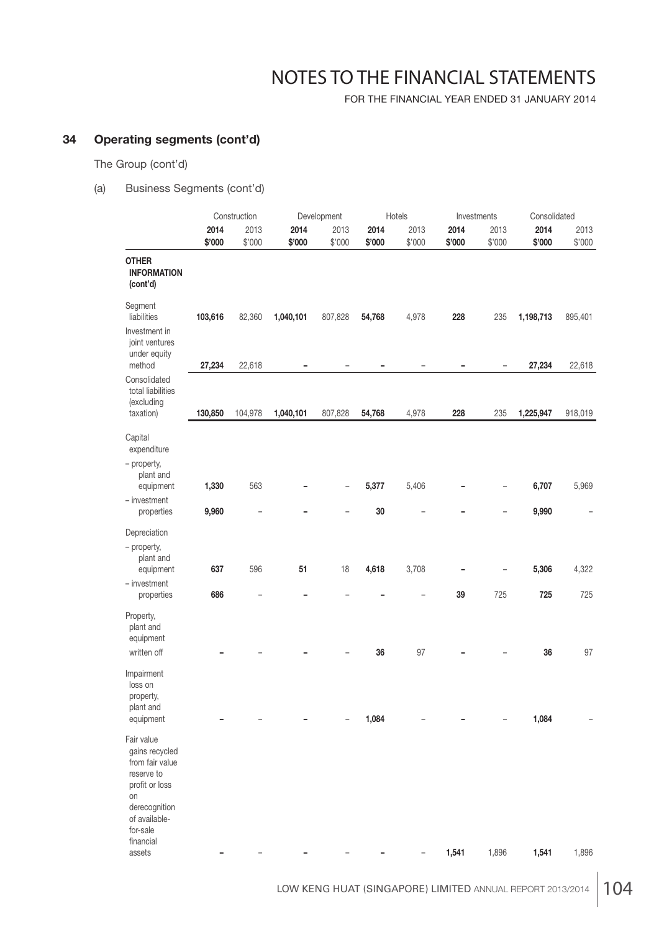FOR THE FINANCIAL YEAR ENDED 31 JANUARY 2014

### **34 Operating segments (cont'd)**

The Group (cont'd)

### (a) Business Segments (cont'd)

|                                                                                                        |         | Construction |           | Development |        | Hotels |        | Investments |           | Consolidated |
|--------------------------------------------------------------------------------------------------------|---------|--------------|-----------|-------------|--------|--------|--------|-------------|-----------|--------------|
|                                                                                                        | 2014    | 2013         | 2014      | 2013        | 2014   | 2013   | 2014   | 2013        | 2014      | 2013         |
|                                                                                                        | \$'000  | \$'000       | \$'000    | \$'000      | \$'000 | \$'000 | \$'000 | \$'000      | \$'000    | \$'000       |
| <b>OTHER</b><br><b>INFORMATION</b><br>(cont'd)                                                         |         |              |           |             |        |        |        |             |           |              |
| Segment<br>liabilities                                                                                 | 103,616 | 82,360       | 1,040,101 | 807,828     | 54,768 | 4,978  | 228    | 235         | 1,198,713 | 895,401      |
| Investment in<br>joint ventures                                                                        |         |              |           |             |        |        |        |             |           |              |
| under equity<br>method                                                                                 | 27,234  | 22,618       |           |             |        |        |        | -           | 27,234    | 22,618       |
| Consolidated<br>total liabilities<br>(excluding                                                        |         |              |           |             |        |        |        |             |           |              |
| taxation)                                                                                              | 130,850 | 104,978      | 1,040,101 | 807,828     | 54,768 | 4,978  | 228    | 235         | 1,225,947 | 918,019      |
| Capital<br>expenditure                                                                                 |         |              |           |             |        |        |        |             |           |              |
| - property,<br>plant and<br>equipment                                                                  | 1,330   | 563          |           |             | 5,377  | 5,406  |        | -           | 6,707     | 5,969        |
| $-$ investment                                                                                         |         |              |           |             |        |        |        |             |           |              |
| properties                                                                                             | 9,960   |              |           |             | 30     |        |        |             | 9,990     |              |
| Depreciation                                                                                           |         |              |           |             |        |        |        |             |           |              |
| - property,<br>plant and                                                                               |         |              | 51        |             |        |        |        |             |           |              |
| equipment<br>- investment                                                                              | 637     | 596          |           | 18          | 4,618  | 3,708  |        |             | 5,306     | 4,322        |
| properties                                                                                             | 686     |              |           |             |        |        | 39     | 725         | 725       | 725          |
| Property,<br>plant and<br>equipment<br>written off                                                     |         |              |           |             | 36     | 97     |        |             | 36        | 97           |
| Impairment<br>loss on<br>property,<br>plant and                                                        |         |              |           |             |        |        |        |             |           |              |
| equipment                                                                                              |         |              |           |             | 1,084  |        |        |             | 1,084     |              |
| Fair value<br>gains recycled<br>from fair value<br>reserve to<br>profit or loss<br>on<br>derecognition |         |              |           |             |        |        |        |             |           |              |
| of available-<br>for-sale<br>financial                                                                 |         |              |           |             |        |        |        |             |           |              |
| assets                                                                                                 |         |              |           |             |        |        | 1,541  | 1,896       | 1,541     | 1,896        |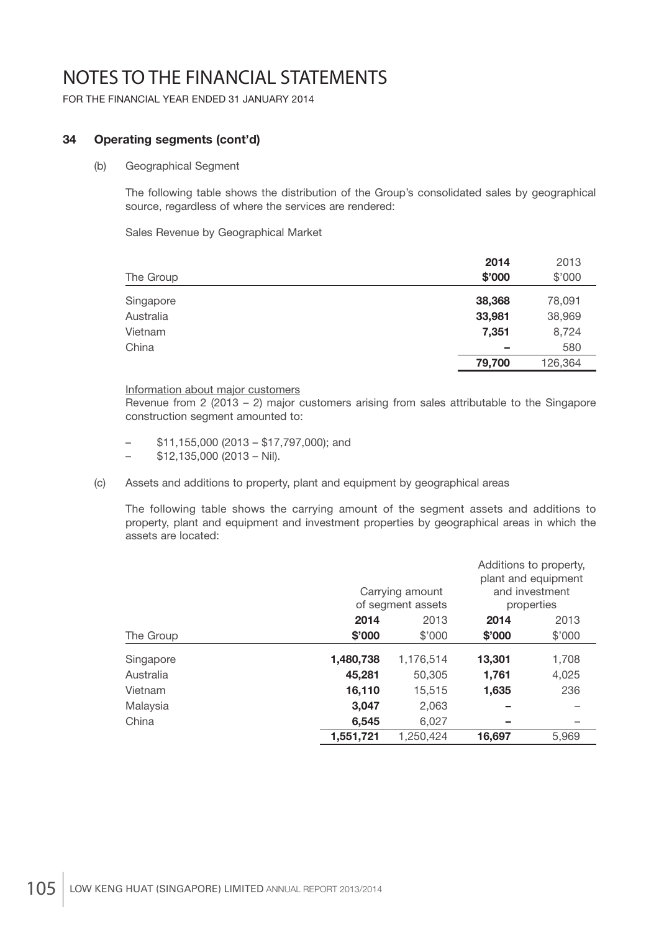FOR THE FINANCIAL YEAR ENDED 31 JANUARY 2014

### **34 Operating segments (cont'd)**

#### (b) Geographical Segment

 The following table shows the distribution of the Group's consolidated sales by geographical source, regardless of where the services are rendered:

Sales Revenue by Geographical Market

|           | 2014   | 2013    |
|-----------|--------|---------|
| The Group | \$'000 | \$'000  |
| Singapore | 38,368 | 78,091  |
| Australia | 33,981 | 38,969  |
| Vietnam   | 7,351  | 8,724   |
| China     | -      | 580     |
|           | 79,700 | 126,364 |

#### Information about major customers

 Revenue from 2 (2013 – 2) major customers arising from sales attributable to the Singapore construction segment amounted to:

- \$11,155,000 (2013 \$17,797,000); and
- $-$  \$12,135,000 (2013 Nil).
- (c) Assets and additions to property, plant and equipment by geographical areas

 The following table shows the carrying amount of the segment assets and additions to property, plant and equipment and investment properties by geographical areas in which the assets are located:

|           |           | Carrying amount<br>of segment assets |        | Additions to property,<br>plant and equipment<br>and investment<br>properties |
|-----------|-----------|--------------------------------------|--------|-------------------------------------------------------------------------------|
|           | 2014      | 2013                                 | 2014   | 2013                                                                          |
| The Group | \$'000    | \$'000                               | \$'000 | \$'000                                                                        |
| Singapore | 1,480,738 | 1,176,514                            | 13,301 | 1,708                                                                         |
| Australia | 45,281    | 50,305                               | 1,761  | 4,025                                                                         |
| Vietnam   | 16,110    | 15,515                               | 1,635  | 236                                                                           |
| Malaysia  | 3.047     | 2,063                                |        |                                                                               |
| China     | 6,545     | 6.027                                |        |                                                                               |
|           | 1,551,721 | 1,250,424                            | 16,697 | 5.969                                                                         |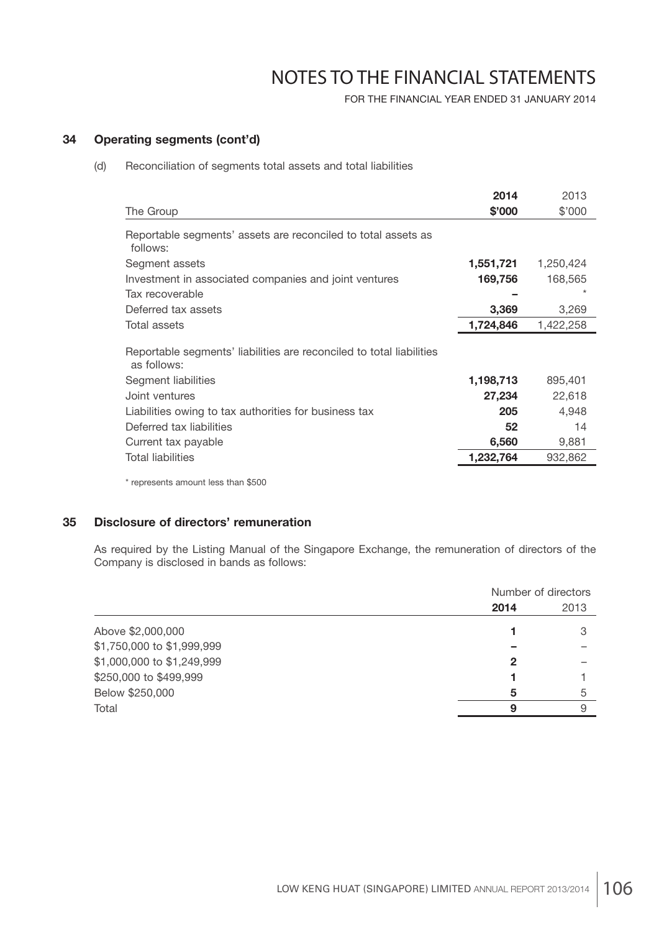FOR THE FINANCIAL YEAR ENDED 31 JANUARY 2014

## **34 Operating segments (cont'd)**

(d) Reconciliation of segments total assets and total liabilities

|                                                                                     | 2014      | 2013      |
|-------------------------------------------------------------------------------------|-----------|-----------|
| The Group                                                                           | \$'000    | \$'000    |
| Reportable segments' assets are reconciled to total assets as<br>follows:           |           |           |
| Segment assets                                                                      | 1,551,721 | 1,250,424 |
| Investment in associated companies and joint ventures                               | 169,756   | 168,565   |
| Tax recoverable                                                                     |           |           |
| Deferred tax assets                                                                 | 3,369     | 3,269     |
| Total assets                                                                        | 1,724,846 | 1,422,258 |
| Reportable segments' liabilities are reconciled to total liabilities<br>as follows: |           |           |
| Segment liabilities                                                                 | 1,198,713 | 895,401   |
| Joint ventures                                                                      | 27,234    | 22,618    |
| Liabilities owing to tax authorities for business tax                               | 205       | 4,948     |
| Deferred tax liabilities                                                            | 52        | 14        |
| Current tax payable                                                                 | 6,560     | 9,881     |
| <b>Total liabilities</b>                                                            | 1,232,764 | 932,862   |
| * represents amount less than \$500                                                 |           |           |

### **35 Disclosure of directors' remuneration**

 As required by the Listing Manual of the Singapore Exchange, the remuneration of directors of the Company is disclosed in bands as follows:

|                            |      | Number of directors |  |
|----------------------------|------|---------------------|--|
|                            | 2014 | 2013                |  |
| Above \$2,000,000          |      |                     |  |
| \$1,750,000 to \$1,999,999 |      |                     |  |
| \$1,000,000 to \$1,249,999 | 2    |                     |  |
| \$250,000 to \$499,999     |      |                     |  |
| Below \$250,000            | 5    | 5                   |  |
| Total                      | 9    | 9                   |  |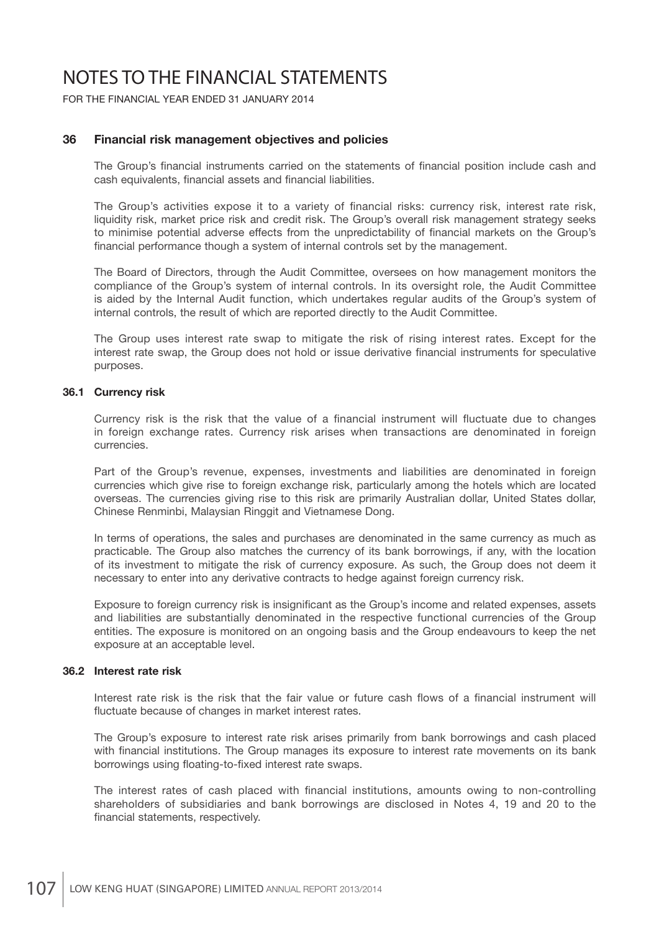FOR THE FINANCIAL YEAR ENDED 31 JANUARY 2014

### **36 Financial risk management objectives and policies**

The Group's financial instruments carried on the statements of financial position include cash and cash equivalents, financial assets and financial liabilities.

The Group's activities expose it to a variety of financial risks: currency risk, interest rate risk, liquidity risk, market price risk and credit risk. The Group's overall risk management strategy seeks to minimise potential adverse effects from the unpredictability of financial markets on the Group's financial performance though a system of internal controls set by the management.

 The Board of Directors, through the Audit Committee, oversees on how management monitors the compliance of the Group's system of internal controls. In its oversight role, the Audit Committee is aided by the Internal Audit function, which undertakes regular audits of the Group's system of internal controls, the result of which are reported directly to the Audit Committee.

 The Group uses interest rate swap to mitigate the risk of rising interest rates. Except for the interest rate swap, the Group does not hold or issue derivative financial instruments for speculative purposes.

### **36.1 Currency risk**

Currency risk is the risk that the value of a financial instrument will fluctuate due to changes in foreign exchange rates. Currency risk arises when transactions are denominated in foreign currencies.

 Part of the Group's revenue, expenses, investments and liabilities are denominated in foreign currencies which give rise to foreign exchange risk, particularly among the hotels which are located overseas. The currencies giving rise to this risk are primarily Australian dollar, United States dollar, Chinese Renminbi, Malaysian Ringgit and Vietnamese Dong.

 In terms of operations, the sales and purchases are denominated in the same currency as much as practicable. The Group also matches the currency of its bank borrowings, if any, with the location of its investment to mitigate the risk of currency exposure. As such, the Group does not deem it necessary to enter into any derivative contracts to hedge against foreign currency risk.

Exposure to foreign currency risk is insignificant as the Group's income and related expenses, assets and liabilities are substantially denominated in the respective functional currencies of the Group entities. The exposure is monitored on an ongoing basis and the Group endeavours to keep the net exposure at an acceptable level.

#### **36.2 Interest rate risk**

Interest rate risk is the risk that the fair value or future cash flows of a financial instrument will fluctuate because of changes in market interest rates.

 The Group's exposure to interest rate risk arises primarily from bank borrowings and cash placed with financial institutions. The Group manages its exposure to interest rate movements on its bank borrowings using floating-to-fixed interest rate swaps.

The interest rates of cash placed with financial institutions, amounts owing to non-controlling shareholders of subsidiaries and bank borrowings are disclosed in Notes 4, 19 and 20 to the financial statements, respectively.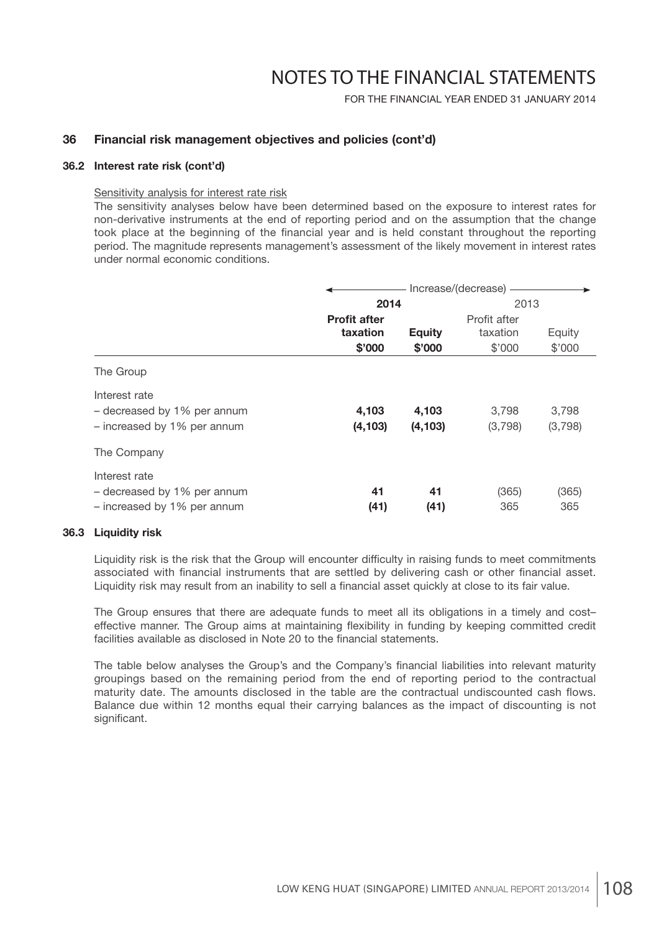FOR THE FINANCIAL YEAR ENDED 31 JANUARY 2014

### **36 Financial risk management objectives and policies (cont'd)**

### **36.2 Interest rate risk (cont'd)**

#### Sensitivity analysis for interest rate risk

 The sensitivity analyses below have been determined based on the exposure to interest rates for non-derivative instruments at the end of reporting period and on the assumption that the change took place at the beginning of the financial year and is held constant throughout the reporting period. The magnitude represents management's assessment of the likely movement in interest rates under normal economic conditions.

|                             | Increase/(decrease) - |               |              |         |
|-----------------------------|-----------------------|---------------|--------------|---------|
|                             | 2014                  |               | 2013         |         |
|                             | <b>Profit after</b>   |               | Profit after |         |
|                             | taxation              | <b>Equity</b> | taxation     | Equity  |
|                             | \$'000                | \$'000        | \$'000       | \$'000  |
| The Group                   |                       |               |              |         |
| Interest rate               |                       |               |              |         |
| - decreased by 1% per annum | 4,103                 | 4,103         | 3.798        | 3,798   |
| - increased by 1% per annum | (4, 103)              | (4, 103)      | (3,798)      | (3,798) |
| The Company                 |                       |               |              |         |
| Interest rate               |                       |               |              |         |
| - decreased by 1% per annum | 41                    | 41            | (365)        | (365)   |
| - increased by 1% per annum | (41)                  | (41)          | 365          | 365     |

### **36.3 Liquidity risk**

Liquidity risk is the risk that the Group will encounter difficulty in raising funds to meet commitments associated with financial instruments that are settled by delivering cash or other financial asset. Liquidity risk may result from an inability to sell a financial asset quickly at close to its fair value.

 The Group ensures that there are adequate funds to meet all its obligations in a timely and cost– effective manner. The Group aims at maintaining flexibility in funding by keeping committed credit facilities available as disclosed in Note 20 to the financial statements.

The table below analyses the Group's and the Company's financial liabilities into relevant maturity groupings based on the remaining period from the end of reporting period to the contractual maturity date. The amounts disclosed in the table are the contractual undiscounted cash flows. Balance due within 12 months equal their carrying balances as the impact of discounting is not significant.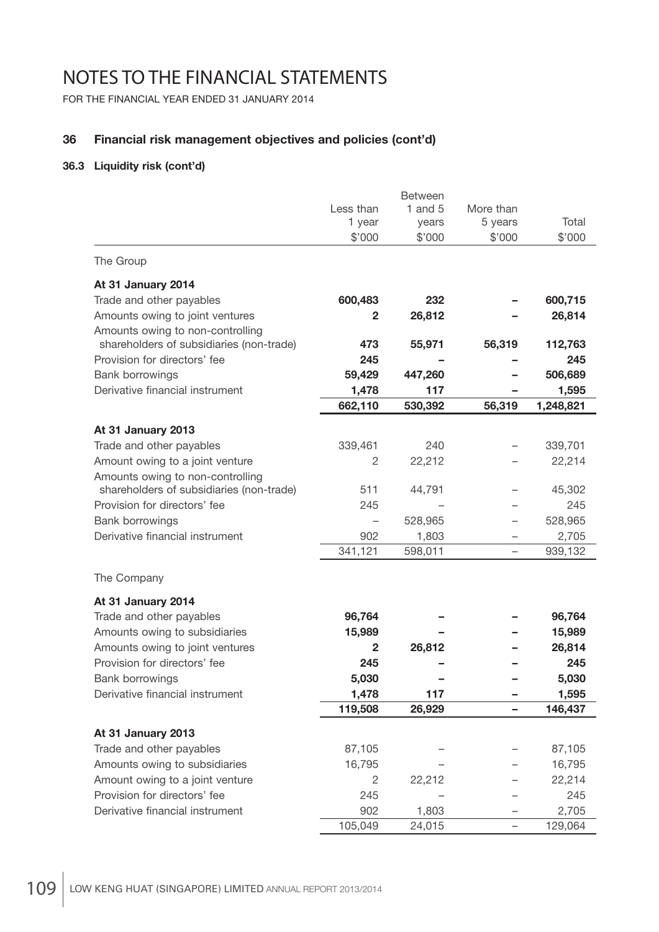FOR THE FINANCIAL YEAR ENDED 31 JANUARY 2014

## **36 Financial risk management objectives and policies (cont'd)**

### **36.3 Liquidity risk (cont'd)**

|                                                                          | Less than<br>1 year<br>\$'000 | <b>Between</b><br>1 and $5$<br>years<br>\$'000 | More than<br>5 years<br>\$'000 | Total<br>\$'000 |
|--------------------------------------------------------------------------|-------------------------------|------------------------------------------------|--------------------------------|-----------------|
| The Group                                                                |                               |                                                |                                |                 |
| At 31 January 2014                                                       |                               |                                                |                                |                 |
| Trade and other payables                                                 | 600,483                       | 232                                            |                                | 600,715         |
| Amounts owing to joint ventures                                          | 2                             | 26,812                                         |                                | 26,814          |
| Amounts owing to non-controlling                                         |                               |                                                |                                |                 |
| shareholders of subsidiaries (non-trade)<br>Provision for directors' fee | 473<br>245                    | 55,971                                         | 56,319                         | 112,763<br>245  |
| Bank borrowings                                                          | 59,429                        | 447,260                                        |                                | 506,689         |
| Derivative financial instrument                                          | 1,478                         | 117                                            |                                | 1,595           |
|                                                                          | 662,110                       | 530,392                                        | 56,319                         | 1,248,821       |
| At 31 January 2013                                                       |                               |                                                |                                |                 |
| Trade and other payables                                                 | 339,461                       | 240                                            |                                | 339,701         |
| Amount owing to a joint venture                                          | 2                             | 22,212                                         |                                | 22,214          |
| Amounts owing to non-controlling                                         |                               |                                                |                                |                 |
| shareholders of subsidiaries (non-trade)                                 | 511                           | 44,791                                         |                                | 45,302          |
| Provision for directors' fee                                             | 245                           |                                                |                                | 245             |
| Bank borrowings                                                          |                               | 528,965                                        | $\overline{\phantom{0}}$       | 528,965         |
| Derivative financial instrument                                          | 902                           | 1,803                                          |                                | 2,705           |
|                                                                          | 341,121                       | 598,011                                        |                                | 939,132         |
| The Company                                                              |                               |                                                |                                |                 |
| At 31 January 2014                                                       |                               |                                                |                                |                 |
| Trade and other payables                                                 | 96,764                        |                                                |                                | 96,764          |
| Amounts owing to subsidiaries                                            | 15,989                        |                                                |                                | 15,989          |
| Amounts owing to joint ventures                                          | $\mathbf{2}$                  | 26,812                                         |                                | 26,814          |
| Provision for directors' fee                                             | 245                           |                                                |                                | 245             |
| <b>Bank borrowings</b>                                                   | 5,030                         |                                                |                                | 5,030           |
| Derivative financial instrument                                          | 1,478<br>119,508              | 117                                            |                                | 1,595           |
|                                                                          |                               | 26,929                                         |                                | 146,437         |
| At 31 January 2013                                                       |                               |                                                |                                |                 |
| Trade and other payables                                                 | 87,105                        |                                                |                                | 87,105          |
| Amounts owing to subsidiaries                                            | 16,795                        |                                                |                                | 16,795          |
| Amount owing to a joint venture                                          | $\overline{c}$                | 22,212                                         |                                | 22,214          |
| Provision for directors' fee                                             | 245                           |                                                |                                | 245             |
| Derivative financial instrument                                          | 902                           | 1,803                                          |                                | 2,705           |
|                                                                          | 105,049                       | 24,015                                         | $\overline{\phantom{a}}$       | 129,064         |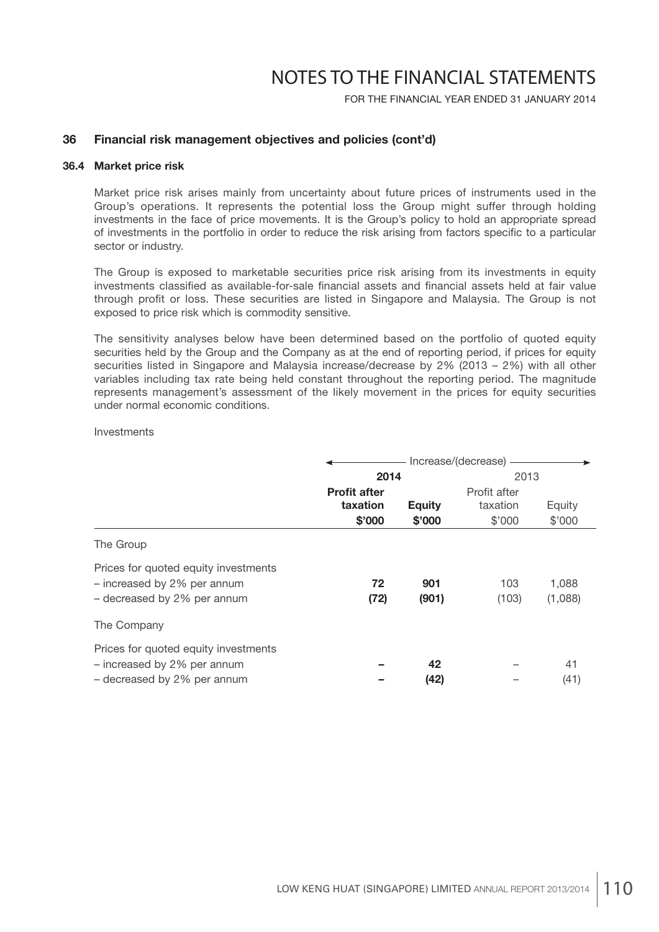FOR THE FINANCIAL YEAR ENDED 31 JANUARY 2014

### **36 Financial risk management objectives and policies (cont'd)**

### **36.4 Market price risk**

 Market price risk arises mainly from uncertainty about future prices of instruments used in the Group's operations. It represents the potential loss the Group might suffer through holding investments in the face of price movements. It is the Group's policy to hold an appropriate spread of investments in the portfolio in order to reduce the risk arising from factors specific to a particular sector or industry.

 The Group is exposed to marketable securities price risk arising from its investments in equity investments classified as available-for-sale financial assets and financial assets held at fair value through profit or loss. These securities are listed in Singapore and Malaysia. The Group is not exposed to price risk which is commodity sensitive.

 The sensitivity analyses below have been determined based on the portfolio of quoted equity securities held by the Group and the Company as at the end of reporting period, if prices for equity securities listed in Singapore and Malaysia increase/decrease by 2% (2013 – 2%) with all other variables including tax rate being held constant throughout the reporting period. The magnitude represents management's assessment of the likely movement in the prices for equity securities under normal economic conditions.

#### **Investments**

|                                                                     | Increase/(decrease) - |               |              |         |
|---------------------------------------------------------------------|-----------------------|---------------|--------------|---------|
|                                                                     | 2014                  |               | 2013         |         |
|                                                                     | <b>Profit after</b>   |               | Profit after |         |
|                                                                     | taxation              | <b>Equity</b> | taxation     | Equity  |
|                                                                     | \$'000                | \$'000        | \$'000       | \$'000  |
| The Group                                                           |                       |               |              |         |
| Prices for quoted equity investments<br>- increased by 2% per annum | 72                    | 901           | 103          | 1,088   |
| - decreased by 2% per annum                                         | (72)                  | (901)         | (103)        | (1,088) |
| The Company                                                         |                       |               |              |         |
| Prices for quoted equity investments                                |                       |               |              |         |
| - increased by 2% per annum                                         |                       | 42            |              | 41      |
| - decreased by 2% per annum                                         |                       | (42)          |              | (41)    |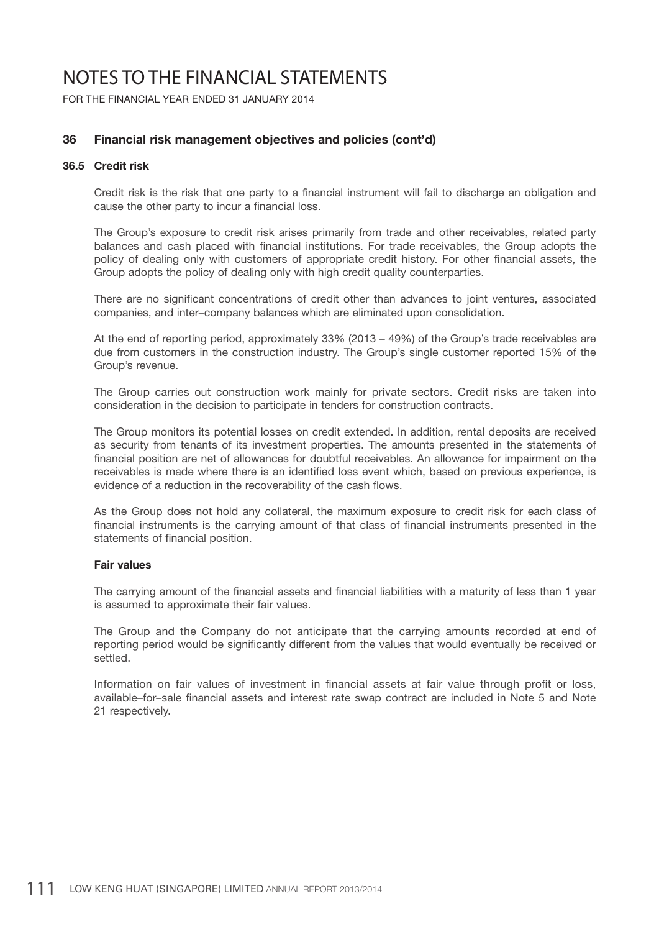FOR THE FINANCIAL YEAR ENDED 31 JANUARY 2014

### **36 Financial risk management objectives and policies (cont'd)**

### **36.5 Credit risk**

Credit risk is the risk that one party to a financial instrument will fail to discharge an obligation and cause the other party to incur a financial loss.

 The Group's exposure to credit risk arises primarily from trade and other receivables, related party balances and cash placed with financial institutions. For trade receivables, the Group adopts the policy of dealing only with customers of appropriate credit history. For other financial assets, the Group adopts the policy of dealing only with high credit quality counterparties.

There are no significant concentrations of credit other than advances to joint ventures, associated companies, and inter–company balances which are eliminated upon consolidation.

 At the end of reporting period, approximately 33% (2013 – 49%) of the Group's trade receivables are due from customers in the construction industry. The Group's single customer reported 15% of the Group's revenue.

 The Group carries out construction work mainly for private sectors. Credit risks are taken into consideration in the decision to participate in tenders for construction contracts.

 The Group monitors its potential losses on credit extended. In addition, rental deposits are received as security from tenants of its investment properties. The amounts presented in the statements of financial position are net of allowances for doubtful receivables. An allowance for impairment on the receivables is made where there is an identified loss event which, based on previous experience, is evidence of a reduction in the recoverability of the cash flows.

 As the Group does not hold any collateral, the maximum exposure to credit risk for each class of financial instruments is the carrying amount of that class of financial instruments presented in the statements of financial position.

### **Fair values**

The carrying amount of the financial assets and financial liabilities with a maturity of less than 1 year is assumed to approximate their fair values.

 The Group and the Company do not anticipate that the carrying amounts recorded at end of reporting period would be significantly different from the values that would eventually be received or settled.

Information on fair values of investment in financial assets at fair value through profit or loss, available–for–sale financial assets and interest rate swap contract are included in Note 5 and Note 21 respectively.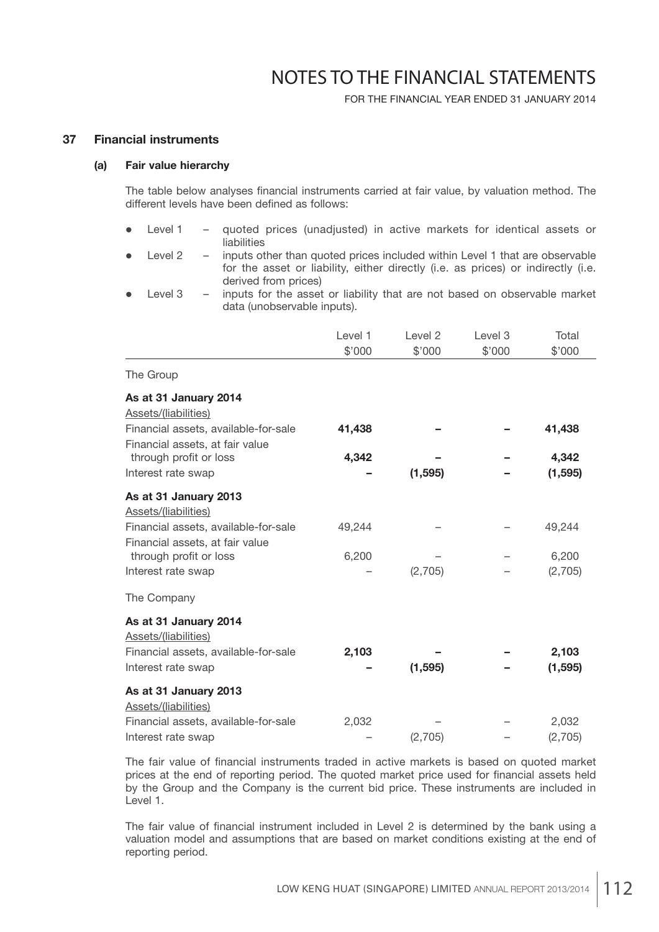FOR THE FINANCIAL YEAR ENDED 31 JANUARY 2014

### **37 Financial instruments**

#### **(a) Fair value hierarchy**

The table below analyses financial instruments carried at fair value, by valuation method. The different levels have been defined as follows:

- Level 1 quoted prices (unadiusted) in active markets for identical assets or liabilities
- Level 2 inputs other than quoted prices included within Level 1 that are observable for the asset or liability, either directly (i.e. as prices) or indirectly (i.e. derived from prices)
- Level 3 inputs for the asset or liability that are not based on observable market data (unobservable inputs).

|                                      | Level 1 | Level 2  | Level 3 | Total    |
|--------------------------------------|---------|----------|---------|----------|
|                                      | \$'000  | \$'000   | \$'000  | \$'000   |
| The Group                            |         |          |         |          |
| As at 31 January 2014                |         |          |         |          |
| Assets/(liabilities)                 |         |          |         |          |
| Financial assets, available-for-sale | 41,438  |          |         | 41,438   |
| Financial assets, at fair value      |         |          |         |          |
| through profit or loss               | 4,342   |          |         | 4,342    |
| Interest rate swap                   |         | (1, 595) |         | (1, 595) |
| As at 31 January 2013                |         |          |         |          |
| Assets/(liabilities)                 |         |          |         |          |
| Financial assets, available-for-sale | 49,244  |          |         | 49,244   |
| Financial assets, at fair value      |         |          |         |          |
| through profit or loss               | 6,200   |          |         | 6,200    |
| Interest rate swap                   |         | (2,705)  |         | (2,705)  |
| The Company                          |         |          |         |          |
| As at 31 January 2014                |         |          |         |          |
| Assets/(liabilities)                 |         |          |         |          |
| Financial assets, available-for-sale | 2,103   |          |         | 2,103    |
| Interest rate swap                   |         | (1, 595) |         | (1, 595) |
| As at 31 January 2013                |         |          |         |          |
| Assets/(liabilities)                 |         |          |         |          |
| Financial assets, available-for-sale | 2,032   |          |         | 2,032    |
| Interest rate swap                   |         | (2,705)  |         | (2,705)  |

The fair value of financial instruments traded in active markets is based on quoted market prices at the end of reporting period. The quoted market price used for financial assets held by the Group and the Company is the current bid price. These instruments are included in Level 1.

The fair value of financial instrument included in Level 2 is determined by the bank using a valuation model and assumptions that are based on market conditions existing at the end of reporting period.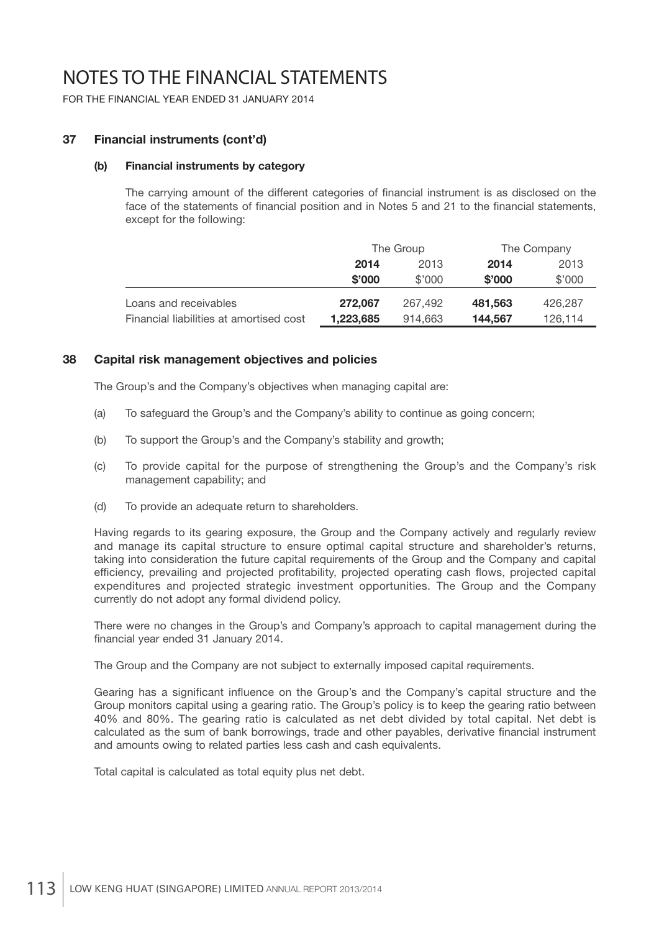FOR THE FINANCIAL YEAR ENDED 31 JANUARY 2014

### **37 Financial instruments (cont'd)**

### **(b) Financial instruments by category**

The carrying amount of the different categories of financial instrument is as disclosed on the face of the statements of financial position and in Notes 5 and 21 to the financial statements, except for the following:

|                                         | The Group    |         |         | The Company |
|-----------------------------------------|--------------|---------|---------|-------------|
|                                         | 2013<br>2014 |         | 2014    | 2013        |
|                                         | \$'000       | \$'000  | \$'000  | \$'000      |
| Loans and receivables                   | 272.067      | 267.492 | 481,563 | 426,287     |
| Financial liabilities at amortised cost | 1,223,685    | 914.663 | 144.567 | 126,114     |

### **38 Capital risk management objectives and policies**

The Group's and the Company's objectives when managing capital are:

- (a) To safeguard the Group's and the Company's ability to continue as going concern;
- (b) To support the Group's and the Company's stability and growth;
- (c) To provide capital for the purpose of strengthening the Group's and the Company's risk management capability; and
- (d) To provide an adequate return to shareholders.

 Having regards to its gearing exposure, the Group and the Company actively and regularly review and manage its capital structure to ensure optimal capital structure and shareholder's returns, taking into consideration the future capital requirements of the Group and the Company and capital efficiency, prevailing and projected profitability, projected operating cash flows, projected capital expenditures and projected strategic investment opportunities. The Group and the Company currently do not adopt any formal dividend policy.

 There were no changes in the Group's and Company's approach to capital management during the financial year ended 31 January 2014.

The Group and the Company are not subject to externally imposed capital requirements.

Gearing has a significant influence on the Group's and the Company's capital structure and the Group monitors capital using a gearing ratio. The Group's policy is to keep the gearing ratio between 40% and 80%. The gearing ratio is calculated as net debt divided by total capital. Net debt is calculated as the sum of bank borrowings, trade and other payables, derivative financial instrument and amounts owing to related parties less cash and cash equivalents.

Total capital is calculated as total equity plus net debt.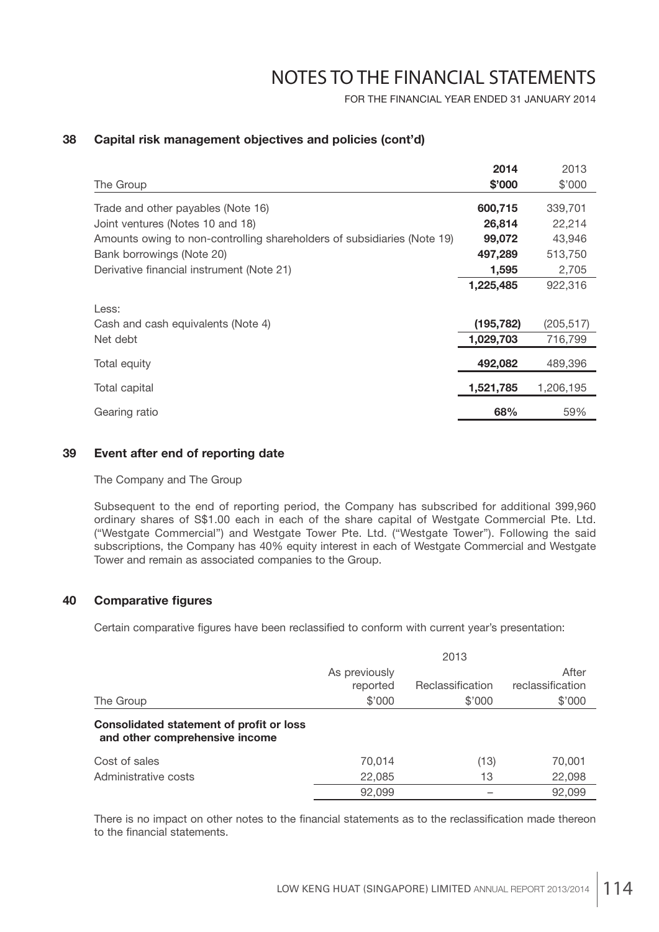FOR THE FINANCIAL YEAR ENDED 31 JANUARY 2014

## **38 Capital risk management objectives and policies (cont'd)**

|                                                                         | 2014       | 2013       |
|-------------------------------------------------------------------------|------------|------------|
| The Group                                                               | \$'000     | \$'000     |
| Trade and other payables (Note 16)                                      | 600,715    | 339,701    |
| Joint ventures (Notes 10 and 18)                                        | 26,814     | 22,214     |
| Amounts owing to non-controlling shareholders of subsidiaries (Note 19) | 99,072     | 43,946     |
| Bank borrowings (Note 20)                                               | 497,289    | 513,750    |
| Derivative financial instrument (Note 21)                               | 1,595      | 2,705      |
|                                                                         | 1,225,485  | 922,316    |
| Less:<br>Cash and cash equivalents (Note 4)                             | (195, 782) | (205, 517) |
| Net debt                                                                | 1,029,703  | 716,799    |
| Total equity                                                            | 492,082    | 489,396    |
| Total capital                                                           | 1,521,785  | 1,206,195  |
| Gearing ratio                                                           | 68%        | 59%        |

### **39 Event after end of reporting date**

The Company and The Group

 Subsequent to the end of reporting period, the Company has subscribed for additional 399,960 ordinary shares of S\$1.00 each in each of the share capital of Westgate Commercial Pte. Ltd. ("Westgate Commercial") and Westgate Tower Pte. Ltd. ("Westgate Tower"). Following the said subscriptions, the Company has 40% equity interest in each of Westgate Commercial and Westgate Tower and remain as associated companies to the Group.

## **40 Comparative figures**

Certain comparative figures have been reclassified to conform with current year's presentation:

|                                                                                   |               | 2013             |                  |
|-----------------------------------------------------------------------------------|---------------|------------------|------------------|
|                                                                                   | As previously |                  | After            |
|                                                                                   | reported      | Reclassification | reclassification |
| The Group                                                                         | \$'000        | \$'000           | \$'000           |
| <b>Consolidated statement of profit or loss</b><br>and other comprehensive income |               |                  |                  |
| Cost of sales                                                                     | 70,014        | (13)             | 70,001           |
| Administrative costs                                                              | 22,085        | 13               | 22,098           |
|                                                                                   | 92,099        |                  | 92,099           |

There is no impact on other notes to the financial statements as to the reclassification made thereon to the financial statements.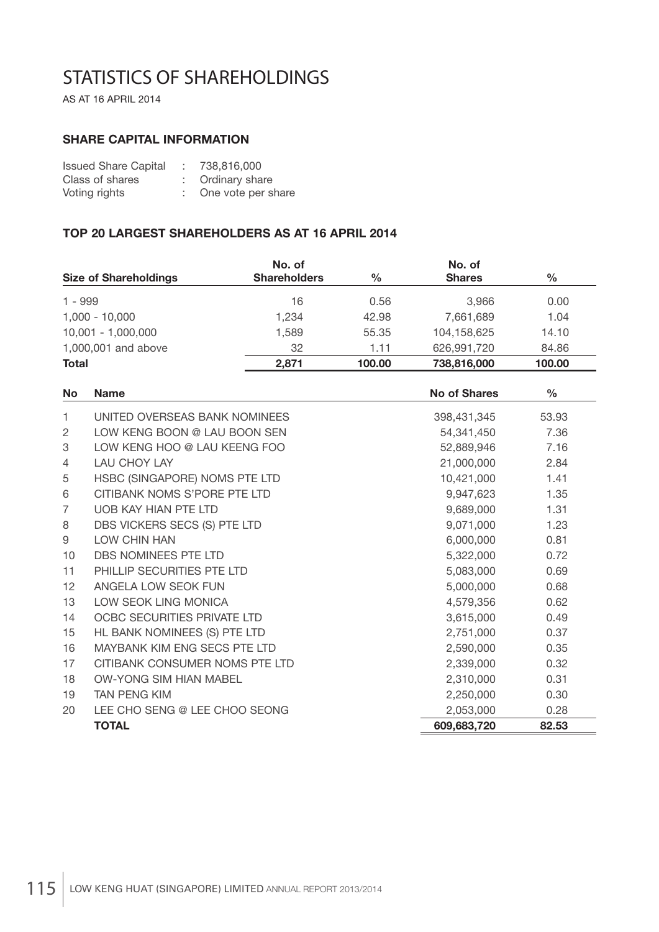# STATISTICS OF SHAREHOLDINGS

AS AT 16 APRIL 2014

## **SHARE CAPITAL INFORMATION**

| <b>Issued Share Capital</b> | $\sim$ | 738,816,000        |
|-----------------------------|--------|--------------------|
| Class of shares             |        | Ordinary share     |
| Voting rights               |        | One vote per share |

## **TOP 20 LARGEST SHAREHOLDERS AS AT 16 APRIL 2014**

| <b>Size of Shareholdings</b> | No. of<br><b>Shareholders</b> | $\%$   | No. of<br><b>Shares</b> | $\frac{0}{0}$ |
|------------------------------|-------------------------------|--------|-------------------------|---------------|
| $1 - 999$                    | 16                            | 0.56   | 3.966                   | 0.00          |
| $1,000 - 10,000$             | 1.234                         | 42.98  | 7.661.689               | 1.04          |
| $10,001 - 1,000,000$         | 1,589                         | 55.35  | 104,158,625             | 14.10         |
| 1,000,001 and above          | 32                            | 1.11   | 626,991,720             | 84.86         |
| <b>Total</b>                 | 2.871                         | 100.00 | 738,816,000             | 100.00        |

| <b>No</b>      | <b>Name</b>                    | <b>No of Shares</b> | $\frac{0}{0}$ |
|----------------|--------------------------------|---------------------|---------------|
| 1.             | UNITED OVERSEAS BANK NOMINEES  | 398,431,345         | 53.93         |
| 2              | LOW KENG BOON @ LAU BOON SEN   | 54,341,450          | 7.36          |
| 3              | LOW KENG HOO @ LAU KEENG FOO   | 52,889,946          | 7.16          |
| $\overline{4}$ | <b>LAU CHOY LAY</b>            | 21,000,000          | 2.84          |
| 5              | HSBC (SINGAPORE) NOMS PTE LTD  | 10,421,000          | 1.41          |
| 6              | CITIBANK NOMS S'PORE PTE LTD   | 9,947,623           | 1.35          |
| $\overline{7}$ | UOB KAY HIAN PTE LTD           | 9,689,000           | 1.31          |
| 8              | DBS VICKERS SECS (S) PTE LTD   | 9,071,000           | 1.23          |
| 9              | LOW CHIN HAN                   | 6,000,000           | 0.81          |
| 10             | DBS NOMINEES PTE LTD           | 5,322,000           | 0.72          |
| 11             | PHILLIP SECURITIES PTE LTD     | 5,083,000           | 0.69          |
| 12             | ANGELA LOW SEOK FUN            | 5,000,000           | 0.68          |
| 13             | LOW SEOK LING MONICA           | 4,579,356           | 0.62          |
| 14             | OCBC SECURITIES PRIVATE LTD    | 3,615,000           | 0.49          |
| 15             | HL BANK NOMINEES (S) PTE LTD   | 2,751,000           | 0.37          |
| 16             | MAYBANK KIM ENG SECS PTE LTD   | 2,590,000           | 0.35          |
| 17             | CITIBANK CONSUMER NOMS PTE LTD | 2,339,000           | 0.32          |
| 18             | <b>OW-YONG SIM HIAN MABEL</b>  | 2,310,000           | 0.31          |
| 19             | <b>TAN PENG KIM</b>            | 2,250,000           | 0.30          |
| 20             | LEE CHO SENG @ LEE CHOO SEONG  | 2,053,000           | 0.28          |
|                | <b>TOTAL</b>                   | 609,683,720         | 82.53         |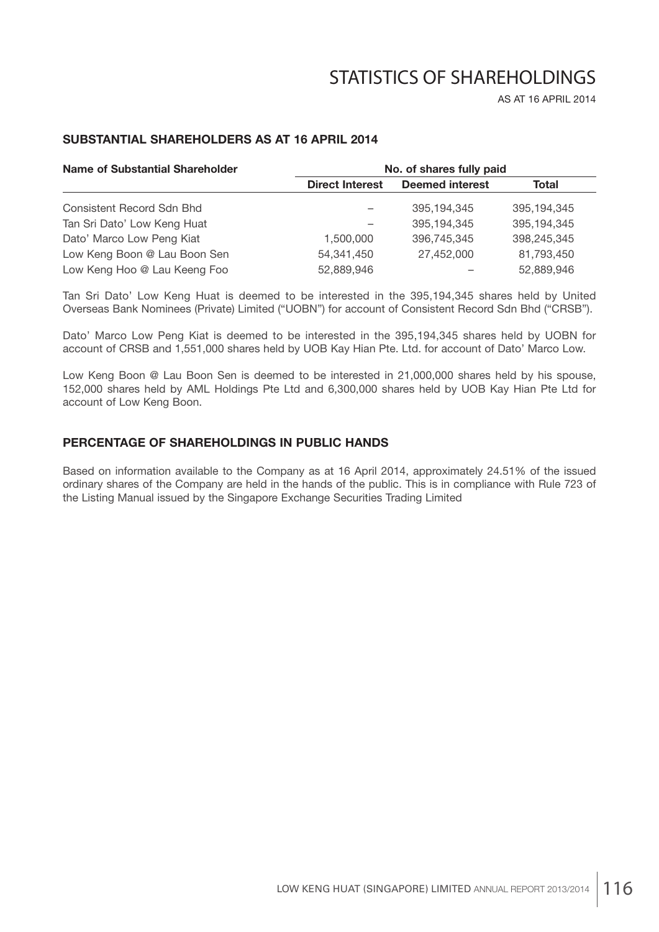# STATISTICS OF SHAREHOLDINGS

AS AT 16 APRIL 2014

## **SUBSTANTIAL SHAREHOLDERS AS AT 16 APRIL 2014**

| <b>Name of Substantial Shareholder</b> | No. of shares fully paid |                        |             |  |  |
|----------------------------------------|--------------------------|------------------------|-------------|--|--|
|                                        | <b>Direct Interest</b>   | <b>Deemed interest</b> | Total       |  |  |
| Consistent Record Sdn Bhd              |                          | 395,194,345            | 395,194,345 |  |  |
| Tan Sri Dato' Low Keng Huat            |                          | 395,194,345            | 395,194,345 |  |  |
| Dato' Marco Low Peng Kiat              | 1.500.000                | 396,745,345            | 398,245,345 |  |  |
| Low Keng Boon @ Lau Boon Sen           | 54, 341, 450             | 27,452,000             | 81,793,450  |  |  |
| Low Keng Hoo @ Lau Keeng Foo           | 52,889,946               |                        | 52,889,946  |  |  |

Tan Sri Dato' Low Keng Huat is deemed to be interested in the 395,194,345 shares held by United Overseas Bank Nominees (Private) Limited ("UOBN") for account of Consistent Record Sdn Bhd ("CRSB").

Dato' Marco Low Peng Kiat is deemed to be interested in the 395,194,345 shares held by UOBN for account of CRSB and 1,551,000 shares held by UOB Kay Hian Pte. Ltd. for account of Dato' Marco Low.

Low Keng Boon @ Lau Boon Sen is deemed to be interested in 21,000,000 shares held by his spouse, 152,000 shares held by AML Holdings Pte Ltd and 6,300,000 shares held by UOB Kay Hian Pte Ltd for account of Low Keng Boon.

## **PERCENTAGE OF SHAREHOLDINGS IN PUBLIC HANDS**

Based on information available to the Company as at 16 April 2014, approximately 24.51% of the issued ordinary shares of the Company are held in the hands of the public. This is in compliance with Rule 723 of the Listing Manual issued by the Singapore Exchange Securities Trading Limited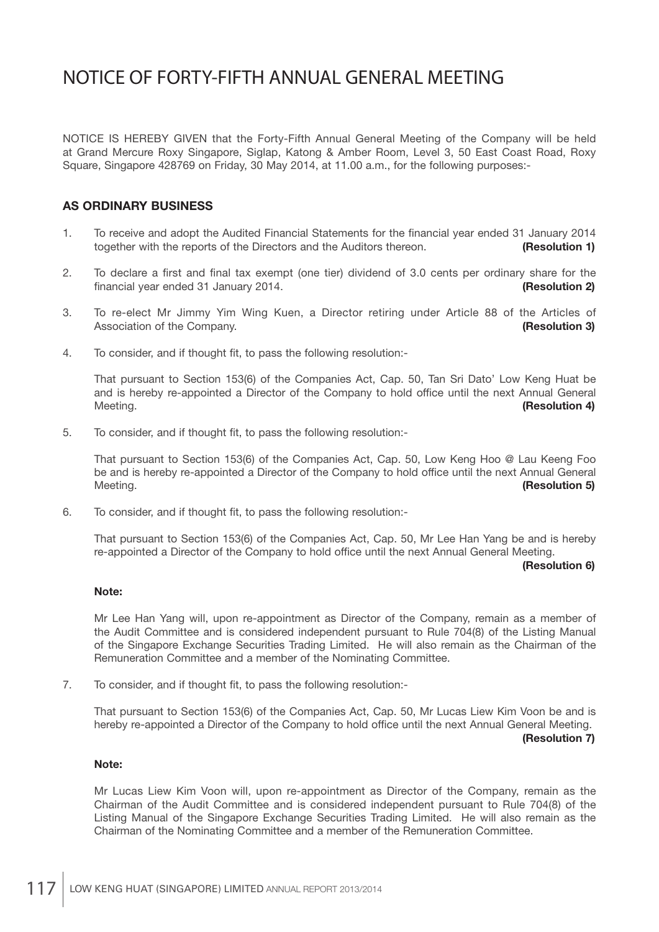NOTICE IS HEREBY GIVEN that the Forty-Fifth Annual General Meeting of the Company will be held at Grand Mercure Roxy Singapore, Siglap, Katong & Amber Room, Level 3, 50 East Coast Road, Roxy Square, Singapore 428769 on Friday, 30 May 2014, at 11.00 a.m., for the following purposes:-

## **AS ORDINARY BUSINESS**

- 1. To receive and adopt the Audited Financial Statements for the financial year ended 31 January 2014 together with the reports of the Directors and the Auditors thereon. **(Resolution 1)**
- 2. To declare a first and final tax exempt (one tier) dividend of 3.0 cents per ordinary share for the fi nancial year ended 31 January 2014. **(Resolution 2)**
- 3. To re-elect Mr Jimmy Yim Wing Kuen, a Director retiring under Article 88 of the Articles of Association of the Company. **(Resolution 3)**
- 4. To consider, and if thought fit, to pass the following resolution:-

 That pursuant to Section 153(6) of the Companies Act, Cap. 50, Tan Sri Dato' Low Keng Huat be and is hereby re-appointed a Director of the Company to hold office until the next Annual General Meeting. **(Resolution 4)**

5. To consider, and if thought fit, to pass the following resolution:-

 That pursuant to Section 153(6) of the Companies Act, Cap. 50, Low Keng Hoo @ Lau Keeng Foo be and is hereby re-appointed a Director of the Company to hold office until the next Annual General Meeting. **(Resolution 5)**

6. To consider, and if thought fit, to pass the following resolution:-

 That pursuant to Section 153(6) of the Companies Act, Cap. 50, Mr Lee Han Yang be and is hereby re-appointed a Director of the Company to hold office until the next Annual General Meeting.

#### **(Resolution 6)**

### **Note:**

 Mr Lee Han Yang will, upon re-appointment as Director of the Company, remain as a member of the Audit Committee and is considered independent pursuant to Rule 704(8) of the Listing Manual of the Singapore Exchange Securities Trading Limited. He will also remain as the Chairman of the Remuneration Committee and a member of the Nominating Committee.

7. To consider, and if thought fit, to pass the following resolution:-

 That pursuant to Section 153(6) of the Companies Act, Cap. 50, Mr Lucas Liew Kim Voon be and is hereby re-appointed a Director of the Company to hold office until the next Annual General Meeting.

#### **(Resolution 7)**

#### **Note:**

 Mr Lucas Liew Kim Voon will, upon re-appointment as Director of the Company, remain as the Chairman of the Audit Committee and is considered independent pursuant to Rule 704(8) of the Listing Manual of the Singapore Exchange Securities Trading Limited. He will also remain as the Chairman of the Nominating Committee and a member of the Remuneration Committee.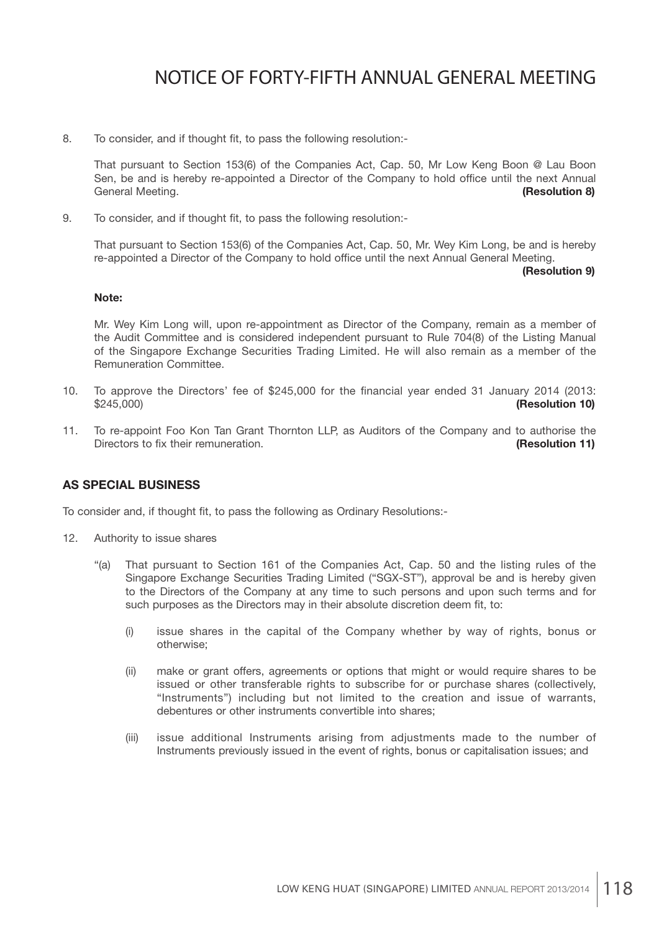8. To consider, and if thought fit, to pass the following resolution:-

 That pursuant to Section 153(6) of the Companies Act, Cap. 50, Mr Low Keng Boon @ Lau Boon Sen, be and is hereby re-appointed a Director of the Company to hold office until the next Annual General Meeting. **(General Meeting**) **(General Meeting**) **(General Meeting**) **(General Meeting**) **(General Meeting**) **(General Meeting**) **(General Meeting**) **(General Meeting**) **(General Meeting**) **(General Meeting**) **(Gen** 

9. To consider, and if thought fit, to pass the following resolution:-

 That pursuant to Section 153(6) of the Companies Act, Cap. 50, Mr. Wey Kim Long, be and is hereby re-appointed a Director of the Company to hold office until the next Annual General Meeting.

#### **(Resolution 9)**

#### **Note:**

 Mr. Wey Kim Long will, upon re-appointment as Director of the Company, remain as a member of the Audit Committee and is considered independent pursuant to Rule 704(8) of the Listing Manual of the Singapore Exchange Securities Trading Limited. He will also remain as a member of the Remuneration Committee.

- 10. To approve the Directors' fee of \$245,000 for the financial year ended 31 January 2014 (2013: \$245,000) **(Resolution 10)**
- 11. To re-appoint Foo Kon Tan Grant Thornton LLP, as Auditors of the Company and to authorise the Directors to fix their remuneration. **(Resolution 11) (Resolution 11)**

## **AS SPECIAL BUSINESS**

To consider and, if thought fit, to pass the following as Ordinary Resolutions:-

- 12. Authority to issue shares
	- "(a) That pursuant to Section 161 of the Companies Act, Cap. 50 and the listing rules of the Singapore Exchange Securities Trading Limited ("SGX-ST"), approval be and is hereby given to the Directors of the Company at any time to such persons and upon such terms and for such purposes as the Directors may in their absolute discretion deem fit, to:
		- (i) issue shares in the capital of the Company whether by way of rights, bonus or otherwise;
		- (ii) make or grant offers, agreements or options that might or would require shares to be issued or other transferable rights to subscribe for or purchase shares (collectively, "Instruments") including but not limited to the creation and issue of warrants, debentures or other instruments convertible into shares;
		- (iii) issue additional Instruments arising from adjustments made to the number of Instruments previously issued in the event of rights, bonus or capitalisation issues; and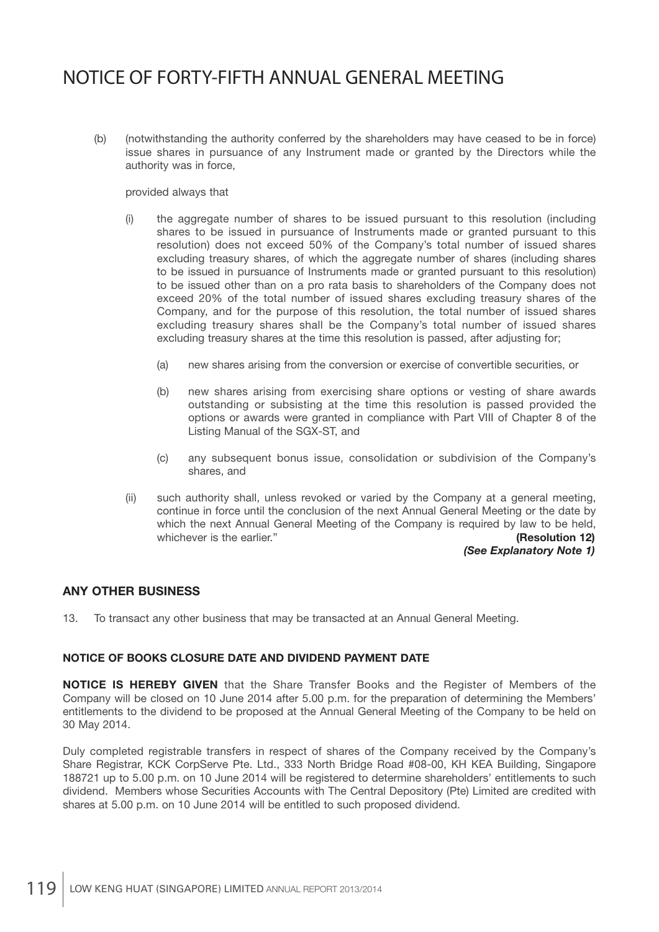(b) (notwithstanding the authority conferred by the shareholders may have ceased to be in force) issue shares in pursuance of any Instrument made or granted by the Directors while the authority was in force,

### provided always that

- (i) the aggregate number of shares to be issued pursuant to this resolution (including shares to be issued in pursuance of Instruments made or granted pursuant to this resolution) does not exceed 50% of the Company's total number of issued shares excluding treasury shares, of which the aggregate number of shares (including shares to be issued in pursuance of Instruments made or granted pursuant to this resolution) to be issued other than on a pro rata basis to shareholders of the Company does not exceed 20% of the total number of issued shares excluding treasury shares of the Company, and for the purpose of this resolution, the total number of issued shares excluding treasury shares shall be the Company's total number of issued shares excluding treasury shares at the time this resolution is passed, after adjusting for;
	- (a) new shares arising from the conversion or exercise of convertible securities, or
	- (b) new shares arising from exercising share options or vesting of share awards outstanding or subsisting at the time this resolution is passed provided the options or awards were granted in compliance with Part VIII of Chapter 8 of the Listing Manual of the SGX-ST, and
	- (c) any subsequent bonus issue, consolidation or subdivision of the Company's shares, and
- (ii) such authority shall, unless revoked or varied by the Company at a general meeting, continue in force until the conclusion of the next Annual General Meeting or the date by which the next Annual General Meeting of the Company is required by law to be held, whichever is the earlier." **(Resolution 12) (Resolution 12)**

*(See Explanatory Note 1)*

## **ANY OTHER BUSINESS**

13. To transact any other business that may be transacted at an Annual General Meeting.

### **NOTICE OF BOOKS CLOSURE DATE AND DIVIDEND PAYMENT DATE**

**NOTICE IS HEREBY GIVEN** that the Share Transfer Books and the Register of Members of the Company will be closed on 10 June 2014 after 5.00 p.m. for the preparation of determining the Members' entitlements to the dividend to be proposed at the Annual General Meeting of the Company to be held on 30 May 2014.

Duly completed registrable transfers in respect of shares of the Company received by the Company's Share Registrar, KCK CorpServe Pte. Ltd., 333 North Bridge Road #08-00, KH KEA Building, Singapore 188721 up to 5.00 p.m. on 10 June 2014 will be registered to determine shareholders' entitlements to such dividend. Members whose Securities Accounts with The Central Depository (Pte) Limited are credited with shares at 5.00 p.m. on 10 June 2014 will be entitled to such proposed dividend.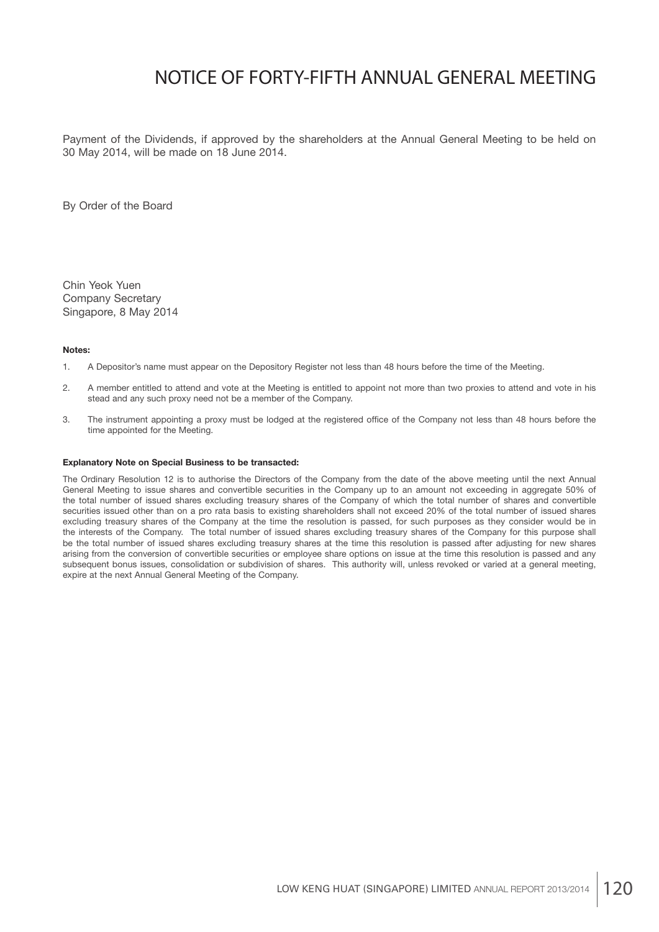Payment of the Dividends, if approved by the shareholders at the Annual General Meeting to be held on 30 May 2014, will be made on 18 June 2014.

By Order of the Board

Chin Yeok Yuen Company Secretary Singapore, 8 May 2014

#### **Notes:**

- 1. A Depositor's name must appear on the Depository Register not less than 48 hours before the time of the Meeting.
- 2. A member entitled to attend and vote at the Meeting is entitled to appoint not more than two proxies to attend and vote in his stead and any such proxy need not be a member of the Company.
- 3. The instrument appointing a proxy must be lodged at the registered office of the Company not less than 48 hours before the time appointed for the Meeting.

#### **Explanatory Note on Special Business to be transacted:**

The Ordinary Resolution 12 is to authorise the Directors of the Company from the date of the above meeting until the next Annual General Meeting to issue shares and convertible securities in the Company up to an amount not exceeding in aggregate 50% of the total number of issued shares excluding treasury shares of the Company of which the total number of shares and convertible securities issued other than on a pro rata basis to existing shareholders shall not exceed 20% of the total number of issued shares excluding treasury shares of the Company at the time the resolution is passed, for such purposes as they consider would be in the interests of the Company. The total number of issued shares excluding treasury shares of the Company for this purpose shall be the total number of issued shares excluding treasury shares at the time this resolution is passed after adjusting for new shares arising from the conversion of convertible securities or employee share options on issue at the time this resolution is passed and any subsequent bonus issues, consolidation or subdivision of shares. This authority will, unless revoked or varied at a general meeting, expire at the next Annual General Meeting of the Company.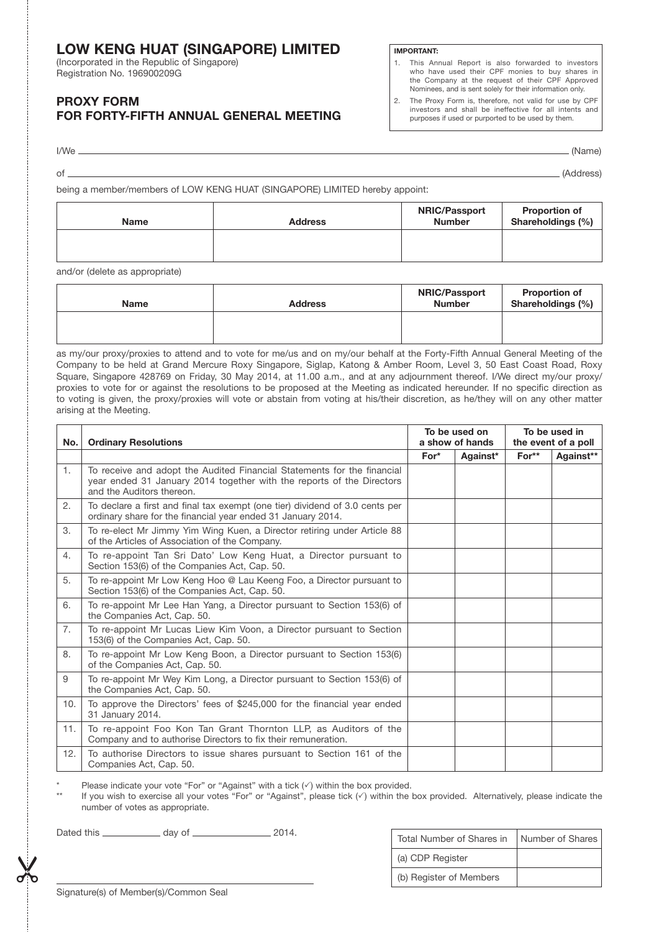## **LOW KENG HUAT (SINGAPORE) LIMITED**

(Incorporated in the Republic of Singapore) Registration No. 196900209G

## **PROXY FORM FOR FORTY-FIFTH ANNUAL GENERAL MEETING**

#### **IMPORTANT:**

- 1. This Annual Report is also forwarded to investors who have used their CPF monies to buy shares in the Company at the request of their CPF Approved Nominees, and is sent solely for their information only.
- 2. The Proxy Form is, therefore, not valid for use by CPF investors and shall be ineffective for all intents and purposes if used or purported to be used by them.

I/We (Name)

|  | ı<br>$\sim$ |  |
|--|-------------|--|
|  |             |  |
|  |             |  |
|  |             |  |

of (Address)

being a member/members of LOW KENG HUAT (SINGAPORE) LIMITED hereby appoint:

| <b>Name</b> | <b>Address</b> | <b>NRIC/Passport</b><br><b>Number</b> | <b>Proportion of</b><br>Shareholdings (%) |
|-------------|----------------|---------------------------------------|-------------------------------------------|
|             |                |                                       |                                           |

and/or (delete as appropriate)

| Name | <b>Address</b> | <b>NRIC/Passport</b><br><b>Number</b> | <b>Proportion of</b><br>Shareholdings (%) |
|------|----------------|---------------------------------------|-------------------------------------------|
|      |                |                                       |                                           |

as my/our proxy/proxies to attend and to vote for me/us and on my/our behalf at the Forty-Fifth Annual General Meeting of the Company to be held at Grand Mercure Roxy Singapore, Siglap, Katong & Amber Room, Level 3, 50 East Coast Road, Roxy Square, Singapore 428769 on Friday, 30 May 2014, at 11.00 a.m., and at any adjournment thereof. I/We direct my/our proxy/ proxies to vote for or against the resolutions to be proposed at the Meeting as indicated hereunder. If no specific direction as to voting is given, the proxy/proxies will vote or abstain from voting at his/their discretion, as he/they will on any other matter arising at the Meeting.

| No. | <b>Ordinary Resolutions</b>                                                                                                                                                   |        | To be used on<br>a show of hands |         | To be used in<br>the event of a poll |  |
|-----|-------------------------------------------------------------------------------------------------------------------------------------------------------------------------------|--------|----------------------------------|---------|--------------------------------------|--|
|     |                                                                                                                                                                               | $For*$ | Against*                         | $For**$ | Against**                            |  |
| 1.  | To receive and adopt the Audited Financial Statements for the financial<br>year ended 31 January 2014 together with the reports of the Directors<br>and the Auditors thereon. |        |                                  |         |                                      |  |
| 2.  | To declare a first and final tax exempt (one tier) dividend of 3.0 cents per<br>ordinary share for the financial year ended 31 January 2014.                                  |        |                                  |         |                                      |  |
| 3.  | To re-elect Mr Jimmy Yim Wing Kuen, a Director retiring under Article 88<br>of the Articles of Association of the Company.                                                    |        |                                  |         |                                      |  |
| 4.  | To re-appoint Tan Sri Dato' Low Keng Huat, a Director pursuant to<br>Section 153(6) of the Companies Act, Cap. 50.                                                            |        |                                  |         |                                      |  |
| 5.  | To re-appoint Mr Low Keng Hoo @ Lau Keeng Foo, a Director pursuant to<br>Section 153(6) of the Companies Act, Cap. 50.                                                        |        |                                  |         |                                      |  |
| 6.  | To re-appoint Mr Lee Han Yang, a Director pursuant to Section 153(6) of<br>the Companies Act, Cap. 50.                                                                        |        |                                  |         |                                      |  |
| 7.  | To re-appoint Mr Lucas Liew Kim Voon, a Director pursuant to Section<br>153(6) of the Companies Act, Cap. 50.                                                                 |        |                                  |         |                                      |  |
| 8.  | To re-appoint Mr Low Keng Boon, a Director pursuant to Section 153(6)<br>of the Companies Act, Cap. 50.                                                                       |        |                                  |         |                                      |  |
| 9   | To re-appoint Mr Wey Kim Long, a Director pursuant to Section 153(6) of<br>the Companies Act, Cap. 50.                                                                        |        |                                  |         |                                      |  |
| 10. | To approve the Directors' fees of \$245,000 for the financial year ended<br>31 January 2014.                                                                                  |        |                                  |         |                                      |  |
| 11. | To re-appoint Foo Kon Tan Grant Thornton LLP, as Auditors of the<br>Company and to authorise Directors to fix their remuneration.                                             |        |                                  |         |                                      |  |
| 12. | To authorise Directors to issue shares pursuant to Section 161 of the<br>Companies Act, Cap. 50.                                                                              |        |                                  |         |                                      |  |

\* Please indicate your vote "For" or "Against" with a tick  $(\checkmark)$  within the box provided.

If you wish to exercise all your votes "For" or "Against", please tick ( $\checkmark$ ) within the box provided. Alternatively, please indicate the number of votes as appropriate.

Dated this  $\frac{1}{2014}$  day of  $\frac{1}{2014}$ 

| 2014.<br>Dated this<br>dav of | Total Number of Shares in<br>Number of Shares |
|-------------------------------|-----------------------------------------------|
| NZ.                           | (a) CDP Register                              |
| ್ಡ                            | (b) Register of Members                       |

Signature(s) of Member(s)/Common Seal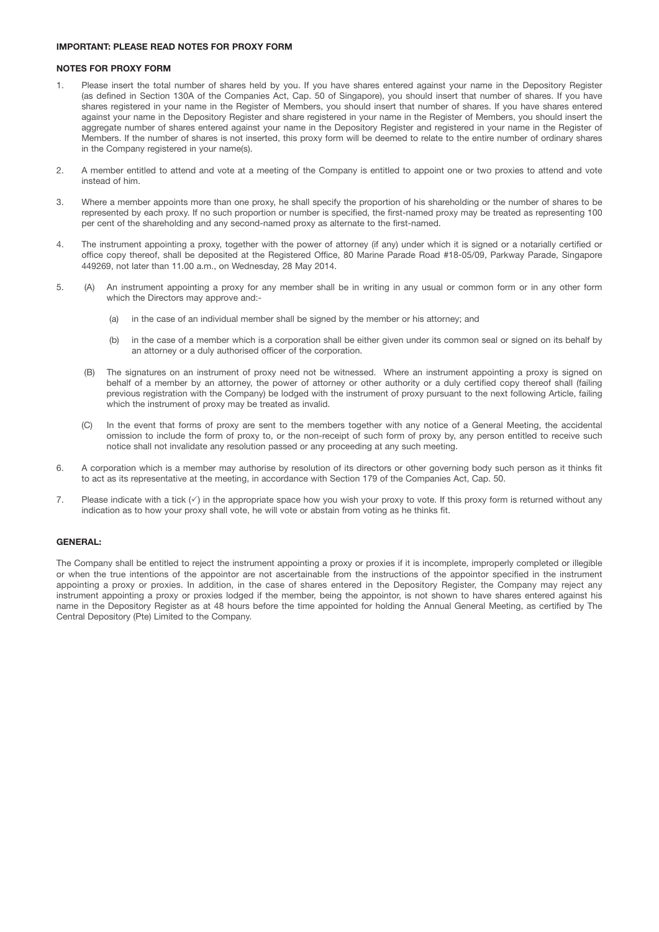#### **IMPORTANT: PLEASE READ NOTES FOR PROXY FORM**

#### **NOTES FOR PROXY FORM**

- 1. Please insert the total number of shares held by you. If you have shares entered against your name in the Depository Register (as defined in Section 130A of the Companies Act, Cap. 50 of Singapore), you should insert that number of shares. If you have shares registered in your name in the Register of Members, you should insert that number of shares. If you have shares entered against your name in the Depository Register and share registered in your name in the Register of Members, you should insert the aggregate number of shares entered against your name in the Depository Register and registered in your name in the Register of Members. If the number of shares is not inserted, this proxy form will be deemed to relate to the entire number of ordinary shares in the Company registered in your name(s).
- 2. A member entitled to attend and vote at a meeting of the Company is entitled to appoint one or two proxies to attend and vote instead of him.
- 3. Where a member appoints more than one proxy, he shall specify the proportion of his shareholding or the number of shares to be represented by each proxy. If no such proportion or number is specified, the first-named proxy may be treated as representing 100 per cent of the shareholding and any second-named proxy as alternate to the first-named.
- 4. The instrument appointing a proxy, together with the power of attorney (if any) under which it is signed or a notarially certified or office copy thereof, shall be deposited at the Registered Office, 80 Marine Parade Road #18-05/09, Parkway Parade, Singapore 449269, not later than 11.00 a.m., on Wednesday, 28 May 2014.
- 5. (A) An instrument appointing a proxy for any member shall be in writing in any usual or common form or in any other form which the Directors may approve and:-
	- (a) in the case of an individual member shall be signed by the member or his attorney; and
	- (b) in the case of a member which is a corporation shall be either given under its common seal or signed on its behalf by an attorney or a duly authorised officer of the corporation.
	- (B) The signatures on an instrument of proxy need not be witnessed. Where an instrument appointing a proxy is signed on behalf of a member by an attorney, the power of attorney or other authority or a duly certified copy thereof shall (failing previous registration with the Company) be lodged with the instrument of proxy pursuant to the next following Article, failing which the instrument of proxy may be treated as invalid.
	- (C) In the event that forms of proxy are sent to the members together with any notice of a General Meeting, the accidental omission to include the form of proxy to, or the non-receipt of such form of proxy by, any person entitled to receive such notice shall not invalidate any resolution passed or any proceeding at any such meeting.
- 6. A corporation which is a member may authorise by resolution of its directors or other governing body such person as it thinks fit to act as its representative at the meeting, in accordance with Section 179 of the Companies Act, Cap. 50.
- 7. Please indicate with a tick  $(\sqrt{})$  in the appropriate space how you wish your proxy to vote. If this proxy form is returned without any indication as to how your proxy shall vote, he will vote or abstain from voting as he thinks fit.

#### **GENERAL:**

The Company shall be entitled to reject the instrument appointing a proxy or proxies if it is incomplete, improperly completed or illegible or when the true intentions of the appointor are not ascertainable from the instructions of the appointor specified in the instrument appointing a proxy or proxies. In addition, in the case of shares entered in the Depository Register, the Company may reject any instrument appointing a proxy or proxies lodged if the member, being the appointor, is not shown to have shares entered against his name in the Depository Register as at 48 hours before the time appointed for holding the Annual General Meeting, as certified by The Central Depository (Pte) Limited to the Company.